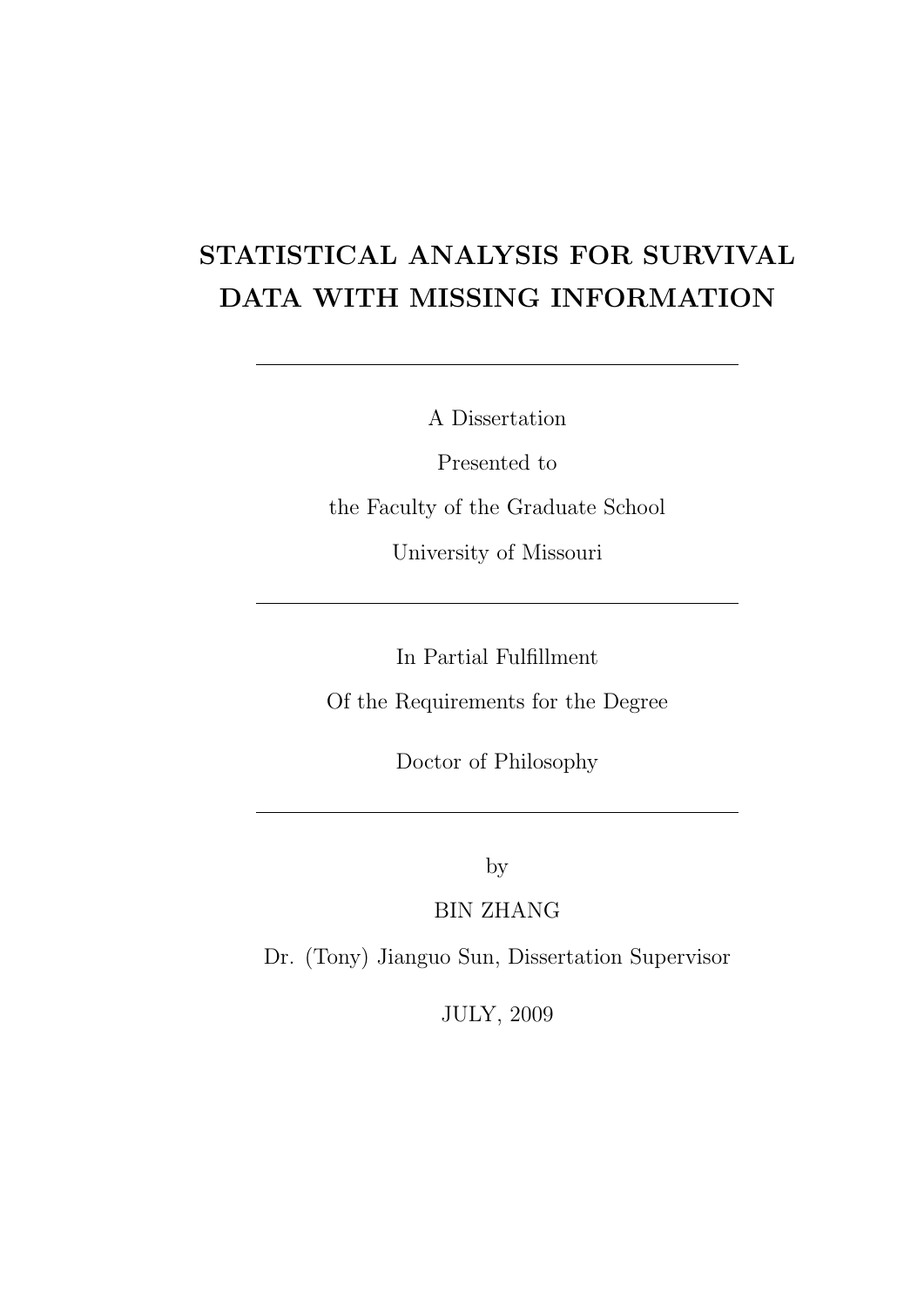## STATISTICAL ANALYSIS FOR SURVIVAL DATA WITH MISSING INFORMATION

A Dissertation

Presented to the Faculty of the Graduate School University of Missouri

In Partial Fulfillment

Of the Requirements for the Degree

Doctor of Philosophy

by

BIN ZHANG

Dr. (Tony) Jianguo Sun, Dissertation Supervisor

JULY, 2009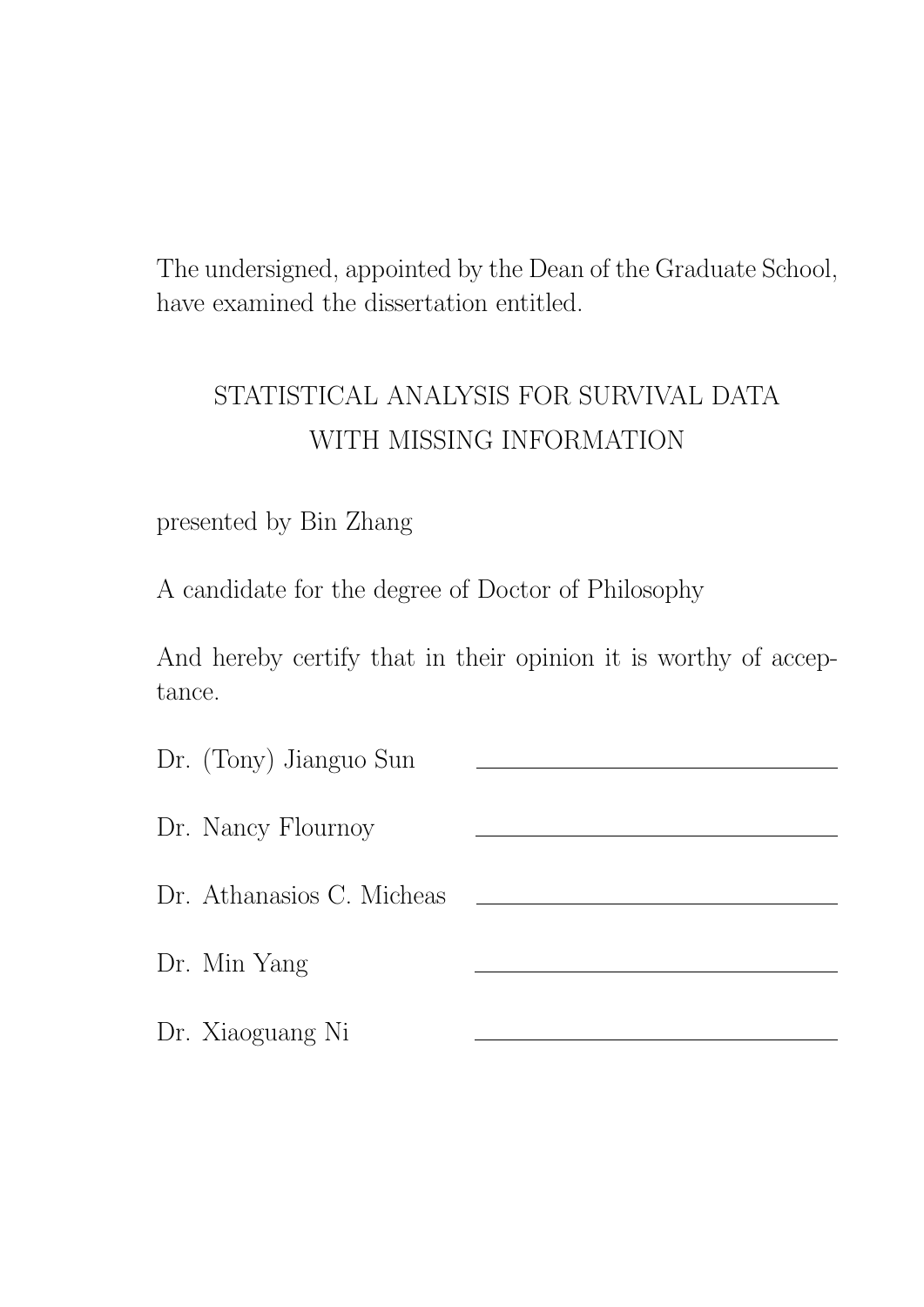The undersigned, appointed by the Dean of the Graduate School, have examined the dissertation entitled.

## STATISTICAL ANALYSIS FOR SURVIVAL DATA WITH MISSING INFORMATION

### presented by Bin Zhang

A candidate for the degree of Doctor of Philosophy

And hereby certify that in their opinion it is worthy of acceptance.

| Dr. (Tony) Jianguo Sun    |  |
|---------------------------|--|
| Dr. Nancy Flournoy        |  |
| Dr. Athanasios C. Micheas |  |
| Dr. Min Yang              |  |
| Dr. Xiaoguang Ni          |  |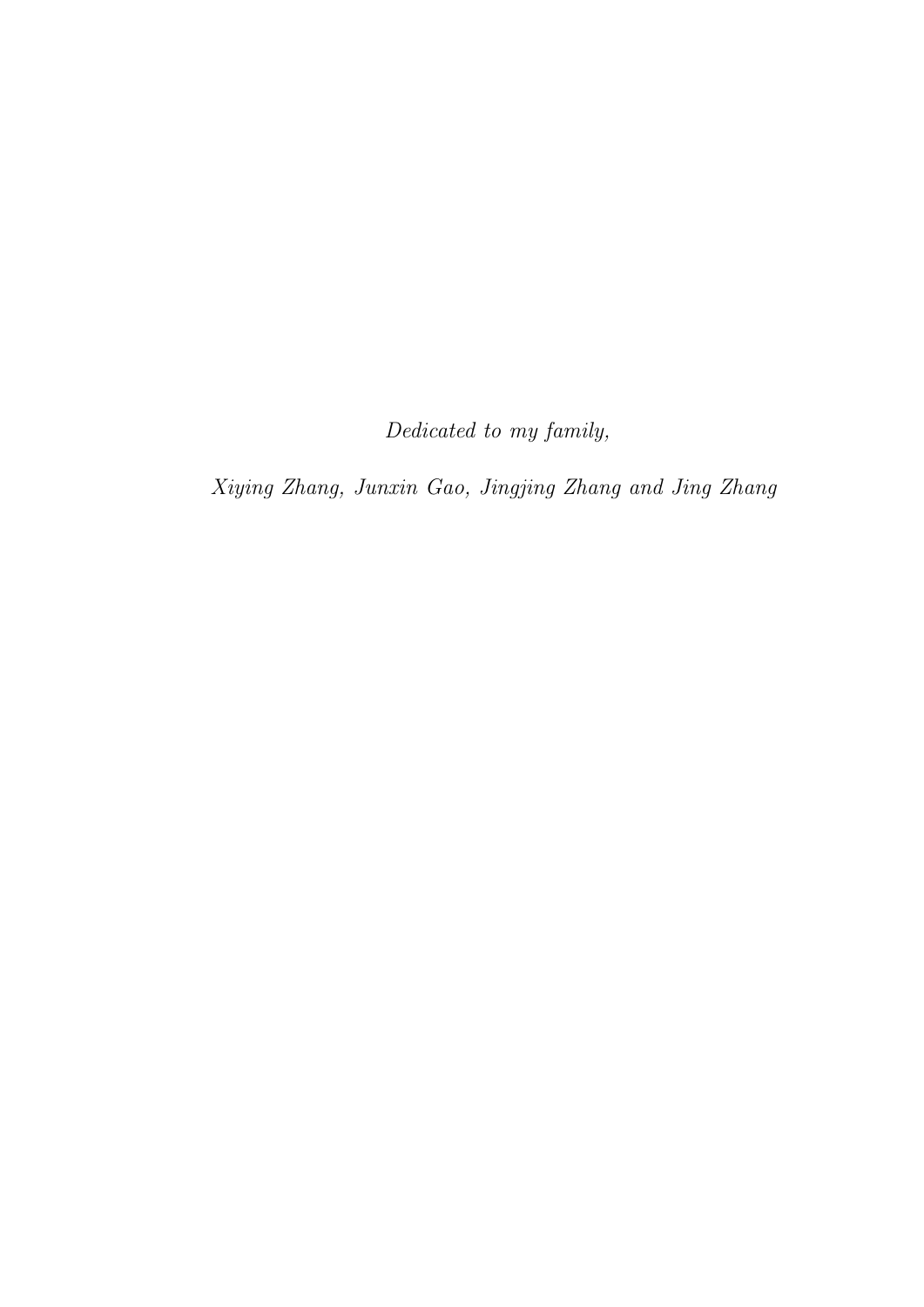Dedicated to my family,

Xiying Zhang, Junxin Gao, Jingjing Zhang and Jing Zhang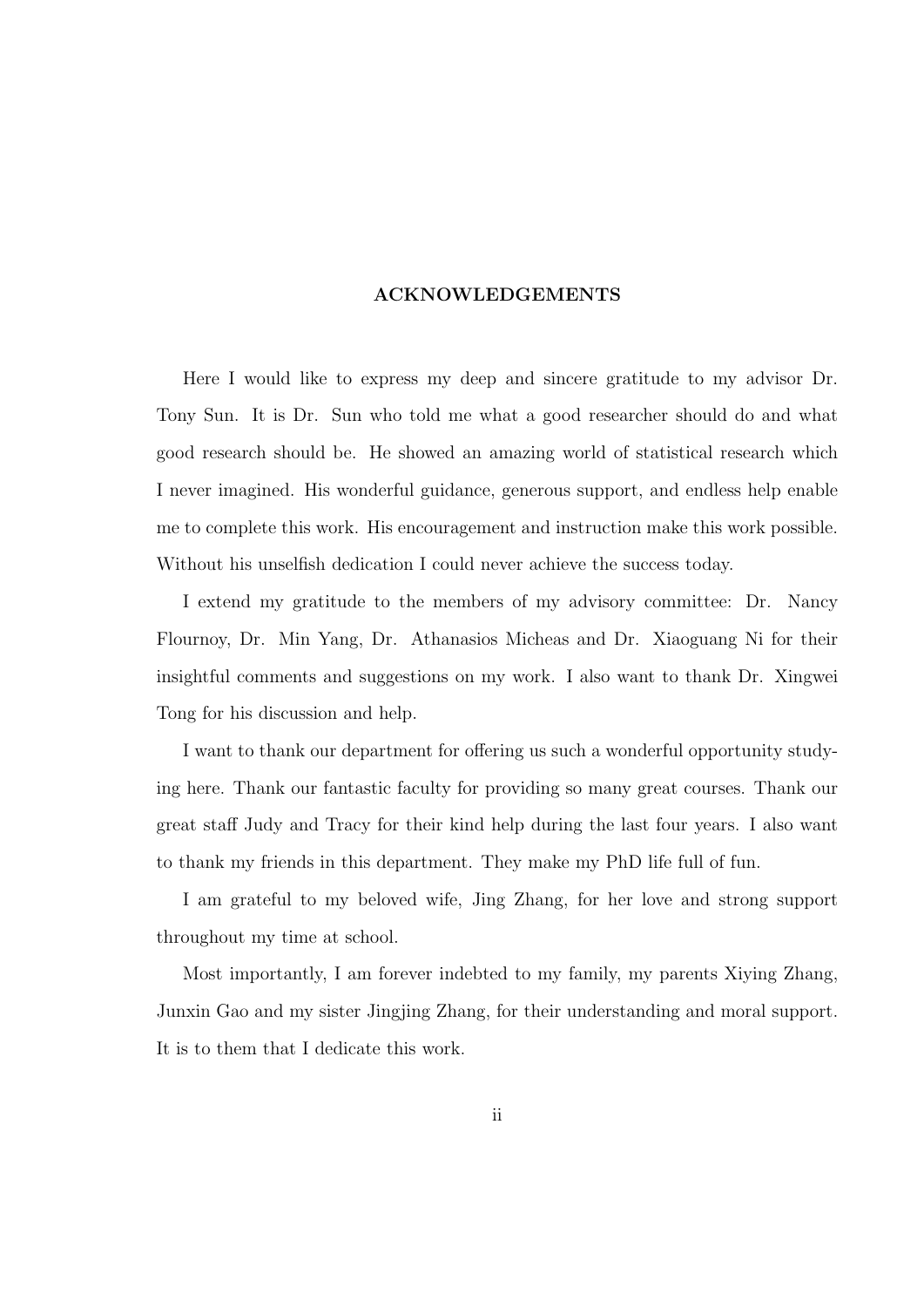#### ACKNOWLEDGEMENTS

Here I would like to express my deep and sincere gratitude to my advisor Dr. Tony Sun. It is Dr. Sun who told me what a good researcher should do and what good research should be. He showed an amazing world of statistical research which I never imagined. His wonderful guidance, generous support, and endless help enable me to complete this work. His encouragement and instruction make this work possible. Without his unselfish dedication I could never achieve the success today.

I extend my gratitude to the members of my advisory committee: Dr. Nancy Flournoy, Dr. Min Yang, Dr. Athanasios Micheas and Dr. Xiaoguang Ni for their insightful comments and suggestions on my work. I also want to thank Dr. Xingwei Tong for his discussion and help.

I want to thank our department for offering us such a wonderful opportunity studying here. Thank our fantastic faculty for providing so many great courses. Thank our great staff Judy and Tracy for their kind help during the last four years. I also want to thank my friends in this department. They make my PhD life full of fun.

I am grateful to my beloved wife, Jing Zhang, for her love and strong support throughout my time at school.

Most importantly, I am forever indebted to my family, my parents Xiying Zhang, Junxin Gao and my sister Jingjing Zhang, for their understanding and moral support. It is to them that I dedicate this work.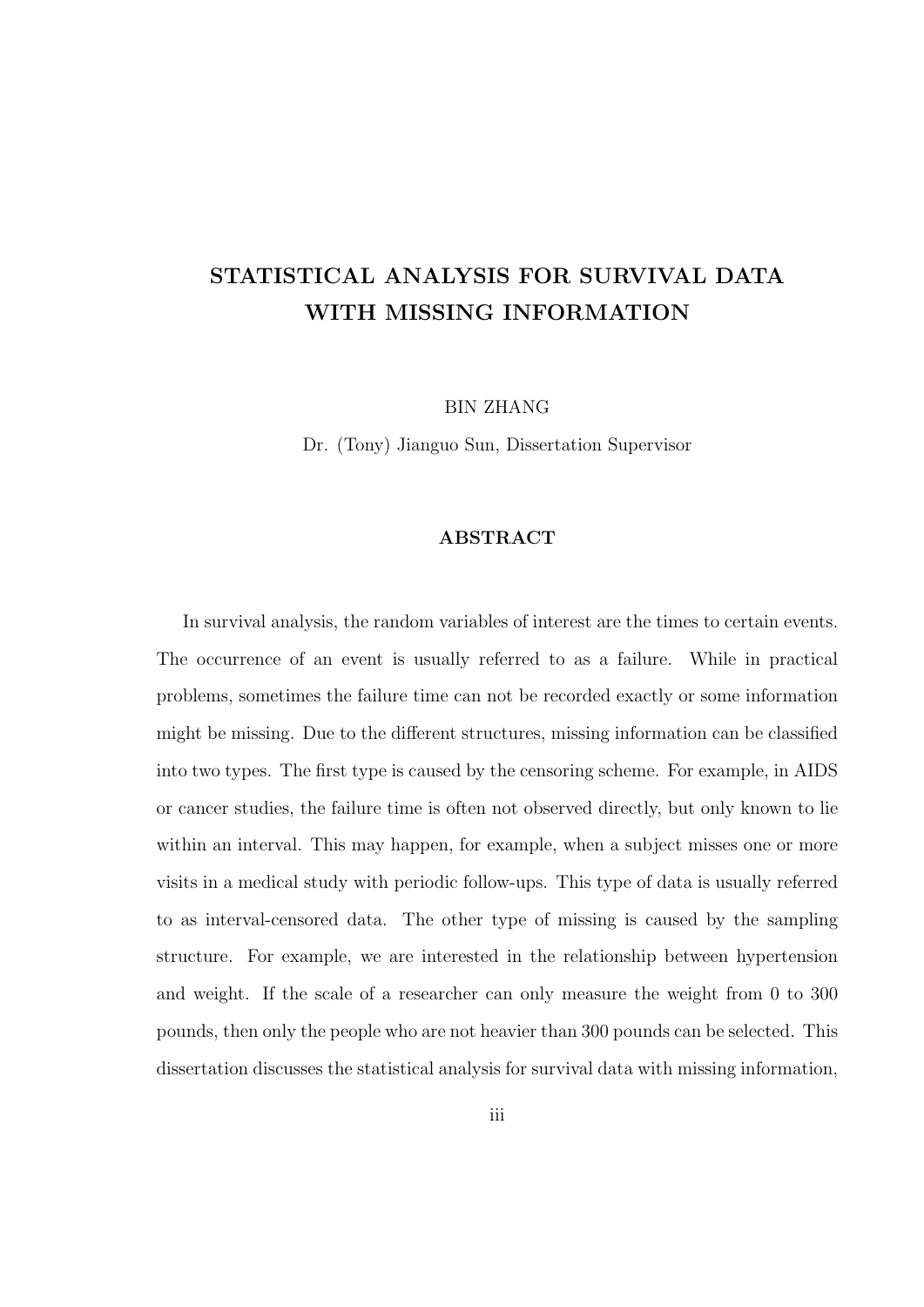### STATISTICAL ANALYSIS FOR SURVIVAL DATA WITH MISSING INFORMATION

BIN ZHANG

Dr. (Tony) Jianguo Sun, Dissertation Supervisor

#### ABSTRACT

In survival analysis, the random variables of interest are the times to certain events. The occurrence of an event is usually referred to as a failure. While in practical problems, sometimes the failure time can not be recorded exactly or some information might be missing. Due to the different structures, missing information can be classified into two types. The first type is caused by the censoring scheme. For example, in AIDS or cancer studies, the failure time is often not observed directly, but only known to lie within an interval. This may happen, for example, when a subject misses one or more visits in a medical study with periodic follow-ups. This type of data is usually referred to as interval-censored data. The other type of missing is caused by the sampling structure. For example, we are interested in the relationship between hypertension and weight. If the scale of a researcher can only measure the weight from 0 to 300 pounds, then only the people who are not heavier than 300 pounds can be selected. This dissertation discusses the statistical analysis for survival data with missing information,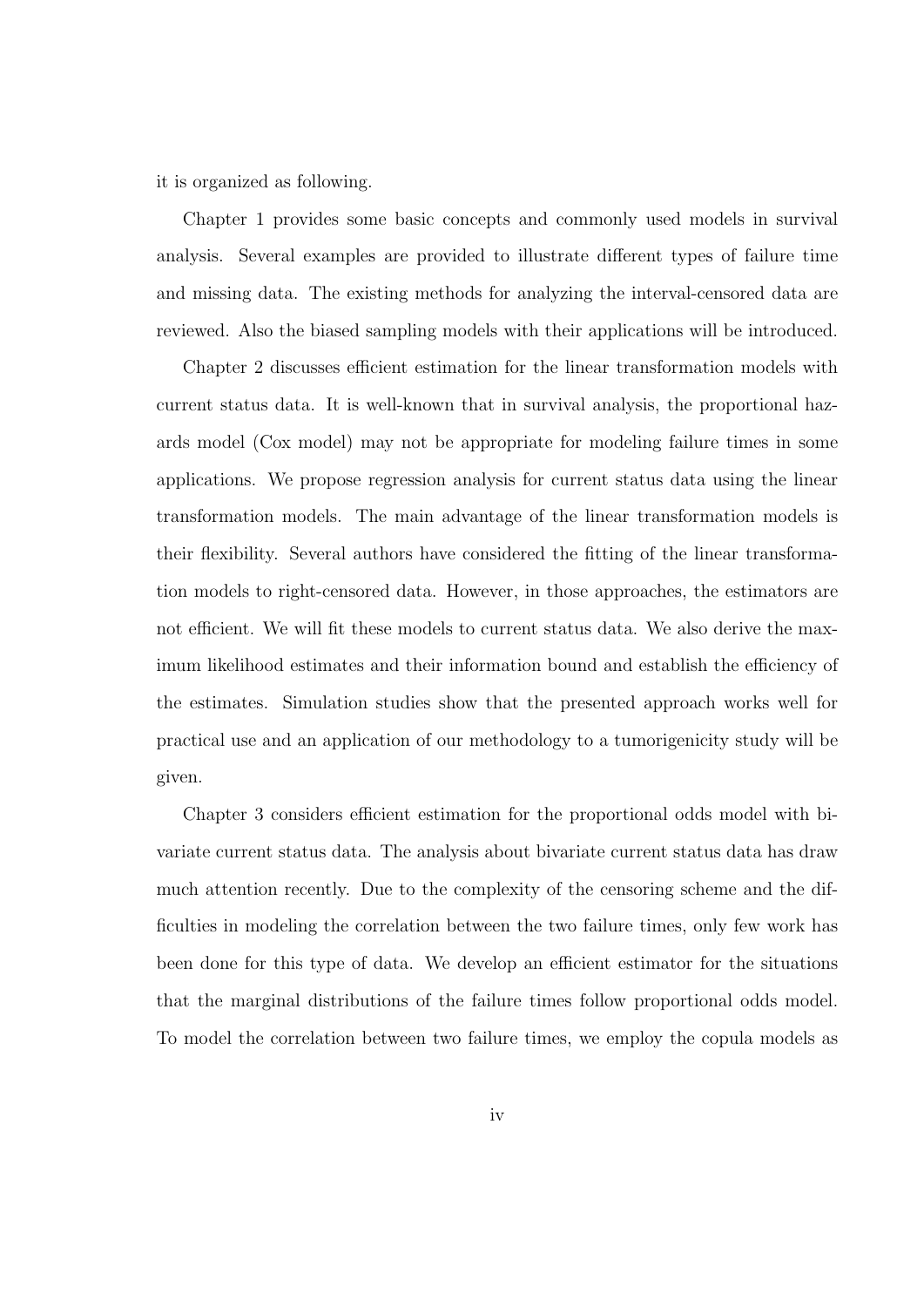it is organized as following.

Chapter 1 provides some basic concepts and commonly used models in survival analysis. Several examples are provided to illustrate different types of failure time and missing data. The existing methods for analyzing the interval-censored data are reviewed. Also the biased sampling models with their applications will be introduced.

Chapter 2 discusses efficient estimation for the linear transformation models with current status data. It is well-known that in survival analysis, the proportional hazards model (Cox model) may not be appropriate for modeling failure times in some applications. We propose regression analysis for current status data using the linear transformation models. The main advantage of the linear transformation models is their flexibility. Several authors have considered the fitting of the linear transformation models to right-censored data. However, in those approaches, the estimators are not efficient. We will fit these models to current status data. We also derive the maximum likelihood estimates and their information bound and establish the efficiency of the estimates. Simulation studies show that the presented approach works well for practical use and an application of our methodology to a tumorigenicity study will be given.

Chapter 3 considers efficient estimation for the proportional odds model with bivariate current status data. The analysis about bivariate current status data has draw much attention recently. Due to the complexity of the censoring scheme and the difficulties in modeling the correlation between the two failure times, only few work has been done for this type of data. We develop an efficient estimator for the situations that the marginal distributions of the failure times follow proportional odds model. To model the correlation between two failure times, we employ the copula models as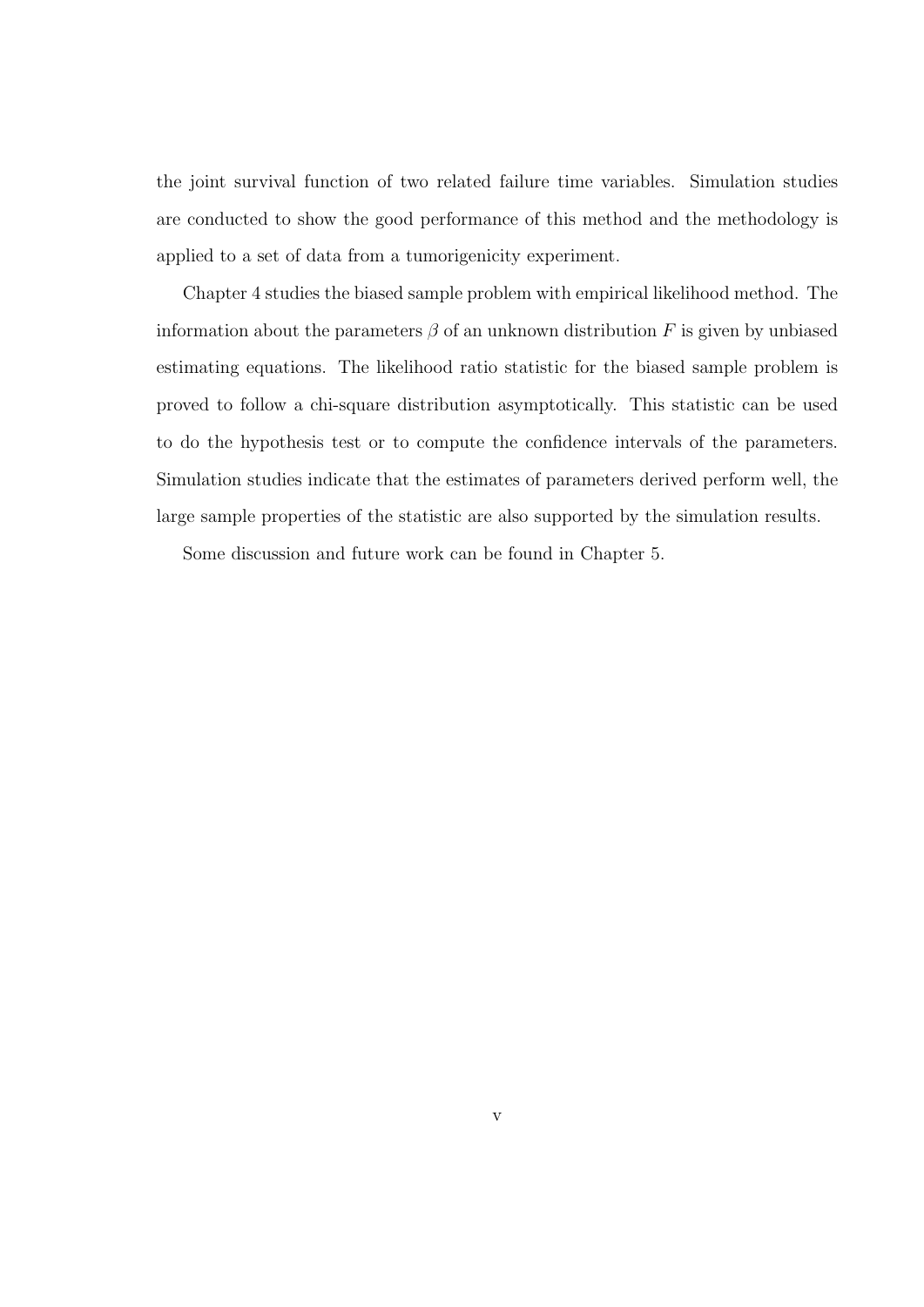the joint survival function of two related failure time variables. Simulation studies are conducted to show the good performance of this method and the methodology is applied to a set of data from a tumorigenicity experiment.

Chapter 4 studies the biased sample problem with empirical likelihood method. The information about the parameters  $\beta$  of an unknown distribution F is given by unbiased estimating equations. The likelihood ratio statistic for the biased sample problem is proved to follow a chi-square distribution asymptotically. This statistic can be used to do the hypothesis test or to compute the confidence intervals of the parameters. Simulation studies indicate that the estimates of parameters derived perform well, the large sample properties of the statistic are also supported by the simulation results.

Some discussion and future work can be found in Chapter 5.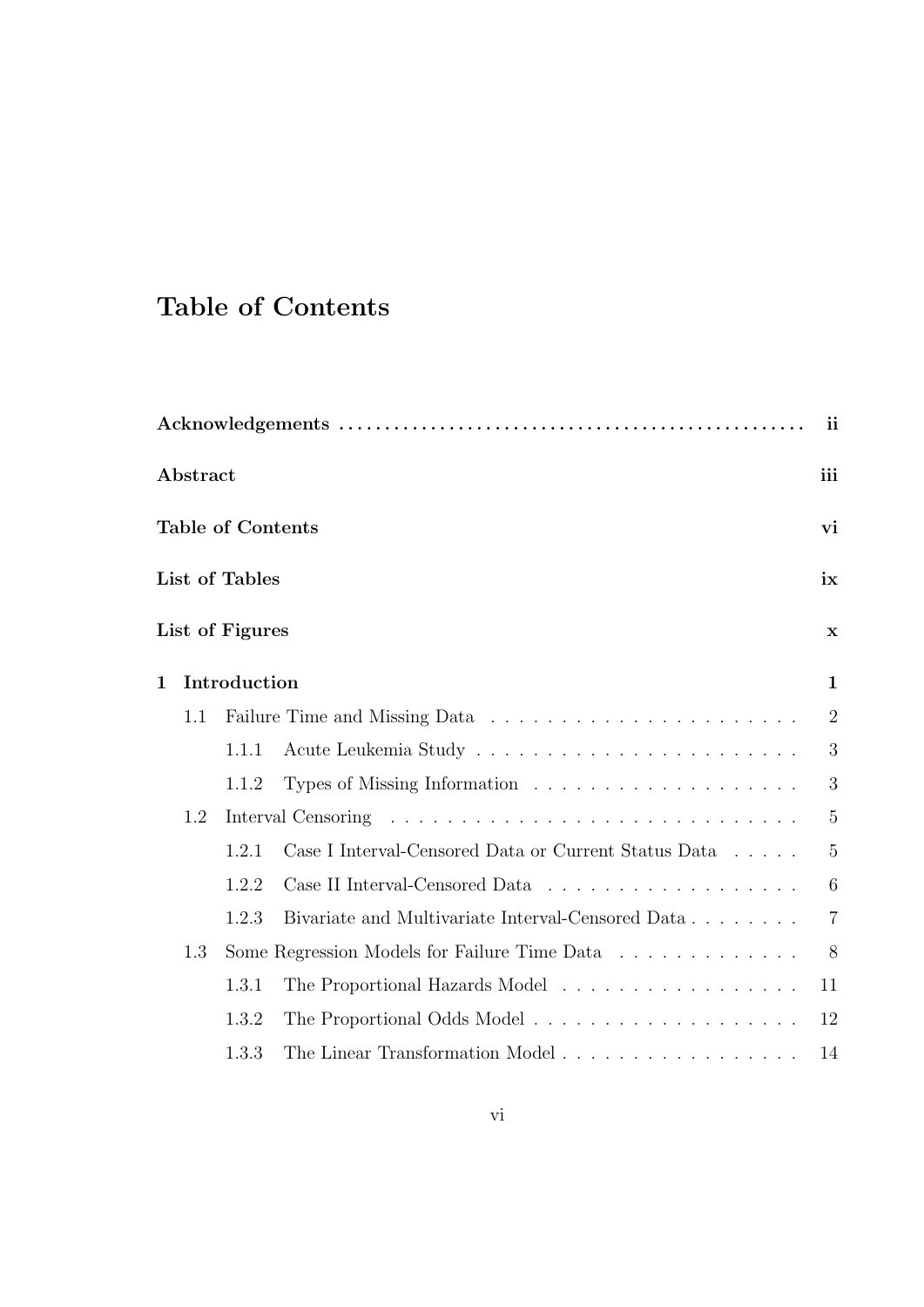## Table of Contents

|     |       |                                                                      | ii                                                                                                                            |
|-----|-------|----------------------------------------------------------------------|-------------------------------------------------------------------------------------------------------------------------------|
|     |       |                                                                      | iii                                                                                                                           |
|     |       |                                                                      | vi                                                                                                                            |
|     |       |                                                                      | ix                                                                                                                            |
|     |       |                                                                      | $\mathbf x$                                                                                                                   |
|     |       |                                                                      | $\mathbf{1}$                                                                                                                  |
| 1.1 |       |                                                                      | $\overline{2}$                                                                                                                |
|     | 1.1.1 |                                                                      | 3                                                                                                                             |
|     | 1.1.2 |                                                                      | 3                                                                                                                             |
| 1.2 |       |                                                                      | $\overline{5}$                                                                                                                |
|     | 1.2.1 | Case I Interval-Censored Data or Current Status Data $\ldots \ldots$ | $\overline{5}$                                                                                                                |
|     | 1.2.2 |                                                                      | 6                                                                                                                             |
|     | 1.2.3 | Bivariate and Multivariate Interval-Censored Data                    | $\overline{7}$                                                                                                                |
| 1.3 |       |                                                                      | 8                                                                                                                             |
|     | 1.3.1 | The Proportional Hazards Model                                       | 11                                                                                                                            |
|     | 1.3.2 |                                                                      | 12                                                                                                                            |
|     | 1.3.3 | The Linear Transformation Model                                      | 14                                                                                                                            |
|     |       | Abstract                                                             | <b>Table of Contents</b><br>List of Tables<br>List of Figures<br>Introduction<br>Some Regression Models for Failure Time Data |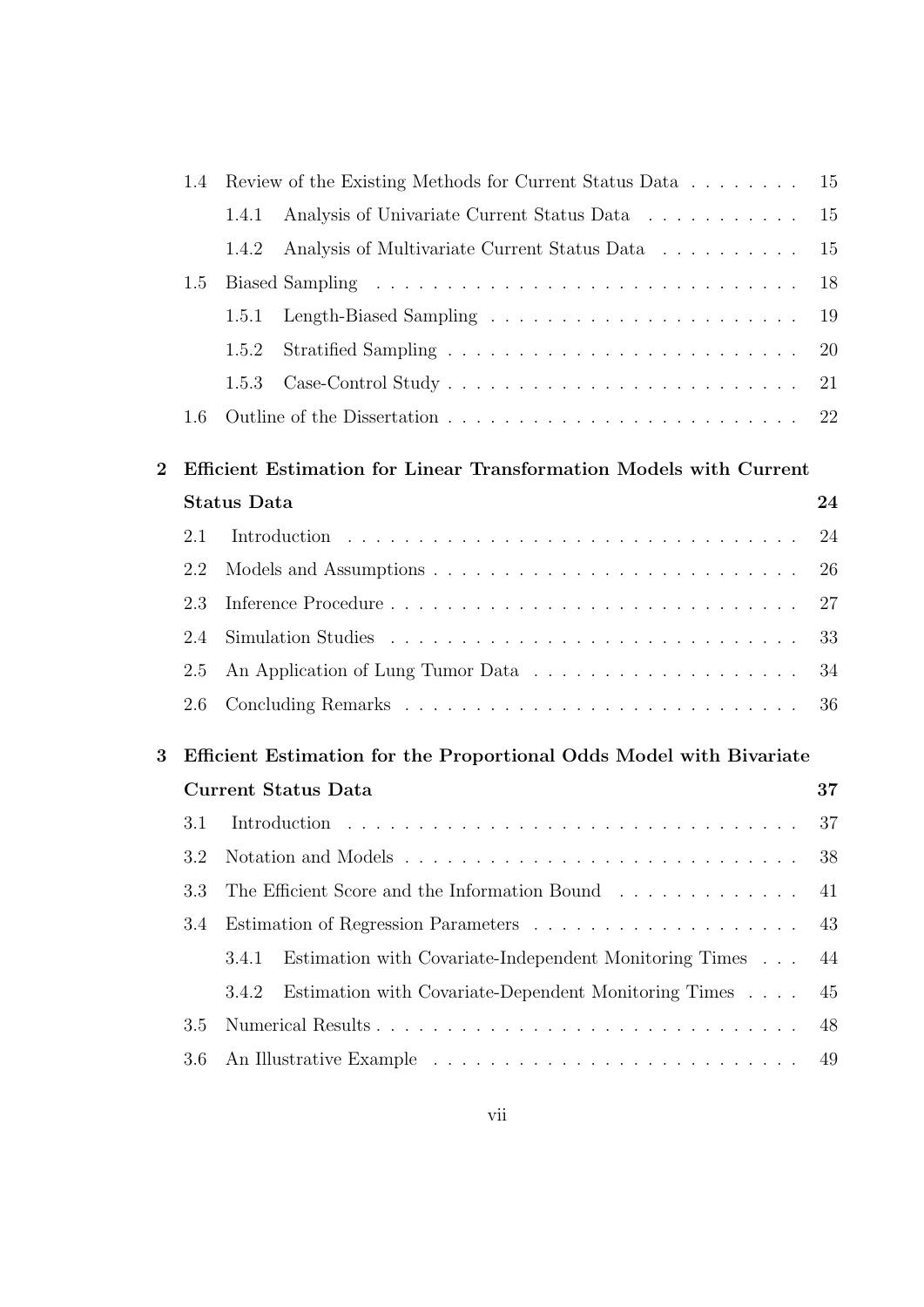|                | 1.4                                                                 | Review of the Existing Methods for Current Status Data             | 15 |
|----------------|---------------------------------------------------------------------|--------------------------------------------------------------------|----|
|                |                                                                     | Analysis of Univariate Current Status Data<br>1.4.1                | 15 |
|                |                                                                     | Analysis of Multivariate Current Status Data<br>1.4.2              | 15 |
|                | 1.5                                                                 |                                                                    | 18 |
|                |                                                                     | 1.5.1                                                              | 19 |
|                |                                                                     | 1.5.2                                                              | 20 |
|                |                                                                     | 1.5.3                                                              | 21 |
|                | 1.6                                                                 |                                                                    | 22 |
| $\overline{2}$ |                                                                     | Efficient Estimation for Linear Transformation Models with Current |    |
|                |                                                                     | <b>Status Data</b>                                                 | 24 |
|                | 2.1                                                                 |                                                                    | 24 |
|                | 2.2                                                                 |                                                                    | 26 |
|                | 2.3                                                                 |                                                                    | 27 |
|                | 2.4                                                                 |                                                                    | 33 |
|                | 2.5                                                                 |                                                                    | 34 |
|                | 2.6                                                                 |                                                                    | 36 |
| 3              | Efficient Estimation for the Proportional Odds Model with Bivariate |                                                                    |    |
|                |                                                                     | <b>Current Status Data</b>                                         | 37 |
|                | 3.1                                                                 |                                                                    | 37 |
|                | 3.2                                                                 |                                                                    | 38 |
|                | 3.3                                                                 | The Efficient Score and the Information Bound                      | 41 |
|                | 3.4                                                                 |                                                                    | 43 |
|                |                                                                     | Estimation with Covariate-Independent Monitoring Times<br>3.4.1    | 44 |
|                |                                                                     | Estimation with Covariate-Dependent Monitoring Times<br>3.4.2      | 45 |
|                | 3.5                                                                 |                                                                    | 48 |
|                | 3.6                                                                 |                                                                    | 49 |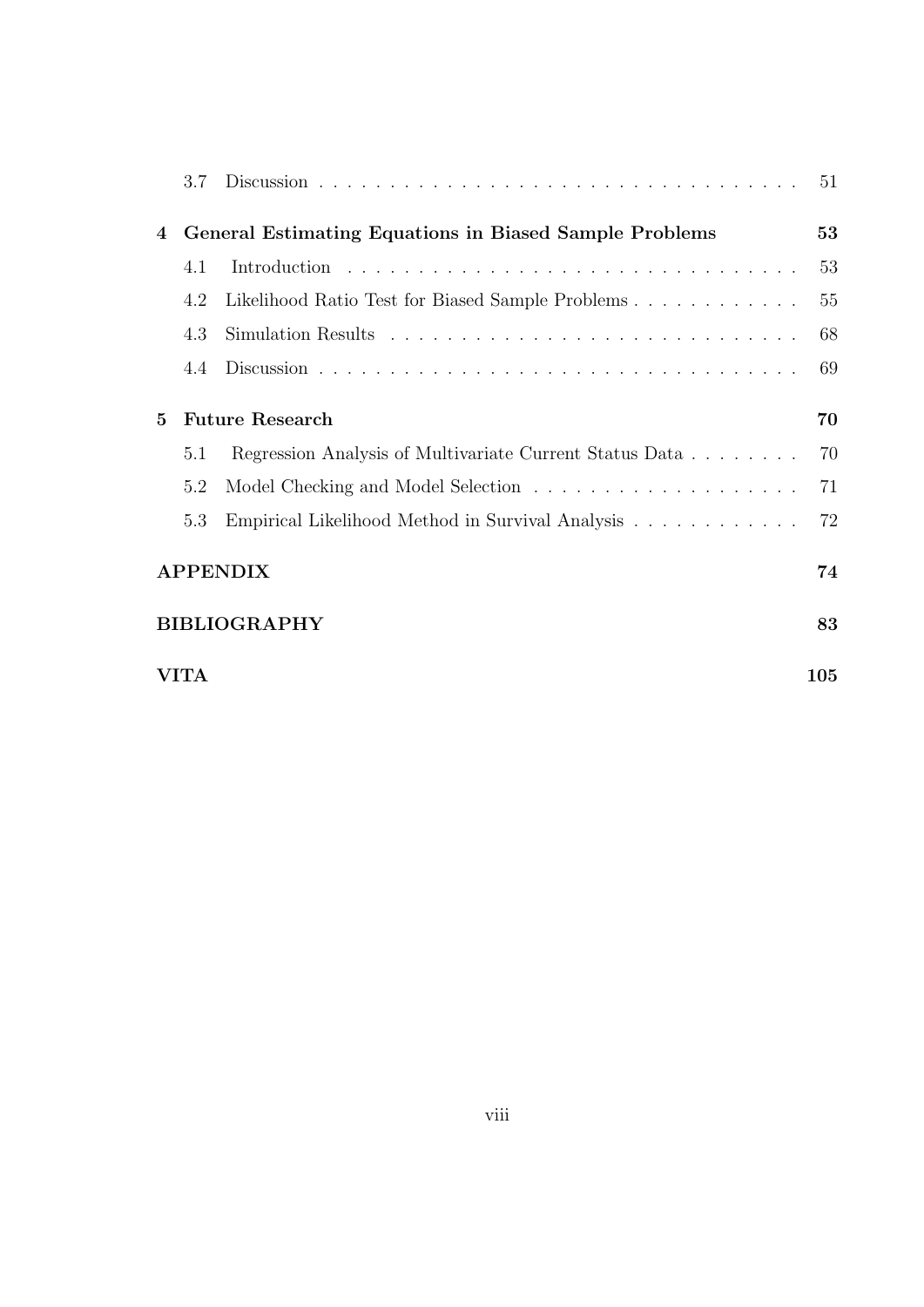|          | 3.7                                                    |                                                         | 51  |
|----------|--------------------------------------------------------|---------------------------------------------------------|-----|
| 4        | General Estimating Equations in Biased Sample Problems |                                                         | 53  |
|          | 4.1                                                    |                                                         | 53  |
|          | 4.2                                                    | Likelihood Ratio Test for Biased Sample Problems        | 55  |
|          | 4.3                                                    |                                                         | 68  |
|          | 4.4                                                    |                                                         | 69  |
| $\bf{5}$ |                                                        | <b>Future Research</b>                                  | 70  |
|          | 5.1                                                    | Regression Analysis of Multivariate Current Status Data | 70  |
|          | 5.2                                                    |                                                         | 71  |
|          | 5.3                                                    | Empirical Likelihood Method in Survival Analysis        | 72  |
|          |                                                        | <b>APPENDIX</b>                                         | 74  |
|          |                                                        | <b>BIBLIOGRAPHY</b>                                     | 83  |
|          | <b>VITA</b>                                            |                                                         | 105 |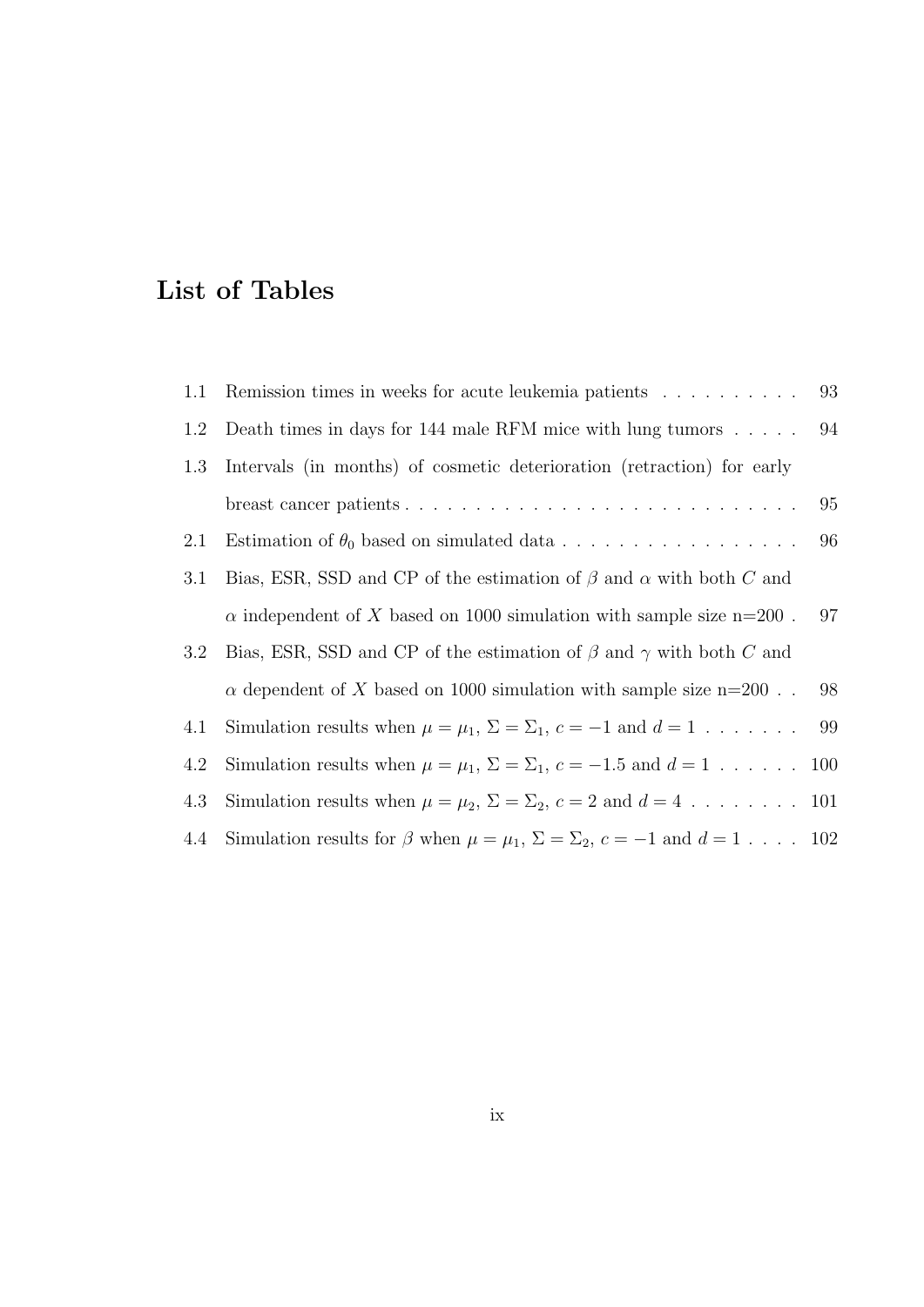## List of Tables

| 1.1 | Remission times in weeks for acute leukemia patients                                               | 93   |
|-----|----------------------------------------------------------------------------------------------------|------|
| 1.2 | Death times in days for 144 male RFM mice with lung tumors                                         | - 94 |
| 1.3 | Intervals (in months) of cosmetic deterioration (retraction) for early                             |      |
|     |                                                                                                    | 95   |
| 2.1 |                                                                                                    | 96   |
| 3.1 | Bias, ESR, SSD and CP of the estimation of $\beta$ and $\alpha$ with both C and                    |      |
|     | $\alpha$ independent of X based on 1000 simulation with sample size n=200.                         | 97   |
| 3.2 | Bias, ESR, SSD and CP of the estimation of $\beta$ and $\gamma$ with both C and                    |      |
|     | $\alpha$ dependent of X based on 1000 simulation with sample size n=200                            | 98   |
| 4.1 | Simulation results when $\mu = \mu_1$ , $\Sigma = \Sigma_1$ , $c = -1$ and $d = 1$ 99              |      |
| 4.2 | Simulation results when $\mu = \mu_1$ , $\Sigma = \Sigma_1$ , $c = -1.5$ and $d = 1$ 100           |      |
| 4.3 | Simulation results when $\mu = \mu_2$ , $\Sigma = \Sigma_2$ , $c = 2$ and $d = 4$ 101              |      |
| 4.4 | Simulation results for $\beta$ when $\mu = \mu_1$ , $\Sigma = \Sigma_2$ , $c = -1$ and $d = 1$ 102 |      |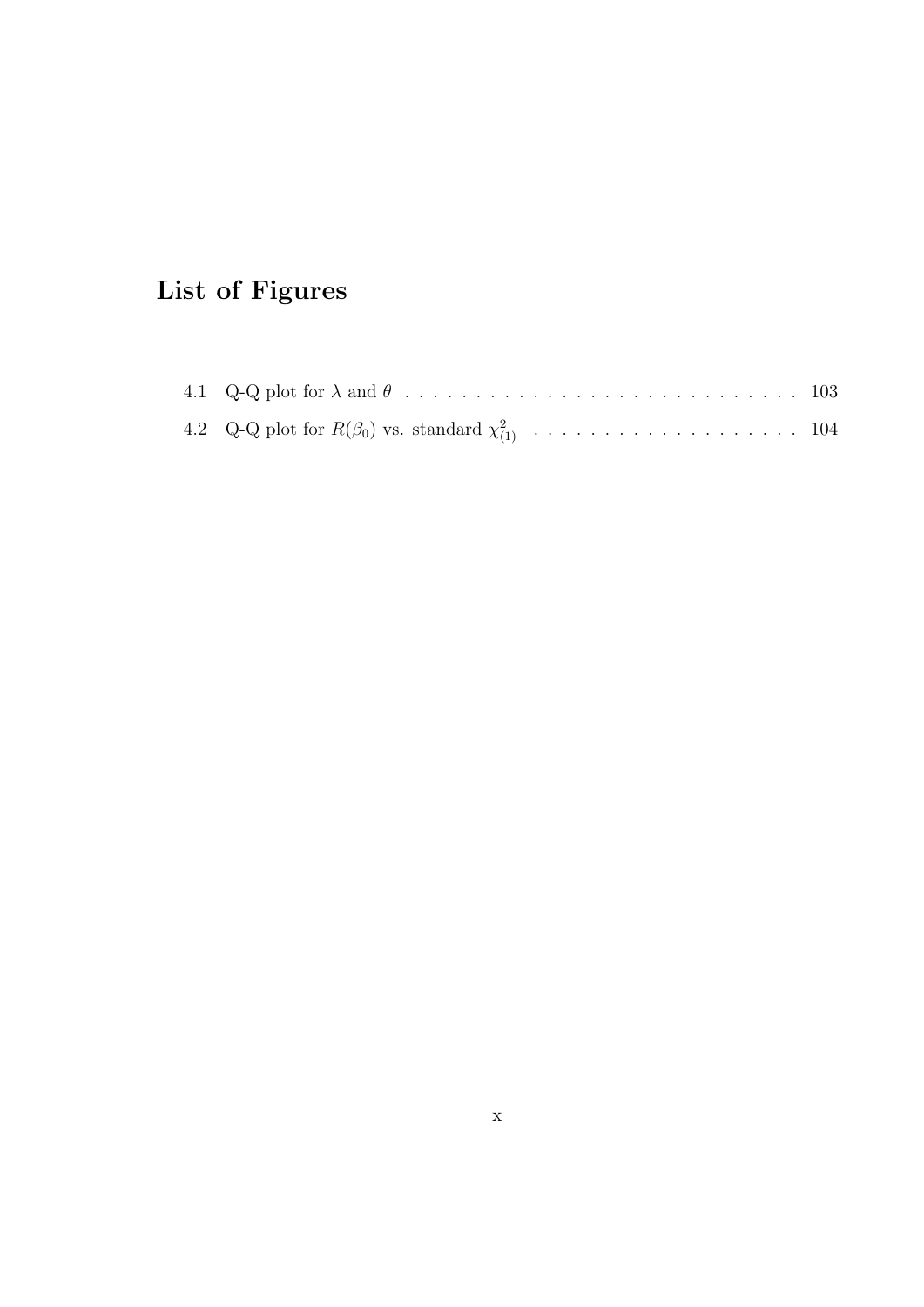## List of Figures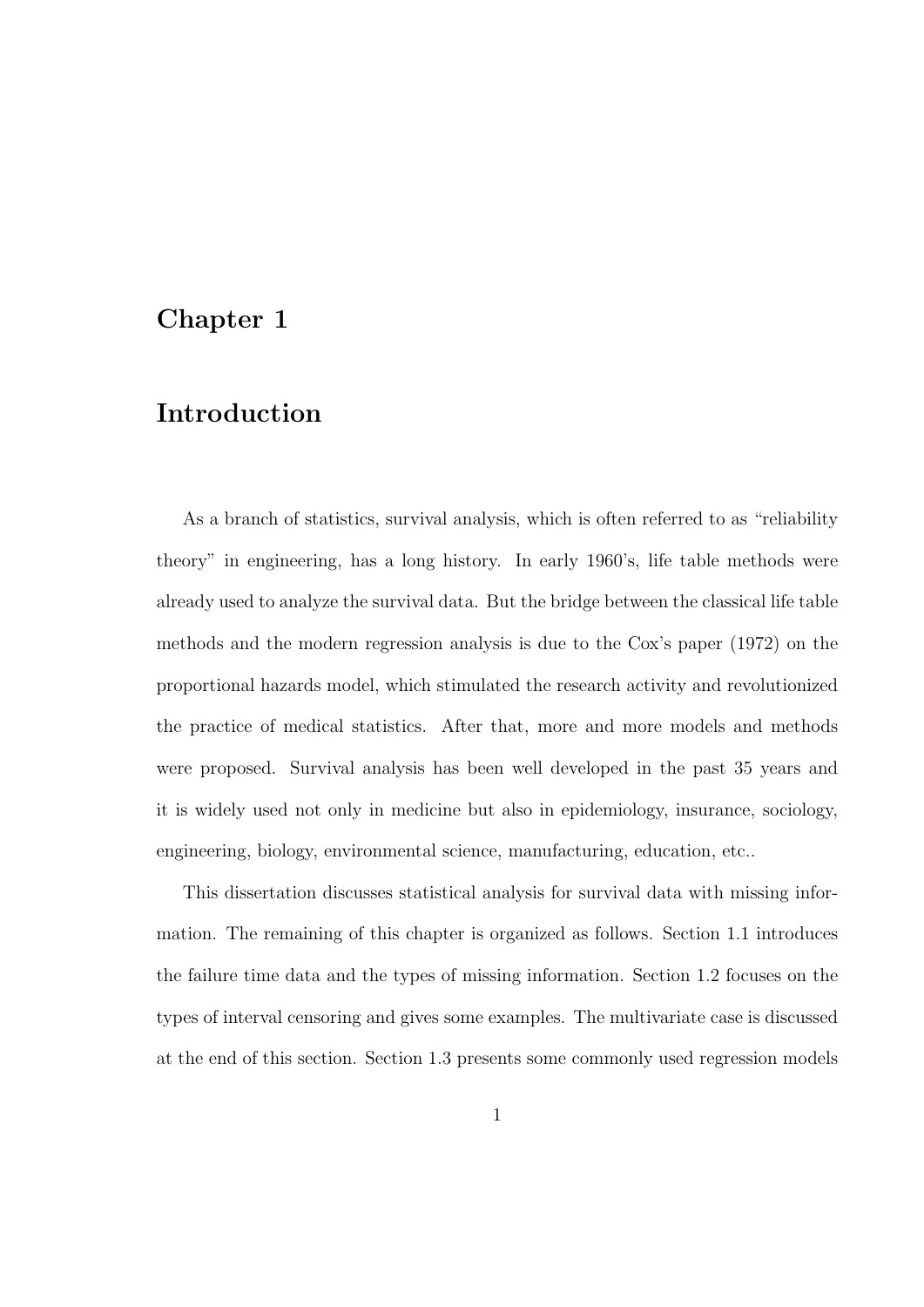### Chapter 1

### Introduction

As a branch of statistics, survival analysis, which is often referred to as "reliability theory" in engineering, has a long history. In early 1960's, life table methods were already used to analyze the survival data. But the bridge between the classical life table methods and the modern regression analysis is due to the Cox's paper (1972) on the proportional hazards model, which stimulated the research activity and revolutionized the practice of medical statistics. After that, more and more models and methods were proposed. Survival analysis has been well developed in the past 35 years and it is widely used not only in medicine but also in epidemiology, insurance, sociology, engineering, biology, environmental science, manufacturing, education, etc..

This dissertation discusses statistical analysis for survival data with missing information. The remaining of this chapter is organized as follows. Section 1.1 introduces the failure time data and the types of missing information. Section 1.2 focuses on the types of interval censoring and gives some examples. The multivariate case is discussed at the end of this section. Section 1.3 presents some commonly used regression models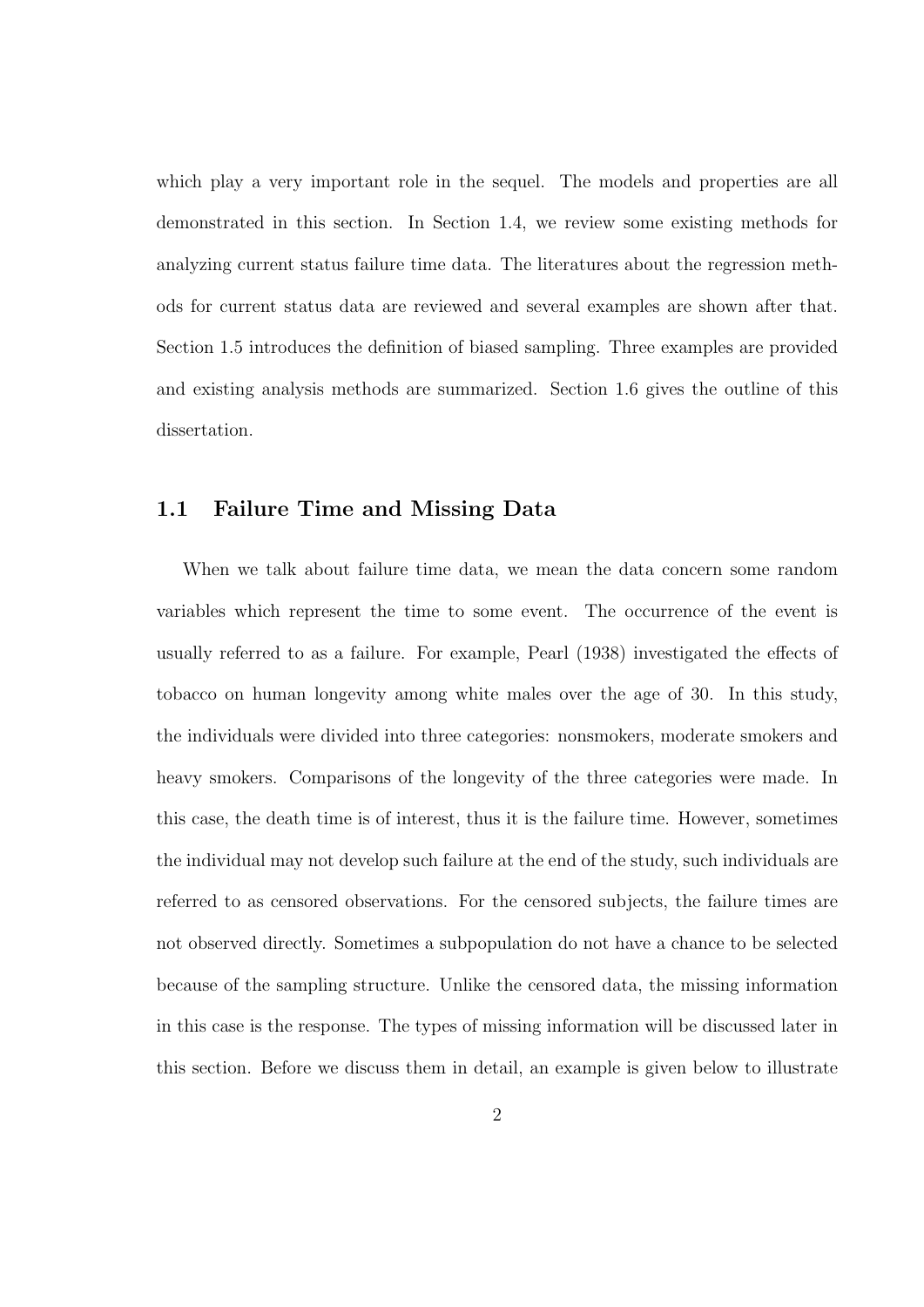which play a very important role in the sequel. The models and properties are all demonstrated in this section. In Section 1.4, we review some existing methods for analyzing current status failure time data. The literatures about the regression methods for current status data are reviewed and several examples are shown after that. Section 1.5 introduces the definition of biased sampling. Three examples are provided and existing analysis methods are summarized. Section 1.6 gives the outline of this dissertation.

#### 1.1 Failure Time and Missing Data

When we talk about failure time data, we mean the data concern some random variables which represent the time to some event. The occurrence of the event is usually referred to as a failure. For example, Pearl (1938) investigated the effects of tobacco on human longevity among white males over the age of 30. In this study, the individuals were divided into three categories: nonsmokers, moderate smokers and heavy smokers. Comparisons of the longevity of the three categories were made. In this case, the death time is of interest, thus it is the failure time. However, sometimes the individual may not develop such failure at the end of the study, such individuals are referred to as censored observations. For the censored subjects, the failure times are not observed directly. Sometimes a subpopulation do not have a chance to be selected because of the sampling structure. Unlike the censored data, the missing information in this case is the response. The types of missing information will be discussed later in this section. Before we discuss them in detail, an example is given below to illustrate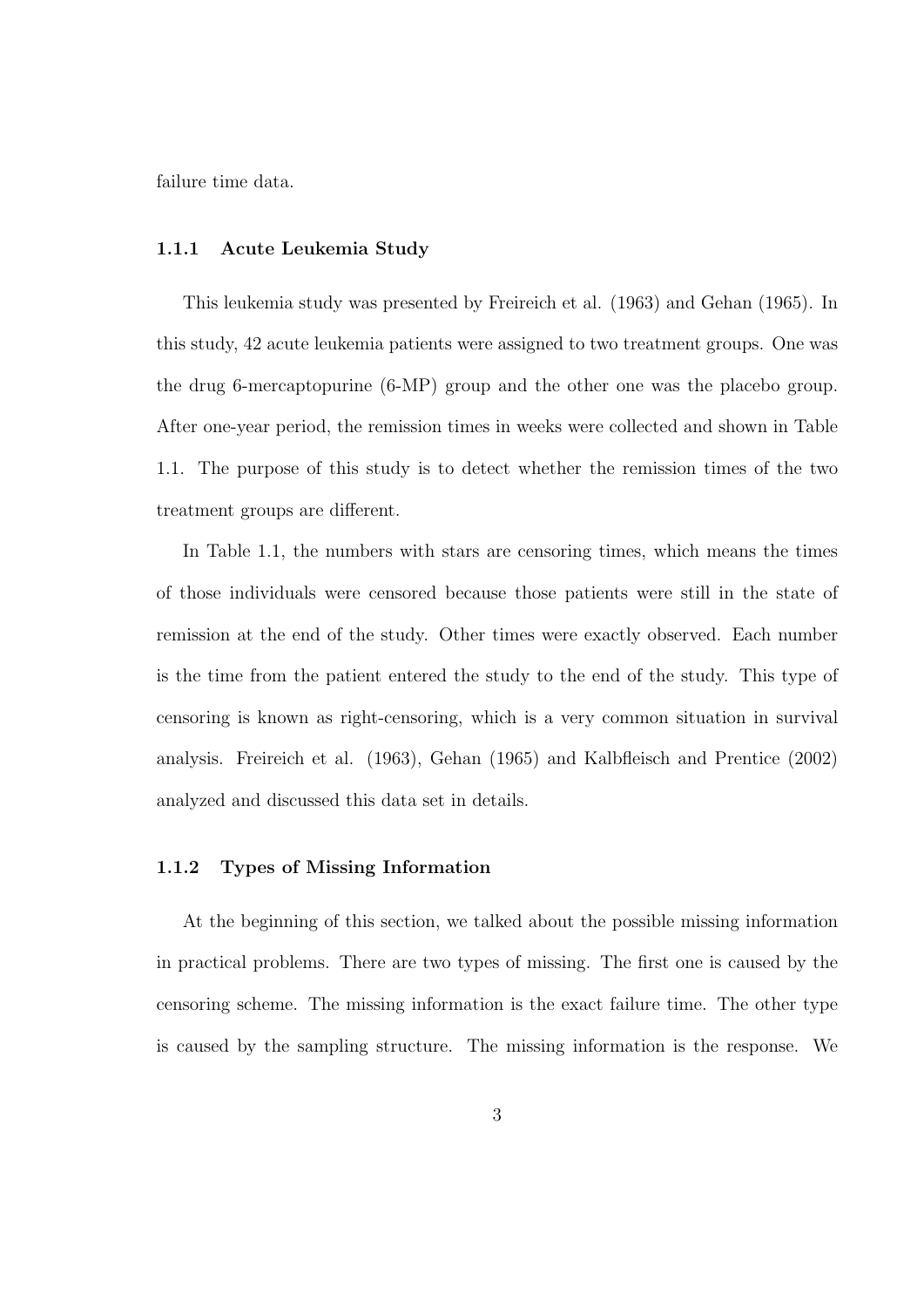failure time data.

#### 1.1.1 Acute Leukemia Study

This leukemia study was presented by Freireich et al. (1963) and Gehan (1965). In this study, 42 acute leukemia patients were assigned to two treatment groups. One was the drug 6-mercaptopurine (6-MP) group and the other one was the placebo group. After one-year period, the remission times in weeks were collected and shown in Table 1.1. The purpose of this study is to detect whether the remission times of the two treatment groups are different.

In Table 1.1, the numbers with stars are censoring times, which means the times of those individuals were censored because those patients were still in the state of remission at the end of the study. Other times were exactly observed. Each number is the time from the patient entered the study to the end of the study. This type of censoring is known as right-censoring, which is a very common situation in survival analysis. Freireich et al. (1963), Gehan (1965) and Kalbfleisch and Prentice (2002) analyzed and discussed this data set in details.

#### 1.1.2 Types of Missing Information

At the beginning of this section, we talked about the possible missing information in practical problems. There are two types of missing. The first one is caused by the censoring scheme. The missing information is the exact failure time. The other type is caused by the sampling structure. The missing information is the response. We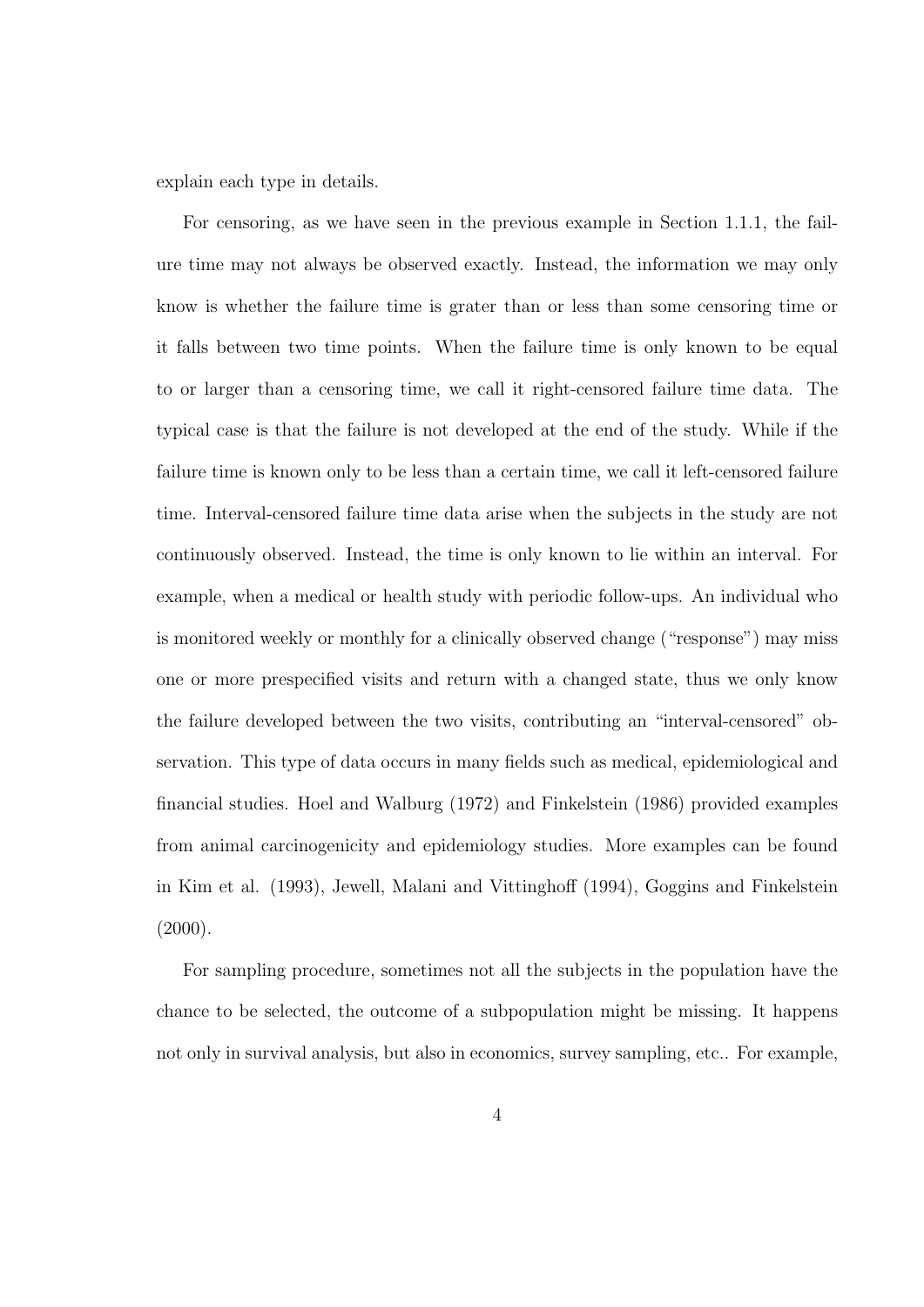explain each type in details.

For censoring, as we have seen in the previous example in Section 1.1.1, the failure time may not always be observed exactly. Instead, the information we may only know is whether the failure time is grater than or less than some censoring time or it falls between two time points. When the failure time is only known to be equal to or larger than a censoring time, we call it right-censored failure time data. The typical case is that the failure is not developed at the end of the study. While if the failure time is known only to be less than a certain time, we call it left-censored failure time. Interval-censored failure time data arise when the subjects in the study are not continuously observed. Instead, the time is only known to lie within an interval. For example, when a medical or health study with periodic follow-ups. An individual who is monitored weekly or monthly for a clinically observed change ("response") may miss one or more prespecified visits and return with a changed state, thus we only know the failure developed between the two visits, contributing an "interval-censored" observation. This type of data occurs in many fields such as medical, epidemiological and financial studies. Hoel and Walburg (1972) and Finkelstein (1986) provided examples from animal carcinogenicity and epidemiology studies. More examples can be found in Kim et al. (1993), Jewell, Malani and Vittinghoff (1994), Goggins and Finkelstein  $(2000).$ 

For sampling procedure, sometimes not all the subjects in the population have the chance to be selected, the outcome of a subpopulation might be missing. It happens not only in survival analysis, but also in economics, survey sampling, etc.. For example,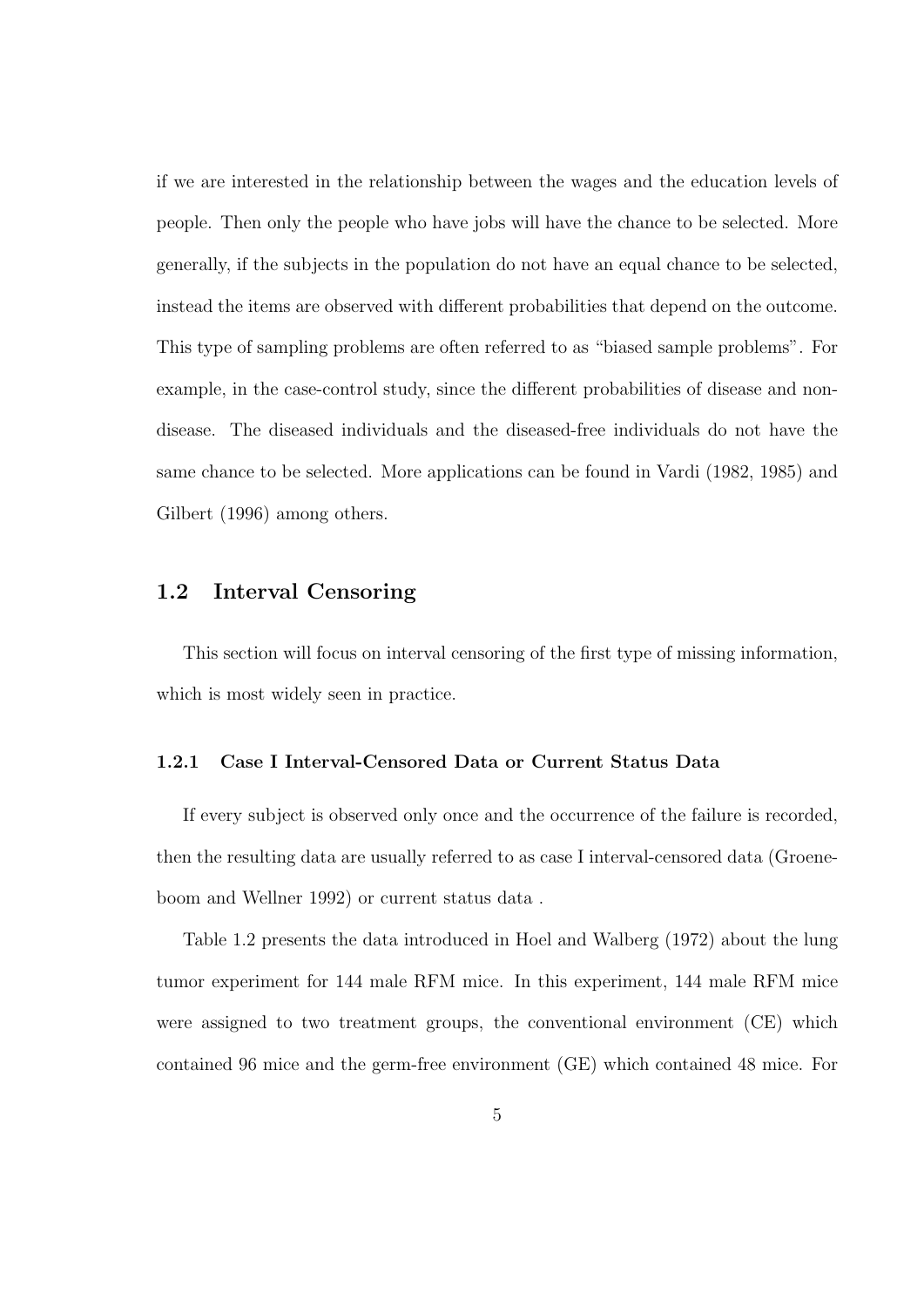if we are interested in the relationship between the wages and the education levels of people. Then only the people who have jobs will have the chance to be selected. More generally, if the subjects in the population do not have an equal chance to be selected, instead the items are observed with different probabilities that depend on the outcome. This type of sampling problems are often referred to as "biased sample problems". For example, in the case-control study, since the different probabilities of disease and nondisease. The diseased individuals and the diseased-free individuals do not have the same chance to be selected. More applications can be found in Vardi (1982, 1985) and Gilbert (1996) among others.

#### 1.2 Interval Censoring

This section will focus on interval censoring of the first type of missing information, which is most widely seen in practice.

#### 1.2.1 Case I Interval-Censored Data or Current Status Data

If every subject is observed only once and the occurrence of the failure is recorded, then the resulting data are usually referred to as case I interval-censored data (Groeneboom and Wellner 1992) or current status data .

Table 1.2 presents the data introduced in Hoel and Walberg (1972) about the lung tumor experiment for 144 male RFM mice. In this experiment, 144 male RFM mice were assigned to two treatment groups, the conventional environment (CE) which contained 96 mice and the germ-free environment (GE) which contained 48 mice. For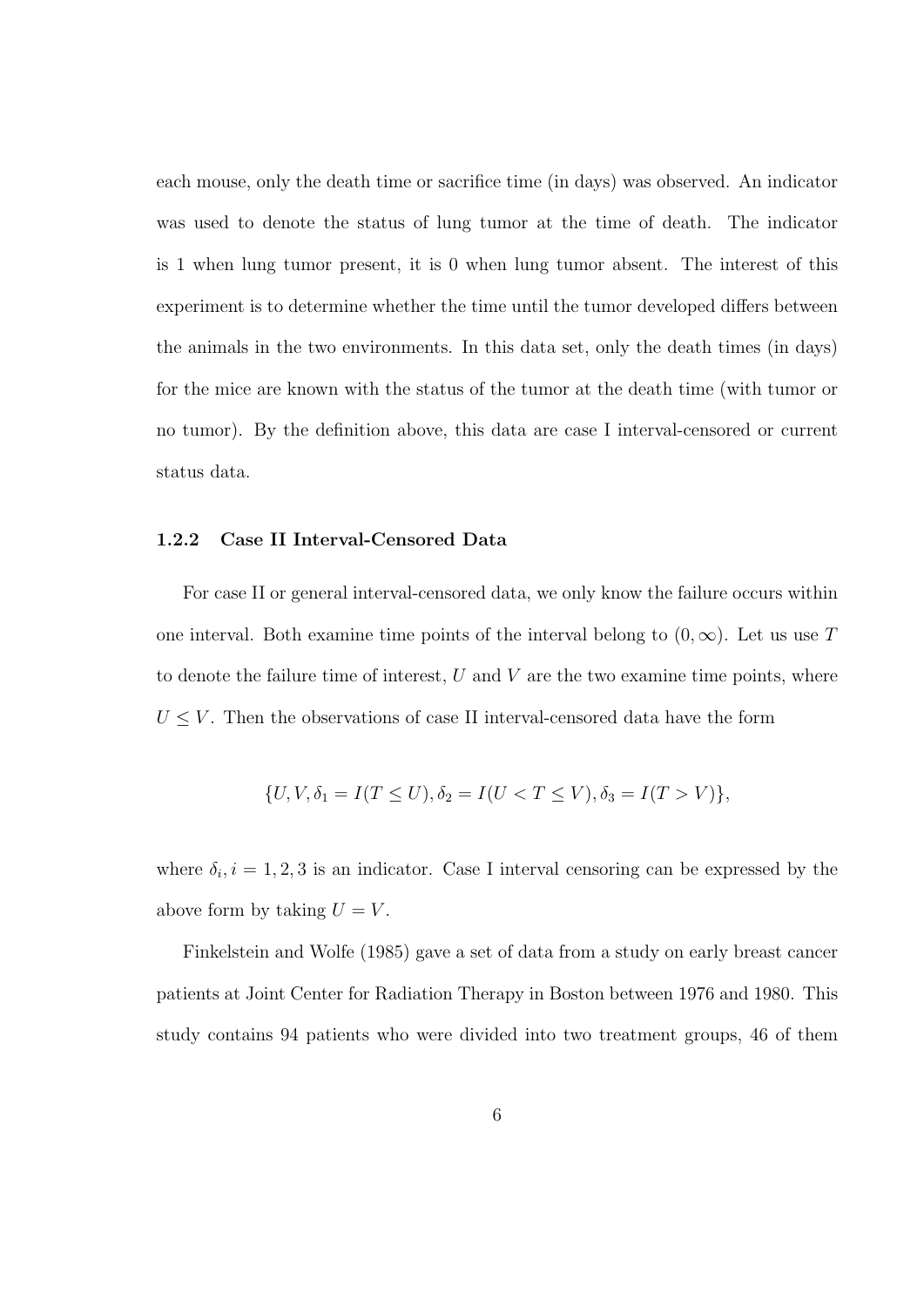each mouse, only the death time or sacrifice time (in days) was observed. An indicator was used to denote the status of lung tumor at the time of death. The indicator is 1 when lung tumor present, it is 0 when lung tumor absent. The interest of this experiment is to determine whether the time until the tumor developed differs between the animals in the two environments. In this data set, only the death times (in days) for the mice are known with the status of the tumor at the death time (with tumor or no tumor). By the definition above, this data are case I interval-censored or current status data.

#### 1.2.2 Case II Interval-Censored Data

For case II or general interval-censored data, we only know the failure occurs within one interval. Both examine time points of the interval belong to  $(0, \infty)$ . Let us use T to denote the failure time of interest,  $U$  and  $V$  are the two examine time points, where  $U \leq V$ . Then the observations of case II interval-censored data have the form

$$
\{U, V, \delta_1 = I(T \le U), \delta_2 = I(U < T \le V), \delta_3 = I(T > V)\},
$$

where  $\delta_i, i = 1, 2, 3$  is an indicator. Case I interval censoring can be expressed by the above form by taking  $U = V$ .

Finkelstein and Wolfe (1985) gave a set of data from a study on early breast cancer patients at Joint Center for Radiation Therapy in Boston between 1976 and 1980. This study contains 94 patients who were divided into two treatment groups, 46 of them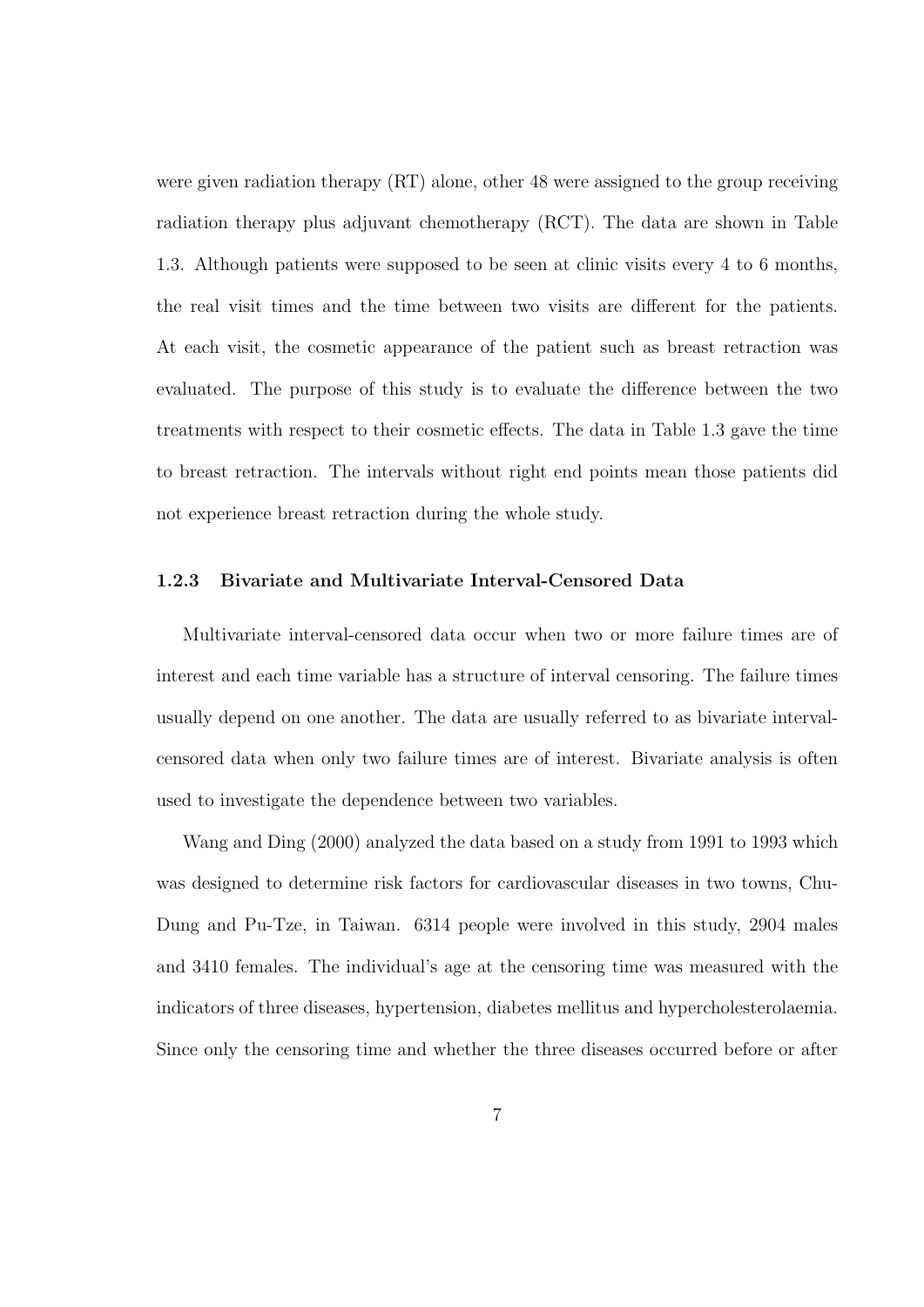were given radiation therapy (RT) alone, other 48 were assigned to the group receiving radiation therapy plus adjuvant chemotherapy (RCT). The data are shown in Table 1.3. Although patients were supposed to be seen at clinic visits every 4 to 6 months, the real visit times and the time between two visits are different for the patients. At each visit, the cosmetic appearance of the patient such as breast retraction was evaluated. The purpose of this study is to evaluate the difference between the two treatments with respect to their cosmetic effects. The data in Table 1.3 gave the time to breast retraction. The intervals without right end points mean those patients did not experience breast retraction during the whole study.

#### 1.2.3 Bivariate and Multivariate Interval-Censored Data

Multivariate interval-censored data occur when two or more failure times are of interest and each time variable has a structure of interval censoring. The failure times usually depend on one another. The data are usually referred to as bivariate intervalcensored data when only two failure times are of interest. Bivariate analysis is often used to investigate the dependence between two variables.

Wang and Ding (2000) analyzed the data based on a study from 1991 to 1993 which was designed to determine risk factors for cardiovascular diseases in two towns, Chu-Dung and Pu-Tze, in Taiwan. 6314 people were involved in this study, 2904 males and 3410 females. The individual's age at the censoring time was measured with the indicators of three diseases, hypertension, diabetes mellitus and hypercholesterolaemia. Since only the censoring time and whether the three diseases occurred before or after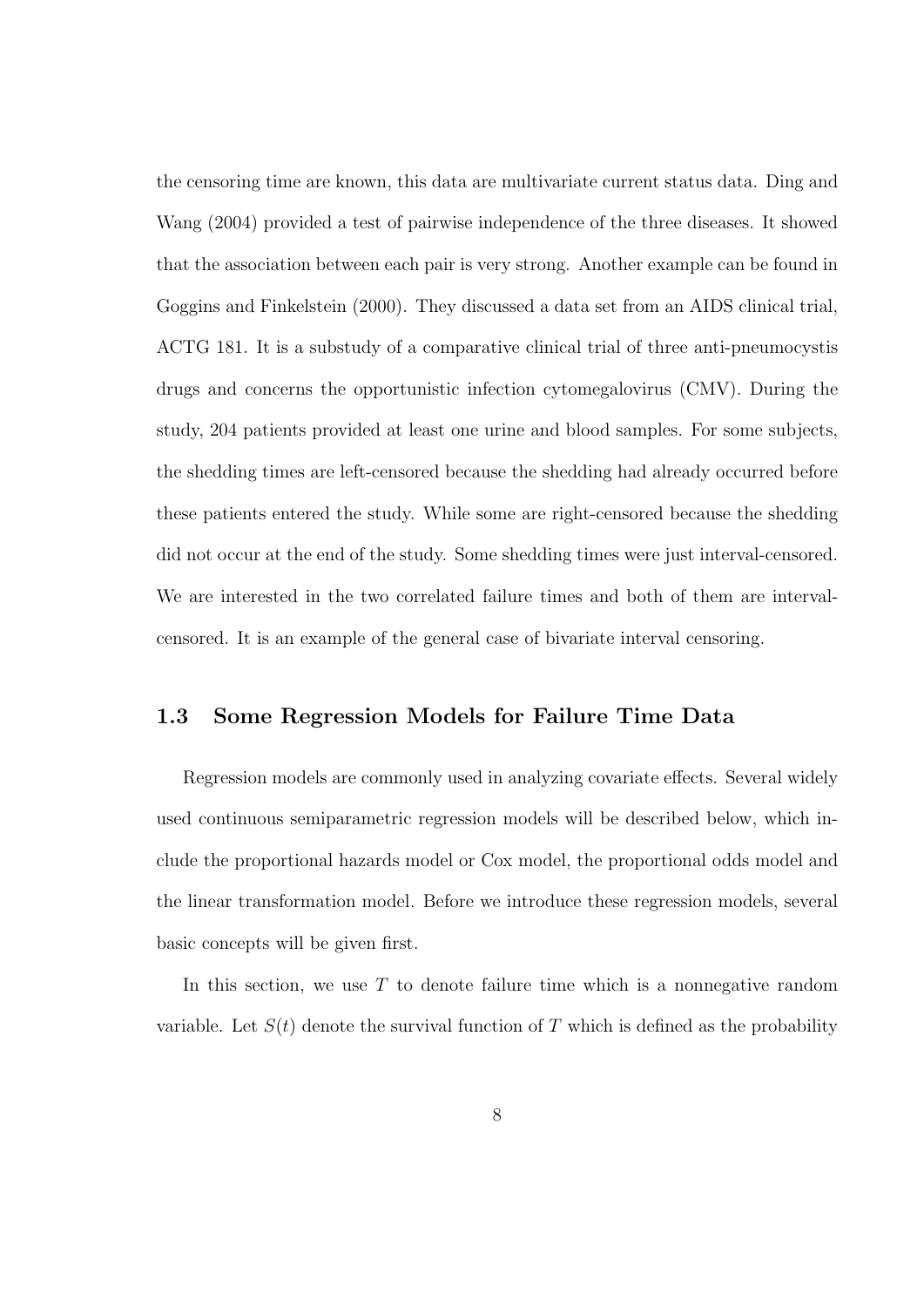the censoring time are known, this data are multivariate current status data. Ding and Wang (2004) provided a test of pairwise independence of the three diseases. It showed that the association between each pair is very strong. Another example can be found in Goggins and Finkelstein (2000). They discussed a data set from an AIDS clinical trial, ACTG 181. It is a substudy of a comparative clinical trial of three anti-pneumocystis drugs and concerns the opportunistic infection cytomegalovirus (CMV). During the study, 204 patients provided at least one urine and blood samples. For some subjects, the shedding times are left-censored because the shedding had already occurred before these patients entered the study. While some are right-censored because the shedding did not occur at the end of the study. Some shedding times were just interval-censored. We are interested in the two correlated failure times and both of them are intervalcensored. It is an example of the general case of bivariate interval censoring.

#### 1.3 Some Regression Models for Failure Time Data

Regression models are commonly used in analyzing covariate effects. Several widely used continuous semiparametric regression models will be described below, which include the proportional hazards model or Cox model, the proportional odds model and the linear transformation model. Before we introduce these regression models, several basic concepts will be given first.

In this section, we use  $T$  to denote failure time which is a nonnegative random variable. Let  $S(t)$  denote the survival function of T which is defined as the probability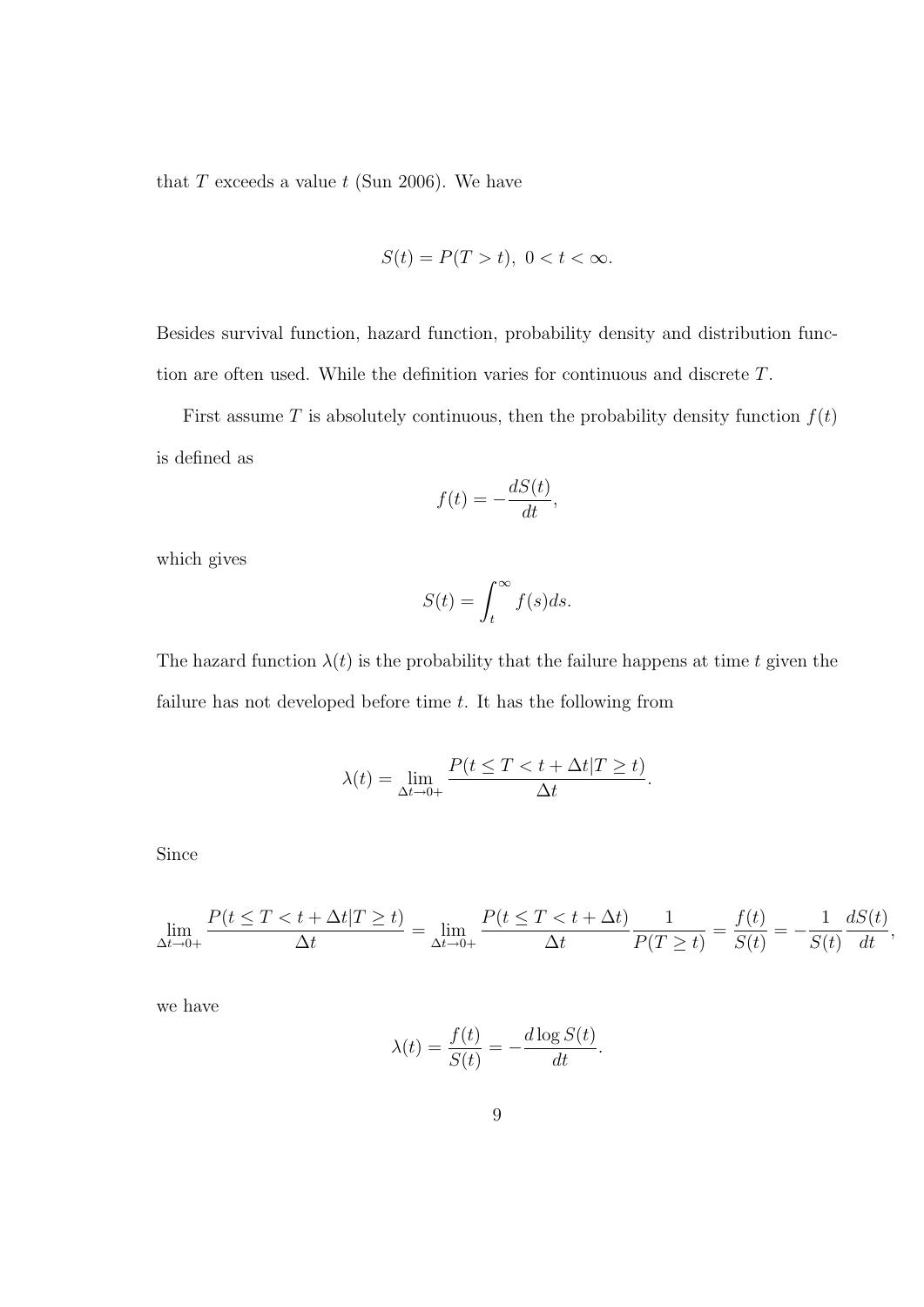that  $T$  exceeds a value  $t$  (Sun 2006). We have

$$
S(t) = P(T > t), \ 0 < t < \infty.
$$

Besides survival function, hazard function, probability density and distribution function are often used. While the definition varies for continuous and discrete T.

First assume T is absolutely continuous, then the probability density function  $f(t)$ is defined as

$$
f(t) = -\frac{dS(t)}{dt},
$$

which gives

$$
S(t) = \int_t^{\infty} f(s)ds.
$$

The hazard function  $\lambda(t)$  is the probability that the failure happens at time t given the failure has not developed before time  $t$ . It has the following from

$$
\lambda(t) = \lim_{\Delta t \to 0+} \frac{P(t \le T < t + \Delta t | T \ge t)}{\Delta t}.
$$

Since

$$
\lim_{\Delta t \to 0+} \frac{P(t \leq T < t + \Delta t | T \geq t)}{\Delta t} = \lim_{\Delta t \to 0+} \frac{P(t \leq T < t + \Delta t)}{\Delta t} \frac{1}{P(T \geq t)} = \frac{f(t)}{S(t)} = -\frac{1}{S(t)} \frac{dS(t)}{dt},
$$

we have

$$
\lambda(t) = \frac{f(t)}{S(t)} = -\frac{d \log S(t)}{dt}.
$$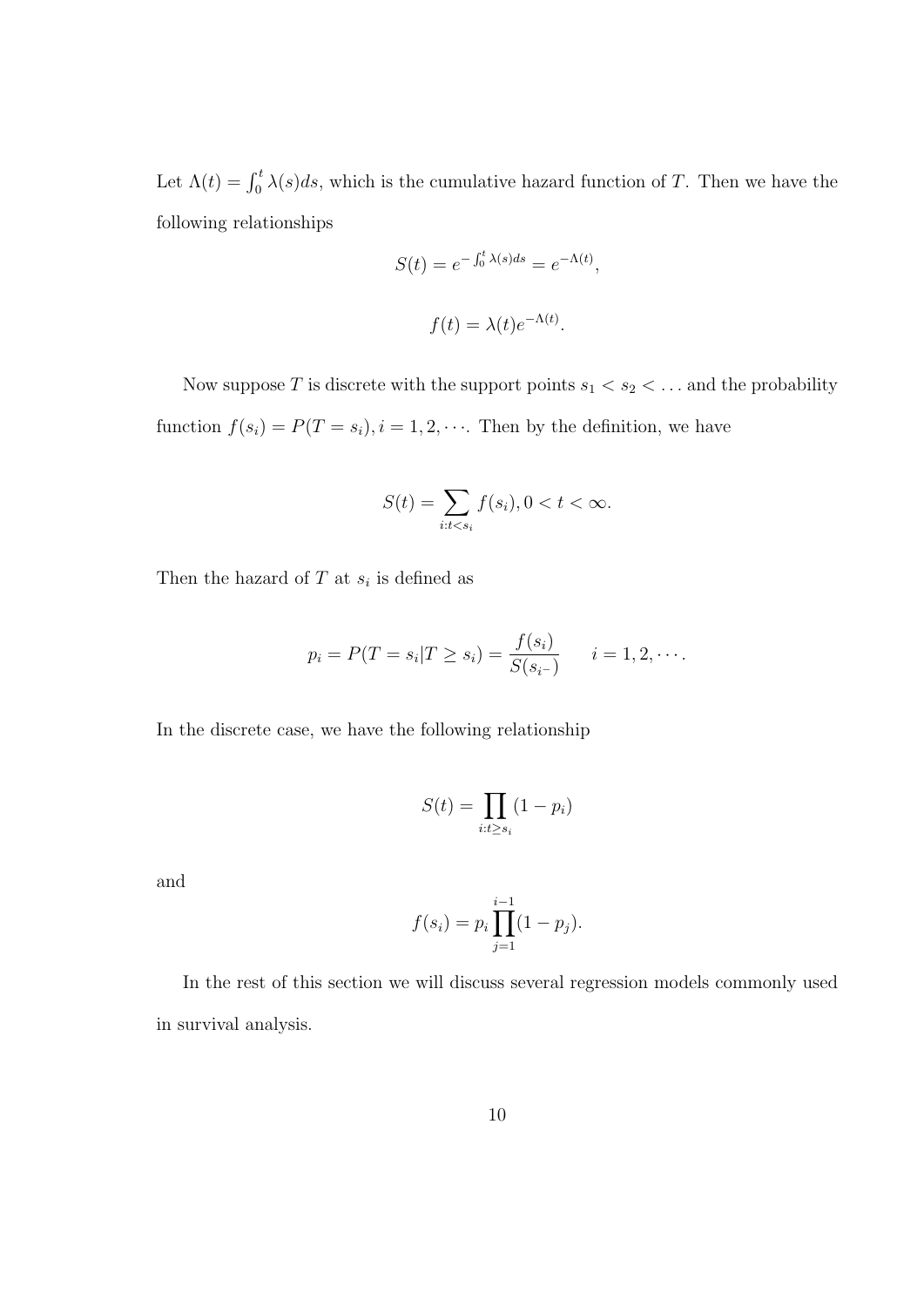Let  $\Lambda(t) = \int_0^t \lambda(s)ds$ , which is the cumulative hazard function of T. Then we have the following relationships

$$
S(t) = e^{-\int_0^t \lambda(s)ds} = e^{-\Lambda(t)},
$$
  

$$
f(t) = \lambda(t)e^{-\Lambda(t)}.
$$

Now suppose  $T$  is discrete with the support points  $s_1 < s_2 < \dots$  and the probability function  $f(s_i) = P(T = s_i), i = 1, 2, \cdots$ . Then by the definition, we have

$$
S(t) = \sum_{i:t
$$

Then the hazard of  $T$  at  $s_i$  is defined as

$$
p_i = P(T = s_i | T \ge s_i) = \frac{f(s_i)}{S(s_{i-})}
$$
  $i = 1, 2, \cdots$ 

In the discrete case, we have the following relationship

$$
S(t) = \prod_{i:t \ge s_i} (1 - p_i)
$$

and

$$
f(s_i) = p_i \prod_{j=1}^{i-1} (1 - p_j).
$$

In the rest of this section we will discuss several regression models commonly used in survival analysis.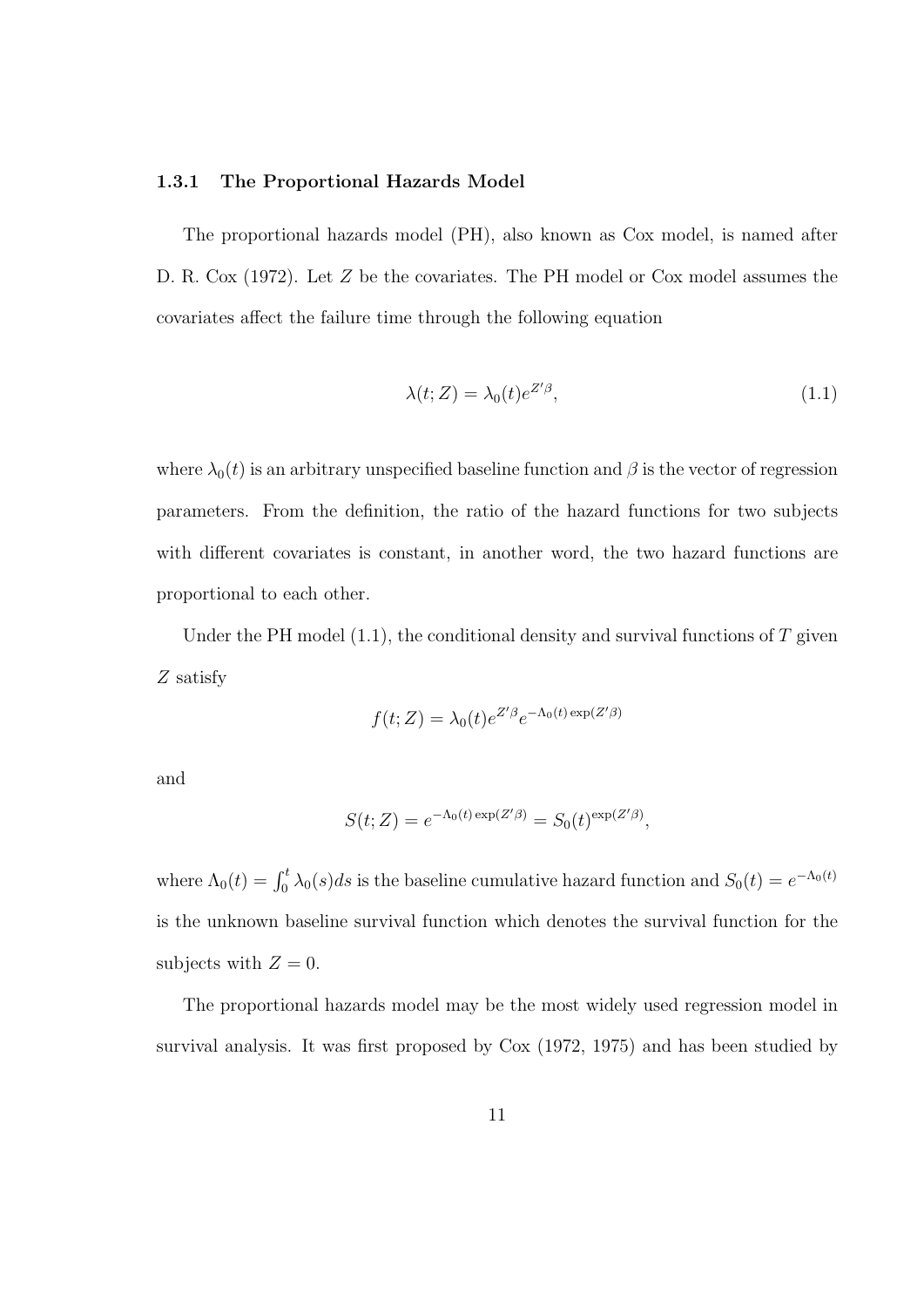#### 1.3.1 The Proportional Hazards Model

The proportional hazards model (PH), also known as Cox model, is named after D. R. Cox (1972). Let Z be the covariates. The PH model or Cox model assumes the covariates affect the failure time through the following equation

$$
\lambda(t;Z) = \lambda_0(t)e^{Z'\beta},\tag{1.1}
$$

where  $\lambda_0(t)$  is an arbitrary unspecified baseline function and  $\beta$  is the vector of regression parameters. From the definition, the ratio of the hazard functions for two subjects with different covariates is constant, in another word, the two hazard functions are proportional to each other.

Under the PH model  $(1.1)$ , the conditional density and survival functions of T given Z satisfy

$$
f(t;Z) = \lambda_0(t)e^{Z'\beta}e^{-\Lambda_0(t)\exp(Z'\beta)}
$$

and

$$
S(t; Z) = e^{-\Lambda_0(t) \exp(Z'\beta)} = S_0(t)^{\exp(Z'\beta)},
$$

where  $\Lambda_0(t) = \int_0^t \lambda_0(s)ds$  is the baseline cumulative hazard function and  $S_0(t) = e^{-\Lambda_0(t)}$ is the unknown baseline survival function which denotes the survival function for the subjects with  $Z=0$ .

The proportional hazards model may be the most widely used regression model in survival analysis. It was first proposed by Cox (1972, 1975) and has been studied by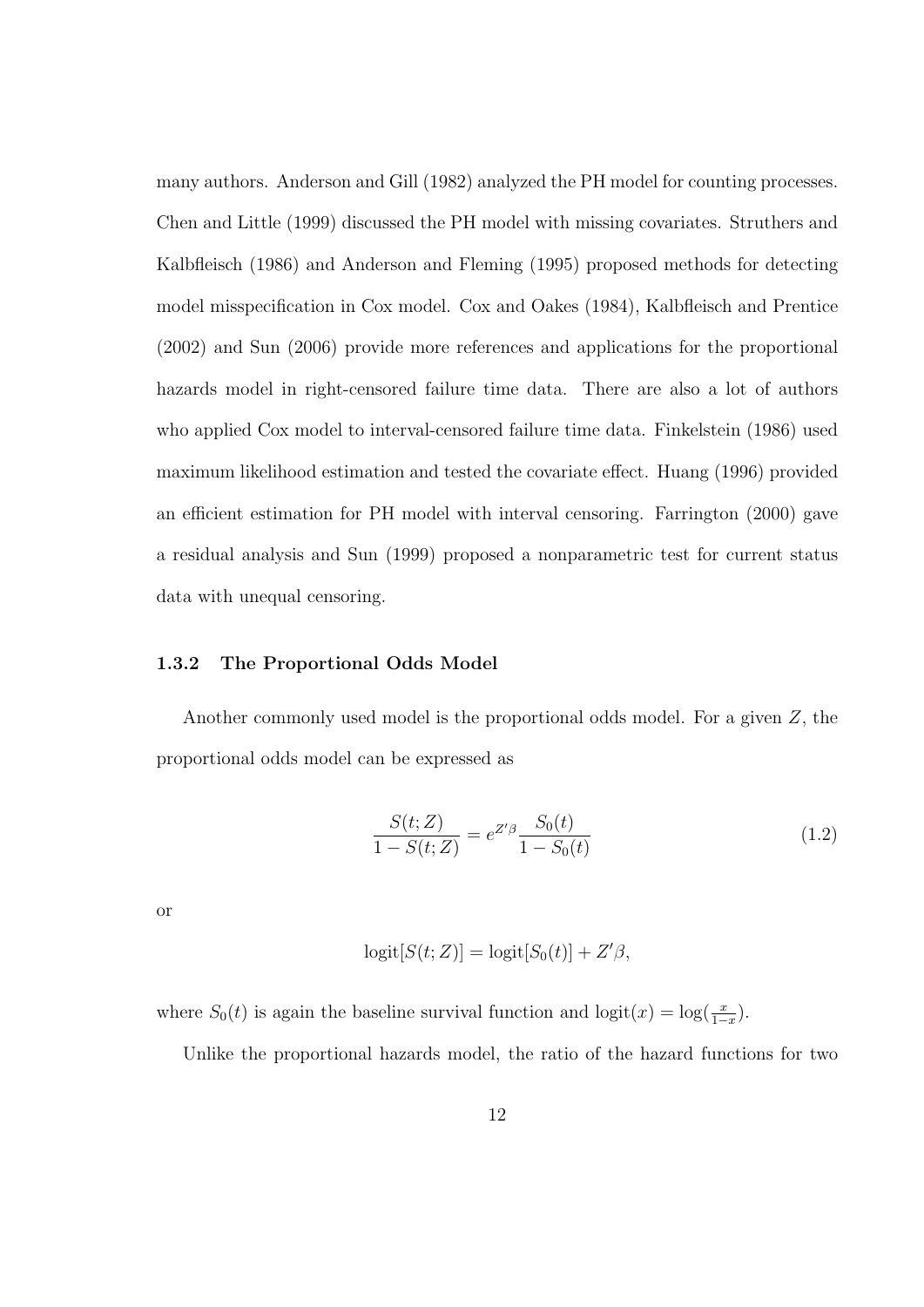many authors. Anderson and Gill (1982) analyzed the PH model for counting processes. Chen and Little (1999) discussed the PH model with missing covariates. Struthers and Kalbfleisch (1986) and Anderson and Fleming (1995) proposed methods for detecting model misspecification in Cox model. Cox and Oakes (1984), Kalbfleisch and Prentice (2002) and Sun (2006) provide more references and applications for the proportional hazards model in right-censored failure time data. There are also a lot of authors who applied Cox model to interval-censored failure time data. Finkelstein (1986) used maximum likelihood estimation and tested the covariate effect. Huang (1996) provided an efficient estimation for PH model with interval censoring. Farrington (2000) gave a residual analysis and Sun (1999) proposed a nonparametric test for current status data with unequal censoring.

#### 1.3.2 The Proportional Odds Model

Another commonly used model is the proportional odds model. For a given Z, the proportional odds model can be expressed as

$$
\frac{S(t;Z)}{1 - S(t;Z)} = e^{Z'\beta} \frac{S_0(t)}{1 - S_0(t)}\tag{1.2}
$$

or

$$
logit[S(t; Z)] = logit[S0(t)] + Z'\beta,
$$

where  $S_0(t)$  is again the baseline survival function and  $logit(x) = log(\frac{x}{1-x})$ .

Unlike the proportional hazards model, the ratio of the hazard functions for two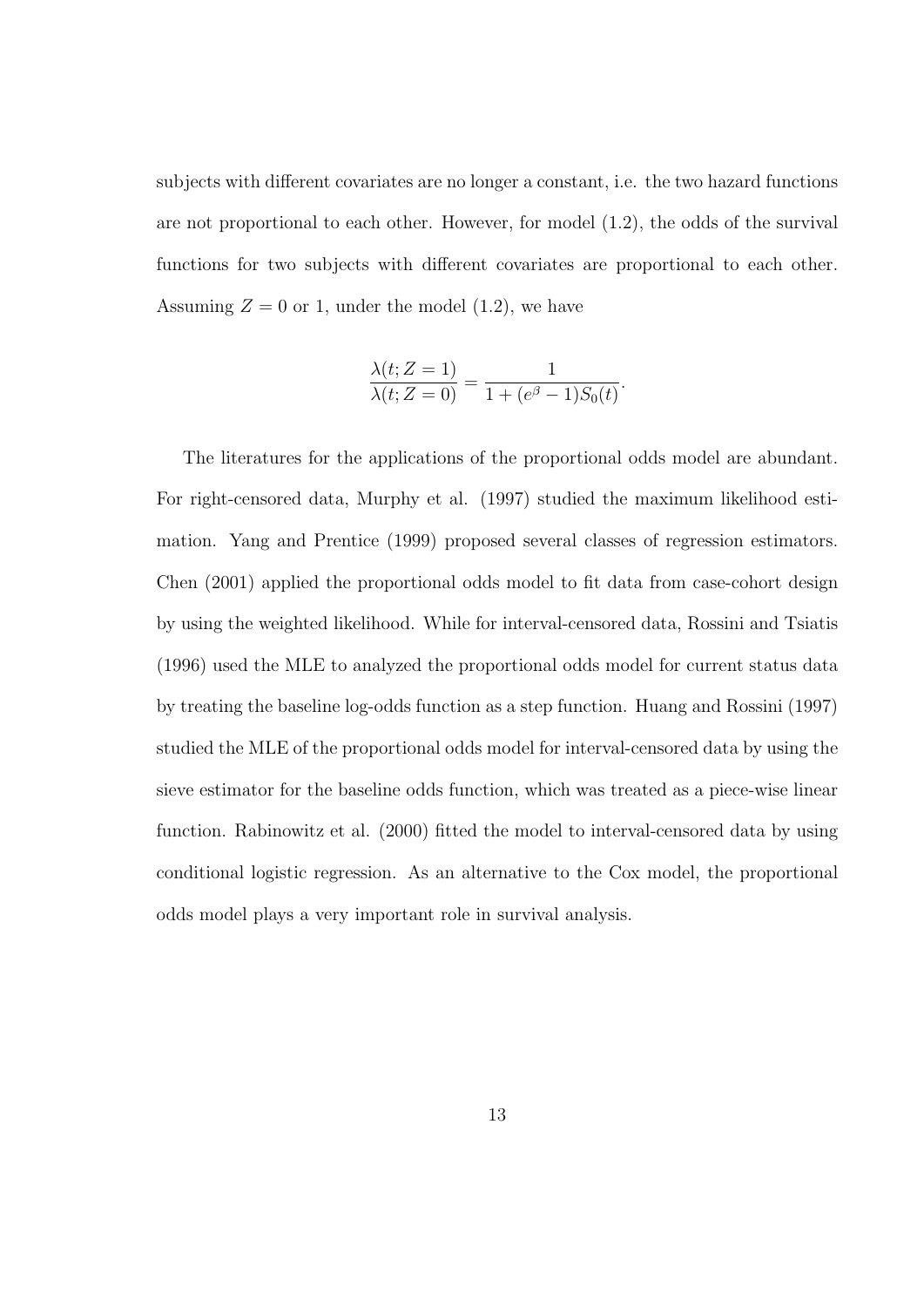subjects with different covariates are no longer a constant, i.e. the two hazard functions are not proportional to each other. However, for model (1.2), the odds of the survival functions for two subjects with different covariates are proportional to each other. Assuming  $Z = 0$  or 1, under the model (1.2), we have

$$
\frac{\lambda(t; Z=1)}{\lambda(t; Z=0)} = \frac{1}{1 + (e^{\beta} - 1)S_0(t)}.
$$

The literatures for the applications of the proportional odds model are abundant. For right-censored data, Murphy et al. (1997) studied the maximum likelihood estimation. Yang and Prentice (1999) proposed several classes of regression estimators. Chen (2001) applied the proportional odds model to fit data from case-cohort design by using the weighted likelihood. While for interval-censored data, Rossini and Tsiatis (1996) used the MLE to analyzed the proportional odds model for current status data by treating the baseline log-odds function as a step function. Huang and Rossini (1997) studied the MLE of the proportional odds model for interval-censored data by using the sieve estimator for the baseline odds function, which was treated as a piece-wise linear function. Rabinowitz et al. (2000) fitted the model to interval-censored data by using conditional logistic regression. As an alternative to the Cox model, the proportional odds model plays a very important role in survival analysis.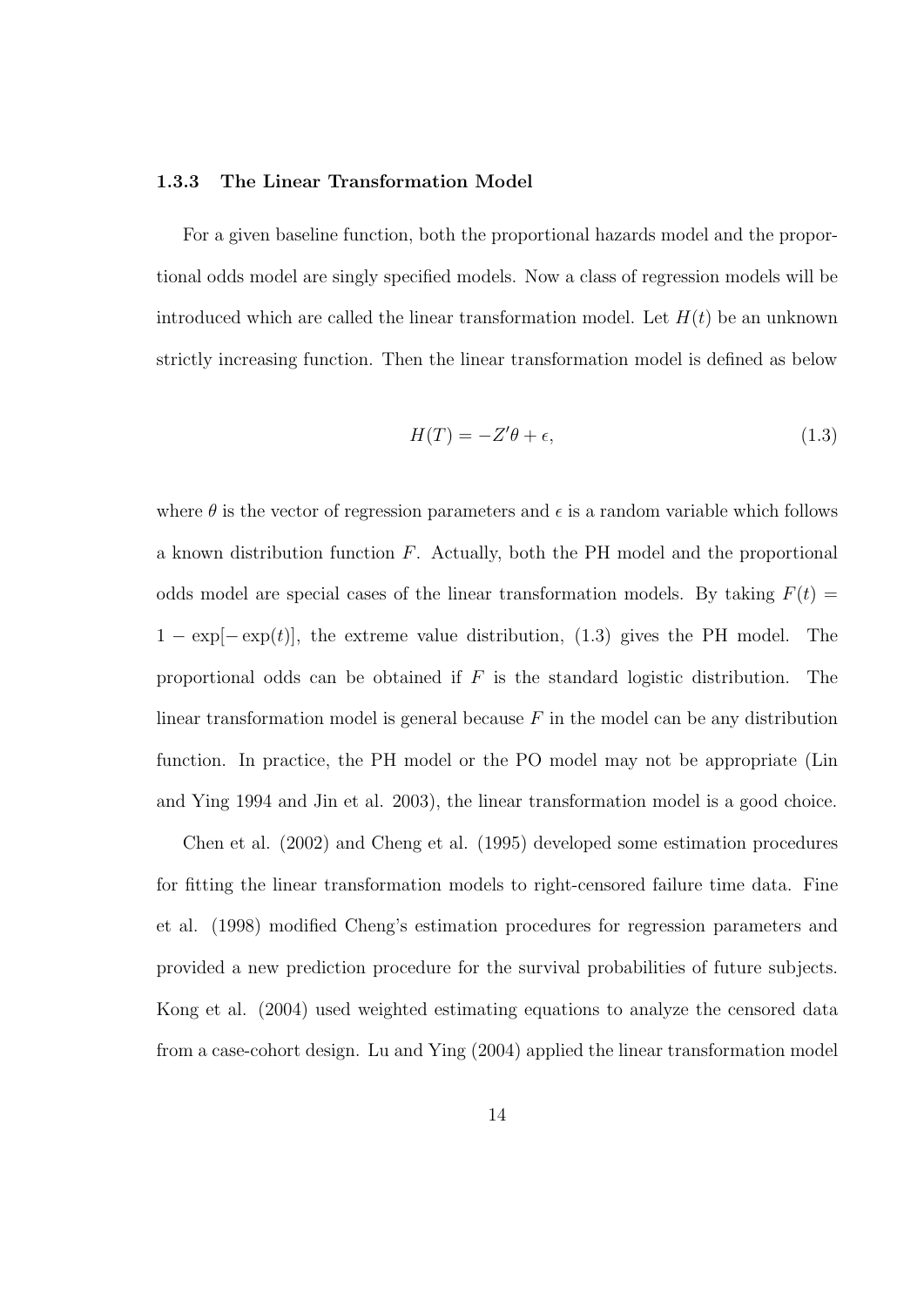#### 1.3.3 The Linear Transformation Model

For a given baseline function, both the proportional hazards model and the proportional odds model are singly specified models. Now a class of regression models will be introduced which are called the linear transformation model. Let  $H(t)$  be an unknown strictly increasing function. Then the linear transformation model is defined as below

$$
H(T) = -Z'\theta + \epsilon,\tag{1.3}
$$

where  $\theta$  is the vector of regression parameters and  $\epsilon$  is a random variable which follows a known distribution function  $F$ . Actually, both the PH model and the proportional odds model are special cases of the linear transformation models. By taking  $F(t)$  =  $1 - \exp[-\exp(t)]$ , the extreme value distribution, (1.3) gives the PH model. The proportional odds can be obtained if  $F$  is the standard logistic distribution. The linear transformation model is general because  $F$  in the model can be any distribution function. In practice, the PH model or the PO model may not be appropriate (Lin and Ying 1994 and Jin et al. 2003), the linear transformation model is a good choice.

Chen et al. (2002) and Cheng et al. (1995) developed some estimation procedures for fitting the linear transformation models to right-censored failure time data. Fine et al. (1998) modified Cheng's estimation procedures for regression parameters and provided a new prediction procedure for the survival probabilities of future subjects. Kong et al. (2004) used weighted estimating equations to analyze the censored data from a case-cohort design. Lu and Ying (2004) applied the linear transformation model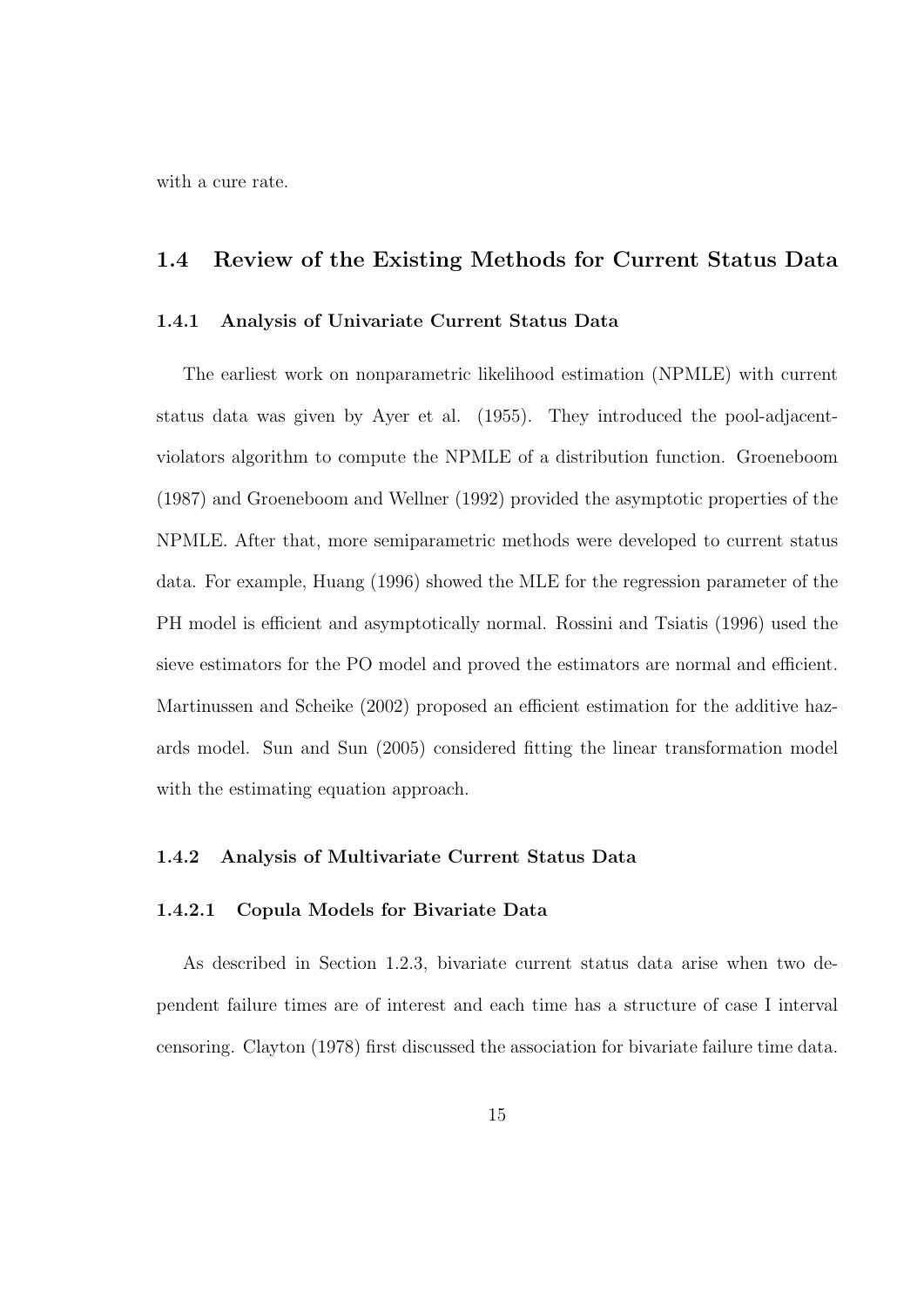with a cure rate.

#### 1.4 Review of the Existing Methods for Current Status Data

#### 1.4.1 Analysis of Univariate Current Status Data

The earliest work on nonparametric likelihood estimation (NPMLE) with current status data was given by Ayer et al. (1955). They introduced the pool-adjacentviolators algorithm to compute the NPMLE of a distribution function. Groeneboom (1987) and Groeneboom and Wellner (1992) provided the asymptotic properties of the NPMLE. After that, more semiparametric methods were developed to current status data. For example, Huang (1996) showed the MLE for the regression parameter of the PH model is efficient and asymptotically normal. Rossini and Tsiatis (1996) used the sieve estimators for the PO model and proved the estimators are normal and efficient. Martinussen and Scheike (2002) proposed an efficient estimation for the additive hazards model. Sun and Sun (2005) considered fitting the linear transformation model with the estimating equation approach.

#### 1.4.2 Analysis of Multivariate Current Status Data

#### 1.4.2.1 Copula Models for Bivariate Data

As described in Section 1.2.3, bivariate current status data arise when two dependent failure times are of interest and each time has a structure of case I interval censoring. Clayton (1978) first discussed the association for bivariate failure time data.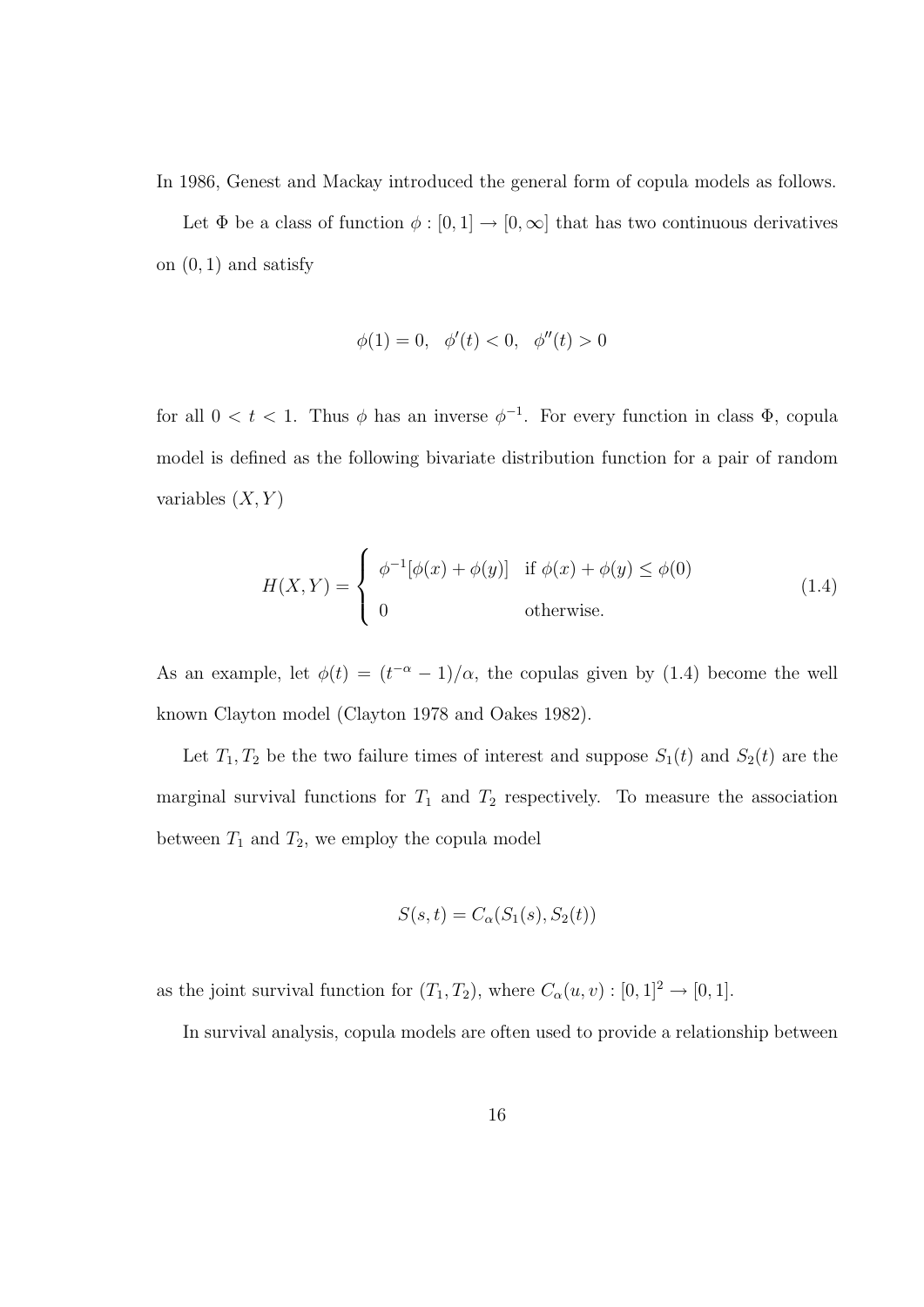In 1986, Genest and Mackay introduced the general form of copula models as follows.

Let  $\Phi$  be a class of function  $\phi : [0, 1] \to [0, \infty]$  that has two continuous derivatives on  $(0, 1)$  and satisfy

$$
\phi(1) = 0, \quad \phi'(t) < 0, \quad \phi''(t) > 0
$$

for all  $0 < t < 1$ . Thus  $\phi$  has an inverse  $\phi^{-1}$ . For every function in class  $\Phi$ , copula model is defined as the following bivariate distribution function for a pair of random variables  $(X, Y)$ 

$$
H(X,Y) = \begin{cases} \phi^{-1}[\phi(x) + \phi(y)] & \text{if } \phi(x) + \phi(y) \le \phi(0) \\ 0 & \text{otherwise.} \end{cases}
$$
 (1.4)

As an example, let  $\phi(t) = (t^{-\alpha} - 1)/\alpha$ , the copulas given by (1.4) become the well known Clayton model (Clayton 1978 and Oakes 1982).

Let  $T_1, T_2$  be the two failure times of interest and suppose  $S_1(t)$  and  $S_2(t)$  are the marginal survival functions for  $T_1$  and  $T_2$  respectively. To measure the association between  $T_1$  and  $T_2$ , we employ the copula model

$$
S(s,t) = C_{\alpha}(S_1(s), S_2(t))
$$

as the joint survival function for  $(T_1, T_2)$ , where  $C_{\alpha}(u, v) : [0, 1]^2 \to [0, 1]$ .

In survival analysis, copula models are often used to provide a relationship between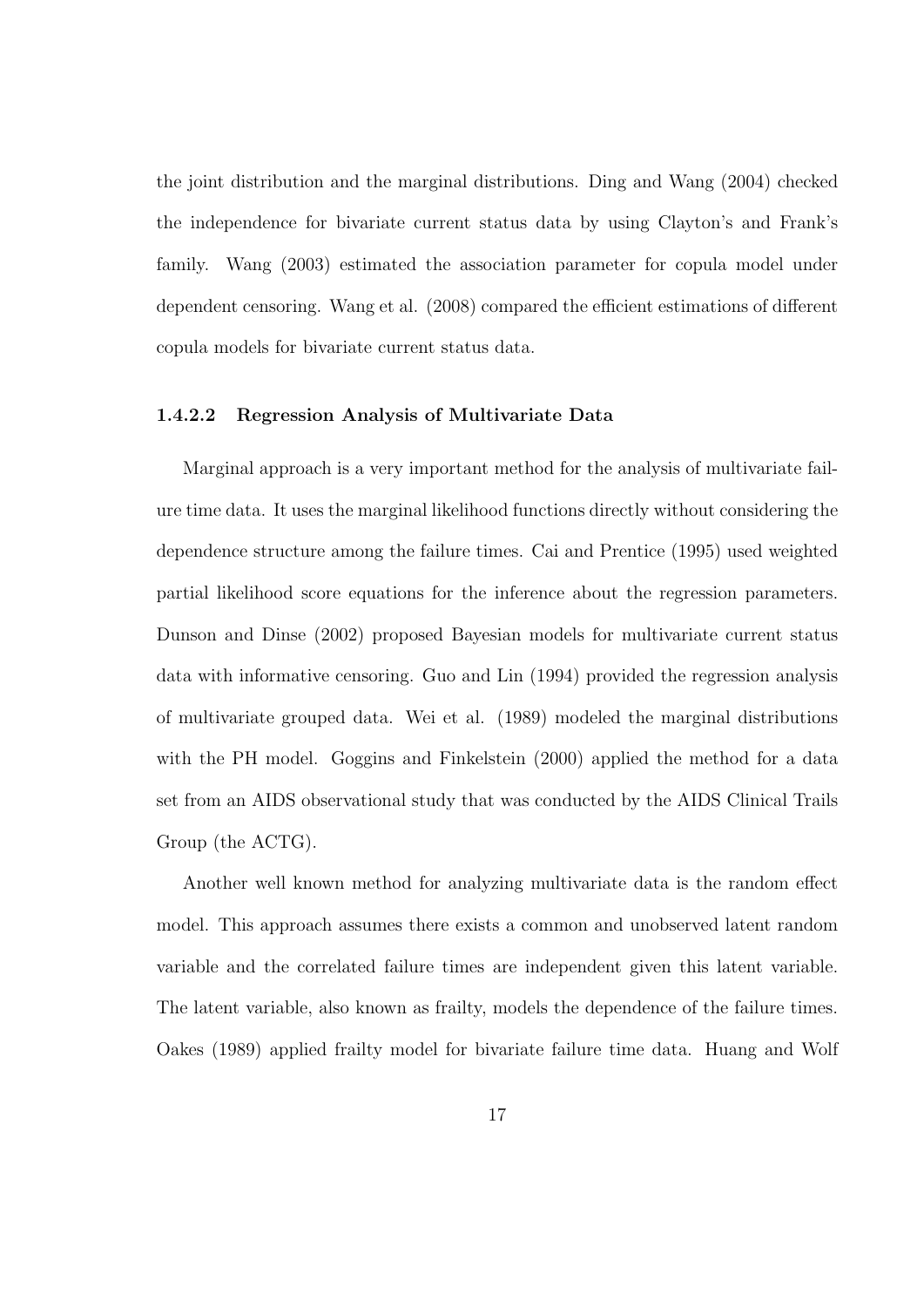the joint distribution and the marginal distributions. Ding and Wang (2004) checked the independence for bivariate current status data by using Clayton's and Frank's family. Wang (2003) estimated the association parameter for copula model under dependent censoring. Wang et al. (2008) compared the efficient estimations of different copula models for bivariate current status data.

#### 1.4.2.2 Regression Analysis of Multivariate Data

Marginal approach is a very important method for the analysis of multivariate failure time data. It uses the marginal likelihood functions directly without considering the dependence structure among the failure times. Cai and Prentice (1995) used weighted partial likelihood score equations for the inference about the regression parameters. Dunson and Dinse (2002) proposed Bayesian models for multivariate current status data with informative censoring. Guo and Lin (1994) provided the regression analysis of multivariate grouped data. Wei et al. (1989) modeled the marginal distributions with the PH model. Goggins and Finkelstein (2000) applied the method for a data set from an AIDS observational study that was conducted by the AIDS Clinical Trails Group (the ACTG).

Another well known method for analyzing multivariate data is the random effect model. This approach assumes there exists a common and unobserved latent random variable and the correlated failure times are independent given this latent variable. The latent variable, also known as frailty, models the dependence of the failure times. Oakes (1989) applied frailty model for bivariate failure time data. Huang and Wolf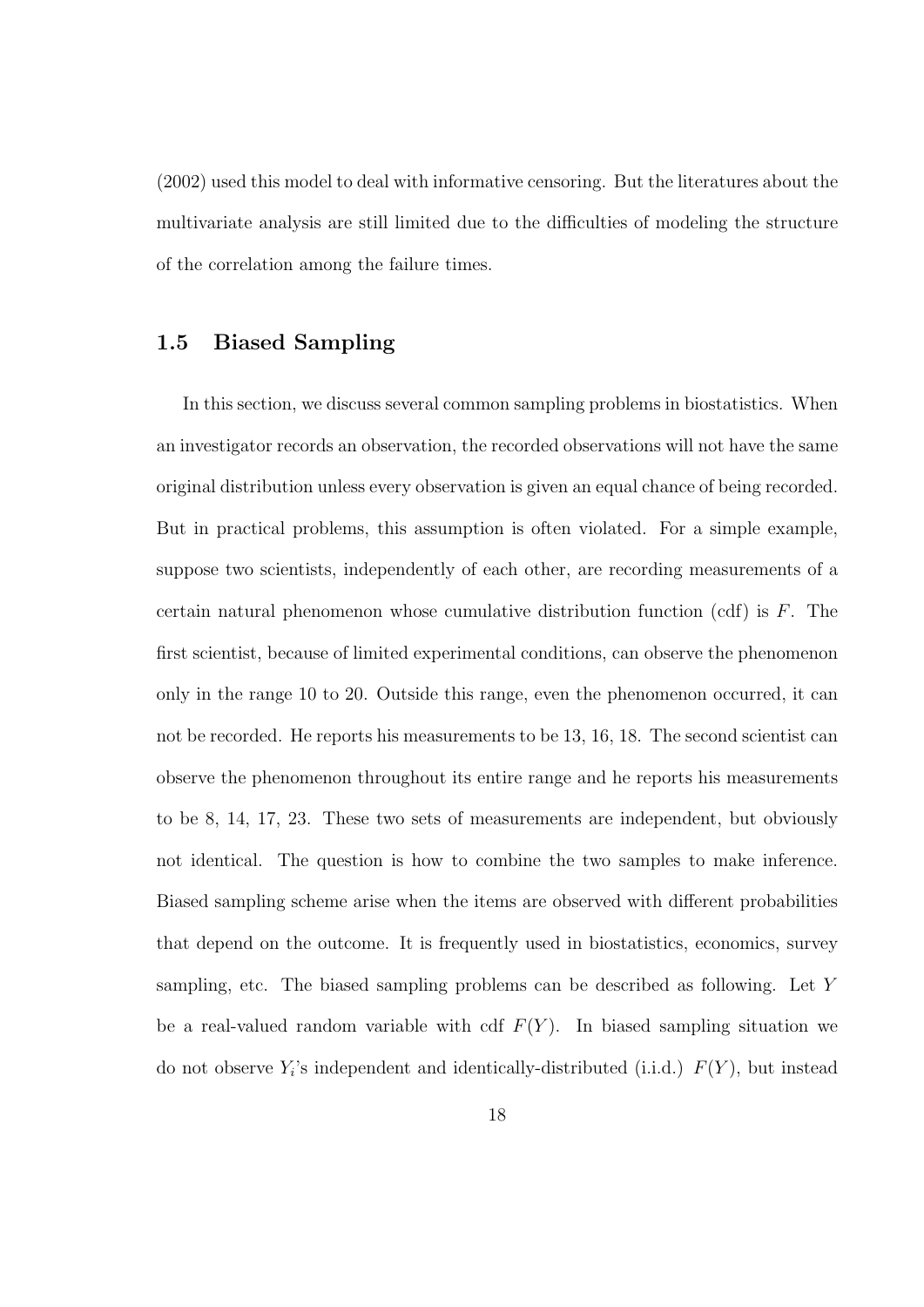(2002) used this model to deal with informative censoring. But the literatures about the multivariate analysis are still limited due to the difficulties of modeling the structure of the correlation among the failure times.

#### 1.5 Biased Sampling

In this section, we discuss several common sampling problems in biostatistics. When an investigator records an observation, the recorded observations will not have the same original distribution unless every observation is given an equal chance of being recorded. But in practical problems, this assumption is often violated. For a simple example, suppose two scientists, independently of each other, are recording measurements of a certain natural phenomenon whose cumulative distribution function (cdf) is F. The first scientist, because of limited experimental conditions, can observe the phenomenon only in the range 10 to 20. Outside this range, even the phenomenon occurred, it can not be recorded. He reports his measurements to be 13, 16, 18. The second scientist can observe the phenomenon throughout its entire range and he reports his measurements to be 8, 14, 17, 23. These two sets of measurements are independent, but obviously not identical. The question is how to combine the two samples to make inference. Biased sampling scheme arise when the items are observed with different probabilities that depend on the outcome. It is frequently used in biostatistics, economics, survey sampling, etc. The biased sampling problems can be described as following. Let Y be a real-valued random variable with cdf  $F(Y)$ . In biased sampling situation we do not observe  $Y_i$ 's independent and identically-distributed (i.i.d.)  $F(Y)$ , but instead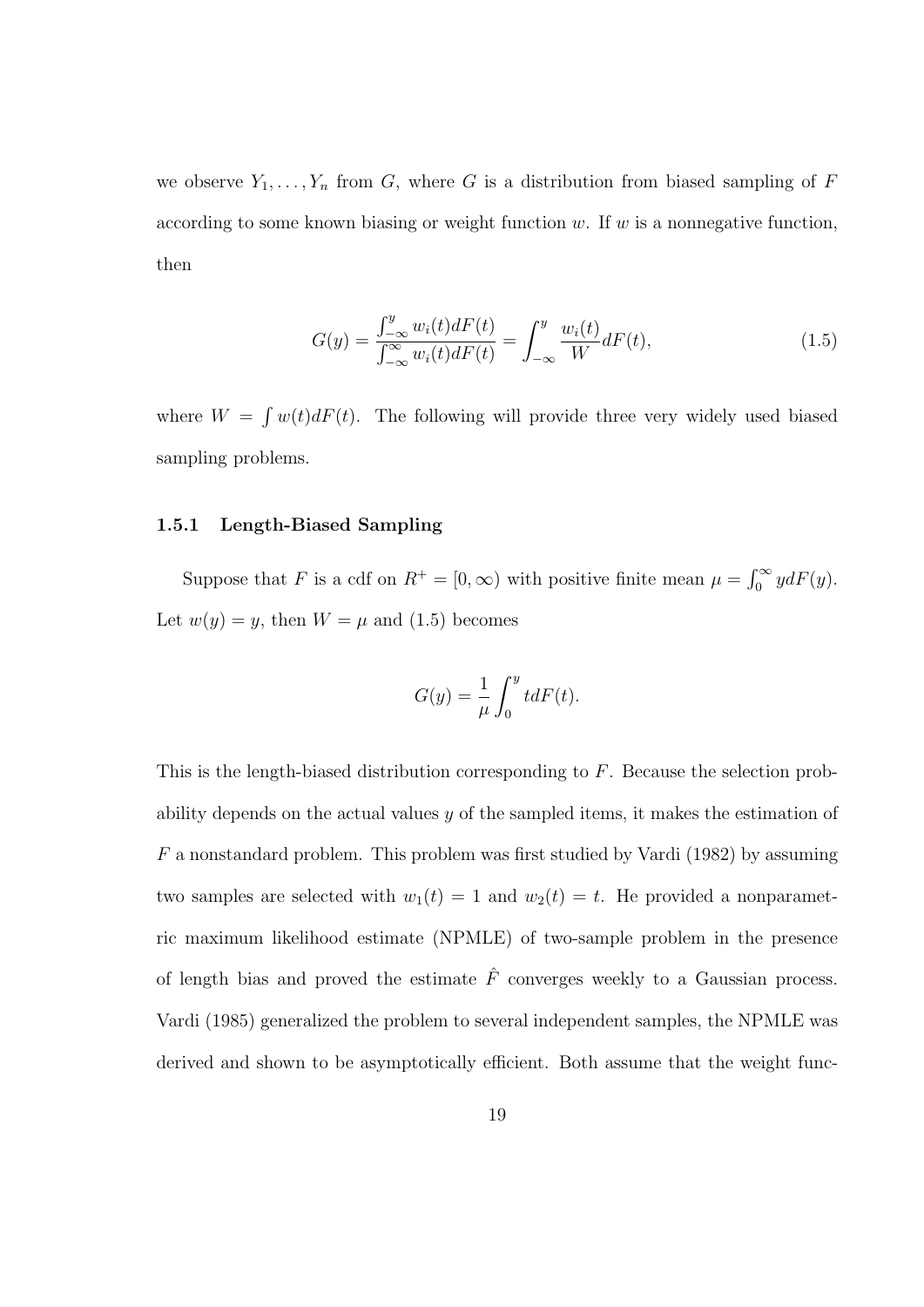we observe  $Y_1, \ldots, Y_n$  from G, where G is a distribution from biased sampling of F according to some known biasing or weight function  $w$ . If  $w$  is a nonnegative function, then

$$
G(y) = \frac{\int_{-\infty}^{y} w_i(t) dF(t)}{\int_{-\infty}^{\infty} w_i(t) dF(t)} = \int_{-\infty}^{y} \frac{w_i(t)}{W} dF(t),
$$
\n(1.5)

where  $W =$ R  $w(t)dF(t)$ . The following will provide three very widely used biased sampling problems.

#### 1.5.1 Length-Biased Sampling

Suppose that F is a cdf on  $R^+ = [0, \infty)$  with positive finite mean  $\mu = \int_0^\infty$  $\int_0^\infty y dF(y).$ Let  $w(y) = y$ , then  $W = \mu$  and (1.5) becomes

$$
G(y) = \frac{1}{\mu} \int_0^y t dF(t).
$$

This is the length-biased distribution corresponding to F. Because the selection probability depends on the actual values  $y$  of the sampled items, it makes the estimation of F a nonstandard problem. This problem was first studied by Vardi (1982) by assuming two samples are selected with  $w_1(t) = 1$  and  $w_2(t) = t$ . He provided a nonparametric maximum likelihood estimate (NPMLE) of two-sample problem in the presence of length bias and proved the estimate  $\hat{F}$  converges weekly to a Gaussian process. Vardi (1985) generalized the problem to several independent samples, the NPMLE was derived and shown to be asymptotically efficient. Both assume that the weight func-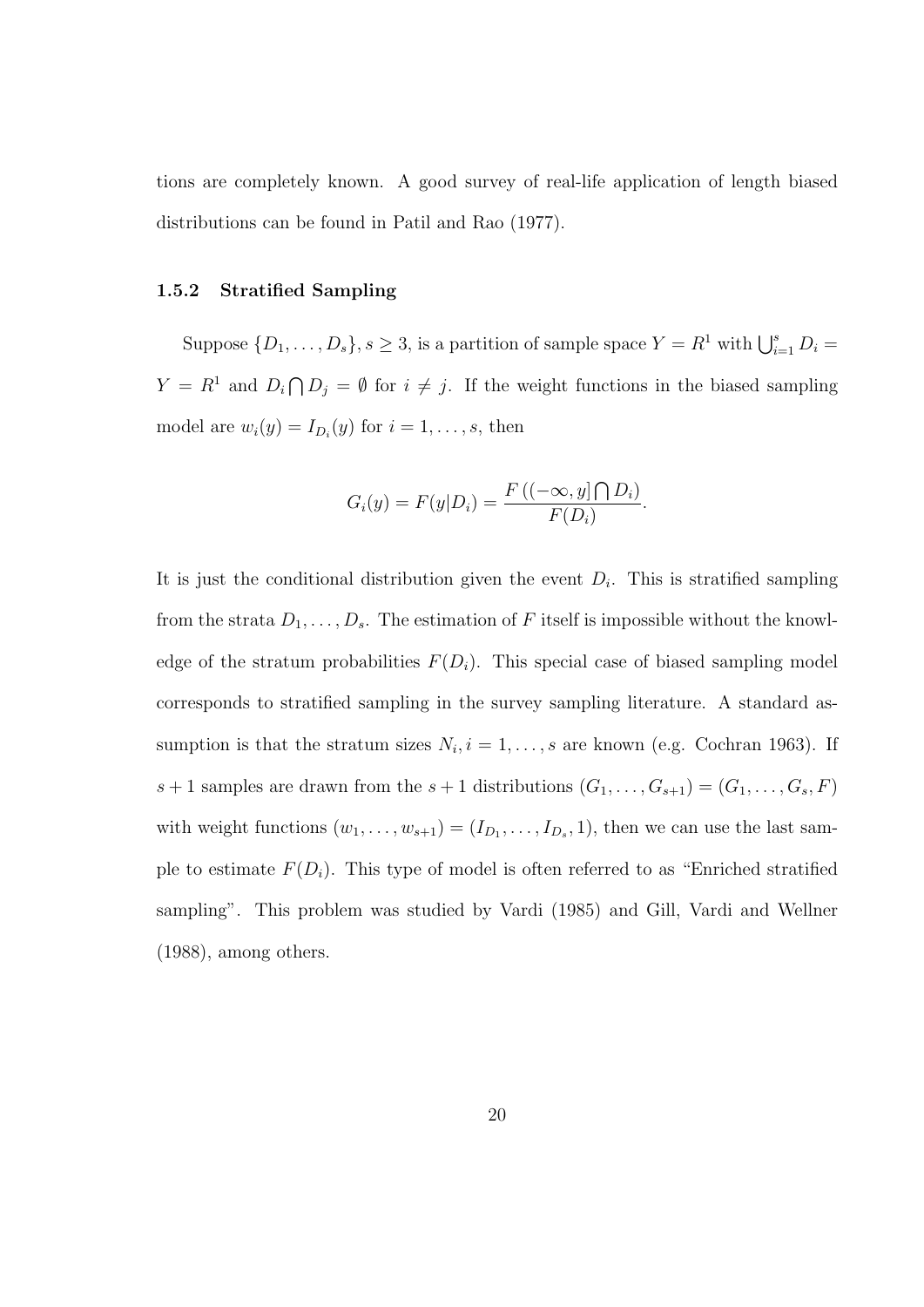tions are completely known. A good survey of real-life application of length biased distributions can be found in Patil and Rao (1977).

#### 1.5.2 Stratified Sampling

Suppose  $\{D_1, \ldots, D_s\}$ ,  $s \geq 3$ , is a partition of sample space  $Y = R^1$  with  $\bigcup_{i=1}^s D_i =$  $Y = R^1$  and  $D_i \bigcap$  $D_j = \emptyset$  for  $i \neq j$ . If the weight functions in the biased sampling model are  $w_i(y) = I_{D_i}(y)$  for  $i = 1, \ldots, s$ , then

$$
G_i(y) = F(y|D_i) = \frac{F((-\infty, y] \cap D_i)}{F(D_i)}.
$$

It is just the conditional distribution given the event  $D_i$ . This is stratified sampling from the strata  $D_1, \ldots, D_s$ . The estimation of F itself is impossible without the knowledge of the stratum probabilities  $F(D_i)$ . This special case of biased sampling model corresponds to stratified sampling in the survey sampling literature. A standard assumption is that the stratum sizes  $N_i$ ,  $i = 1, ..., s$  are known (e.g. Cochran 1963). If  $s+1$  samples are drawn from the  $s+1$  distributions  $(G_1, \ldots, G_{s+1}) = (G_1, \ldots, G_s, F)$ with weight functions  $(w_1, \ldots, w_{s+1}) = (I_{D_1}, \ldots, I_{D_s}, 1)$ , then we can use the last sample to estimate  $F(D_i)$ . This type of model is often referred to as "Enriched stratified sampling". This problem was studied by Vardi (1985) and Gill, Vardi and Wellner (1988), among others.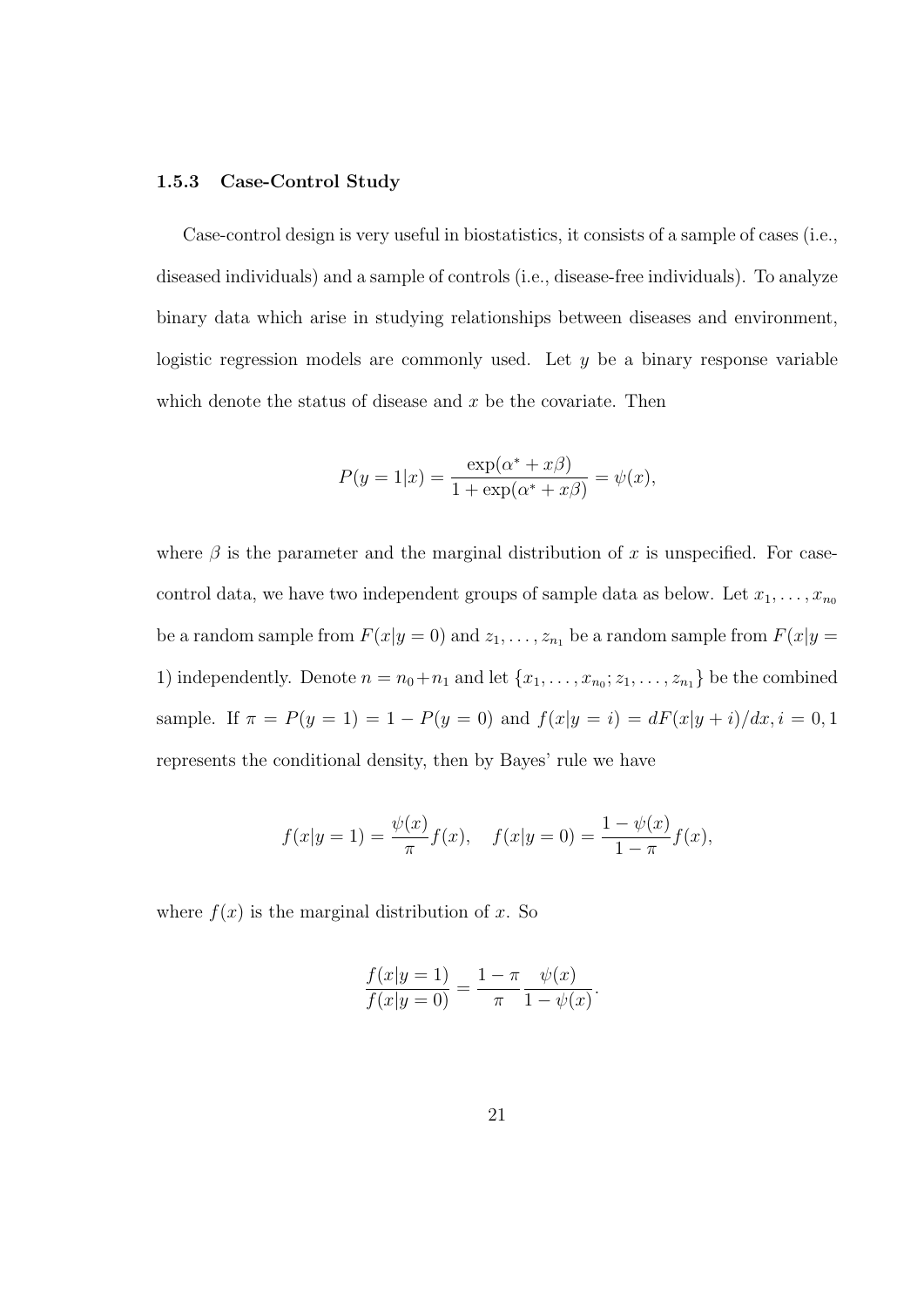#### 1.5.3 Case-Control Study

Case-control design is very useful in biostatistics, it consists of a sample of cases (i.e., diseased individuals) and a sample of controls (i.e., disease-free individuals). To analyze binary data which arise in studying relationships between diseases and environment, logistic regression models are commonly used. Let  $y$  be a binary response variable which denote the status of disease and  $x$  be the covariate. Then

$$
P(y=1|x) = \frac{\exp(\alpha^* + x\beta)}{1 + \exp(\alpha^* + x\beta)} = \psi(x),
$$

where  $\beta$  is the parameter and the marginal distribution of x is unspecified. For casecontrol data, we have two independent groups of sample data as below. Let  $x_1, \ldots, x_{n_0}$ be a random sample from  $F(x|y = 0)$  and  $z_1, \ldots, z_{n_1}$  be a random sample from  $F(x|y = 0)$ 1) independently. Denote  $n = n_0 + n_1$  and let  $\{x_1, \ldots, x_{n_0}; z_1, \ldots, z_{n_1}\}$  be the combined sample. If  $\pi = P(y = 1) = 1 - P(y = 0)$  and  $f(x|y = i) = dF(x|y + i)/dx, i = 0, 1$ represents the conditional density, then by Bayes' rule we have

$$
f(x|y=1) = \frac{\psi(x)}{\pi} f(x), \quad f(x|y=0) = \frac{1-\psi(x)}{1-\pi} f(x),
$$

where  $f(x)$  is the marginal distribution of x. So

$$
\frac{f(x|y=1)}{f(x|y=0)} = \frac{1-\pi}{\pi} \frac{\psi(x)}{1-\psi(x)}.
$$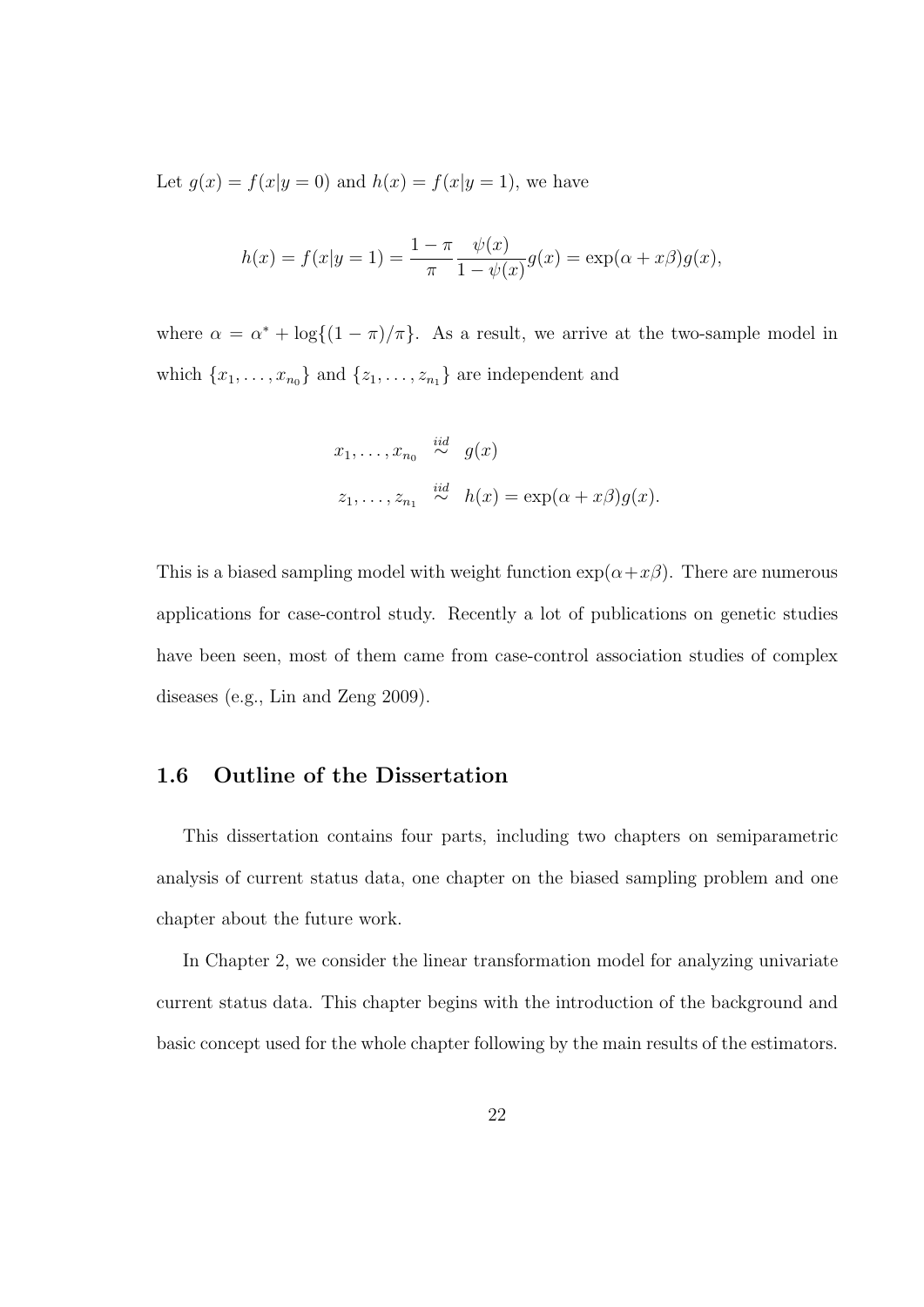Let  $g(x) = f(x|y = 0)$  and  $h(x) = f(x|y = 1)$ , we have

$$
h(x) = f(x|y=1) = \frac{1 - \pi}{\pi} \frac{\psi(x)}{1 - \psi(x)} g(x) = \exp(\alpha + x\beta)g(x),
$$

where  $\alpha = \alpha^* + \log\{(1 - \pi)/\pi\}$ . As a result, we arrive at the two-sample model in which  $\{x_1, \ldots, x_{n_0}\}\$  and  $\{z_1, \ldots, z_{n_1}\}\$  are independent and

$$
x_1, \ldots, x_{n_0} \stackrel{iid}{\sim} g(x)
$$
  

$$
z_1, \ldots, z_{n_1} \stackrel{iid}{\sim} h(x) = \exp(\alpha + x\beta)g(x).
$$

This is a biased sampling model with weight function  $\exp(\alpha + x\beta)$ . There are numerous applications for case-control study. Recently a lot of publications on genetic studies have been seen, most of them came from case-control association studies of complex diseases (e.g., Lin and Zeng 2009).

#### 1.6 Outline of the Dissertation

This dissertation contains four parts, including two chapters on semiparametric analysis of current status data, one chapter on the biased sampling problem and one chapter about the future work.

In Chapter 2, we consider the linear transformation model for analyzing univariate current status data. This chapter begins with the introduction of the background and basic concept used for the whole chapter following by the main results of the estimators.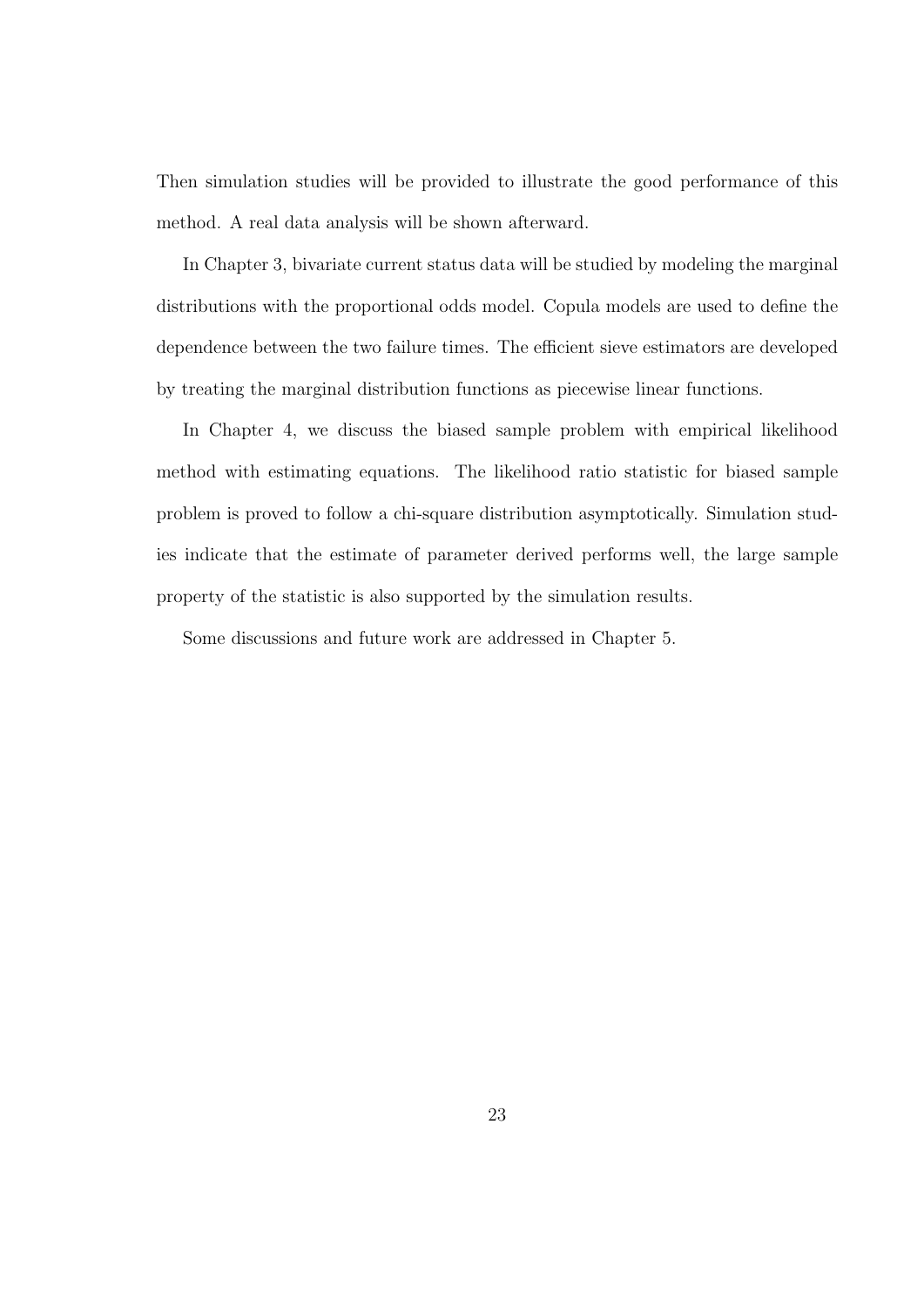Then simulation studies will be provided to illustrate the good performance of this method. A real data analysis will be shown afterward.

In Chapter 3, bivariate current status data will be studied by modeling the marginal distributions with the proportional odds model. Copula models are used to define the dependence between the two failure times. The efficient sieve estimators are developed by treating the marginal distribution functions as piecewise linear functions.

In Chapter 4, we discuss the biased sample problem with empirical likelihood method with estimating equations. The likelihood ratio statistic for biased sample problem is proved to follow a chi-square distribution asymptotically. Simulation studies indicate that the estimate of parameter derived performs well, the large sample property of the statistic is also supported by the simulation results.

Some discussions and future work are addressed in Chapter 5.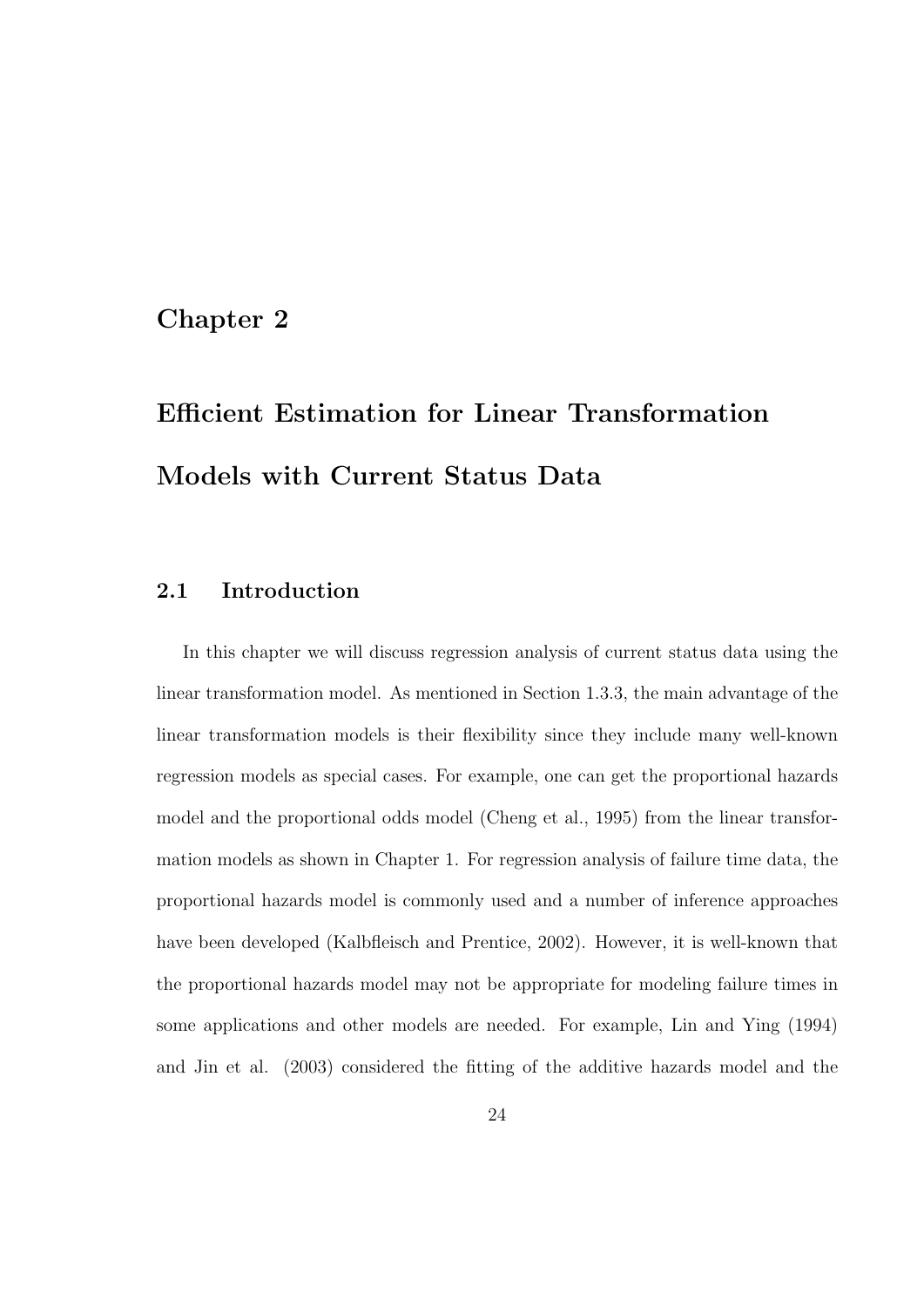### Chapter 2

# Efficient Estimation for Linear Transformation Models with Current Status Data

#### 2.1 Introduction

In this chapter we will discuss regression analysis of current status data using the linear transformation model. As mentioned in Section 1.3.3, the main advantage of the linear transformation models is their flexibility since they include many well-known regression models as special cases. For example, one can get the proportional hazards model and the proportional odds model (Cheng et al., 1995) from the linear transformation models as shown in Chapter 1. For regression analysis of failure time data, the proportional hazards model is commonly used and a number of inference approaches have been developed (Kalbfleisch and Prentice, 2002). However, it is well-known that the proportional hazards model may not be appropriate for modeling failure times in some applications and other models are needed. For example, Lin and Ying (1994) and Jin et al. (2003) considered the fitting of the additive hazards model and the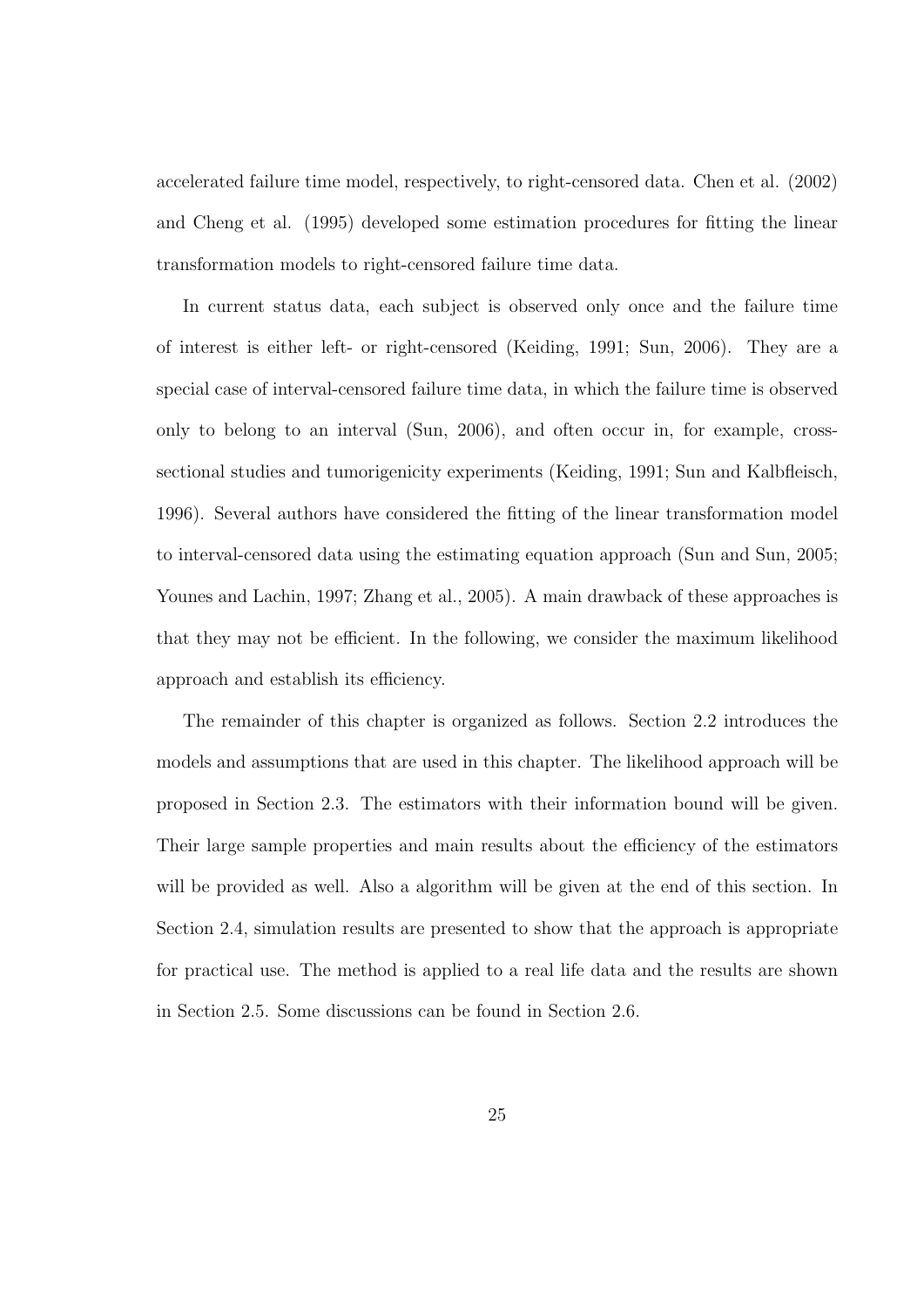accelerated failure time model, respectively, to right-censored data. Chen et al. (2002) and Cheng et al. (1995) developed some estimation procedures for fitting the linear transformation models to right-censored failure time data.

In current status data, each subject is observed only once and the failure time of interest is either left- or right-censored (Keiding, 1991; Sun, 2006). They are a special case of interval-censored failure time data, in which the failure time is observed only to belong to an interval (Sun, 2006), and often occur in, for example, crosssectional studies and tumorigenicity experiments (Keiding, 1991; Sun and Kalbfleisch, 1996). Several authors have considered the fitting of the linear transformation model to interval-censored data using the estimating equation approach (Sun and Sun, 2005; Younes and Lachin, 1997; Zhang et al., 2005). A main drawback of these approaches is that they may not be efficient. In the following, we consider the maximum likelihood approach and establish its efficiency.

The remainder of this chapter is organized as follows. Section 2.2 introduces the models and assumptions that are used in this chapter. The likelihood approach will be proposed in Section 2.3. The estimators with their information bound will be given. Their large sample properties and main results about the efficiency of the estimators will be provided as well. Also a algorithm will be given at the end of this section. In Section 2.4, simulation results are presented to show that the approach is appropriate for practical use. The method is applied to a real life data and the results are shown in Section 2.5. Some discussions can be found in Section 2.6.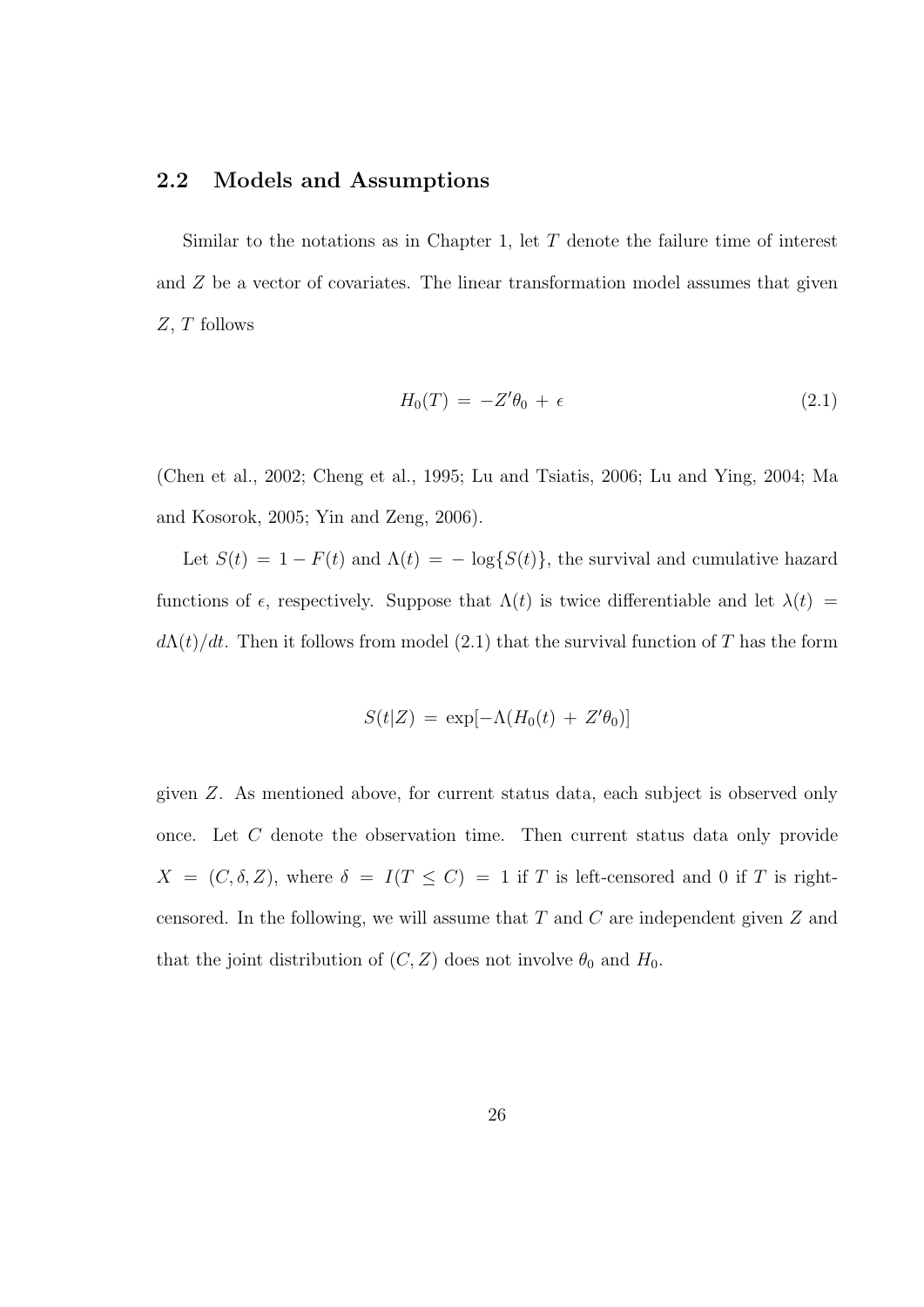#### 2.2 Models and Assumptions

Similar to the notations as in Chapter 1, let  $T$  denote the failure time of interest and Z be a vector of covariates. The linear transformation model assumes that given Z, T follows

$$
H_0(T) = -Z'\theta_0 + \epsilon \tag{2.1}
$$

(Chen et al., 2002; Cheng et al., 1995; Lu and Tsiatis, 2006; Lu and Ying, 2004; Ma and Kosorok, 2005; Yin and Zeng, 2006).

Let  $S(t) = 1 - F(t)$  and  $\Lambda(t) = -\log\{S(t)\}\$ , the survival and cumulative hazard functions of  $\epsilon$ , respectively. Suppose that  $\Lambda(t)$  is twice differentiable and let  $\lambda(t)$  =  $d\Lambda(t)/dt$ . Then it follows from model (2.1) that the survival function of T has the form

$$
S(t|Z) = \exp[-\Lambda(H_0(t) + Z'\theta_0)]
$$

given Z. As mentioned above, for current status data, each subject is observed only once. Let C denote the observation time. Then current status data only provide  $X = (C, \delta, Z)$ , where  $\delta = I(T \leq C) = 1$  if T is left-censored and 0 if T is rightcensored. In the following, we will assume that  $T$  and  $C$  are independent given  $Z$  and that the joint distribution of  $(C, Z)$  does not involve  $\theta_0$  and  $H_0$ .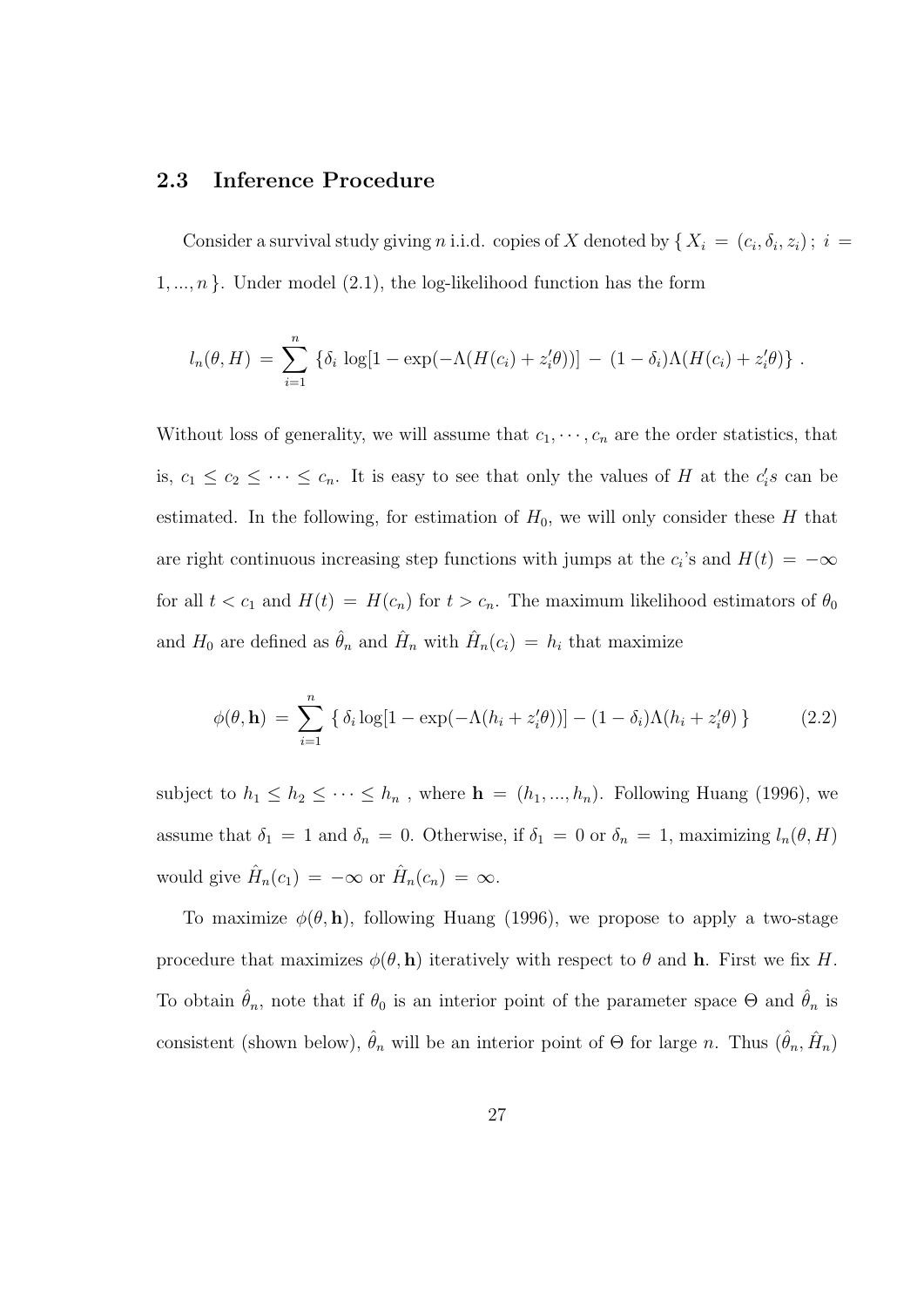#### 2.3 Inference Procedure

Consider a survival study giving *n* i.i.d. copies of X denoted by  $\{X_i = (c_i, \delta_i, z_i); i =$  $1, \ldots, n$ . Under model (2.1), the log-likelihood function has the form

$$
l_n(\theta, H) = \sum_{i=1}^n \left\{ \delta_i \log[1 - \exp(-\Lambda(H(c_i) + z_i'\theta))] - (1 - \delta_i)\Lambda(H(c_i) + z_i'\theta) \right\}.
$$

Without loss of generality, we will assume that  $c_1, \dots, c_n$  are the order statistics, that is,  $c_1 \leq c_2 \leq \cdots \leq c_n$ . It is easy to see that only the values of H at the  $c_i$ 's can be estimated. In the following, for estimation of  $H_0$ , we will only consider these H that are right continuous increasing step functions with jumps at the  $c_i$ 's and  $H(t) = -\infty$ for all  $t < c_1$  and  $H(t) = H(c_n)$  for  $t > c_n$ . The maximum likelihood estimators of  $\theta_0$ and  $H_0$  are defined as  $\hat{\theta}_n$  and  $\hat{H}_n$  with  $\hat{H}_n(c_i) = h_i$  that maximize

$$
\phi(\theta, \mathbf{h}) = \sum_{i=1}^{n} \left\{ \delta_i \log[1 - \exp(-\Lambda(h_i + z_i'\theta))] - (1 - \delta_i)\Lambda(h_i + z_i'\theta) \right\}
$$
(2.2)

subject to  $h_1 \leq h_2 \leq \cdots \leq h_n$ , where  $\mathbf{h} = (h_1, ..., h_n)$ . Following Huang (1996), we assume that  $\delta_1 = 1$  and  $\delta_n = 0$ . Otherwise, if  $\delta_1 = 0$  or  $\delta_n = 1$ , maximizing  $l_n(\theta, H)$ would give  $\hat{H}_n(c_1) = -\infty$  or  $\hat{H}_n(c_n) = \infty$ .

To maximize  $\phi(\theta, \mathbf{h})$ , following Huang (1996), we propose to apply a two-stage procedure that maximizes  $\phi(\theta, h)$  iteratively with respect to  $\theta$  and h. First we fix H. To obtain  $\hat{\theta}_n$ , note that if  $\theta_0$  is an interior point of the parameter space  $\Theta$  and  $\hat{\theta}_n$  is consistent (shown below),  $\hat{\theta}_n$  will be an interior point of  $\Theta$  for large n. Thus  $(\hat{\theta}_n, \hat{H}_n)$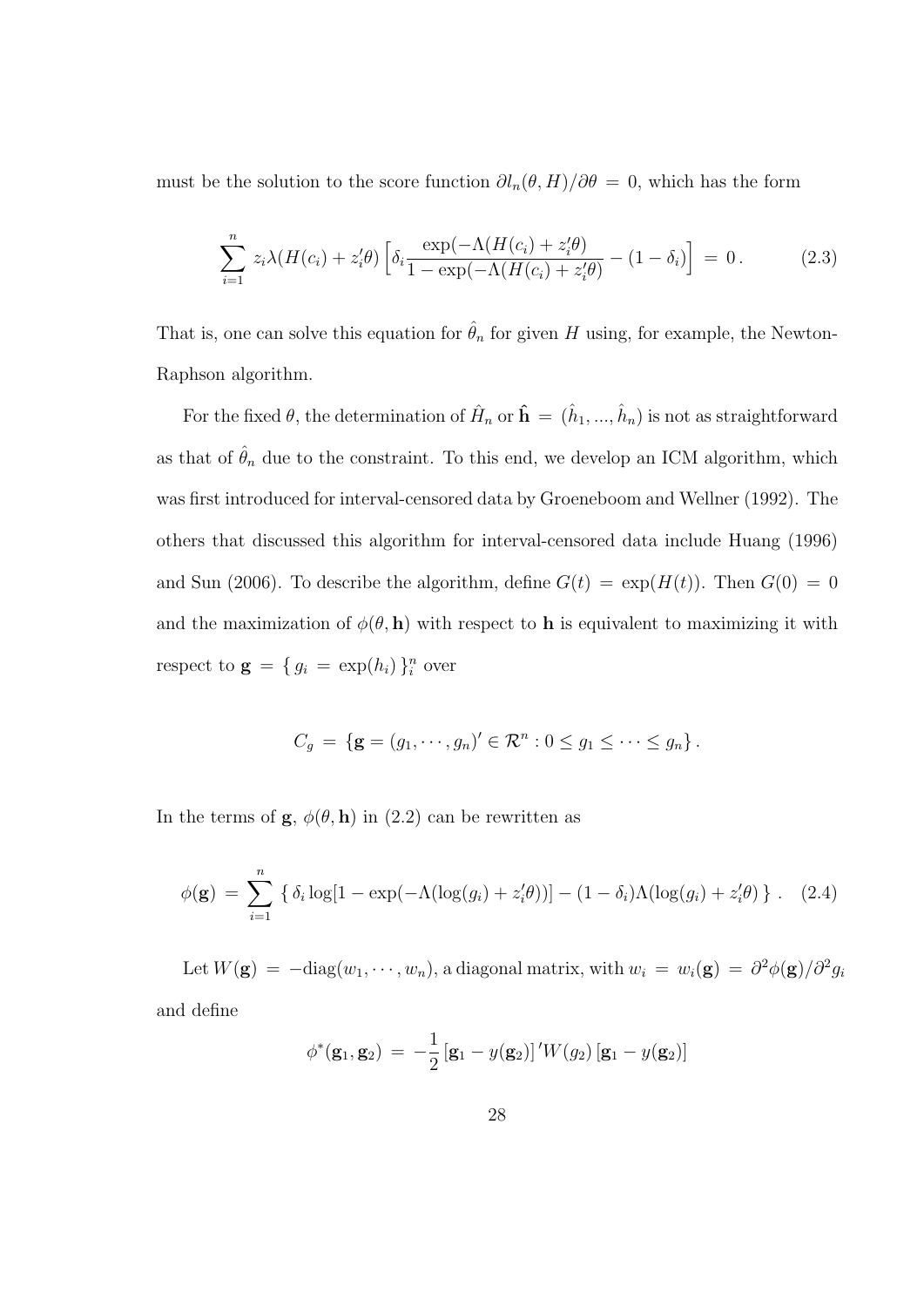must be the solution to the score function  $\partial l_n(\theta, H)/\partial \theta = 0$ , which has the form

$$
\sum_{i=1}^{n} z_i \lambda(H(c_i) + z_i' \theta) \left[ \delta_i \frac{\exp(-\Lambda(H(c_i) + z_i' \theta))}{1 - \exp(-\Lambda(H(c_i) + z_i' \theta))} - (1 - \delta_i) \right] = 0. \tag{2.3}
$$

That is, one can solve this equation for  $\hat{\theta}_n$  for given H using, for example, the Newton-Raphson algorithm.

For the fixed  $\theta$ , the determination of  $\hat{H}_n$  or  $\hat{\mathbf{h}} = (\hat{h}_1, ..., \hat{h}_n)$  is not as straightforward as that of  $\hat{\theta}_n$  due to the constraint. To this end, we develop an ICM algorithm, which was first introduced for interval-censored data by Groeneboom and Wellner (1992). The others that discussed this algorithm for interval-censored data include Huang (1996) and Sun (2006). To describe the algorithm, define  $G(t) = \exp(H(t))$ . Then  $G(0) = 0$ and the maximization of  $\phi(\theta, h)$  with respect to h is equivalent to maximizing it with respect to  $\mathbf{g} = \{ g_i = \exp(h_i) \}_{i=1}^n$  over

$$
C_g = \left\{ \mathbf{g} = (g_1, \cdots, g_n)' \in \mathcal{R}^n : 0 \le g_1 \le \cdots \le g_n \right\}.
$$

In the terms of  $\mathbf{g}, \phi(\theta, \mathbf{h})$  in (2.2) can be rewritten as

$$
\phi(\mathbf{g}) = \sum_{i=1}^{n} \left\{ \delta_i \log[1 - \exp(-\Lambda(\log(g_i) + z_i'\theta))] - (1 - \delta_i)\Lambda(\log(g_i) + z_i'\theta) \right\}. \quad (2.4)
$$

Let  $W(\mathbf{g}) = -\text{diag}(w_1, \dots, w_n)$ , a diagonal matrix, with  $w_i = w_i(\mathbf{g}) = \frac{\partial^2 \phi(\mathbf{g})}{\partial^2 g_i}$ and define

$$
\phi^*(\mathbf{g}_1, \mathbf{g}_2) = -\frac{1}{2} [\mathbf{g}_1 - y(\mathbf{g}_2)]' W(g_2) [\mathbf{g}_1 - y(\mathbf{g}_2)]
$$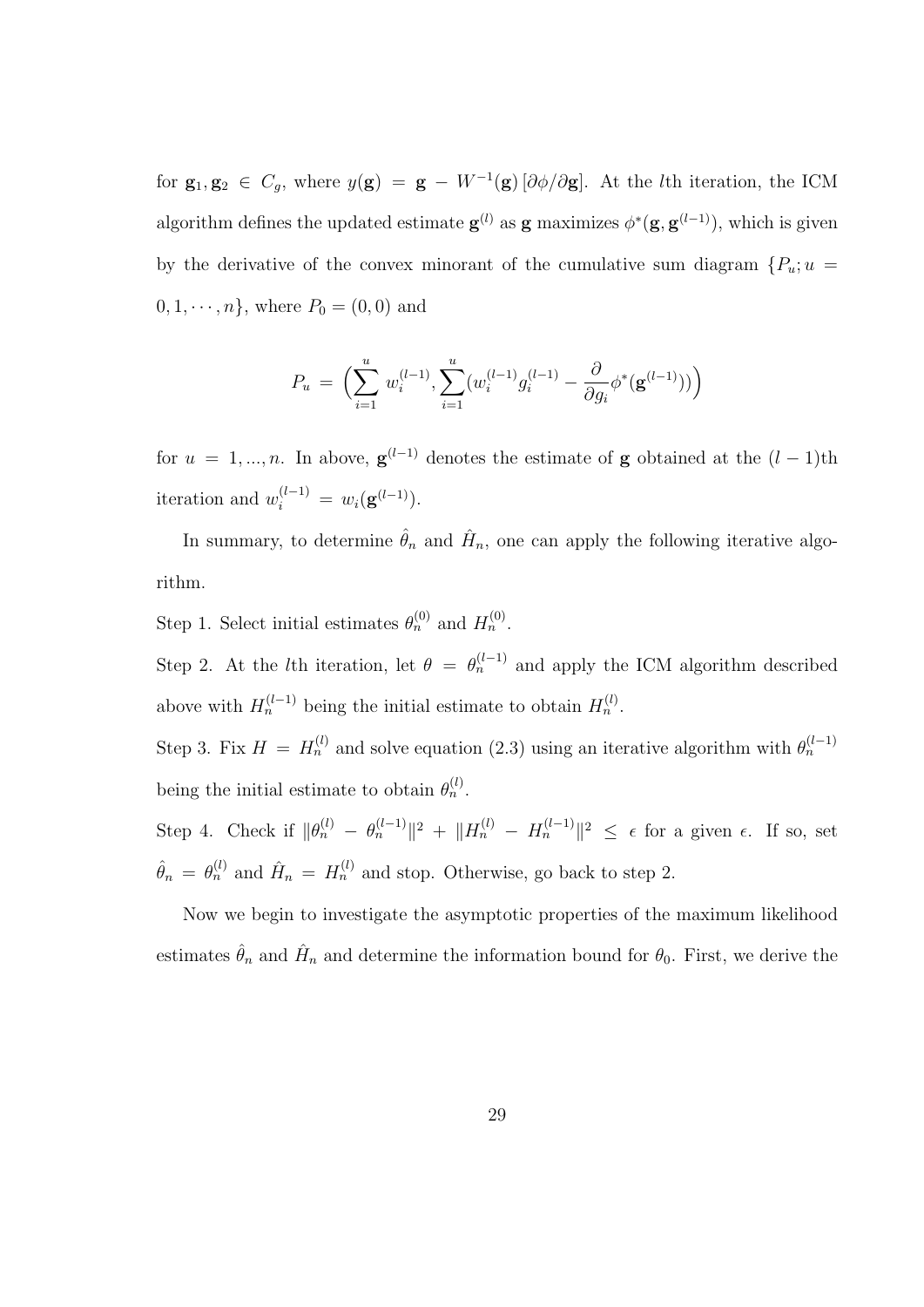for  $\mathbf{g}_1, \mathbf{g}_2 \in C_g$ , where  $y(\mathbf{g}) = \mathbf{g} - W^{-1}(\mathbf{g}) \left[ \frac{\partial \phi}{\partial \mathbf{g}} \right]$ . At the *l*th iteration, the ICM algorithm defines the updated estimate  $g^{(l)}$  as g maximizes  $\phi^*(g, g^{(l-1)})$ , which is given by the derivative of the convex minorant of the cumulative sum diagram  $\{P_u; u =$  $0, 1, \dots, n$ , where  $P_0 = (0, 0)$  and

$$
P_u \ = \ \Bigl( \sum_{i=1}^u \, w_i^{(l-1)} , \sum_{i=1}^u (w_i^{(l-1)} g_i^{(l-1)} - \frac{\partial}{\partial g_i} \phi^*(\mathbf{g}^{(l-1)}) ) \Bigr)
$$

for  $u = 1, ..., n$ . In above,  $\mathbf{g}^{(l-1)}$  denotes the estimate of **g** obtained at the  $(l-1)$ th iteration and  $w_i^{(l-1)} = w_i(g^{(l-1)})$ .

In summary, to determine  $\hat{\theta}_n$  and  $\hat{H}_n$ , one can apply the following iterative algorithm.

Step 1. Select initial estimates  $\theta_n^{(0)}$  and  $H_n^{(0)}$ .

Step 2. At the *l*th iteration, let  $\theta = \theta_n^{(l-1)}$  and apply the ICM algorithm described above with  $H_n^{(l-1)}$  being the initial estimate to obtain  $H_n^{(l)}$ .

Step 3. Fix  $H = H_n^{(l)}$  and solve equation (2.3) using an iterative algorithm with  $\theta_n^{(l-1)}$ being the initial estimate to obtain  $\theta_n^{(l)}$ .

Step 4. Check if  $\|\theta_n^{(l)} - \theta_n^{(l-1)}\|^2 + \|H_n^{(l)} - H_n^{(l-1)}\|^2 \leq \epsilon$  for a given  $\epsilon$ . If so, set  $\hat{\theta}_n = \theta_n^{(l)}$  and  $\hat{H}_n = H_n^{(l)}$  and stop. Otherwise, go back to step 2.

Now we begin to investigate the asymptotic properties of the maximum likelihood estimates  $\hat{\theta}_n$  and  $\hat{H}_n$  and determine the information bound for  $\theta_0$ . First, we derive the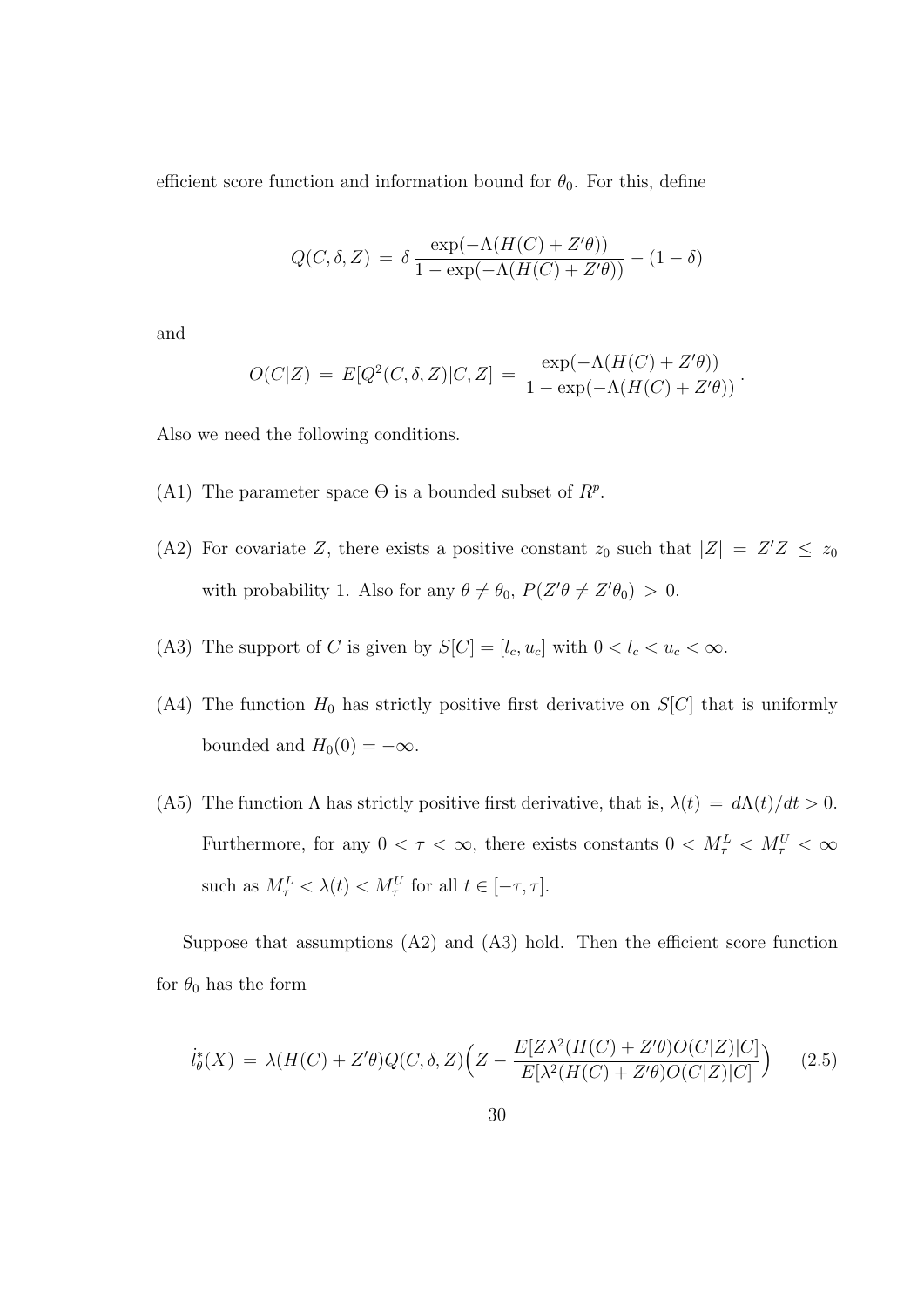efficient score function and information bound for  $\theta_0$ . For this, define

$$
Q(C, \delta, Z) = \delta \frac{\exp(-\Lambda(H(C) + Z'\theta))}{1 - \exp(-\Lambda(H(C) + Z'\theta))} - (1 - \delta)
$$

and

$$
O(C|Z) = E[Q^{2}(C, \delta, Z)|C, Z] = \frac{\exp(-\Lambda(H(C) + Z'\theta))}{1 - \exp(-\Lambda(H(C) + Z'\theta))}.
$$

Also we need the following conditions.

- (A1) The parameter space  $\Theta$  is a bounded subset of  $R^p$ .
- (A2) For covariate Z, there exists a positive constant  $z_0$  such that  $|Z| = Z'Z \le z_0$ with probability 1. Also for any  $\theta \neq \theta_0$ ,  $P(Z'\theta \neq Z'\theta_0) > 0$ .
- (A3) The support of C is given by  $S[C] = [l_c, u_c]$  with  $0 < l_c < u_c < \infty$ .
- (A4) The function  $H_0$  has strictly positive first derivative on  $S[C]$  that is uniformly bounded and  $H_0(0) = -\infty$ .
- (A5) The function  $\Lambda$  has strictly positive first derivative, that is,  $\lambda(t) = d\Lambda(t)/dt > 0$ . Furthermore, for any  $0 < \tau < \infty$ , there exists constants  $0 < M_{\tau}^L < M_{\tau}^U < \infty$ such as  $M_{\tau}^L < \lambda(t) < M_{\tau}^U$  for all  $t \in [-\tau, \tau]$ .

Suppose that assumptions (A2) and (A3) hold. Then the efficient score function for  $\theta_0$  has the form

$$
\dot{l}_{\theta}^{*}(X) = \lambda(H(C) + Z^{\prime}\theta)Q(C,\delta,Z)\Big(Z - \frac{E[Z\lambda^{2}(H(C) + Z^{\prime}\theta)O(C|Z)|C]}{E[\lambda^{2}(H(C) + Z^{\prime}\theta)O(C|Z)|C]}\Big) \tag{2.5}
$$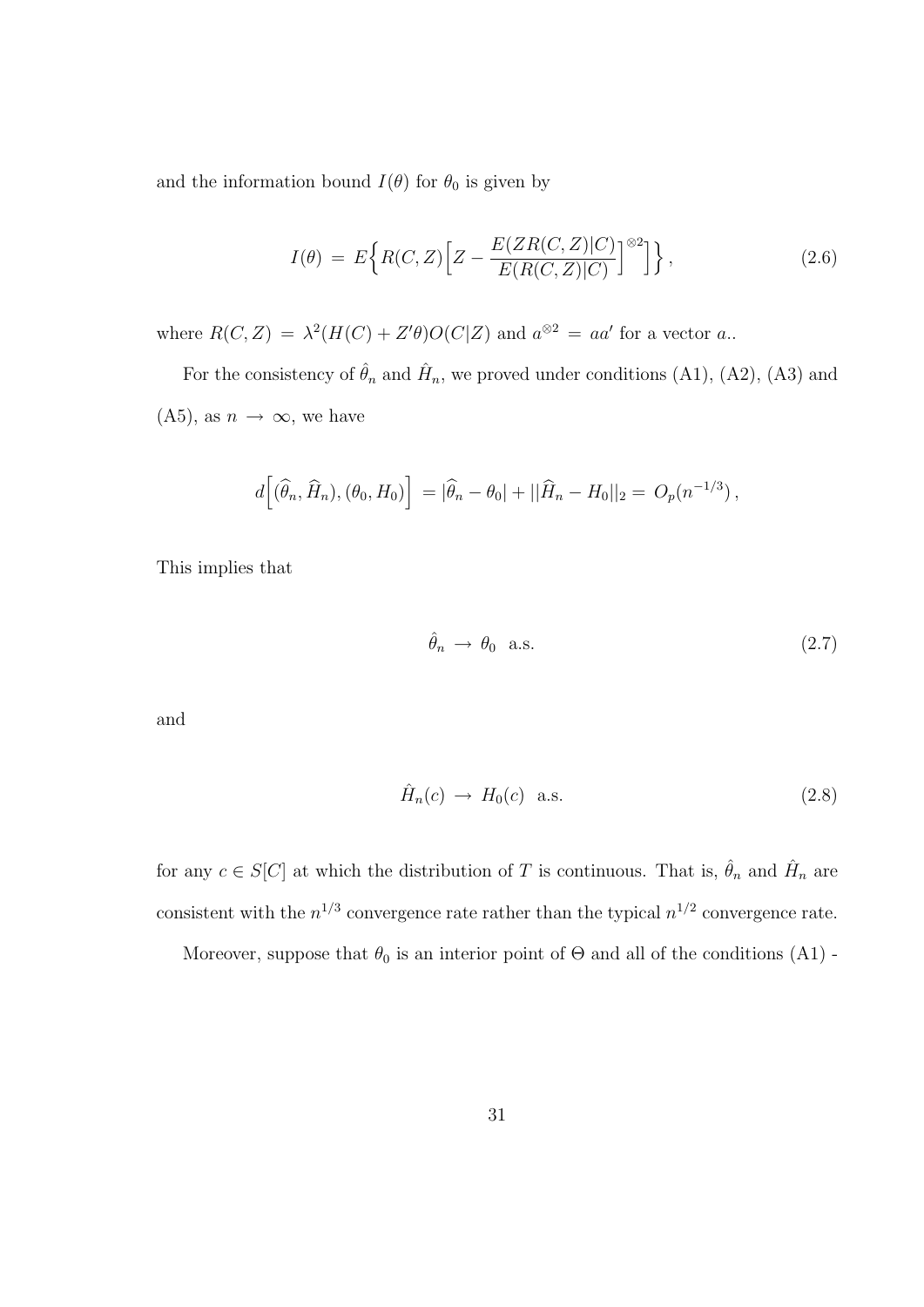and the information bound  $I(\theta)$  for  $\theta_0$  is given by

$$
I(\theta) = E\Big\{R(C,Z)\Big[Z - \frac{E(ZR(C,Z)|C)}{E(R(C,Z)|C)}\Big]^{\otimes 2}\Big]\Big\},\tag{2.6}
$$

where  $R(C, Z) = \lambda^2 (H(C) + Z' \theta) O(C|Z)$  and  $a^{\otimes 2} = aa'$  for a vector a.

For the consistency of  $\hat{\theta}_n$  and  $\hat{H}_n$ , we proved under conditions (A1), (A2), (A3) and  $(A5)$ , as  $n \to \infty$ , we have

$$
d\Big[\big(\widehat{\theta}_n,\widehat{H}_n\big),\big(\theta_0,H_0\big)\Big] = |\widehat{\theta}_n - \theta_0| + ||\widehat{H}_n - H_0||_2 = O_p(n^{-1/3}),
$$

This implies that

$$
\hat{\theta}_n \to \theta_0 \quad \text{a.s.} \tag{2.7}
$$

and

$$
\hat{H}_n(c) \to H_0(c) \quad \text{a.s.} \tag{2.8}
$$

for any  $c \in S[C]$  at which the distribution of T is continuous. That is,  $\hat{\theta}_n$  and  $\hat{H}_n$  are consistent with the  $n^{1/3}$  convergence rate rather than the typical  $n^{1/2}$  convergence rate.

Moreover, suppose that  $\theta_0$  is an interior point of  $\Theta$  and all of the conditions (A1) -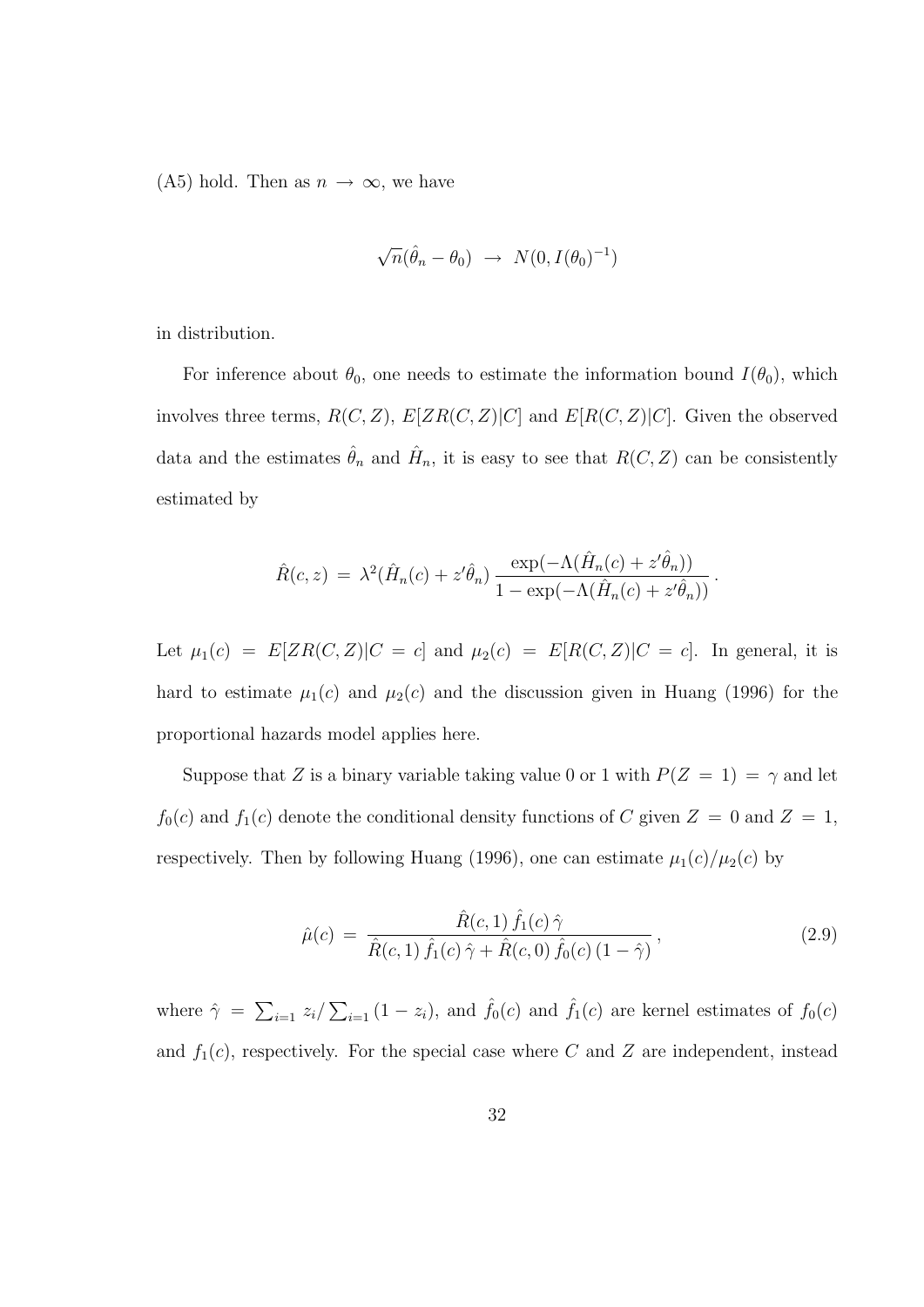(A5) hold. Then as  $n \to \infty$ , we have

$$
\sqrt{n}(\hat{\theta}_n - \theta_0) \rightarrow N(0, I(\theta_0)^{-1})
$$

in distribution.

For inference about  $\theta_0$ , one needs to estimate the information bound  $I(\theta_0)$ , which involves three terms,  $R(C, Z)$ ,  $E[ZR(C, Z)|C]$  and  $E[R(C, Z)|C]$ . Given the observed data and the estimates  $\hat{\theta}_n$  and  $\hat{H}_n$ , it is easy to see that  $R(C, Z)$  can be consistently estimated by

$$
\hat{R}(c,z) = \lambda^2 (\hat{H}_n(c) + z'\hat{\theta}_n) \frac{\exp(-\Lambda(\hat{H}_n(c) + z'\hat{\theta}_n))}{1 - \exp(-\Lambda(\hat{H}_n(c) + z'\hat{\theta}_n))}.
$$

Let  $\mu_1(c) = E[ZR(C, Z)|C = c]$  and  $\mu_2(c) = E[R(C, Z)|C = c]$ . In general, it is hard to estimate  $\mu_1(c)$  and  $\mu_2(c)$  and the discussion given in Huang (1996) for the proportional hazards model applies here.

Suppose that Z is a binary variable taking value 0 or 1 with  $P(Z = 1) = \gamma$  and let  $f_0(c)$  and  $f_1(c)$  denote the conditional density functions of C given  $Z = 0$  and  $Z = 1$ , respectively. Then by following Huang (1996), one can estimate  $\mu_1(c)/\mu_2(c)$  by

$$
\hat{\mu}(c) = \frac{\hat{R}(c,1)\,\hat{f}_1(c)\,\hat{\gamma}}{\hat{R}(c,1)\,\hat{f}_1(c)\,\hat{\gamma} + \hat{R}(c,0)\,\hat{f}_0(c)\,(1-\hat{\gamma})},\tag{2.9}
$$

where  $\hat{\gamma} =$  $\overline{ }$  $\sum_{i=1} z_i$  $\sum_{i=1} (1 - z_i)$ , and  $\hat{f}_0(c)$  and  $\hat{f}_1(c)$  are kernel estimates of  $f_0(c)$ and  $f_1(c)$ , respectively. For the special case where C and Z are independent, instead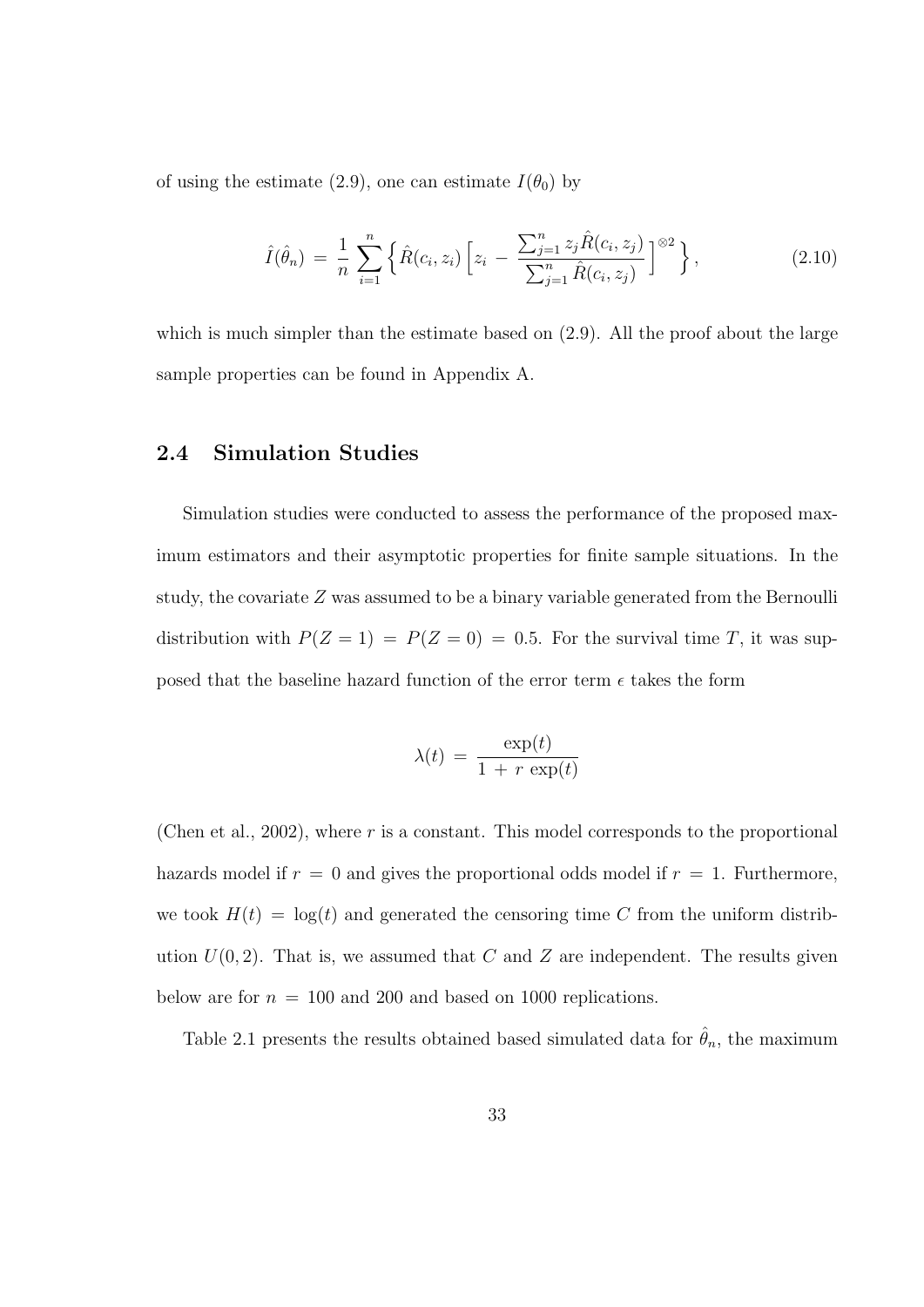of using the estimate (2.9), one can estimate  $I(\theta_0)$  by

$$
\hat{I}(\hat{\theta}_n) = \frac{1}{n} \sum_{i=1}^n \left\{ \hat{R}(c_i, z_i) \left[ z_i - \frac{\sum_{j=1}^n z_j \hat{R}(c_i, z_j)}{\sum_{j=1}^n \hat{R}(c_i, z_j)} \right] \right\} ,\tag{2.10}
$$

which is much simpler than the estimate based on  $(2.9)$ . All the proof about the large sample properties can be found in Appendix A.

#### 2.4 Simulation Studies

Simulation studies were conducted to assess the performance of the proposed maximum estimators and their asymptotic properties for finite sample situations. In the study, the covariate Z was assumed to be a binary variable generated from the Bernoulli distribution with  $P(Z = 1) = P(Z = 0) = 0.5$ . For the survival time T, it was supposed that the baseline hazard function of the error term  $\epsilon$  takes the form

$$
\lambda(t) = \frac{\exp(t)}{1 + r \exp(t)}
$$

(Chen et al., 2002), where r is a constant. This model corresponds to the proportional hazards model if  $r = 0$  and gives the proportional odds model if  $r = 1$ . Furthermore, we took  $H(t) = \log(t)$  and generated the censoring time C from the uniform distribution  $U(0, 2)$ . That is, we assumed that C and Z are independent. The results given below are for  $n = 100$  and 200 and based on 1000 replications.

Table 2.1 presents the results obtained based simulated data for  $\hat{\theta}_n$ , the maximum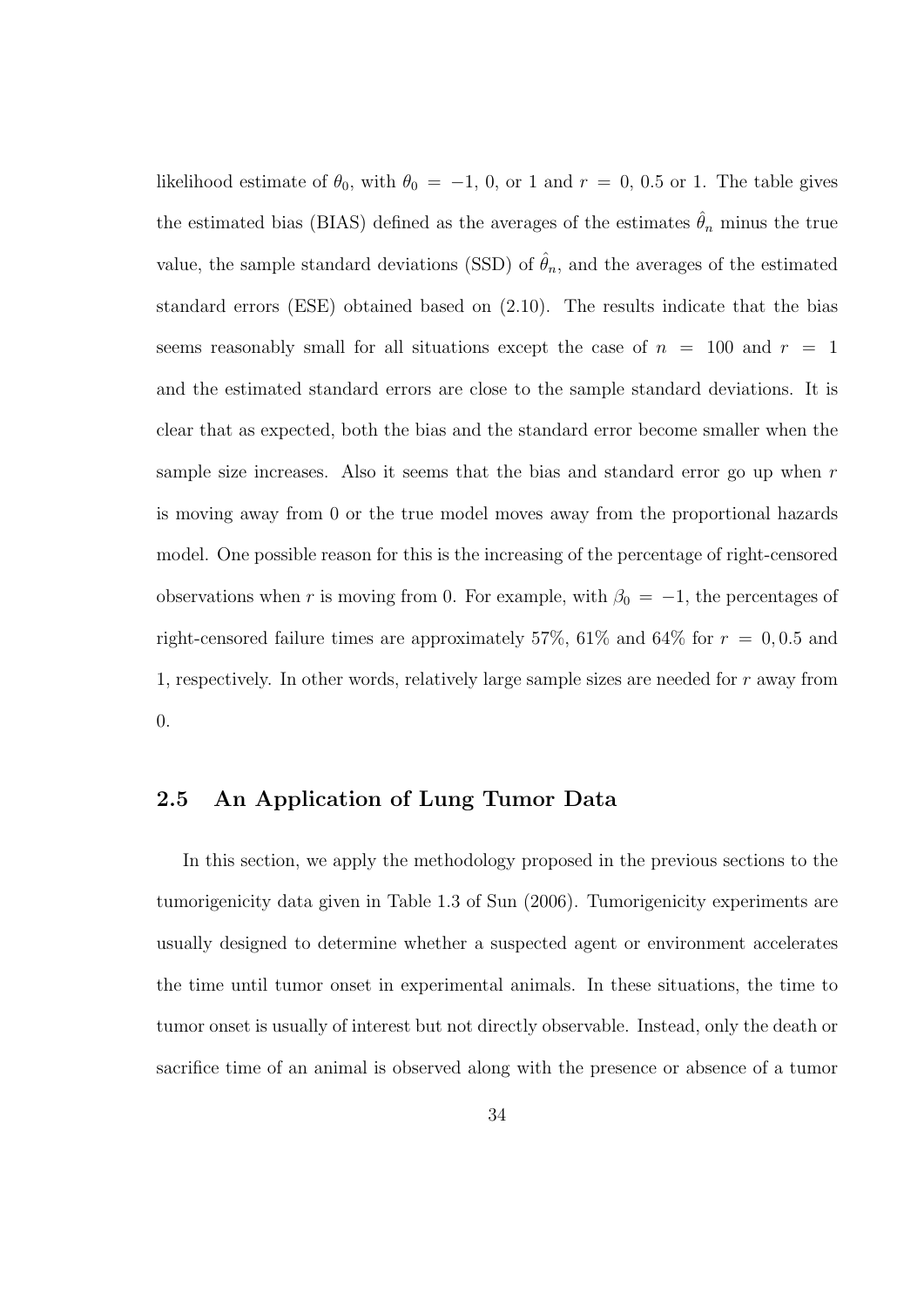likelihood estimate of  $\theta_0$ , with  $\theta_0 = -1$ , 0, or 1 and  $r = 0$ , 0.5 or 1. The table gives the estimated bias (BIAS) defined as the averages of the estimates  $\hat{\theta}_n$  minus the true value, the sample standard deviations (SSD) of  $\hat{\theta}_n$ , and the averages of the estimated standard errors (ESE) obtained based on (2.10). The results indicate that the bias seems reasonably small for all situations except the case of  $n = 100$  and  $r = 1$ and the estimated standard errors are close to the sample standard deviations. It is clear that as expected, both the bias and the standard error become smaller when the sample size increases. Also it seems that the bias and standard error go up when  $r$ is moving away from 0 or the true model moves away from the proportional hazards model. One possible reason for this is the increasing of the percentage of right-censored observations when r is moving from 0. For example, with  $\beta_0 = -1$ , the percentages of right-censored failure times are approximately 57%, 61% and 64% for  $r = 0, 0.5$  and 1, respectively. In other words, relatively large sample sizes are needed for  $r$  away from 0.

#### 2.5 An Application of Lung Tumor Data

In this section, we apply the methodology proposed in the previous sections to the tumorigenicity data given in Table 1.3 of Sun (2006). Tumorigenicity experiments are usually designed to determine whether a suspected agent or environment accelerates the time until tumor onset in experimental animals. In these situations, the time to tumor onset is usually of interest but not directly observable. Instead, only the death or sacrifice time of an animal is observed along with the presence or absence of a tumor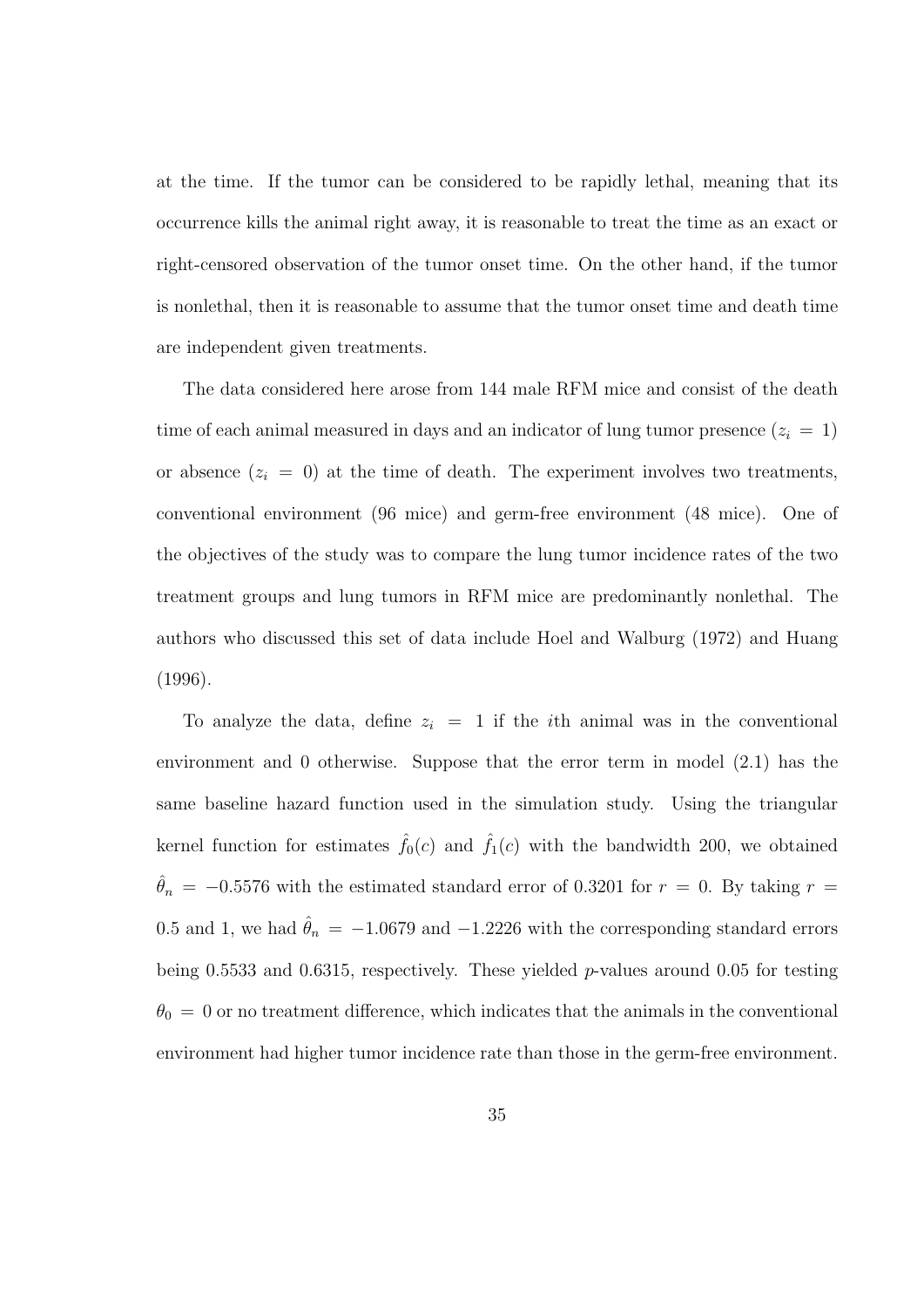at the time. If the tumor can be considered to be rapidly lethal, meaning that its occurrence kills the animal right away, it is reasonable to treat the time as an exact or right-censored observation of the tumor onset time. On the other hand, if the tumor is nonlethal, then it is reasonable to assume that the tumor onset time and death time are independent given treatments.

The data considered here arose from 144 male RFM mice and consist of the death time of each animal measured in days and an indicator of lung tumor presence  $(z<sub>i</sub> = 1)$ or absence  $(z_i = 0)$  at the time of death. The experiment involves two treatments, conventional environment (96 mice) and germ-free environment (48 mice). One of the objectives of the study was to compare the lung tumor incidence rates of the two treatment groups and lung tumors in RFM mice are predominantly nonlethal. The authors who discussed this set of data include Hoel and Walburg (1972) and Huang (1996).

To analyze the data, define  $z_i = 1$  if the *i*th animal was in the conventional environment and 0 otherwise. Suppose that the error term in model (2.1) has the same baseline hazard function used in the simulation study. Using the triangular kernel function for estimates  $\hat{f}_0(c)$  and  $\hat{f}_1(c)$  with the bandwidth 200, we obtained  $\hat{\theta}_n = -0.5576$  with the estimated standard error of 0.3201 for  $r = 0$ . By taking  $r =$ 0.5 and 1, we had  $\hat{\theta}_n = -1.0679$  and  $-1.2226$  with the corresponding standard errors being 0.5533 and 0.6315, respectively. These yielded  $p$ -values around 0.05 for testing  $\theta_0 = 0$  or no treatment difference, which indicates that the animals in the conventional environment had higher tumor incidence rate than those in the germ-free environment.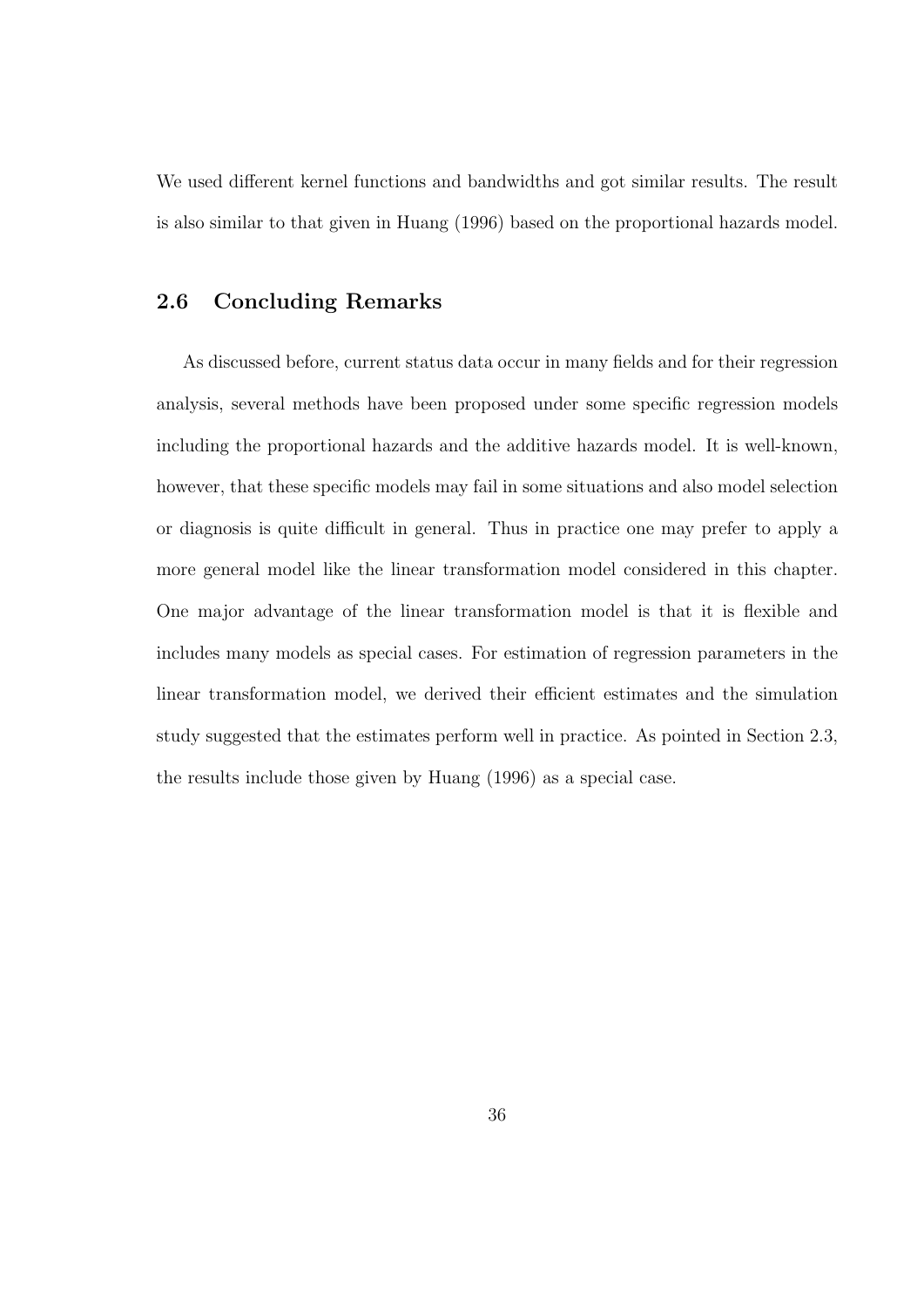We used different kernel functions and bandwidths and got similar results. The result is also similar to that given in Huang (1996) based on the proportional hazards model.

#### 2.6 Concluding Remarks

As discussed before, current status data occur in many fields and for their regression analysis, several methods have been proposed under some specific regression models including the proportional hazards and the additive hazards model. It is well-known, however, that these specific models may fail in some situations and also model selection or diagnosis is quite difficult in general. Thus in practice one may prefer to apply a more general model like the linear transformation model considered in this chapter. One major advantage of the linear transformation model is that it is flexible and includes many models as special cases. For estimation of regression parameters in the linear transformation model, we derived their efficient estimates and the simulation study suggested that the estimates perform well in practice. As pointed in Section 2.3, the results include those given by Huang (1996) as a special case.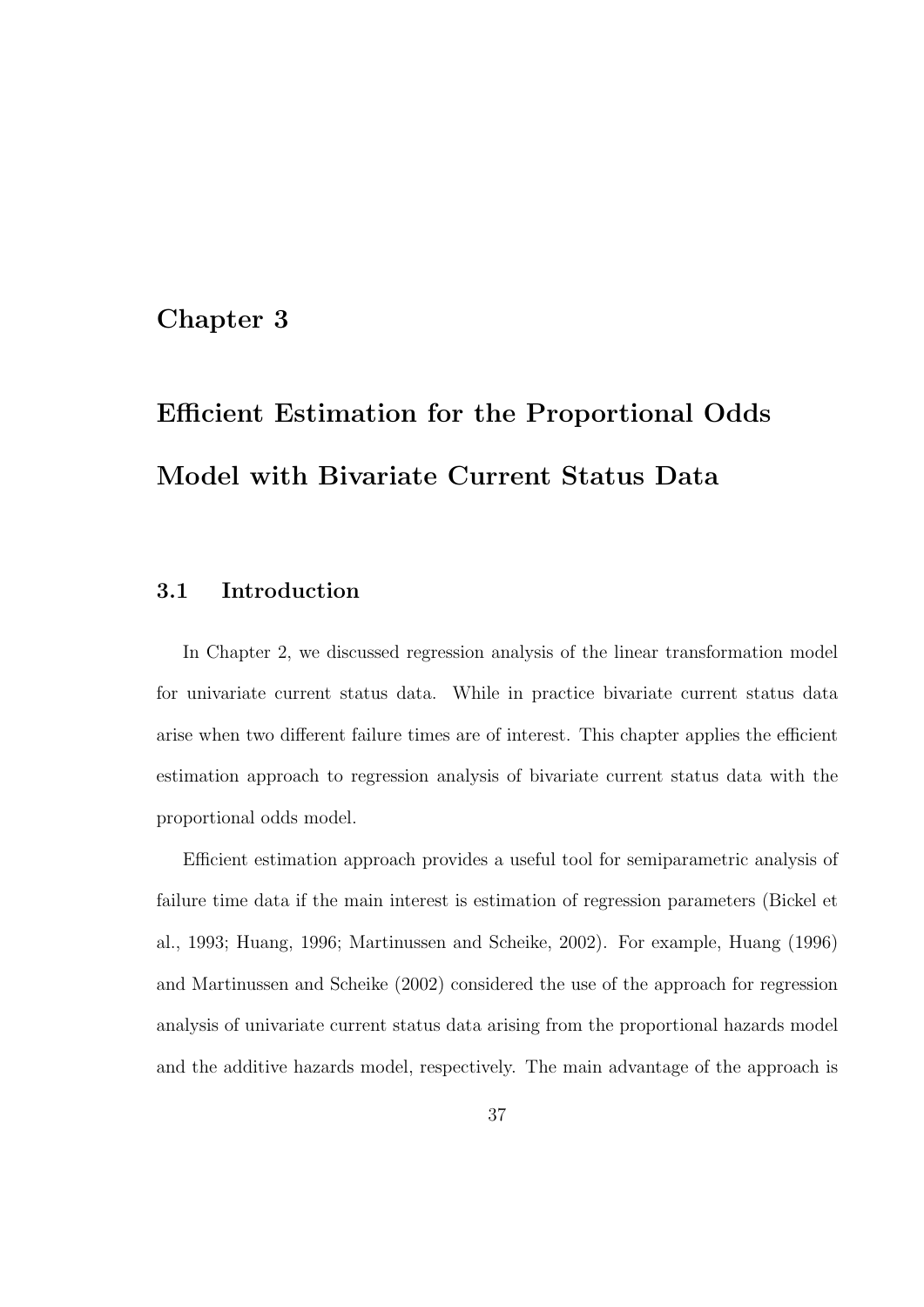### Chapter 3

# Efficient Estimation for the Proportional Odds Model with Bivariate Current Status Data

### 3.1 Introduction

In Chapter 2, we discussed regression analysis of the linear transformation model for univariate current status data. While in practice bivariate current status data arise when two different failure times are of interest. This chapter applies the efficient estimation approach to regression analysis of bivariate current status data with the proportional odds model.

Efficient estimation approach provides a useful tool for semiparametric analysis of failure time data if the main interest is estimation of regression parameters (Bickel et al., 1993; Huang, 1996; Martinussen and Scheike, 2002). For example, Huang (1996) and Martinussen and Scheike (2002) considered the use of the approach for regression analysis of univariate current status data arising from the proportional hazards model and the additive hazards model, respectively. The main advantage of the approach is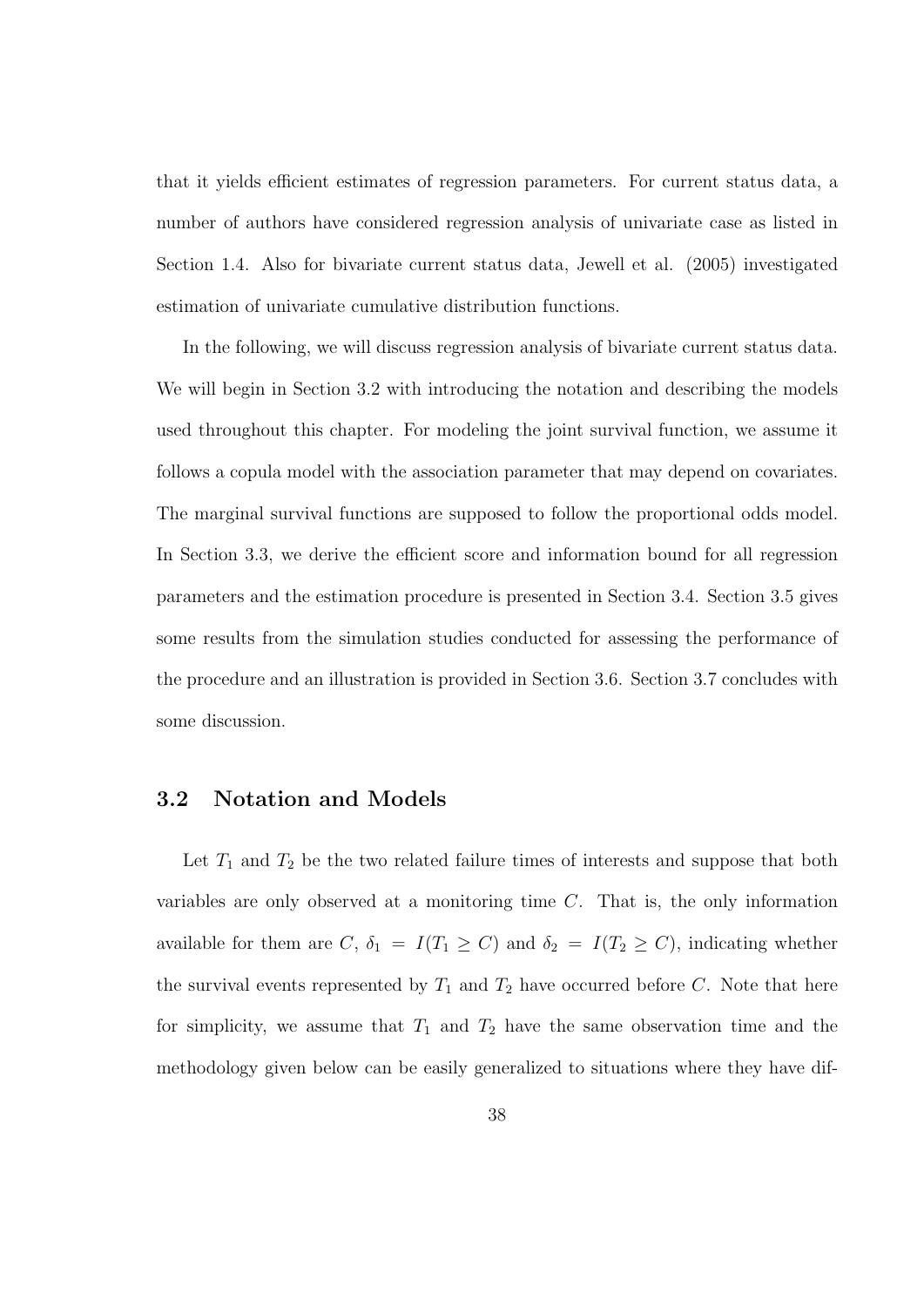that it yields efficient estimates of regression parameters. For current status data, a number of authors have considered regression analysis of univariate case as listed in Section 1.4. Also for bivariate current status data, Jewell et al. (2005) investigated estimation of univariate cumulative distribution functions.

In the following, we will discuss regression analysis of bivariate current status data. We will begin in Section 3.2 with introducing the notation and describing the models used throughout this chapter. For modeling the joint survival function, we assume it follows a copula model with the association parameter that may depend on covariates. The marginal survival functions are supposed to follow the proportional odds model. In Section 3.3, we derive the efficient score and information bound for all regression parameters and the estimation procedure is presented in Section 3.4. Section 3.5 gives some results from the simulation studies conducted for assessing the performance of the procedure and an illustration is provided in Section 3.6. Section 3.7 concludes with some discussion.

#### 3.2 Notation and Models

Let  $T_1$  and  $T_2$  be the two related failure times of interests and suppose that both variables are only observed at a monitoring time C. That is, the only information available for them are C,  $\delta_1 = I(T_1 \ge C)$  and  $\delta_2 = I(T_2 \ge C)$ , indicating whether the survival events represented by  $T_1$  and  $T_2$  have occurred before C. Note that here for simplicity, we assume that  $T_1$  and  $T_2$  have the same observation time and the methodology given below can be easily generalized to situations where they have dif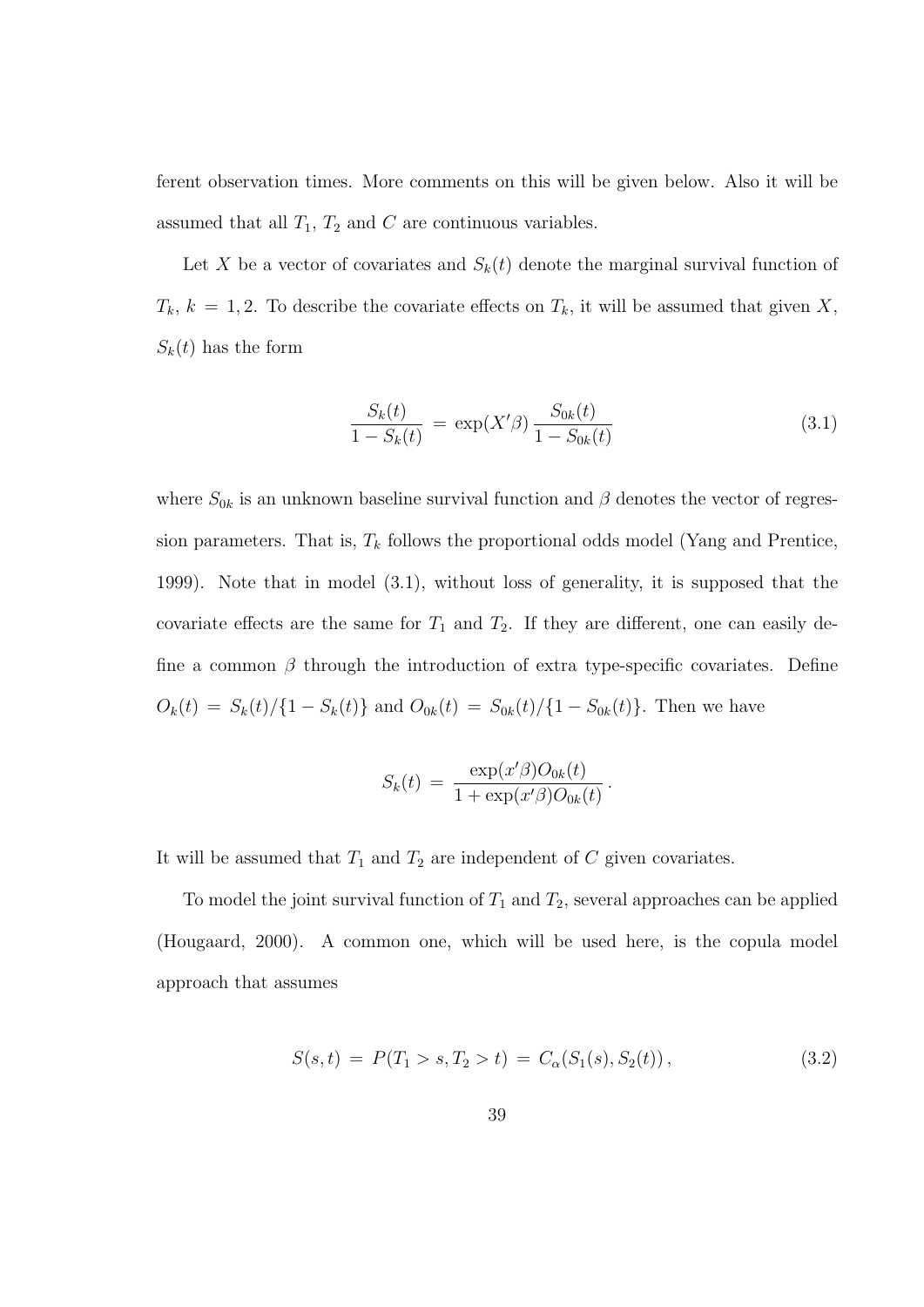ferent observation times. More comments on this will be given below. Also it will be assumed that all  $T_1$ ,  $T_2$  and  $C$  are continuous variables.

Let X be a vector of covariates and  $S_k(t)$  denote the marginal survival function of  $T_k$ ,  $k = 1, 2$ . To describe the covariate effects on  $T_k$ , it will be assumed that given X,  $S_k(t)$  has the form

$$
\frac{S_k(t)}{1 - S_k(t)} = \exp(X'\beta) \frac{S_{0k}(t)}{1 - S_{0k}(t)}
$$
(3.1)

where  $S_{0k}$  is an unknown baseline survival function and  $\beta$  denotes the vector of regression parameters. That is,  $T_k$  follows the proportional odds model (Yang and Prentice, 1999). Note that in model (3.1), without loss of generality, it is supposed that the covariate effects are the same for  $T_1$  and  $T_2$ . If they are different, one can easily define a common  $\beta$  through the introduction of extra type-specific covariates. Define  $O_k(t) = S_k(t)/\{1 - S_k(t)\}\$ and  $O_{0k}(t) = S_{0k}(t)/\{1 - S_{0k}(t)\}\$ . Then we have

$$
S_k(t) = \frac{\exp(x'\beta)O_{0k}(t)}{1 + \exp(x'\beta)O_{0k}(t)}.
$$

It will be assumed that  $T_1$  and  $T_2$  are independent of C given covariates.

To model the joint survival function of  $T_1$  and  $T_2$ , several approaches can be applied (Hougaard, 2000). A common one, which will be used here, is the copula model approach that assumes

$$
S(s,t) = P(T_1 > s, T_2 > t) = C_{\alpha}(S_1(s), S_2(t)),
$$
\n(3.2)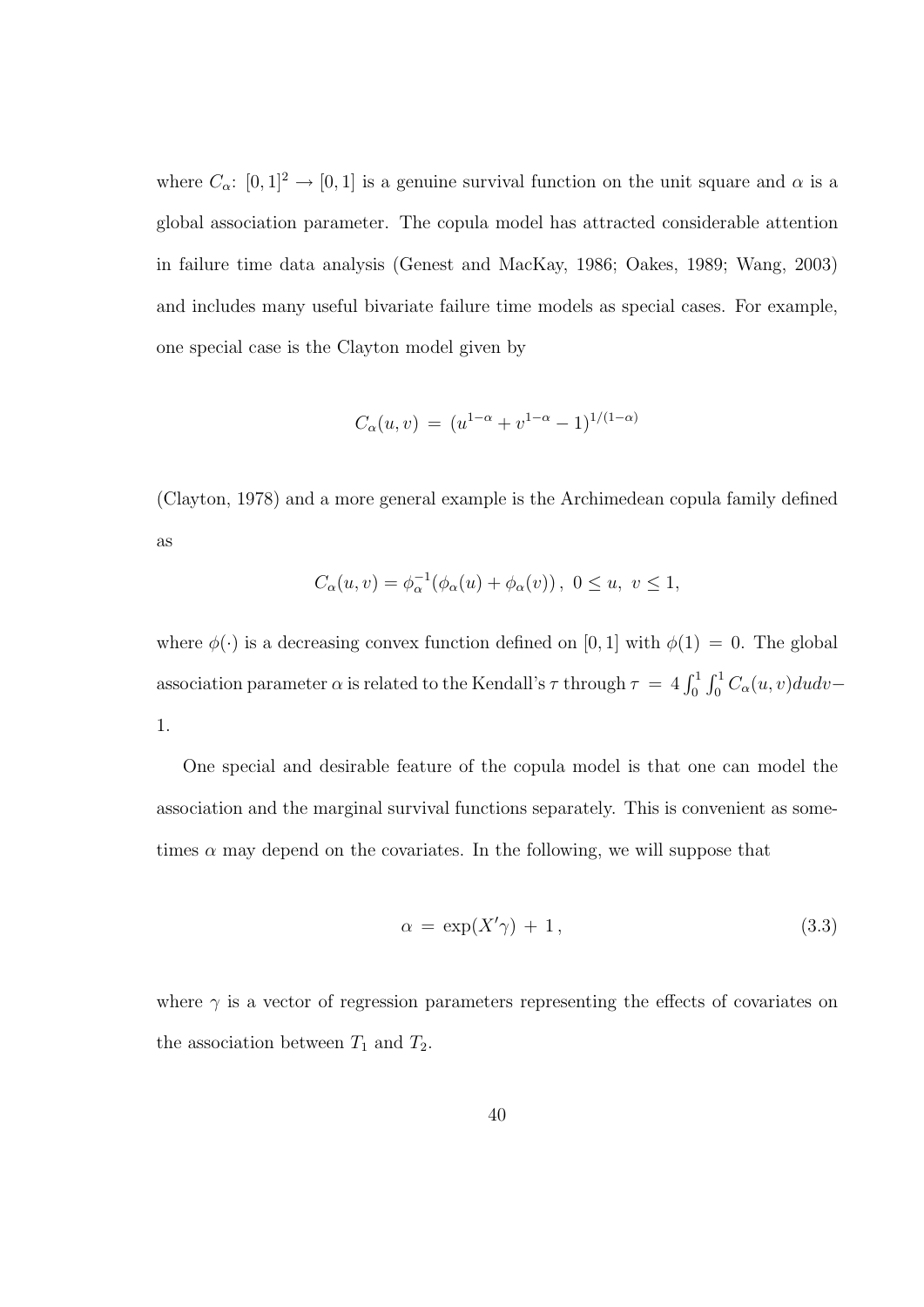where  $C_{\alpha}$ :  $[0, 1]^2 \rightarrow [0, 1]$  is a genuine survival function on the unit square and  $\alpha$  is a global association parameter. The copula model has attracted considerable attention in failure time data analysis (Genest and MacKay, 1986; Oakes, 1989; Wang, 2003) and includes many useful bivariate failure time models as special cases. For example, one special case is the Clayton model given by

$$
C_{\alpha}(u,v) = (u^{1-\alpha} + v^{1-\alpha} - 1)^{1/(1-\alpha)}
$$

(Clayton, 1978) and a more general example is the Archimedean copula family defined as

$$
C_{\alpha}(u,v) = \phi_{\alpha}^{-1}(\phi_{\alpha}(u) + \phi_{\alpha}(v)), \ 0 \le u, \ v \le 1,
$$

where  $\phi(\cdot)$  is a decreasing convex function defined on [0, 1] with  $\phi(1) = 0$ . The global association parameter  $\alpha$  is related to the Kendall's  $\tau$  through  $\tau = 4 \int_0^1$  $r<sup>1</sup>$  $\int_0^1 C_\alpha(u,v) du dv$ 1.

One special and desirable feature of the copula model is that one can model the association and the marginal survival functions separately. This is convenient as sometimes  $\alpha$  may depend on the covariates. In the following, we will suppose that

$$
\alpha = \exp(X'\gamma) + 1,\tag{3.3}
$$

where  $\gamma$  is a vector of regression parameters representing the effects of covariates on the association between  $T_1$  and  $T_2$ .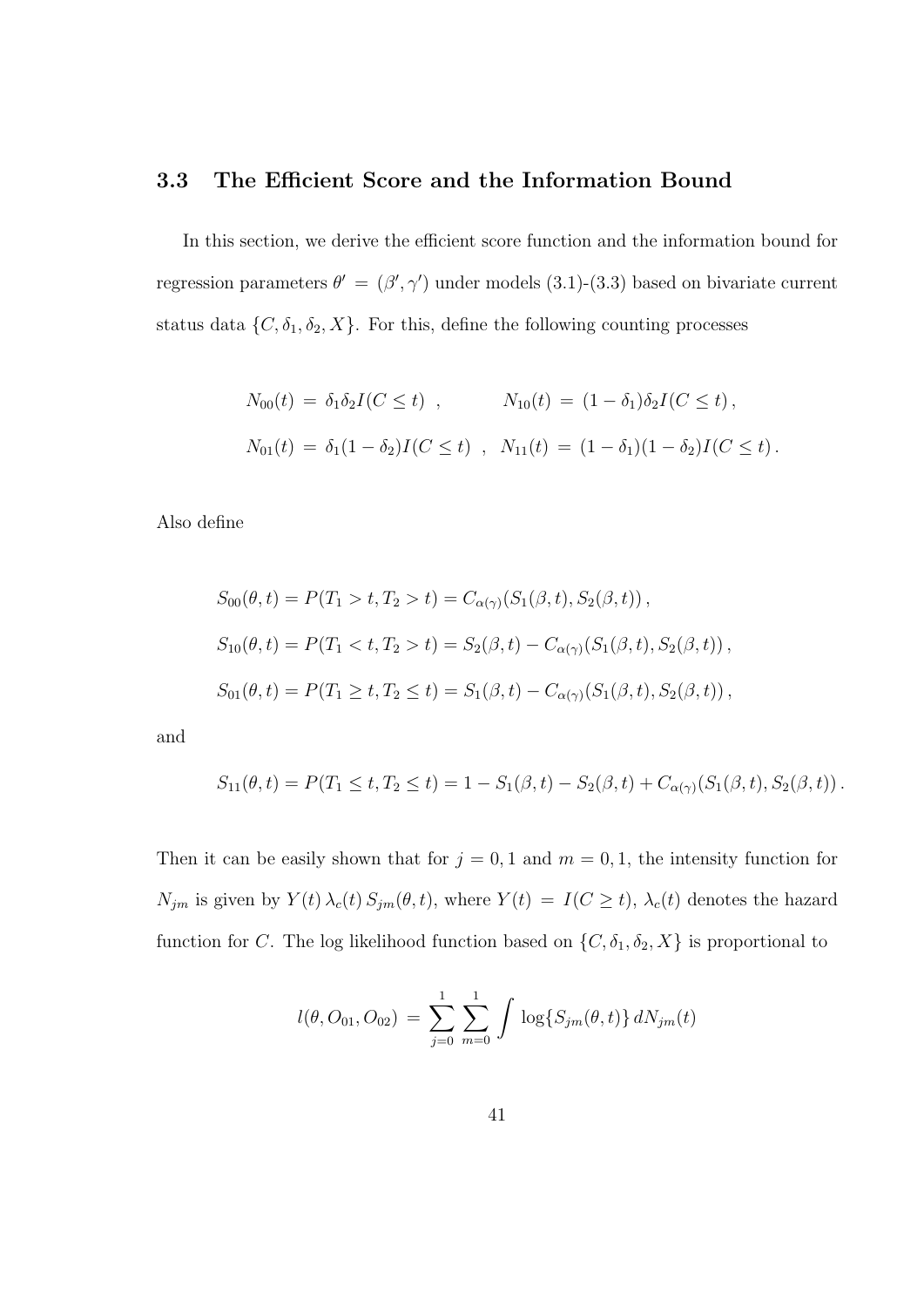#### 3.3 The Efficient Score and the Information Bound

In this section, we derive the efficient score function and the information bound for regression parameters  $\theta' = (\beta', \gamma')$  under models (3.1)-(3.3) based on bivariate current status data  $\{C, \delta_1, \delta_2, X\}$ . For this, define the following counting processes

$$
N_{00}(t) = \delta_1 \delta_2 I(C \le t) , \qquad N_{10}(t) = (1 - \delta_1) \delta_2 I(C \le t) ,
$$
  

$$
N_{01}(t) = \delta_1 (1 - \delta_2) I(C \le t) , \qquad N_{11}(t) = (1 - \delta_1) (1 - \delta_2) I(C \le t) .
$$

Also define

$$
S_{00}(\theta, t) = P(T_1 > t, T_2 > t) = C_{\alpha(\gamma)}(S_1(\beta, t), S_2(\beta, t)),
$$
  
\n
$$
S_{10}(\theta, t) = P(T_1 < t, T_2 > t) = S_2(\beta, t) - C_{\alpha(\gamma)}(S_1(\beta, t), S_2(\beta, t)),
$$
  
\n
$$
S_{01}(\theta, t) = P(T_1 \ge t, T_2 \le t) = S_1(\beta, t) - C_{\alpha(\gamma)}(S_1(\beta, t), S_2(\beta, t)),
$$

and

$$
S_{11}(\theta, t) = P(T_1 \le t, T_2 \le t) = 1 - S_1(\beta, t) - S_2(\beta, t) + C_{\alpha(\gamma)}(S_1(\beta, t), S_2(\beta, t)).
$$

Then it can be easily shown that for  $j = 0, 1$  and  $m = 0, 1$ , the intensity function for  $N_{jm}$  is given by  $Y(t) \lambda_c(t) S_{jm}(\theta, t)$ , where  $Y(t) = I(C \ge t)$ ,  $\lambda_c(t)$  denotes the hazard function for C. The log likelihood function based on  $\{C, \delta_1, \delta_2, X\}$  is proportional to

$$
l(\theta, O_{01}, O_{02}) = \sum_{j=0}^{1} \sum_{m=0}^{1} \int \log\{S_{jm}(\theta, t)\} dN_{jm}(t)
$$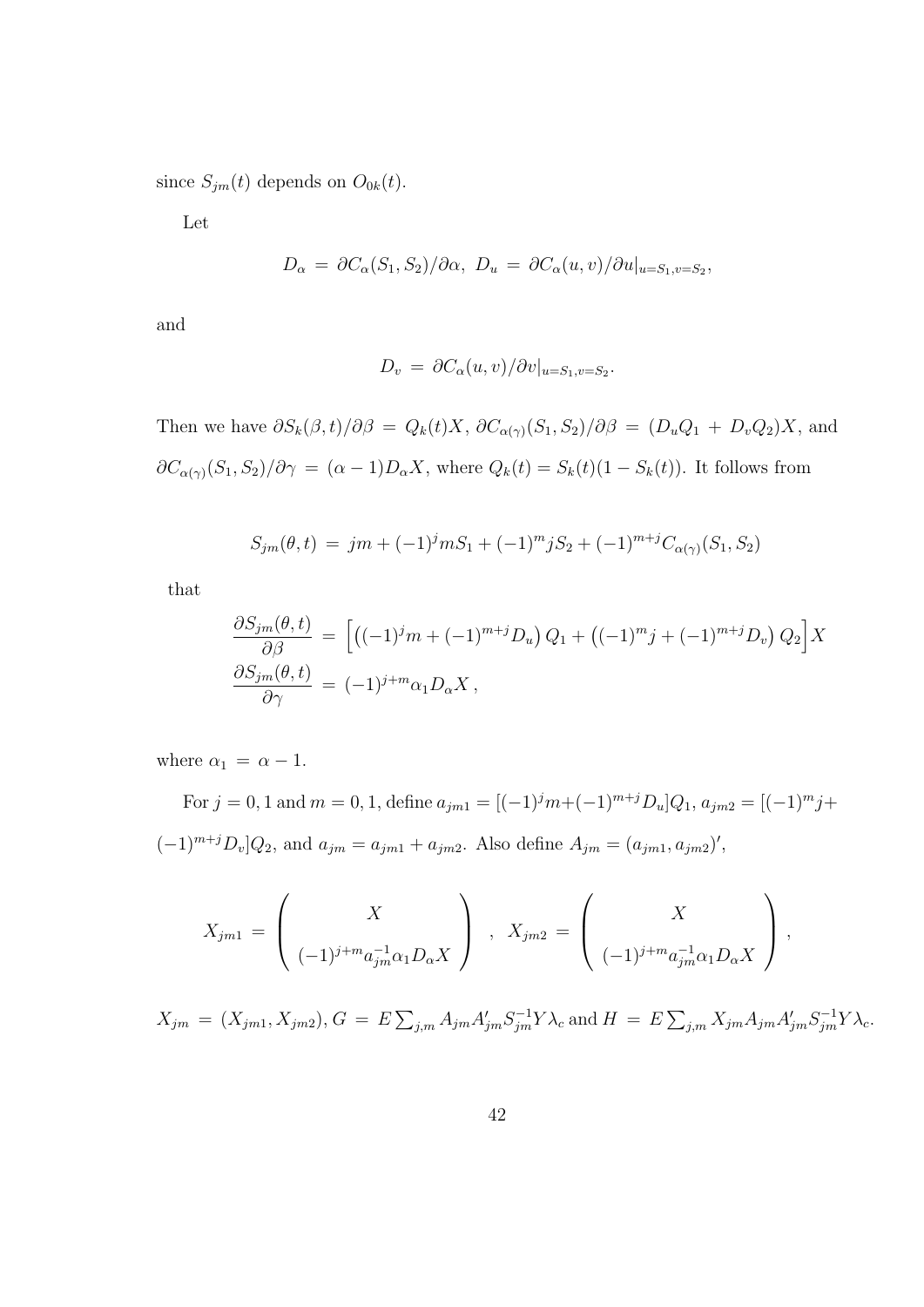since  $S_{jm}(t)$  depends on  $O_{0k}(t)$ .

Let

$$
D_{\alpha} = \partial C_{\alpha}(S_1, S_2) / \partial \alpha, \ D_u = \partial C_{\alpha}(u, v) / \partial u |_{u = S_1, v = S_2},
$$

and

$$
D_v = \partial C_{\alpha}(u, v) / \partial v|_{u = S_1, v = S_2}.
$$

Then we have  $\partial S_k(\beta, t)/\partial \beta = Q_k(t)X$ ,  $\partial C_{\alpha(\gamma)}(S_1, S_2)/\partial \beta = (D_uQ_1 + D_vQ_2)X$ , and  $\partial C_{\alpha(\gamma)}(S_1, S_2)/\partial \gamma = (\alpha - 1)D_{\alpha}X$ , where  $Q_k(t) = S_k(t)(1 - S_k(t))$ . It follows from

$$
S_{jm}(\theta, t) = jm + (-1)^{j} m S_1 + (-1)^{m} j S_2 + (-1)^{m+j} C_{\alpha(\gamma)}(S_1, S_2)
$$

that

$$
\frac{\partial S_{jm}(\theta,t)}{\partial \beta} = \left[ \left( (-1)^j m + (-1)^{m+j} D_u \right) Q_1 + \left( (-1)^m j + (-1)^{m+j} D_v \right) Q_2 \right] X
$$
  

$$
\frac{\partial S_{jm}(\theta,t)}{\partial \gamma} = (-1)^{j+m} \alpha_1 D_\alpha X,
$$

where  $\alpha_1 = \alpha - 1$ .

For  $j = 0, 1$  and  $m = 0, 1$ , define  $a_{j m 1} = [(-1)^j m + (-1)^{m+j} D_u] Q_1$ ,  $a_{j m 2} = [(-1)^m j +$  $(-1)^{m+j}D_v[Q_2, \text{ and } a_{jm} = a_{jm1} + a_{jm2}.$  Also define  $A_{jm} = (a_{jm1}, a_{jm2})'$ ,

$$
X_{jm1} = \begin{pmatrix} X \\ (-1)^{j+m} a_{jm}^{-1} \alpha_1 D_{\alpha} X \end{pmatrix} , X_{jm2} = \begin{pmatrix} X \\ (-1)^{j+m} a_{jm}^{-1} \alpha_1 D_{\alpha} X \end{pmatrix},
$$

 $X_{jm} = (X_{jm1}, X_{jm2}), G = E$  $\sum_{j,m} A_{jm} A'_{jm} S^{-1}_{jm} Y \lambda_c$  and  $H = E$  $\sum_{j,m} X_{jm} A_{jm} A'_{jm} S^{-1}_{jm} Y \lambda_c.$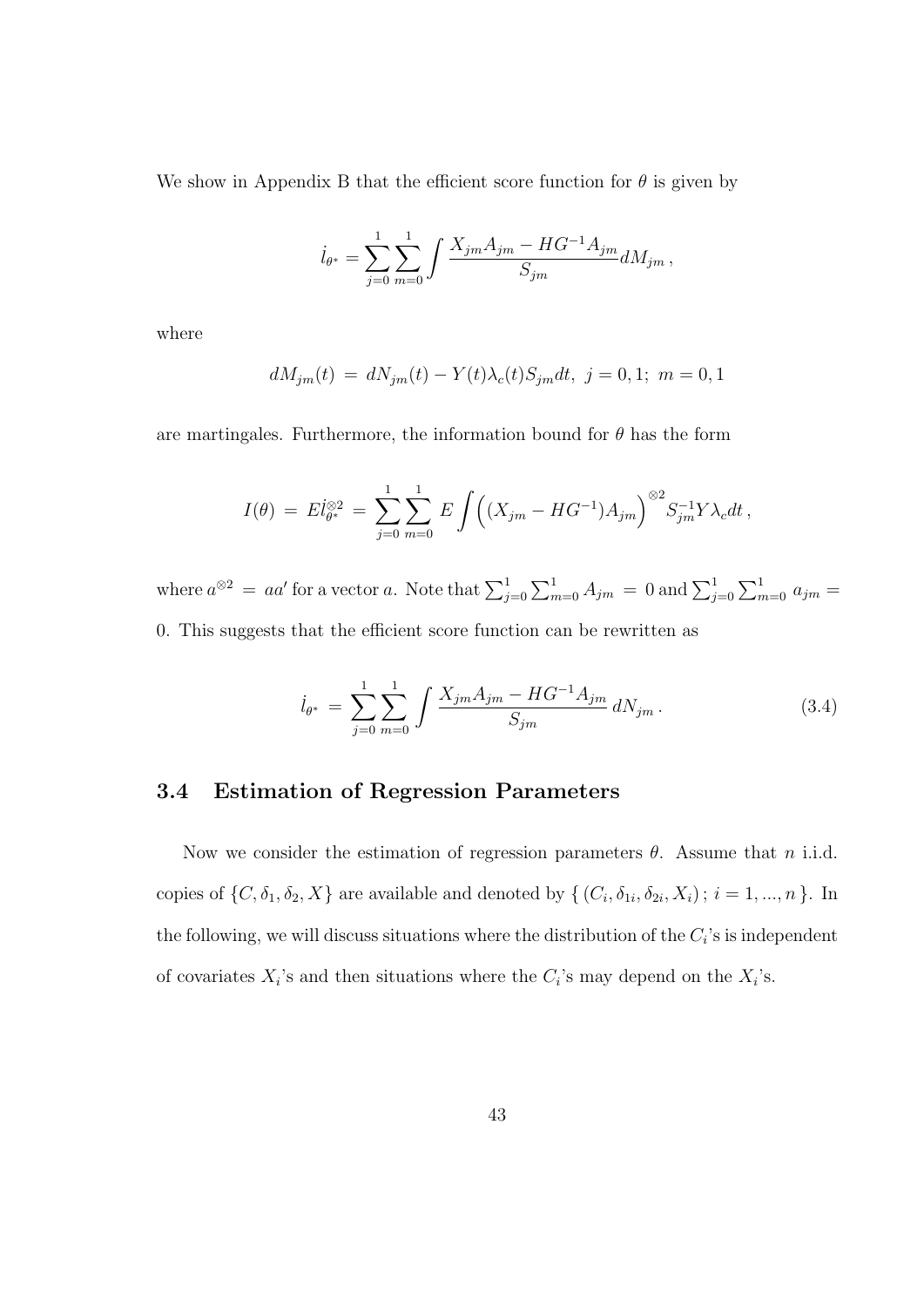We show in Appendix B that the efficient score function for  $\theta$  is given by

$$
\dot{l}_{\theta^*} = \sum_{j=0}^1 \sum_{m=0}^1 \int \frac{X_{jm} A_{jm} - HG^{-1} A_{jm}}{S_{jm}} dM_{jm},
$$

where

$$
dM_{jm}(t) = dN_{jm}(t) - Y(t)\lambda_c(t)S_{jm}dt, \ j = 0, 1; \ m = 0, 1
$$

are martingales. Furthermore, the information bound for  $\theta$  has the form

$$
I(\theta) = El_{\theta^*}^{\otimes 2} = \sum_{j=0}^1 \sum_{m=0}^1 E \int ((X_{jm} - HG^{-1})A_{jm})^{\otimes 2} S_{jm}^{-1} Y \lambda_c dt,
$$

where  $a^{\otimes 2} = aa'$  for a vector a. Note that  $\sum_{j=0}^{1}$  $\sum_{m=0}^{1} A_{jm} = 0$  and  $\sum_{j=0}^{1}$  $\overline{\phantom{0}}$  $\sum_{m=0}^{1} a_{jm} =$ 0. This suggests that the efficient score function can be rewritten as

$$
\dot{l}_{\theta^*} = \sum_{j=0}^{1} \sum_{m=0}^{1} \int \frac{X_{jm} A_{jm} - HG^{-1} A_{jm}}{S_{jm}} dN_{jm} \,. \tag{3.4}
$$

#### 3.4 Estimation of Regression Parameters

Now we consider the estimation of regression parameters  $\theta$ . Assume that n i.i.d. copies of  $\{C, \delta_1, \delta_2, X\}$  are available and denoted by  $\{(C_i, \delta_{1i}, \delta_{2i}, X_i) ; i = 1, ..., n\}$ . In the following, we will discuss situations where the distribution of the  $C_i$ 's is independent of covariates  $X_i$ 's and then situations where the  $C_i$ 's may depend on the  $X_i$ 's.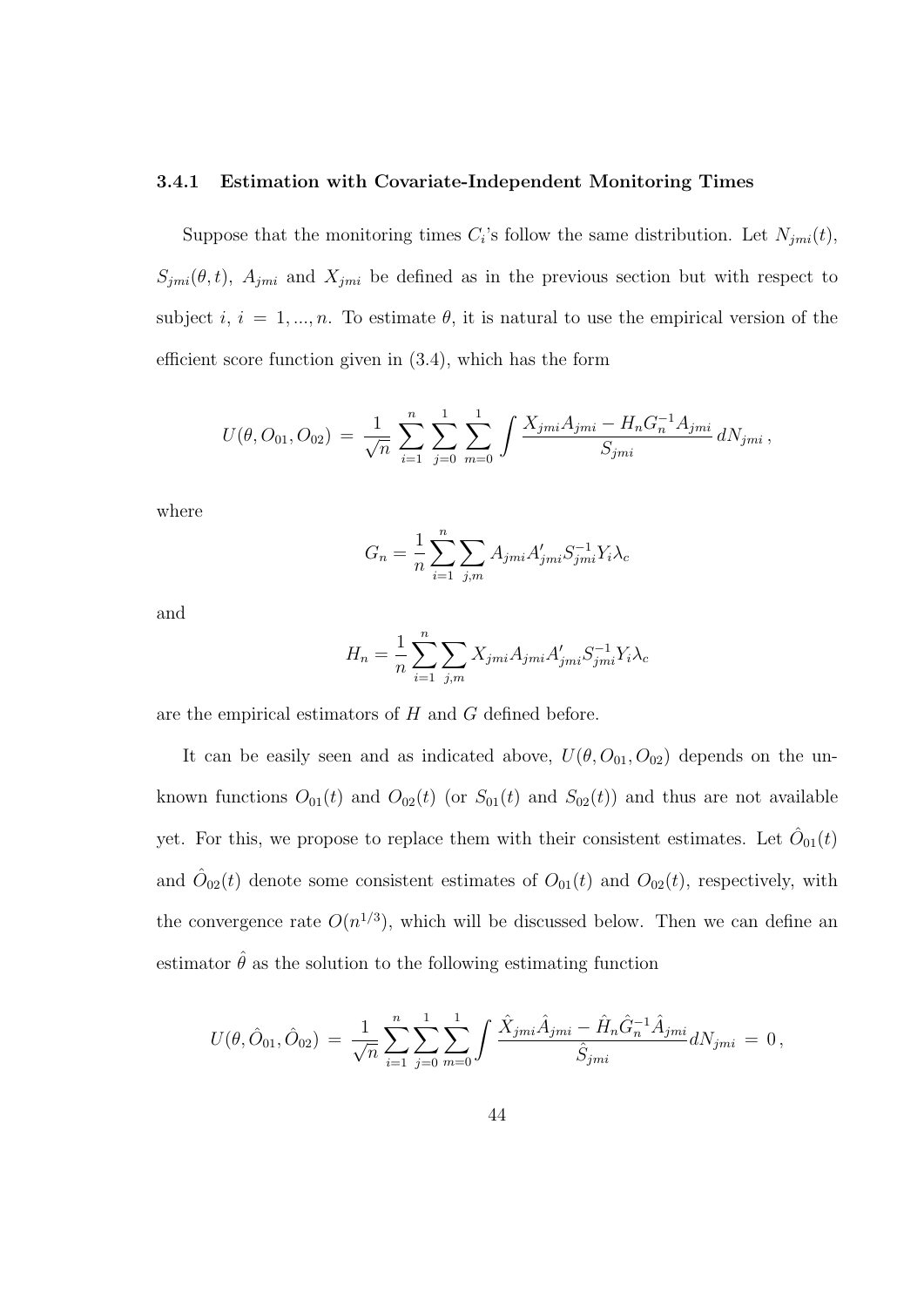#### 3.4.1 Estimation with Covariate-Independent Monitoring Times

Suppose that the monitoring times  $C_i$ 's follow the same distribution. Let  $N_{jmi}(t)$ ,  $S_{jmi}(\theta, t)$ ,  $A_{jmi}$  and  $X_{jmi}$  be defined as in the previous section but with respect to subject i,  $i = 1, ..., n$ . To estimate  $\theta$ , it is natural to use the empirical version of the efficient score function given in (3.4), which has the form

$$
U(\theta, O_{01}, O_{02}) = \frac{1}{\sqrt{n}} \sum_{i=1}^n \sum_{j=0}^1 \sum_{m=0}^1 \int \frac{X_{jmi} A_{jmi} - H_n G_n^{-1} A_{jmi}}{S_{jmi}} dN_{jmi},
$$

where

$$
G_n = \frac{1}{n} \sum_{i=1}^{n} \sum_{j,m} A_{jmi} A'_{jmi} S_{jmi}^{-1} Y_i \lambda_c
$$

and

$$
H_n = \frac{1}{n} \sum_{i=1}^{n} \sum_{j,m} X_{jmi} A_{jmi} A'_{jmi} S_{jmi}^{-1} Y_i \lambda_c
$$

are the empirical estimators of H and G defined before.

It can be easily seen and as indicated above,  $U(\theta, O_{01}, O_{02})$  depends on the unknown functions  $O_{01}(t)$  and  $O_{02}(t)$  (or  $S_{01}(t)$  and  $S_{02}(t)$ ) and thus are not available yet. For this, we propose to replace them with their consistent estimates. Let  $\hat{O}_{01}(t)$ and  $\hat{O}_{02}(t)$  denote some consistent estimates of  $O_{01}(t)$  and  $O_{02}(t)$ , respectively, with the convergence rate  $O(n^{1/3})$ , which will be discussed below. Then we can define an estimator  $\hat{\theta}$  as the solution to the following estimating function

$$
U(\theta, \hat{O}_{01}, \hat{O}_{02}) = \frac{1}{\sqrt{n}} \sum_{i=1}^{n} \sum_{j=0}^{1} \sum_{m=0}^{1} \int \frac{\hat{X}_{jmi} \hat{A}_{jmi} - \hat{H}_n \hat{G}_n^{-1} \hat{A}_{jmi}}{\hat{S}_{jmi}} dN_{jmi} = 0,
$$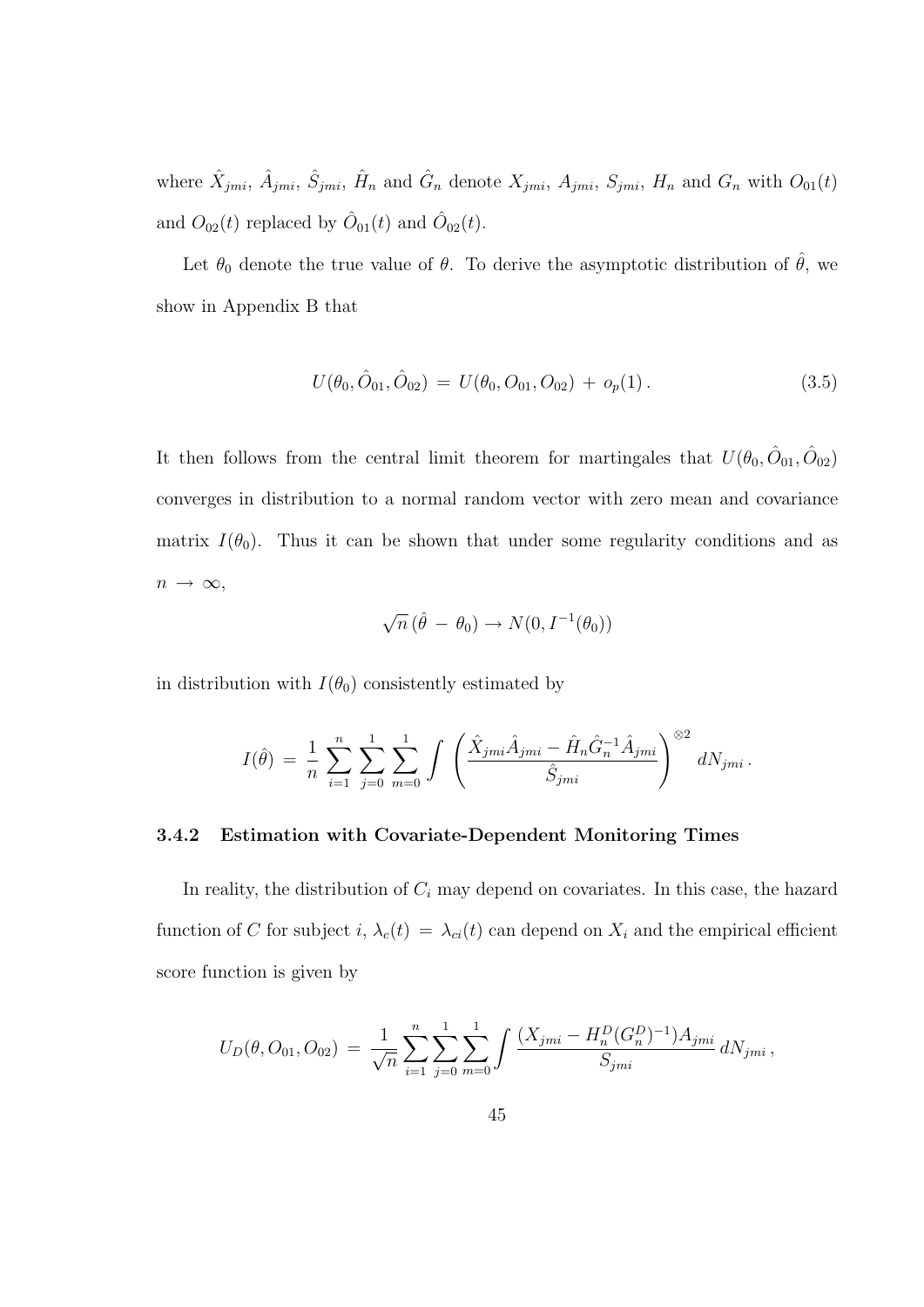where  $\hat{X}_{jmi}$ ,  $\hat{A}_{jmi}$ ,  $\hat{S}_{jmi}$ ,  $\hat{H}_n$  and  $\hat{G}_n$  denote  $X_{jmi}$ ,  $A_{jmi}$ ,  $S_{jmi}$ ,  $H_n$  and  $G_n$  with  $O_{01}(t)$ and  $O_{02}(t)$  replaced by  $\hat{O}_{01}(t)$  and  $\hat{O}_{02}(t)$ .

Let  $\theta_0$  denote the true value of  $\theta$ . To derive the asymptotic distribution of  $\hat{\theta}$ , we show in Appendix B that

$$
U(\theta_0, \hat{O}_{01}, \hat{O}_{02}) = U(\theta_0, O_{01}, O_{02}) + o_p(1).
$$
\n(3.5)

It then follows from the central limit theorem for martingales that  $U(\theta_0, \hat{O}_{01}, \hat{O}_{02})$ converges in distribution to a normal random vector with zero mean and covariance matrix  $I(\theta_0)$ . Thus it can be shown that under some regularity conditions and as  $n \rightarrow \infty$ ,

$$
\sqrt{n} \left( \hat{\theta} - \theta_0 \right) \rightarrow N(0, I^{-1}(\theta_0))
$$

in distribution with  $I(\theta_0)$  consistently estimated by

$$
I(\hat{\theta}) = \frac{1}{n} \sum_{i=1}^{n} \sum_{j=0}^{1} \sum_{m=0}^{1} \int \left( \frac{\hat{X}_{jmi} \hat{A}_{jmi} - \hat{H}_n \hat{G}_n^{-1} \hat{A}_{jmi}}{\hat{S}_{jmi}} \right)^{\otimes 2} dN_{jmi}.
$$

#### 3.4.2 Estimation with Covariate-Dependent Monitoring Times

In reality, the distribution of  $C_i$  may depend on covariates. In this case, the hazard function of C for subject i,  $\lambda_c(t) = \lambda_{ci}(t)$  can depend on  $X_i$  and the empirical efficient score function is given by

$$
U_D(\theta, O_{01}, O_{02}) = \frac{1}{\sqrt{n}} \sum_{i=1}^n \sum_{j=0}^1 \sum_{m=0}^1 \int \frac{(X_{jmi} - H_n^D (G_n^D)^{-1}) A_{jmi}}{S_{jmi}} dN_{jmi},
$$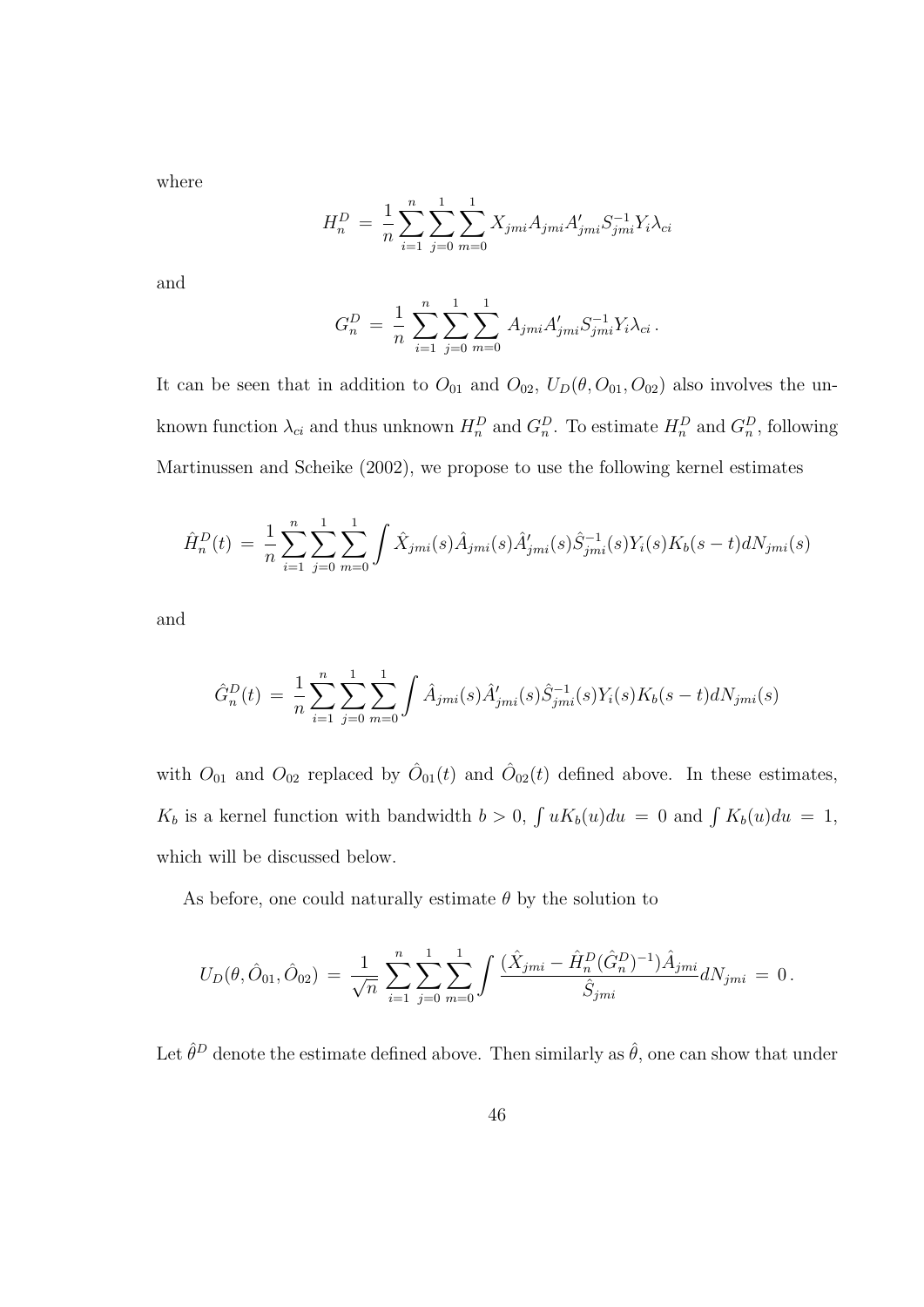where

$$
H_n^D = \frac{1}{n} \sum_{i=1}^n \sum_{j=0}^1 \sum_{m=0}^1 X_{jmi} A_{jmi} A'_{jmi} S_{jmi}^{-1} Y_i \lambda_{ci}
$$

and

$$
G_n^D = \frac{1}{n} \sum_{i=1}^n \sum_{j=0}^1 \sum_{m=0}^1 A_{jmi} A'_{jmi} S_{jmi}^{-1} Y_i \lambda_{ci}.
$$

It can be seen that in addition to  $O_{01}$  and  $O_{02}$ ,  $U_D(\theta, O_{01}, O_{02})$  also involves the unknown function  $\lambda_{ci}$  and thus unknown  $H_n^D$  and  $G_n^D$ . To estimate  $H_n^D$  and  $G_n^D$ , following Martinussen and Scheike (2002), we propose to use the following kernel estimates

$$
\hat{H}_n^D(t) = \frac{1}{n} \sum_{i=1}^n \sum_{j=0}^1 \sum_{m=0}^1 \int \hat{X}_{jmi}(s) \hat{A}_{jmi}(s) \hat{A}'_{jmi}(s) \hat{S}_{jmi}^{-1}(s) Y_i(s) K_b(s-t) dN_{jmi}(s)
$$

and

$$
\hat{G}_n^D(t) = \frac{1}{n} \sum_{i=1}^n \sum_{j=0}^1 \sum_{m=0}^1 \int \hat{A}_{jmi}(s) \hat{A}'_{jmi}(s) \hat{S}_{jmi}^{-1}(s) Y_i(s) K_b(s-t) dN_{jmi}(s)
$$

with  $O_{01}$  and  $O_{02}$  replaced by  $\hat{O}_{01}(t)$  and  $\hat{O}_{02}(t)$  defined above. In these estimates,  $K_b$  is a kernel function with bandwidth  $b > 0$ ,  $\int uK_b(u)du = 0$  and  $\int K_b(u)du = 1$ , which will be discussed below.

As before, one could naturally estimate  $\theta$  by the solution to

$$
U_D(\theta, \hat{O}_{01}, \hat{O}_{02}) = \frac{1}{\sqrt{n}} \sum_{i=1}^n \sum_{j=0}^1 \sum_{m=0}^1 \int \frac{(\hat{X}_{jmi} - \hat{H}_n^D (\hat{G}_n^D)^{-1}) \hat{A}_{jmi}}{\hat{S}_{jmi}} dN_{jmi} = 0.
$$

Let  $\hat{\theta}^D$  denote the estimate defined above. Then similarly as  $\hat{\theta}$ , one can show that under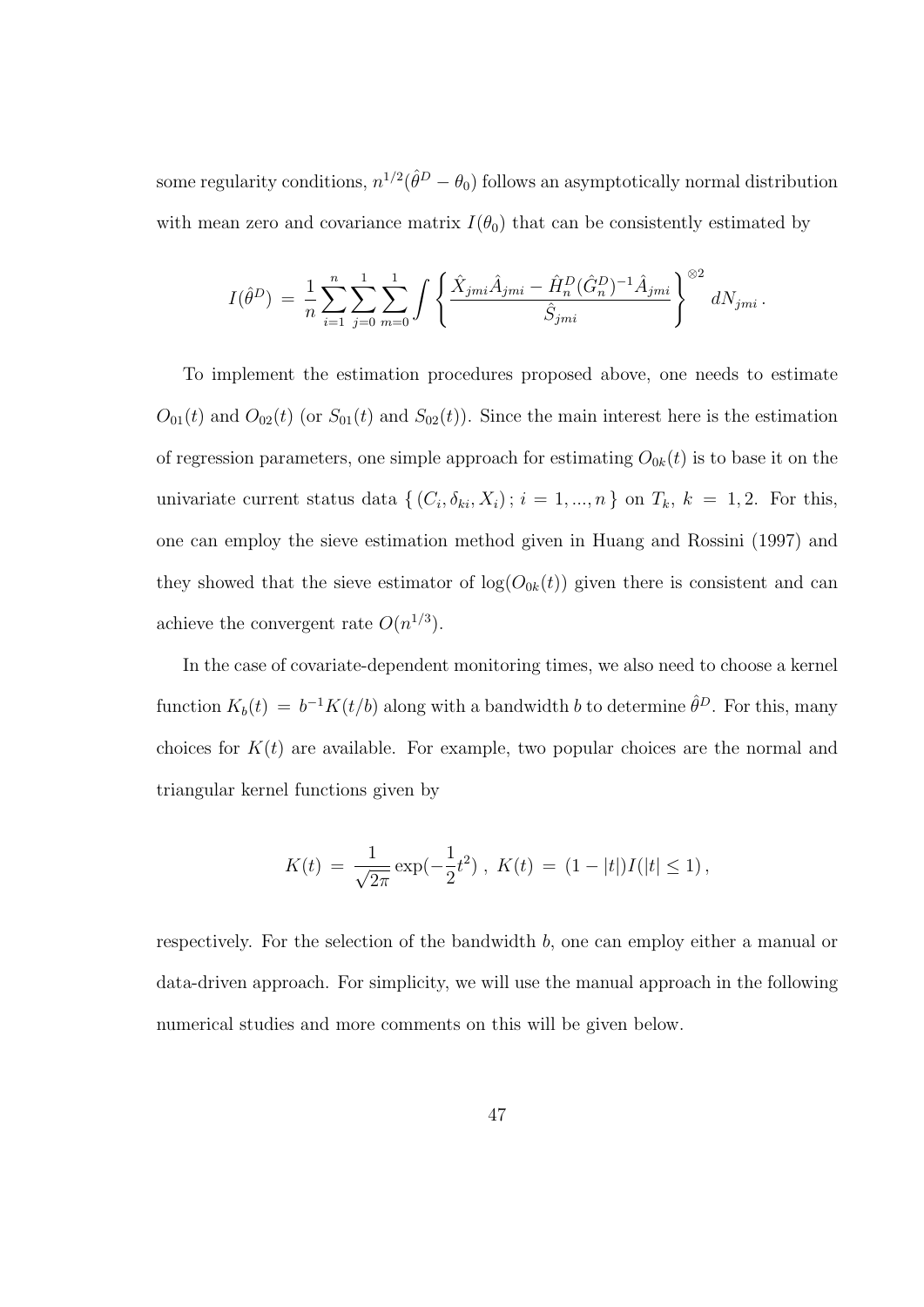some regularity conditions,  $n^{1/2}(\hat{\theta}^D - \theta_0)$  follows an asymptotically normal distribution with mean zero and covariance matrix  $I(\theta_0)$  that can be consistently estimated by

$$
I(\hat{\theta}^D) = \frac{1}{n} \sum_{i=1}^n \sum_{j=0}^1 \sum_{m=0}^1 \int \left\{ \frac{\hat{X}_{jmi} \hat{A}_{jmi} - \hat{H}_n^D (\hat{G}_n^D)^{-1} \hat{A}_{jmi}}{\hat{S}_{jmi}} \right\}^{\otimes 2} dN_{jmi}.
$$

To implement the estimation procedures proposed above, one needs to estimate  $O_{01}(t)$  and  $O_{02}(t)$  (or  $S_{01}(t)$  and  $S_{02}(t)$ ). Since the main interest here is the estimation of regression parameters, one simple approach for estimating  $O_{0k}(t)$  is to base it on the univariate current status data  $\{(C_i, \delta_{ki}, X_i) ; i = 1, ..., n\}$  on  $T_k$ ,  $k = 1, 2$ . For this, one can employ the sieve estimation method given in Huang and Rossini (1997) and they showed that the sieve estimator of  $log(O_{0k}(t))$  given there is consistent and can achieve the convergent rate  $O(n^{1/3})$ .

In the case of covariate-dependent monitoring times, we also need to choose a kernel function  $K_b(t) = b^{-1}K(t/b)$  along with a bandwidth b to determine  $\hat{\theta}^D$ . For this, many choices for  $K(t)$  are available. For example, two popular choices are the normal and triangular kernel functions given by

$$
K(t) = \frac{1}{\sqrt{2\pi}} \exp(-\frac{1}{2}t^2), \ K(t) = (1 - |t|)I(|t| \le 1),
$$

respectively. For the selection of the bandwidth b, one can employ either a manual or data-driven approach. For simplicity, we will use the manual approach in the following numerical studies and more comments on this will be given below.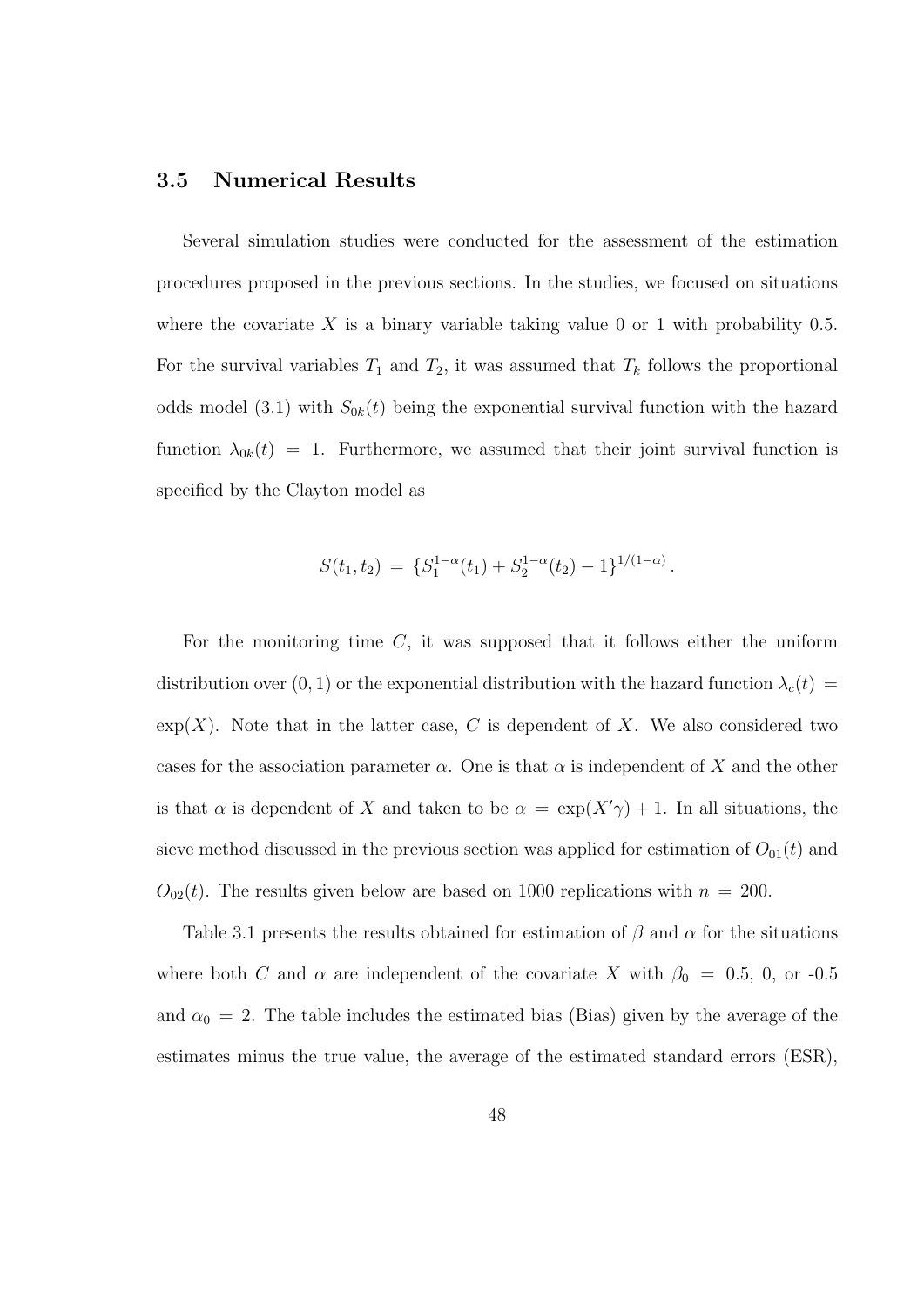#### 3.5 Numerical Results

Several simulation studies were conducted for the assessment of the estimation procedures proposed in the previous sections. In the studies, we focused on situations where the covariate X is a binary variable taking value 0 or 1 with probability 0.5. For the survival variables  $T_1$  and  $T_2$ , it was assumed that  $T_k$  follows the proportional odds model (3.1) with  $S_{0k}(t)$  being the exponential survival function with the hazard function  $\lambda_{0k}(t) = 1$ . Furthermore, we assumed that their joint survival function is specified by the Clayton model as

$$
S(t_1, t_2) = \{S_1^{1-\alpha}(t_1) + S_2^{1-\alpha}(t_2) - 1\}^{1/(1-\alpha)}.
$$

For the monitoring time  $C$ , it was supposed that it follows either the uniform distribution over  $(0, 1)$  or the exponential distribution with the hazard function  $\lambda_c(t)$  $\exp(X)$ . Note that in the latter case, C is dependent of X. We also considered two cases for the association parameter  $\alpha$ . One is that  $\alpha$  is independent of X and the other is that  $\alpha$  is dependent of X and taken to be  $\alpha = \exp(X'\gamma) + 1$ . In all situations, the sieve method discussed in the previous section was applied for estimation of  $O_{01}(t)$  and  $O_{02}(t)$ . The results given below are based on 1000 replications with  $n = 200$ .

Table 3.1 presents the results obtained for estimation of  $\beta$  and  $\alpha$  for the situations where both C and  $\alpha$  are independent of the covariate X with  $\beta_0 = 0.5$ , 0, or -0.5 and  $\alpha_0 = 2$ . The table includes the estimated bias (Bias) given by the average of the estimates minus the true value, the average of the estimated standard errors (ESR),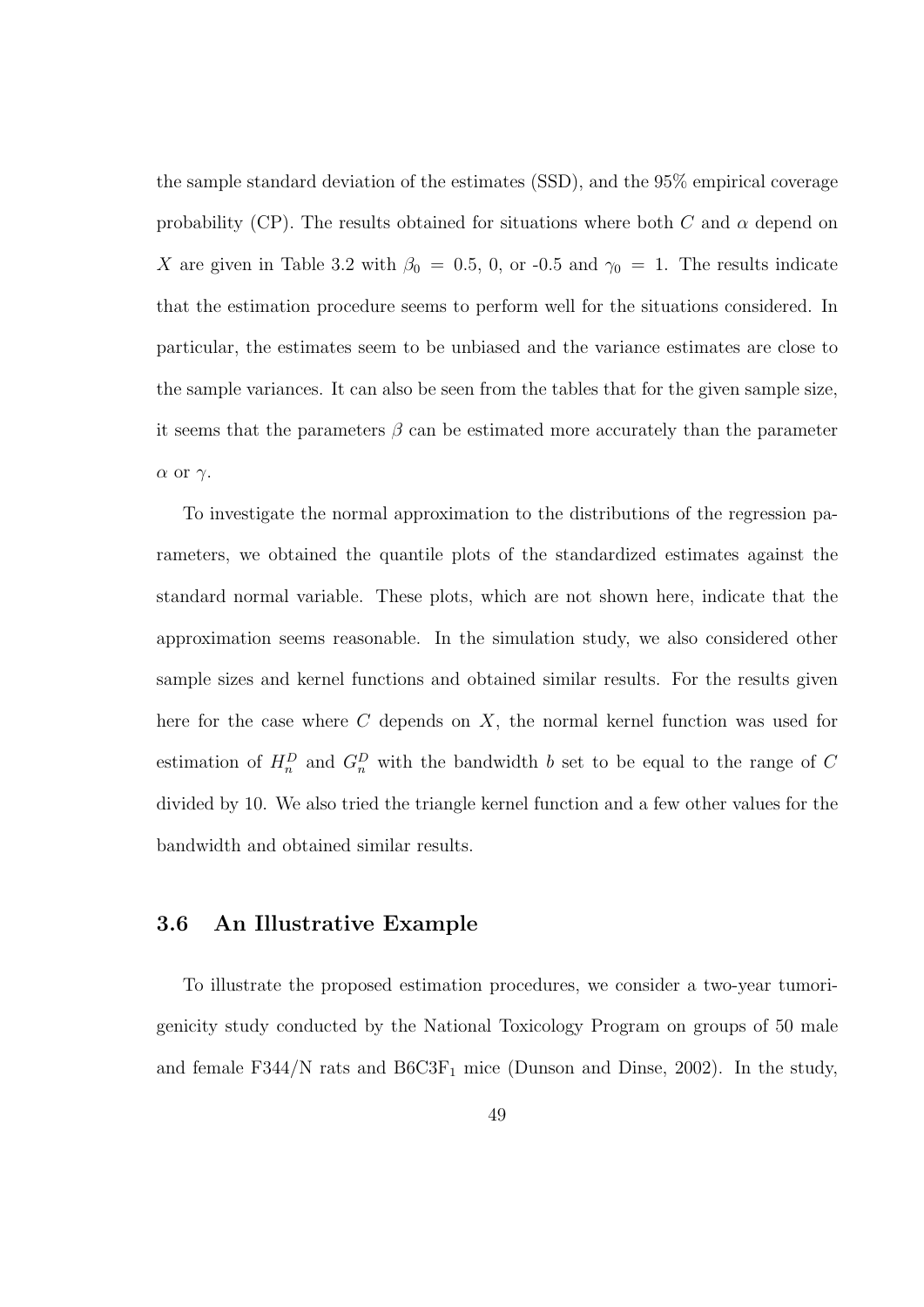the sample standard deviation of the estimates (SSD), and the 95% empirical coverage probability (CP). The results obtained for situations where both C and  $\alpha$  depend on X are given in Table 3.2 with  $\beta_0 = 0.5$ , 0, or -0.5 and  $\gamma_0 = 1$ . The results indicate that the estimation procedure seems to perform well for the situations considered. In particular, the estimates seem to be unbiased and the variance estimates are close to the sample variances. It can also be seen from the tables that for the given sample size, it seems that the parameters  $\beta$  can be estimated more accurately than the parameter α or γ.

To investigate the normal approximation to the distributions of the regression parameters, we obtained the quantile plots of the standardized estimates against the standard normal variable. These plots, which are not shown here, indicate that the approximation seems reasonable. In the simulation study, we also considered other sample sizes and kernel functions and obtained similar results. For the results given here for the case where  $C$  depends on  $X$ , the normal kernel function was used for estimation of  $H_n^D$  and  $G_n^D$  with the bandwidth b set to be equal to the range of C divided by 10. We also tried the triangle kernel function and a few other values for the bandwidth and obtained similar results.

#### 3.6 An Illustrative Example

To illustrate the proposed estimation procedures, we consider a two-year tumorigenicity study conducted by the National Toxicology Program on groups of 50 male and female F344/N rats and  $B6C3F_1$  mice (Dunson and Dinse, 2002). In the study,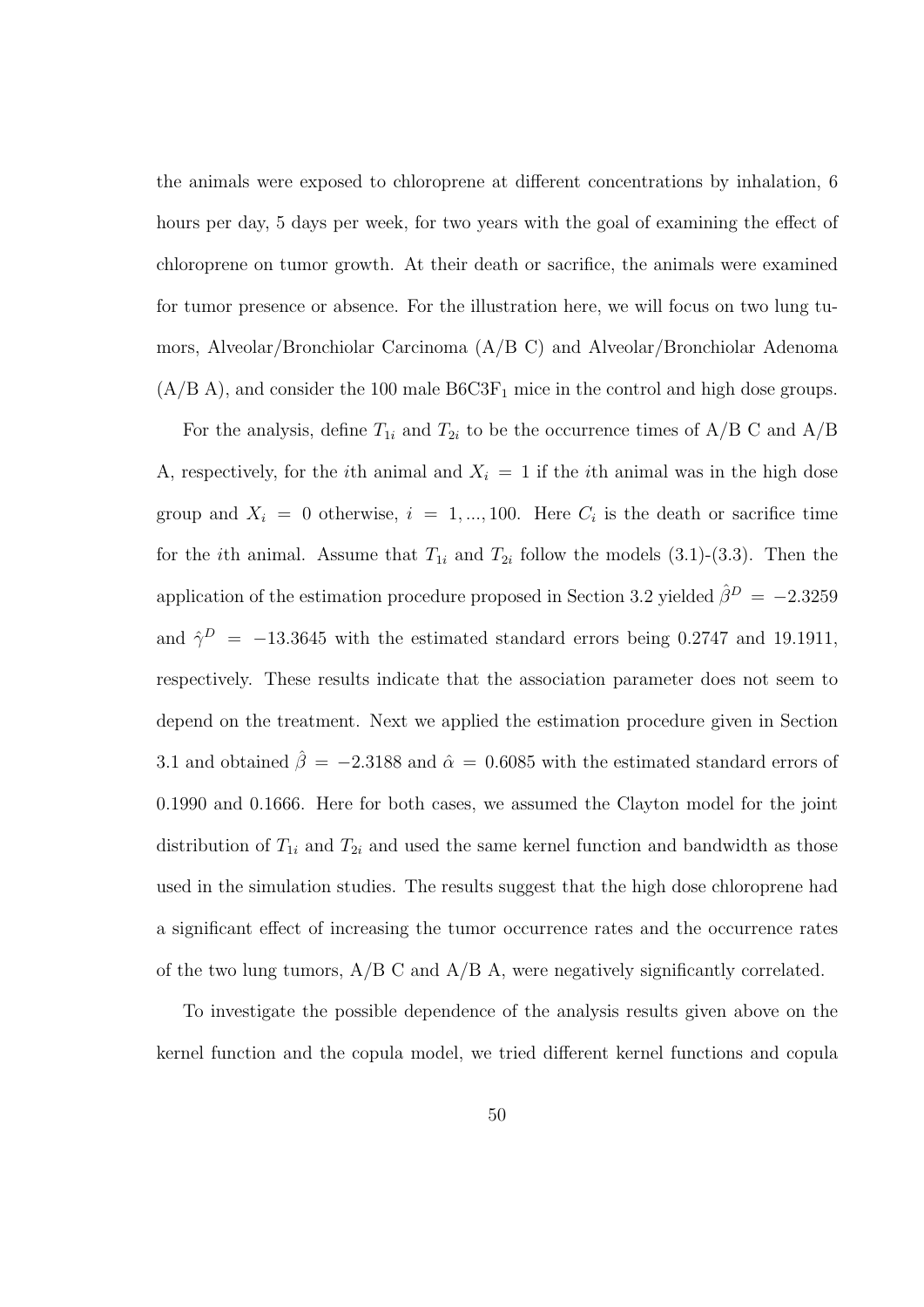the animals were exposed to chloroprene at different concentrations by inhalation, 6 hours per day, 5 days per week, for two years with the goal of examining the effect of chloroprene on tumor growth. At their death or sacrifice, the animals were examined for tumor presence or absence. For the illustration here, we will focus on two lung tumors, Alveolar/Bronchiolar Carcinoma (A/B C) and Alveolar/Bronchiolar Adenoma  $(A/B A)$ , and consider the 100 male  $B6C3F<sub>1</sub>$  mice in the control and high dose groups.

For the analysis, define  $T_{1i}$  and  $T_{2i}$  to be the occurrence times of A/B C and A/B A, respectively, for the *i*th animal and  $X_i = 1$  if the *i*th animal was in the high dose group and  $X_i = 0$  otherwise,  $i = 1, ..., 100$ . Here  $C_i$  is the death or sacrifice time for the *i*th animal. Assume that  $T_{1i}$  and  $T_{2i}$  follow the models (3.1)-(3.3). Then the application of the estimation procedure proposed in Section 3.2 yielded  $\hat{\beta}^{D} = -2.3259$ and  $\hat{\gamma}^D = -13.3645$  with the estimated standard errors being 0.2747 and 19.1911, respectively. These results indicate that the association parameter does not seem to depend on the treatment. Next we applied the estimation procedure given in Section 3.1 and obtained  $\hat{\beta} = -2.3188$  and  $\hat{\alpha} = 0.6085$  with the estimated standard errors of 0.1990 and 0.1666. Here for both cases, we assumed the Clayton model for the joint distribution of  $T_{1i}$  and  $T_{2i}$  and used the same kernel function and bandwidth as those used in the simulation studies. The results suggest that the high dose chloroprene had a significant effect of increasing the tumor occurrence rates and the occurrence rates of the two lung tumors,  $A/B \text{ C}$  and  $A/B$  A, were negatively significantly correlated.

To investigate the possible dependence of the analysis results given above on the kernel function and the copula model, we tried different kernel functions and copula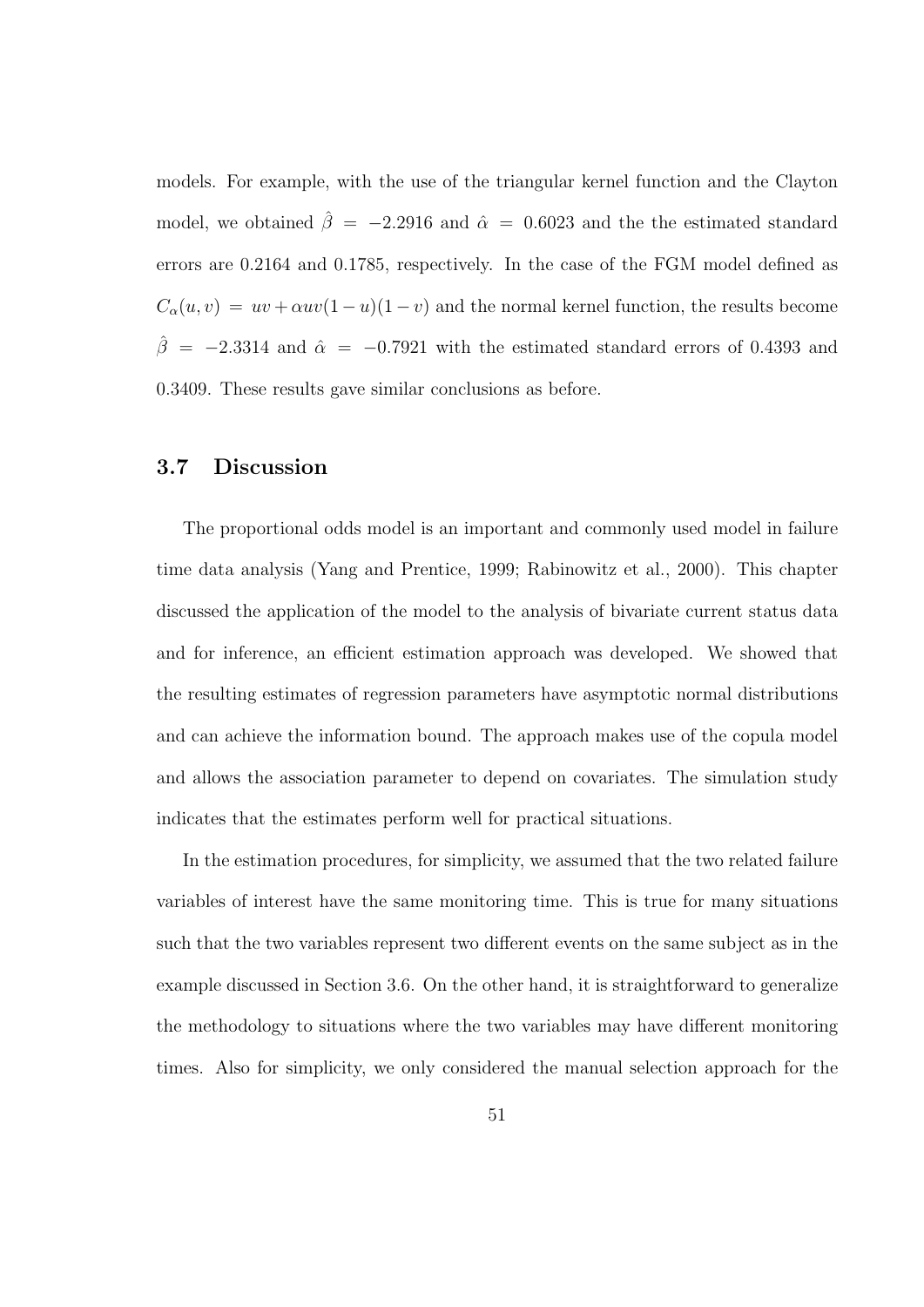models. For example, with the use of the triangular kernel function and the Clayton model, we obtained  $\hat{\beta} = -2.2916$  and  $\hat{\alpha} = 0.6023$  and the the estimated standard errors are 0.2164 and 0.1785, respectively. In the case of the FGM model defined as  $C_{\alpha}(u, v) = uv + \alpha uv(1 - u)(1 - v)$  and the normal kernel function, the results become  $\hat{\beta}$  = −2.3314 and  $\hat{\alpha}$  = −0.7921 with the estimated standard errors of 0.4393 and 0.3409. These results gave similar conclusions as before.

#### 3.7 Discussion

The proportional odds model is an important and commonly used model in failure time data analysis (Yang and Prentice, 1999; Rabinowitz et al., 2000). This chapter discussed the application of the model to the analysis of bivariate current status data and for inference, an efficient estimation approach was developed. We showed that the resulting estimates of regression parameters have asymptotic normal distributions and can achieve the information bound. The approach makes use of the copula model and allows the association parameter to depend on covariates. The simulation study indicates that the estimates perform well for practical situations.

In the estimation procedures, for simplicity, we assumed that the two related failure variables of interest have the same monitoring time. This is true for many situations such that the two variables represent two different events on the same subject as in the example discussed in Section 3.6. On the other hand, it is straightforward to generalize the methodology to situations where the two variables may have different monitoring times. Also for simplicity, we only considered the manual selection approach for the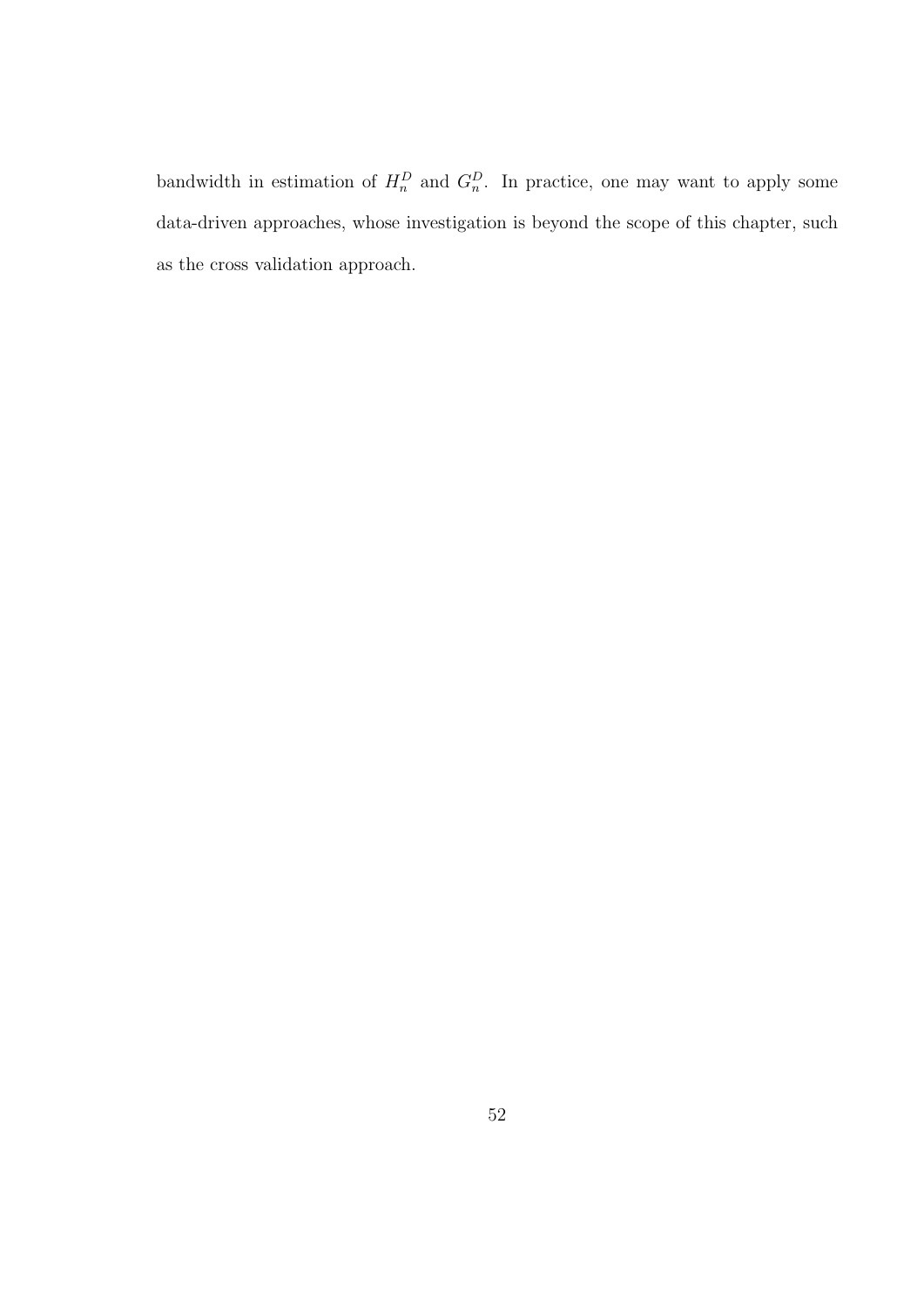bandwidth in estimation of  $H_n^D$  and  $G_n^D$ . In practice, one may want to apply some data-driven approaches, whose investigation is beyond the scope of this chapter, such as the cross validation approach.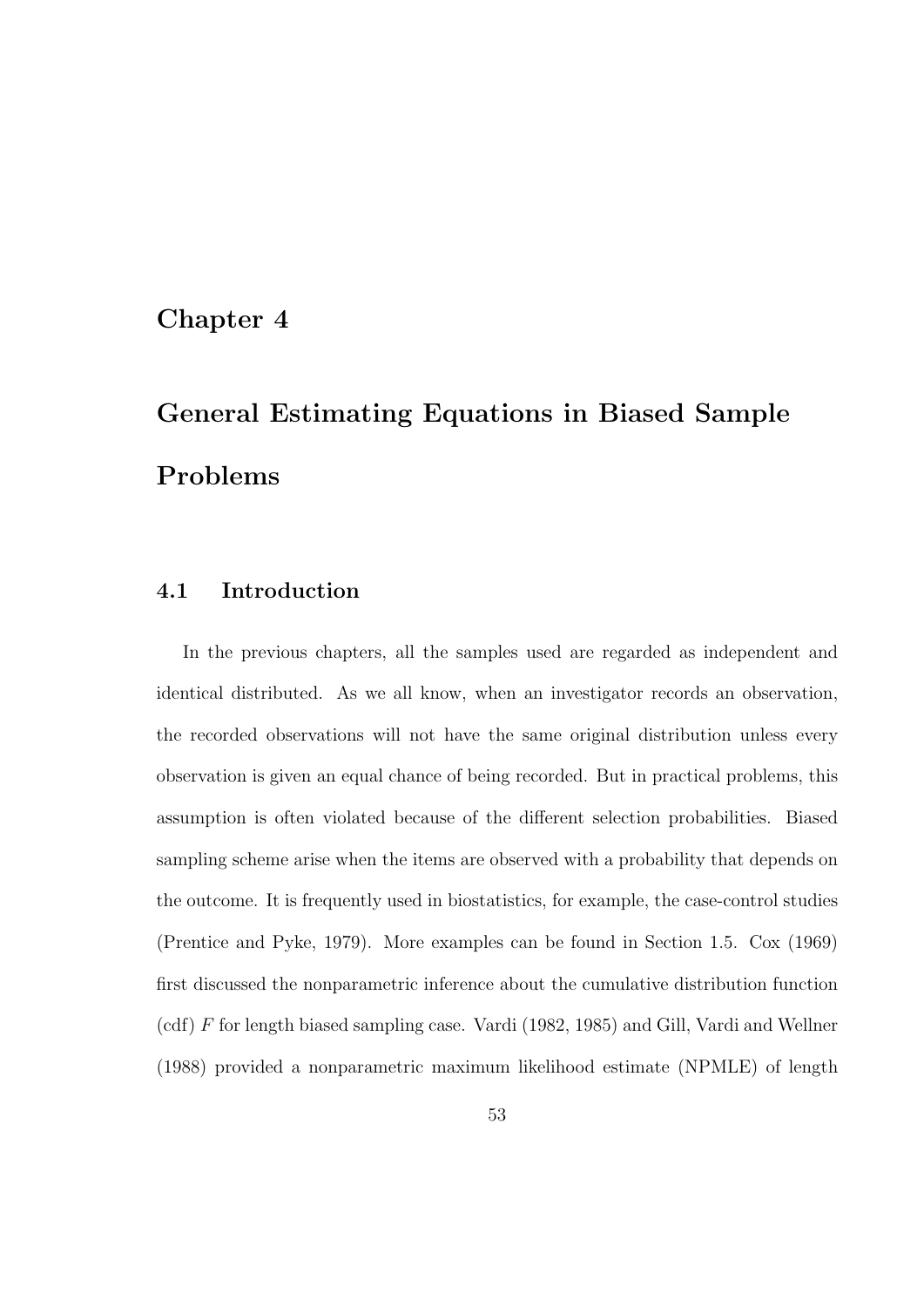## Chapter 4

# General Estimating Equations in Biased Sample Problems

#### 4.1 Introduction

In the previous chapters, all the samples used are regarded as independent and identical distributed. As we all know, when an investigator records an observation, the recorded observations will not have the same original distribution unless every observation is given an equal chance of being recorded. But in practical problems, this assumption is often violated because of the different selection probabilities. Biased sampling scheme arise when the items are observed with a probability that depends on the outcome. It is frequently used in biostatistics, for example, the case-control studies (Prentice and Pyke, 1979). More examples can be found in Section 1.5. Cox (1969) first discussed the nonparametric inference about the cumulative distribution function (cdf) F for length biased sampling case. Vardi (1982, 1985) and Gill, Vardi and Wellner (1988) provided a nonparametric maximum likelihood estimate (NPMLE) of length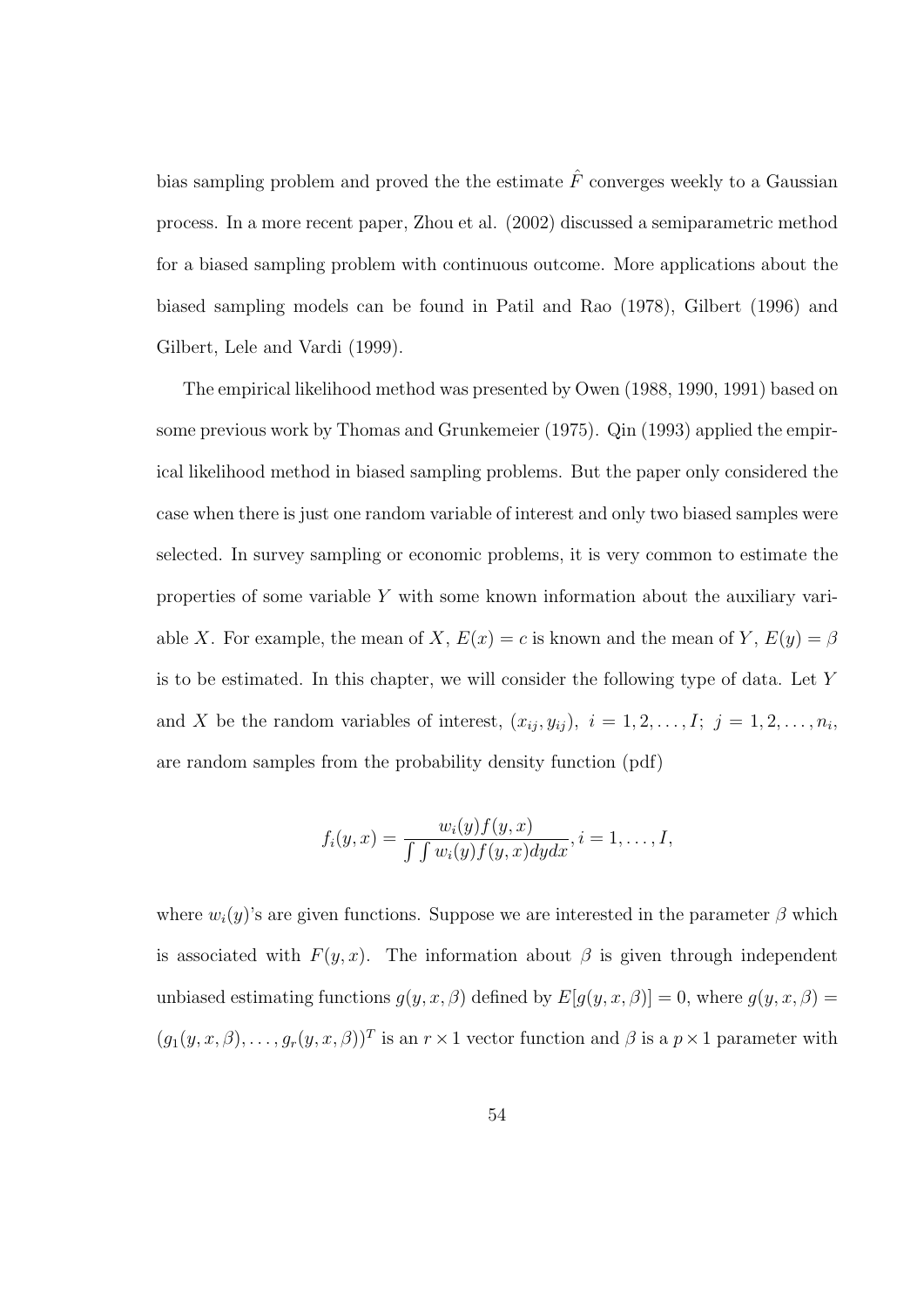bias sampling problem and proved the the estimate  $\hat{F}$  converges weekly to a Gaussian process. In a more recent paper, Zhou et al. (2002) discussed a semiparametric method for a biased sampling problem with continuous outcome. More applications about the biased sampling models can be found in Patil and Rao (1978), Gilbert (1996) and Gilbert, Lele and Vardi (1999).

The empirical likelihood method was presented by Owen (1988, 1990, 1991) based on some previous work by Thomas and Grunkemeier (1975). Qin (1993) applied the empirical likelihood method in biased sampling problems. But the paper only considered the case when there is just one random variable of interest and only two biased samples were selected. In survey sampling or economic problems, it is very common to estimate the properties of some variable Y with some known information about the auxiliary variable X. For example, the mean of X,  $E(x) = c$  is known and the mean of Y,  $E(y) = \beta$ is to be estimated. In this chapter, we will consider the following type of data. Let Y and X be the random variables of interest,  $(x_{ij}, y_{ij})$ ,  $i = 1, 2, \ldots, I; j = 1, 2, \ldots, n_i$ , are random samples from the probability density function (pdf)

$$
f_i(y,x)=\frac{w_i(y)f(y,x)}{\int\int w_i(y)f(y,x)dydx}, i=1,\ldots, I,
$$

where  $w_i(y)$ 's are given functions. Suppose we are interested in the parameter  $\beta$  which is associated with  $F(y, x)$ . The information about  $\beta$  is given through independent unbiased estimating functions  $g(y, x, \beta)$  defined by  $E[g(y, x, \beta)] = 0$ , where  $g(y, x, \beta) =$  $(g_1(y, x, \beta), \ldots, g_r(y, x, \beta))^T$  is an  $r \times 1$  vector function and  $\beta$  is a  $p \times 1$  parameter with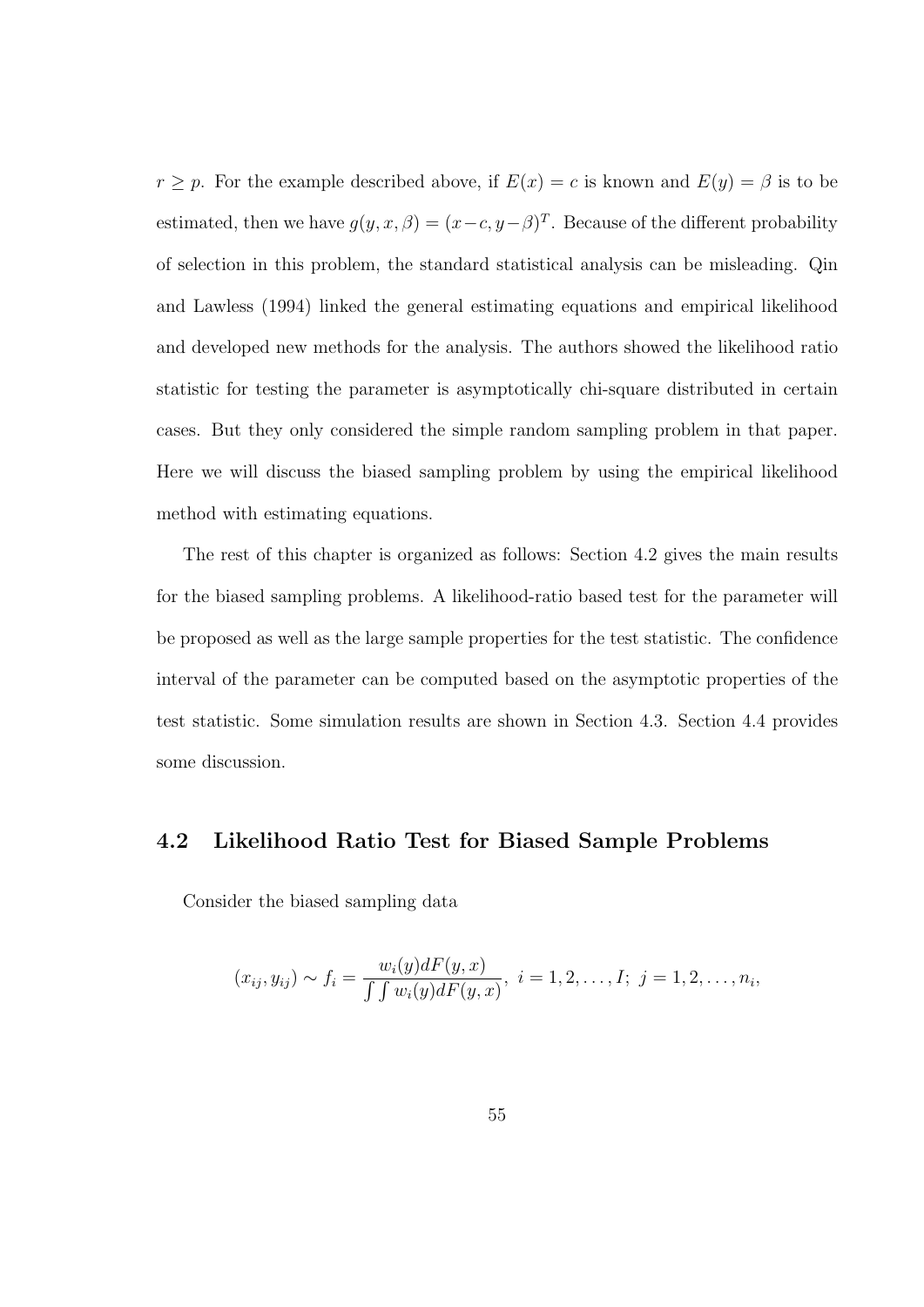$r \geq p$ . For the example described above, if  $E(x) = c$  is known and  $E(y) = \beta$  is to be estimated, then we have  $g(y, x, \beta) = (x - c, y - \beta)^T$ . Because of the different probability of selection in this problem, the standard statistical analysis can be misleading. Qin and Lawless (1994) linked the general estimating equations and empirical likelihood and developed new methods for the analysis. The authors showed the likelihood ratio statistic for testing the parameter is asymptotically chi-square distributed in certain cases. But they only considered the simple random sampling problem in that paper. Here we will discuss the biased sampling problem by using the empirical likelihood method with estimating equations.

The rest of this chapter is organized as follows: Section 4.2 gives the main results for the biased sampling problems. A likelihood-ratio based test for the parameter will be proposed as well as the large sample properties for the test statistic. The confidence interval of the parameter can be computed based on the asymptotic properties of the test statistic. Some simulation results are shown in Section 4.3. Section 4.4 provides some discussion.

#### 4.2 Likelihood Ratio Test for Biased Sample Problems

Consider the biased sampling data

$$
(x_{ij}, y_{ij}) \sim f_i = \frac{w_i(y)dF(y, x)}{\int \int w_i(y)dF(y, x)}, \quad i = 1, 2, \ldots, I; \quad j = 1, 2, \ldots, n_i,
$$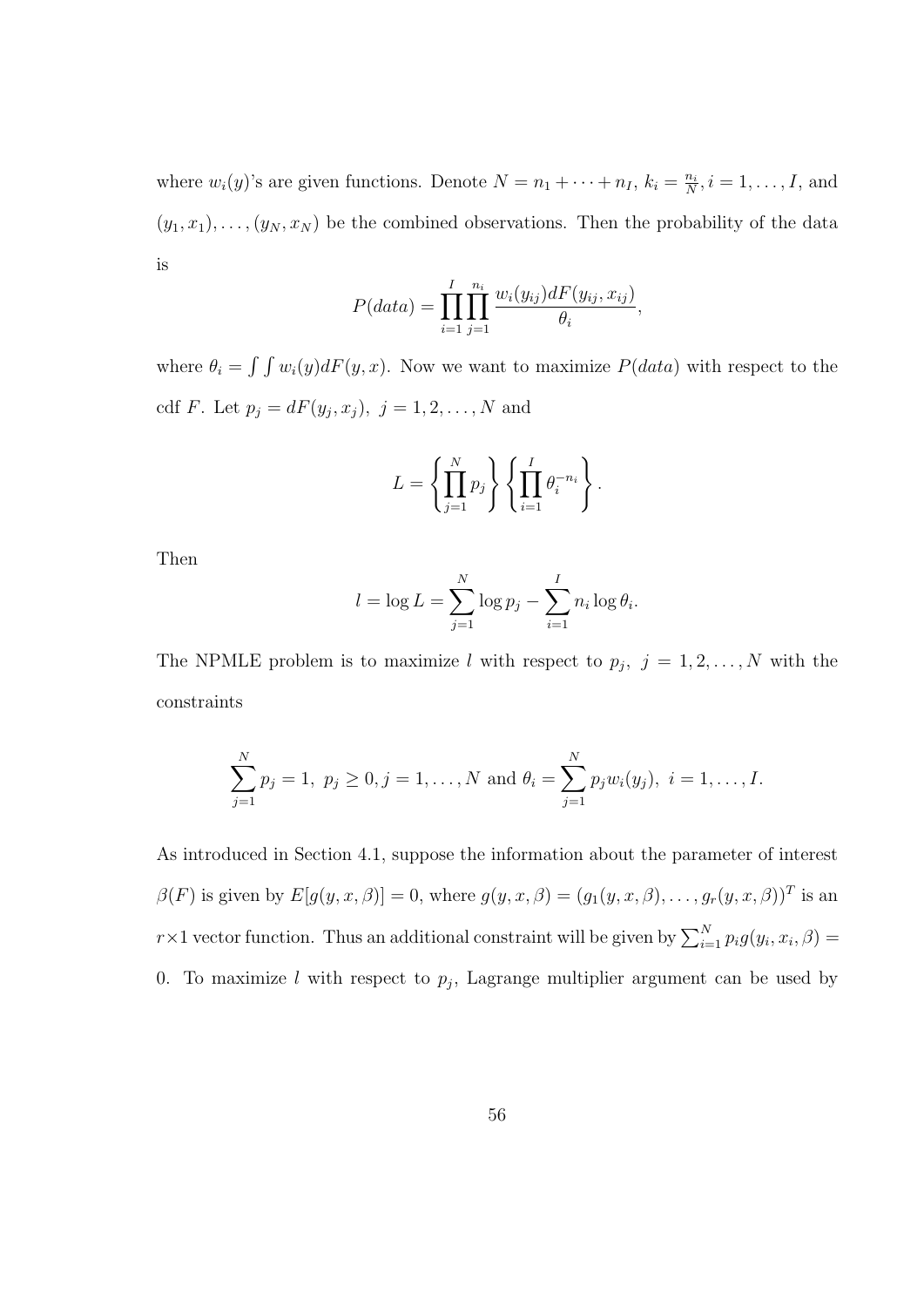where  $w_i(y)$ 's are given functions. Denote  $N = n_1 + \cdots + n_I$ ,  $k_i = \frac{n_i}{N}$  $\frac{n_i}{N}, i = 1, \ldots, I$ , and  $(y_1, x_1), \ldots, (y_N, x_N)$  be the combined observations. Then the probability of the data is

$$
P(data) = \prod_{i=1}^{I} \prod_{j=1}^{n_i} \frac{w_i(y_{ij}) dF(y_{ij}, x_{ij})}{\theta_i},
$$

where  $\theta_i = \int \int w_i(y) dF(y, x)$ . Now we want to maximize  $P(data)$  with respect to the cdf *F*. Let  $p_j = dF(y_j, x_j)$ ,  $j = 1, 2, ..., N$  and

$$
L = \left\{ \prod_{j=1}^{N} p_j \right\} \left\{ \prod_{i=1}^{I} \theta_i^{-n_i} \right\}.
$$

Then

$$
l = \log L = \sum_{j=1}^{N} \log p_j - \sum_{i=1}^{I} n_i \log \theta_i.
$$

The NPMLE problem is to maximize l with respect to  $p_j$ ,  $j = 1, 2, ..., N$  with the constraints

$$
\sum_{j=1}^{N} p_j = 1, \ p_j \ge 0, j = 1, \dots, N \text{ and } \theta_i = \sum_{j=1}^{N} p_j w_i(y_j), \ i = 1, \dots, I.
$$

As introduced in Section 4.1, suppose the information about the parameter of interest  $\beta(F)$  is given by  $E[g(y, x, \beta)] = 0$ , where  $g(y, x, \beta) = (g_1(y, x, \beta), \dots, g_r(y, x, \beta))^T$  is an r × 1 vector function. Thus an additional constraint will be given by  $\sum_{i=1}^{N} p_i g(y_i, x_i, \beta) =$ 0. To maximize l with respect to  $p_j$ , Lagrange multiplier argument can be used by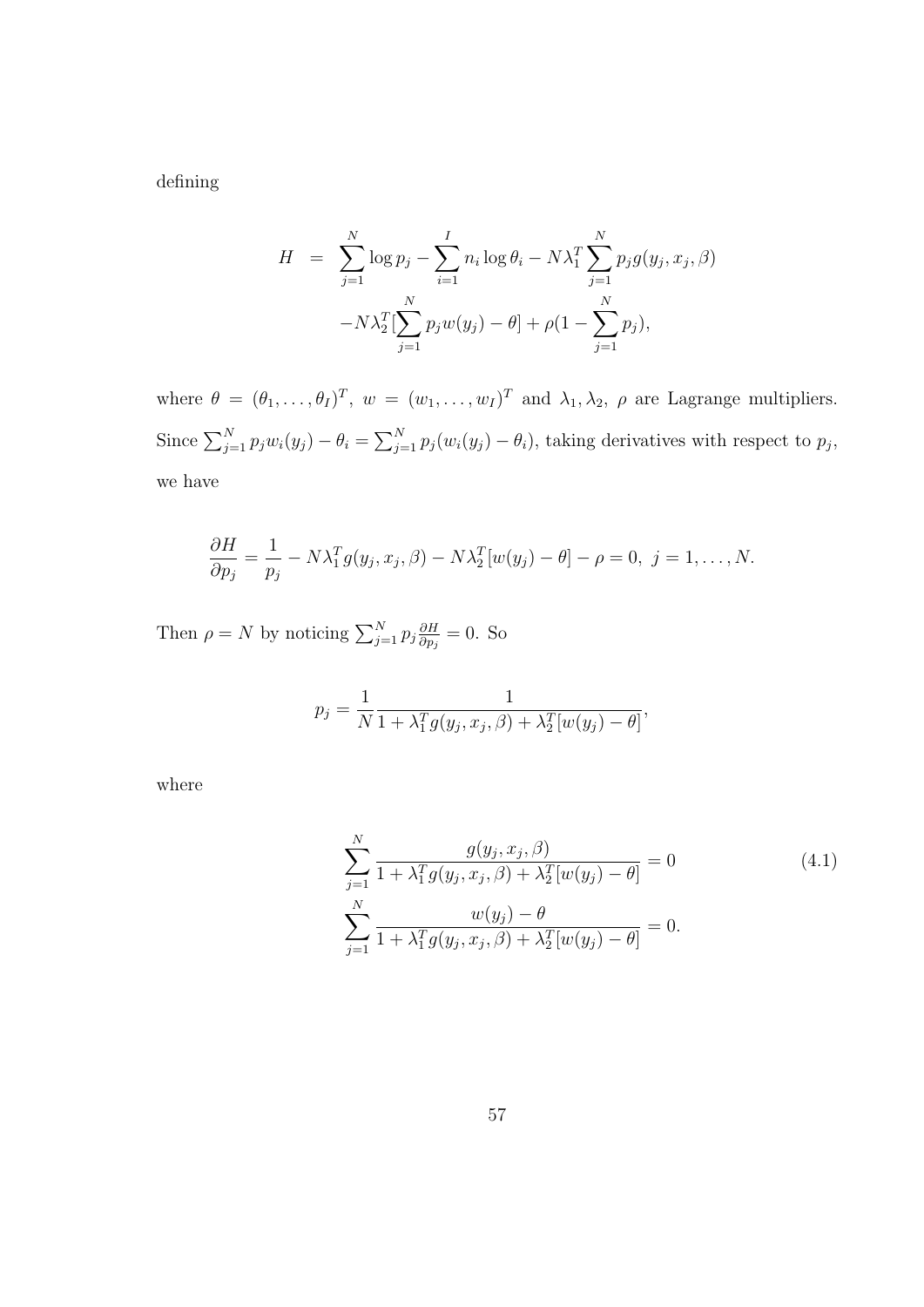defining

$$
H = \sum_{j=1}^{N} \log p_j - \sum_{i=1}^{I} n_i \log \theta_i - N\lambda_1^T \sum_{j=1}^{N} p_j g(y_j, x_j, \beta)
$$

$$
-N\lambda_2^T \left[ \sum_{j=1}^{N} p_j w(y_j) - \theta \right] + \rho \left( 1 - \sum_{j=1}^{N} p_j \right),
$$

where  $\theta = (\theta_1, \ldots, \theta_I)^T$ ,  $w = (w_1, \ldots, w_I)^T$  and  $\lambda_1, \lambda_2, \rho$  are Lagrange multipliers. Since  $\sum_{j=1}^{N} p_j w_i(y_j) - \theta_i =$  $\sum_{i=1}^{n}$  $\sum_{j=1}^{N} p_j(w_i(y_j) - \theta_i)$ , taking derivatives with respect to  $p_j$ , we have

$$
\frac{\partial H}{\partial p_j} = \frac{1}{p_j} - N\lambda_1^T g(y_j, x_j, \beta) - N\lambda_2^T [w(y_j) - \theta] - \rho = 0, \ j = 1, \dots, N.
$$

Then  $\rho = N$  by noticing  $\sum_{j=1}^{N} p_j \frac{\partial H}{\partial p_j}$  $\frac{\partial H}{\partial p_j} = 0$ . So

$$
p_j = \frac{1}{N} \frac{1}{1 + \lambda_1^T g(y_j, x_j, \beta) + \lambda_2^T [w(y_j) - \theta]},
$$

where

$$
\sum_{j=1}^{N} \frac{g(y_j, x_j, \beta)}{1 + \lambda_1^T g(y_j, x_j, \beta) + \lambda_2^T [w(y_j) - \theta]} = 0
$$
\n
$$
\sum_{j=1}^{N} \frac{w(y_j) - \theta}{1 + \lambda_1^T g(y_j, x_j, \beta) + \lambda_2^T [w(y_j) - \theta]} = 0.
$$
\n(4.1)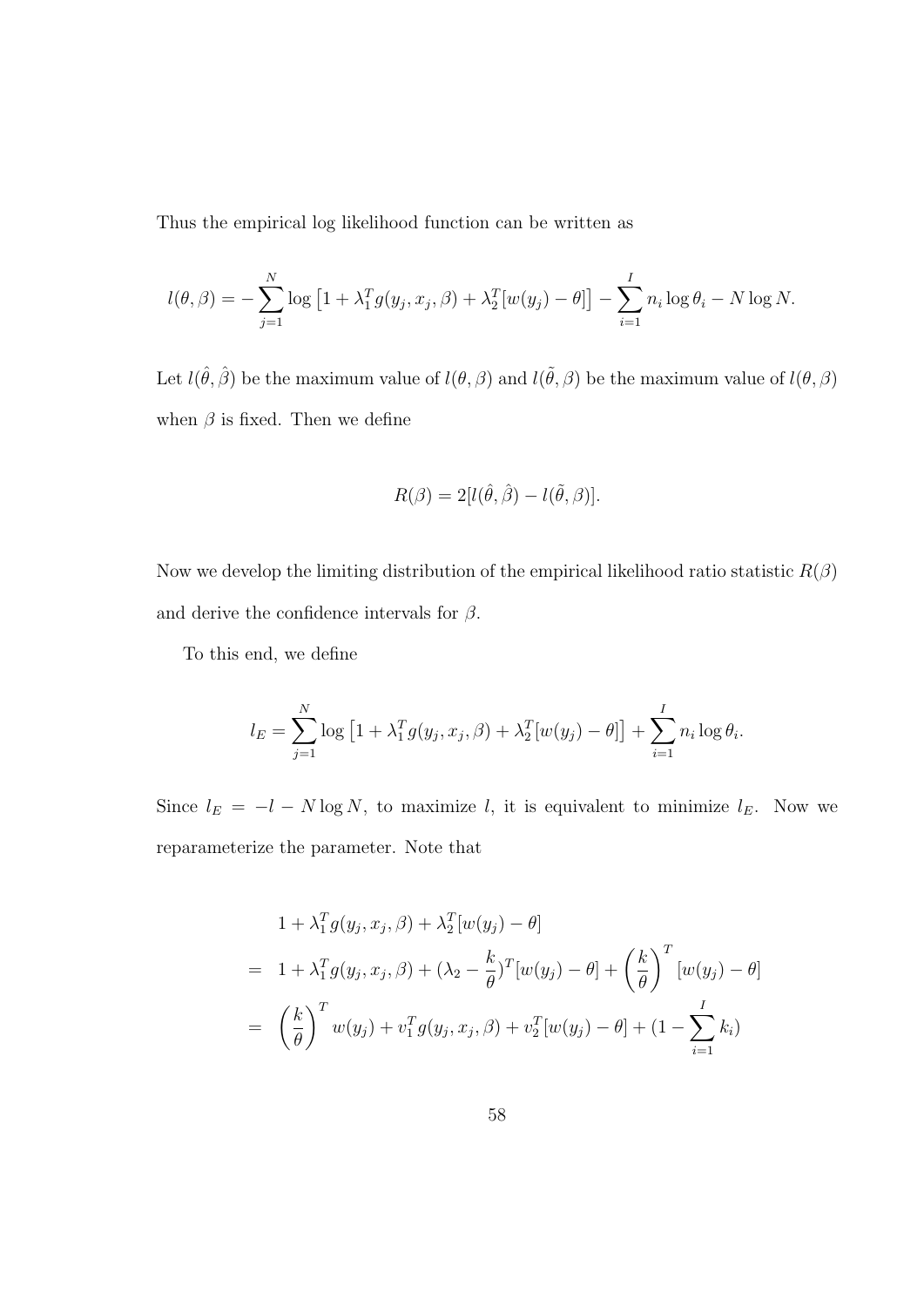Thus the empirical log likelihood function can be written as

$$
l(\theta, \beta) = -\sum_{j=1}^{N} \log [1 + \lambda_1^T g(y_j, x_j, \beta) + \lambda_2^T [w(y_j) - \theta]] - \sum_{i=1}^{I} n_i \log \theta_i - N \log N.
$$

Let  $l(\hat{\theta}, \hat{\beta})$  be the maximum value of  $l(\theta, \beta)$  and  $l(\tilde{\theta}, \beta)$  be the maximum value of  $l(\theta, \beta)$ when  $\beta$  is fixed. Then we define

$$
R(\beta) = 2[l(\hat{\theta}, \hat{\beta}) - l(\tilde{\theta}, \beta)].
$$

Now we develop the limiting distribution of the empirical likelihood ratio statistic  $R(\beta)$ and derive the confidence intervals for  $\beta$ .

To this end, we define

$$
l_E = \sum_{j=1}^{N} \log [1 + \lambda_1^T g(y_j, x_j, \beta) + \lambda_2^T [w(y_j) - \theta]] + \sum_{i=1}^{I} n_i \log \theta_i.
$$

Since  $l_E = -l - N \log N$ , to maximize l, it is equivalent to minimize  $l_E$ . Now we reparameterize the parameter. Note that

$$
1 + \lambda_1^T g(y_j, x_j, \beta) + \lambda_2^T [w(y_j) - \theta]
$$
  
=  $1 + \lambda_1^T g(y_j, x_j, \beta) + (\lambda_2 - \frac{k}{\theta})^T [w(y_j) - \theta] + (\frac{k}{\theta})^T [w(y_j) - \theta]$   
=  $(\frac{k}{\theta})^T w(y_j) + v_1^T g(y_j, x_j, \beta) + v_2^T [w(y_j) - \theta] + (1 - \sum_{i=1}^I k_i)$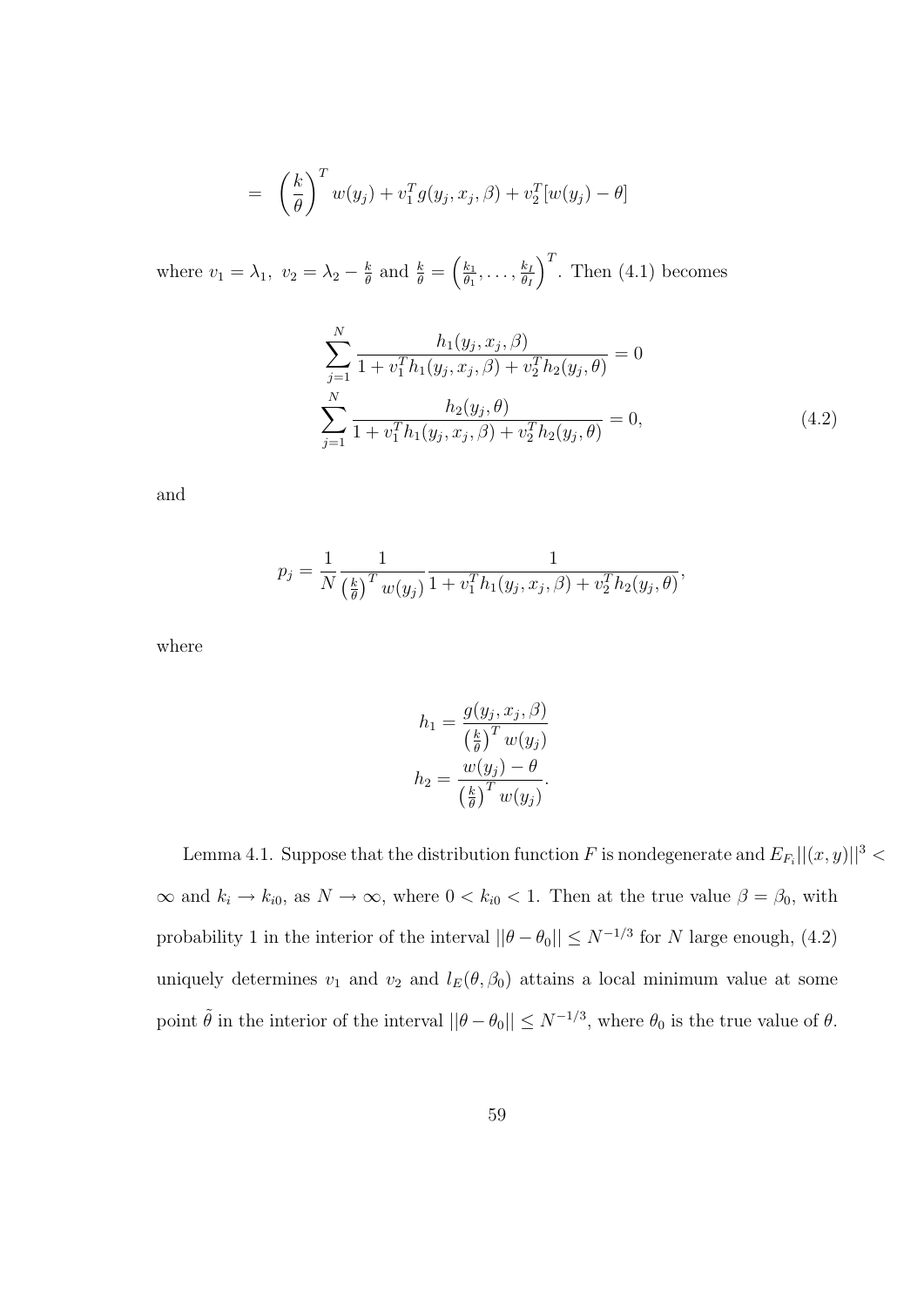$$
= \left(\frac{k}{\theta}\right)^T w(y_j) + v_1^T g(y_j, x_j, \beta) + v_2^T [w(y_j) - \theta]
$$

where  $v_1 = \lambda_1, v_2 = \lambda_2 - \frac{k}{\theta}$  $\frac{k}{\theta}$  and  $\frac{k}{\theta}$  =  $\overline{a}$  $k<sub>1</sub>$  $\frac{k_1}{\theta_1}, \ldots, \frac{k_l}{\theta_l}$  $\theta_I$  $\sqrt{T}$ . Then (4.1) becomes

$$
\sum_{j=1}^{N} \frac{h_1(y_j, x_j, \beta)}{1 + v_1^T h_1(y_j, x_j, \beta) + v_2^T h_2(y_j, \theta)} = 0
$$
\n
$$
\sum_{j=1}^{N} \frac{h_2(y_j, \theta)}{1 + v_1^T h_1(y_j, x_j, \beta) + v_2^T h_2(y_j, \theta)} = 0,
$$
\n(4.2)

and

$$
p_j = \frac{1}{N} \frac{1}{\left(\frac{k}{\theta}\right)^T w(y_j)} \frac{1}{1 + v_1^T h_1(y_j, x_j, \beta) + v_2^T h_2(y_j, \theta)},
$$

where

$$
h_1 = \frac{g(y_j, x_j, \beta)}{\left(\frac{k}{\theta}\right)^T w(y_j)}
$$

$$
h_2 = \frac{w(y_j) - \theta}{\left(\frac{k}{\theta}\right)^T w(y_j)}.
$$

Lemma 4.1. Suppose that the distribution function F is nondegenerate and  $E_{F_i}$ ,  $|| (x, y)||^3$  $\infty$  and  $k_i \to k_{i0}$ , as  $N \to \infty$ , where  $0 < k_{i0} < 1$ . Then at the true value  $\beta = \beta_0$ , with probability 1 in the interior of the interval  $||\theta - \theta_0|| \leq N^{-1/3}$  for N large enough, (4.2) uniquely determines  $v_1$  and  $v_2$  and  $l_E(\theta, \beta_0)$  attains a local minimum value at some point  $\tilde{\theta}$  in the interior of the interval  $||\theta - \theta_0|| \leq N^{-1/3}$ , where  $\theta_0$  is the true value of  $\theta$ .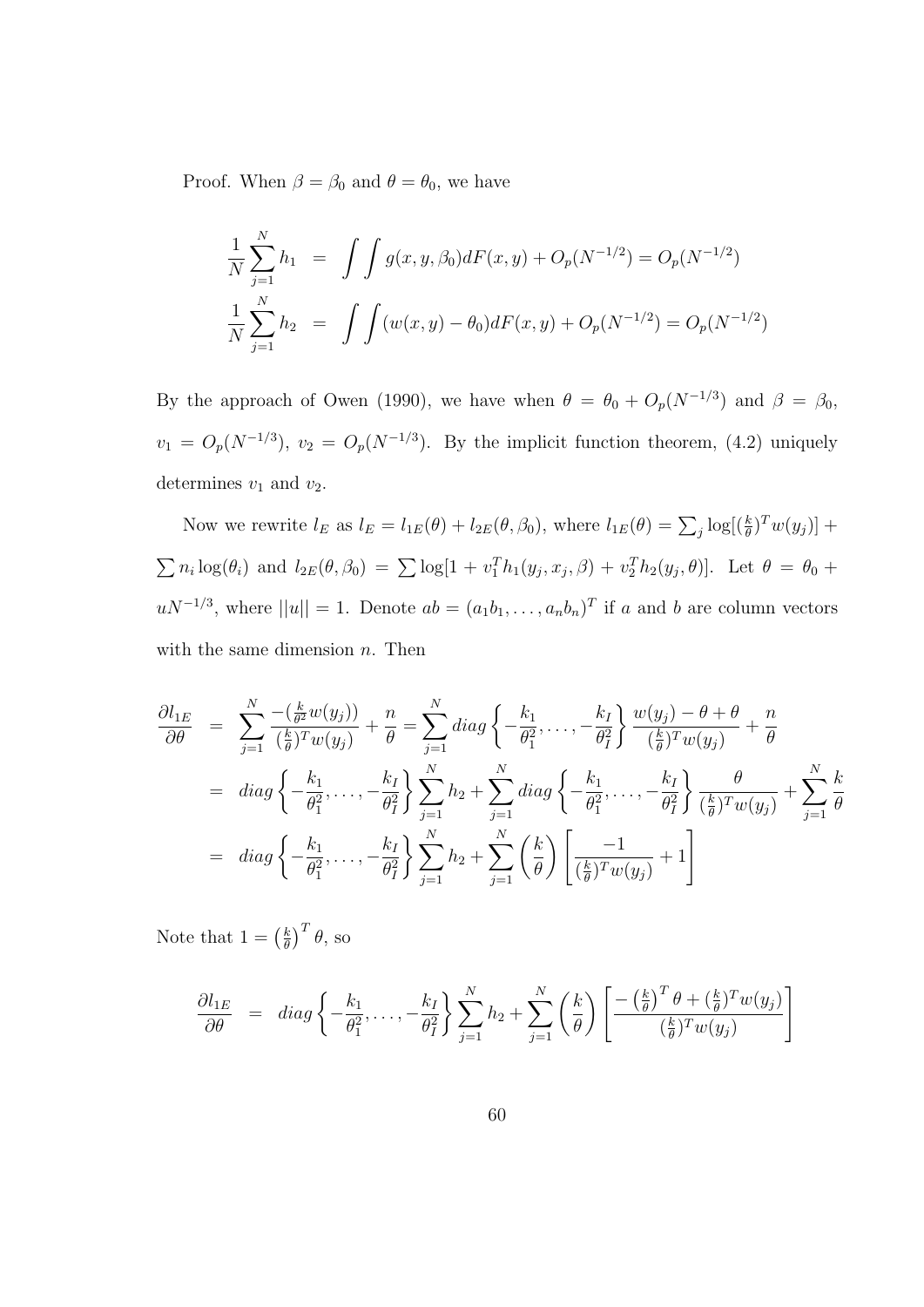Proof. When  $\beta = \beta_0$  and  $\theta = \theta_0$ , we have

$$
\frac{1}{N} \sum_{j=1}^{N} h_1 = \int \int g(x, y, \beta_0) dF(x, y) + O_p(N^{-1/2}) = O_p(N^{-1/2})
$$
  

$$
\frac{1}{N} \sum_{j=1}^{N} h_2 = \int \int (w(x, y) - \theta_0) dF(x, y) + O_p(N^{-1/2}) = O_p(N^{-1/2})
$$

By the approach of Owen (1990), we have when  $\theta = \theta_0 + O_p(N^{-1/3})$  and  $\beta = \beta_0$ ,  $v_1 = O_p(N^{-1/3})$ ,  $v_2 = O_p(N^{-1/3})$ . By the implicit function theorem, (4.2) uniquely determines  $v_1$  and  $v_2$ .

Now we rewrite  $l_E$  as  $l_E = l_{1E}(\theta) + l_{2E}(\theta, \beta_0)$ , where  $l_{1E}(\theta) = \sum_j \log[(\frac{k}{\theta})^T w(y_j)] +$  $\sum n_i \log(\theta_i)$  and  $l_{2E}(\theta, \beta_0) = \sum \log[1 + v_1^T h_1(y_j, x_j, \beta) + v_2^T h_2(y_j, \theta)].$  Let  $\theta = \theta_0 + \theta_1^T h_1(y_j, x_j, \beta)$  $uN^{-1/3}$ , where  $||u|| = 1$ . Denote  $ab = (a_1b_1, \ldots, a_nb_n)^T$  if a and b are column vectors with the same dimension  $n$ . Then

$$
\frac{\partial l_{1E}}{\partial \theta} = \sum_{j=1}^{N} \frac{-\left(\frac{k}{\theta^2} w(y_j)\right)}{\left(\frac{k}{\theta}\right)^T w(y_j)} + \frac{n}{\theta} = \sum_{j=1}^{N} diag \left\{-\frac{k_1}{\theta_1^2}, \dots, -\frac{k_I}{\theta_I^2}\right\} \frac{w(y_j) - \theta + \theta}{\left(\frac{k}{\theta}\right)^T w(y_j)} + \frac{n}{\theta}
$$
\n
$$
= diag \left\{-\frac{k_1}{\theta_1^2}, \dots, -\frac{k_I}{\theta_I^2}\right\} \sum_{j=1}^{N} h_2 + \sum_{j=1}^{N} diag \left\{-\frac{k_1}{\theta_1^2}, \dots, -\frac{k_I}{\theta_I^2}\right\} \frac{\theta}{\left(\frac{k}{\theta}\right)^T w(y_j)} + \sum_{j=1}^{N} \frac{k}{\theta}
$$
\n
$$
= diag \left\{-\frac{k_1}{\theta_1^2}, \dots, -\frac{k_I}{\theta_I^2}\right\} \sum_{j=1}^{N} h_2 + \sum_{j=1}^{N} \left(\frac{k}{\theta}\right) \left[\frac{-1}{\left(\frac{k}{\theta}\right)^T w(y_j)} + 1\right]
$$

Note that  $1 = \left(\frac{k}{\theta}\right)$ θ  $T^T \theta$ , so

$$
\frac{\partial l_{1E}}{\partial \theta} = diag \left\{ -\frac{k_1}{\theta_1^2}, \dots, -\frac{k_I}{\theta_I^2} \right\} \sum_{j=1}^N h_2 + \sum_{j=1}^N \left( \frac{k}{\theta} \right) \left[ \frac{-\left(\frac{k}{\theta}\right)^T \theta + \left(\frac{k}{\theta}\right)^T w(y_j)}{\left(\frac{k}{\theta}\right)^T w(y_j)} \right]
$$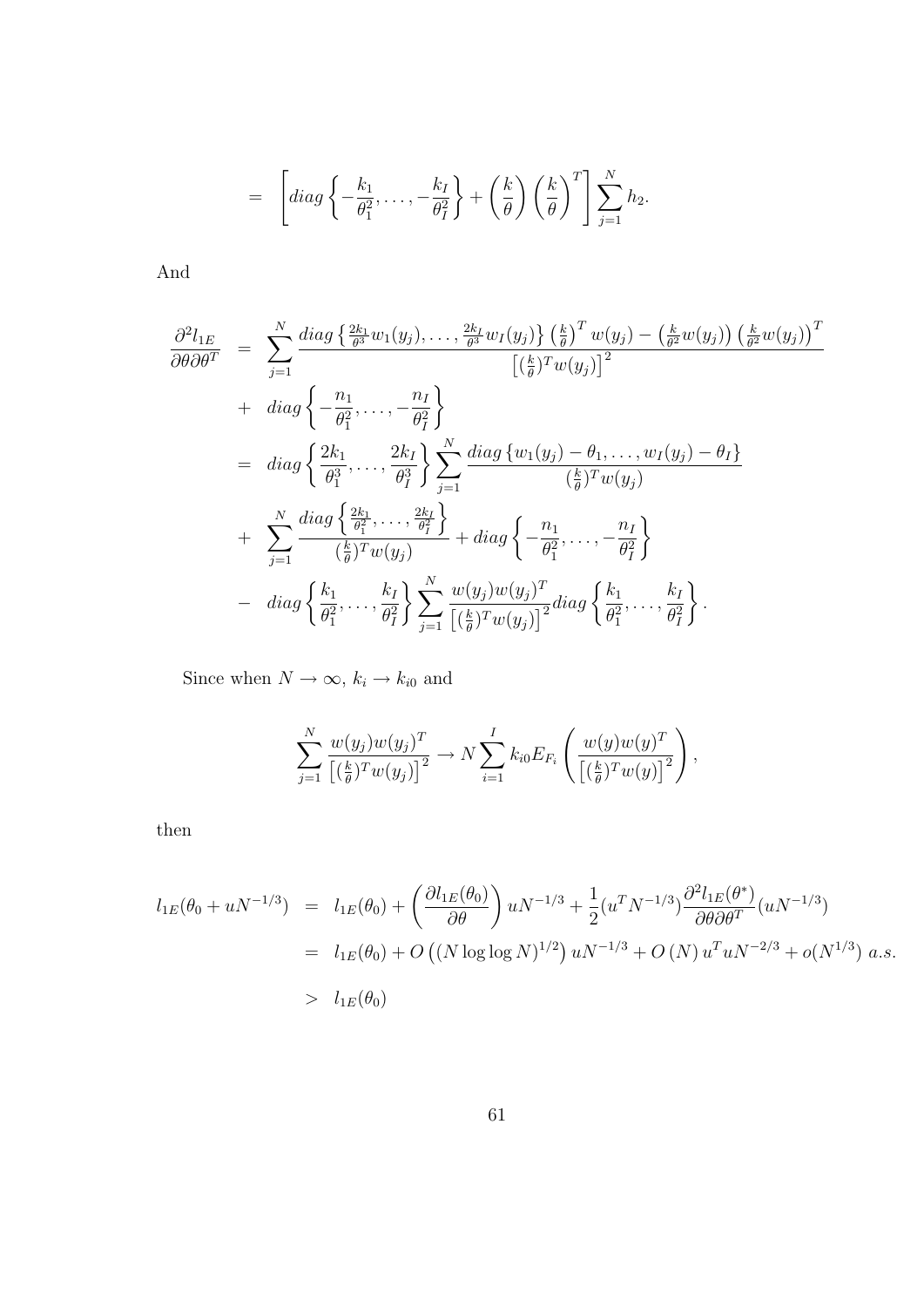$$
= \left[ diag \left\{ -\frac{k_1}{\theta_1^2}, \ldots, -\frac{k_I}{\theta_I^2} \right\} + \left(\frac{k}{\theta}\right) \left(\frac{k}{\theta}\right)^T \right] \sum_{j=1}^N h_2.
$$

And

$$
\frac{\partial^2 l_{1E}}{\partial \theta \partial \theta^T} = \sum_{j=1}^N \frac{diag\left\{\frac{2k_1}{\theta^3} w_1(y_j), \dots, \frac{2k_I}{\theta^3} w_I(y_j)\right\} \left(\frac{k}{\theta}\right)^T w(y_j) - \left(\frac{k}{\theta^2} w(y_j)\right) \left(\frac{k}{\theta^2} w(y_j)\right)^T}{\left[\left(\frac{k}{\theta}\right)^T w(y_j)\right]^2}
$$
\n
$$
+ diag\left\{\frac{n_1}{\theta_1^2}, \dots, \frac{n_I}{\theta_I^2}\right\}
$$
\n
$$
= diag\left\{\frac{2k_1}{\theta_1^3}, \dots, \frac{2k_I}{\theta_I^3}\right\} \sum_{j=1}^N \frac{diag\left\{w_1(y_j) - \theta_1, \dots, w_I(y_j) - \theta_I\right\}}{\left(\frac{k}{\theta}\right)^T w(y_j)}
$$
\n
$$
+ \sum_{j=1}^N \frac{diag\left\{\frac{2k_1}{\theta_1^2}, \dots, \frac{2k_I}{\theta_I^2}\right\}}{\left(\frac{k}{\theta}\right)^T w(y_j)} + diag\left\{-\frac{n_1}{\theta_1^2}, \dots, -\frac{n_I}{\theta_I^2}\right\}
$$
\n
$$
- diag\left\{\frac{k_1}{\theta_1^2}, \dots, \frac{k_I}{\theta_I^2}\right\} \sum_{j=1}^N \frac{w(y_j) w(y_j)^T}{\left[\left(\frac{k}{\theta}\right)^T w(y_j)\right]^2} diag\left\{\frac{k_1}{\theta_1^2}, \dots, \frac{k_I}{\theta_I^2}\right\}.
$$

Since when  $N \to \infty$ ,  $k_i \to k_{i0}$  and

$$
\sum_{j=1}^N \frac{w(y_j)w(y_j)^T}{\left[\left(\frac{k}{\theta}\right)^T w(y_j)\right]^2} \to N \sum_{i=1}^I k_{i0} E_{F_i} \left(\frac{w(y)w(y)^T}{\left[\left(\frac{k}{\theta}\right)^T w(y)\right]^2}\right),
$$

then

$$
l_{1E}(\theta_0 + uN^{-1/3}) = l_{1E}(\theta_0) + \left(\frac{\partial l_{1E}(\theta_0)}{\partial \theta}\right) uN^{-1/3} + \frac{1}{2} (u^T N^{-1/3}) \frac{\partial^2 l_{1E}(\theta^*)}{\partial \theta \partial \theta^T} (uN^{-1/3})
$$
  
=  $l_{1E}(\theta_0) + O\left( (N \log \log N)^{1/2} \right) uN^{-1/3} + O\left( N \right) u^T uN^{-2/3} + o(N^{1/3}) a.s.$   
>  $l_{1E}(\theta_0)$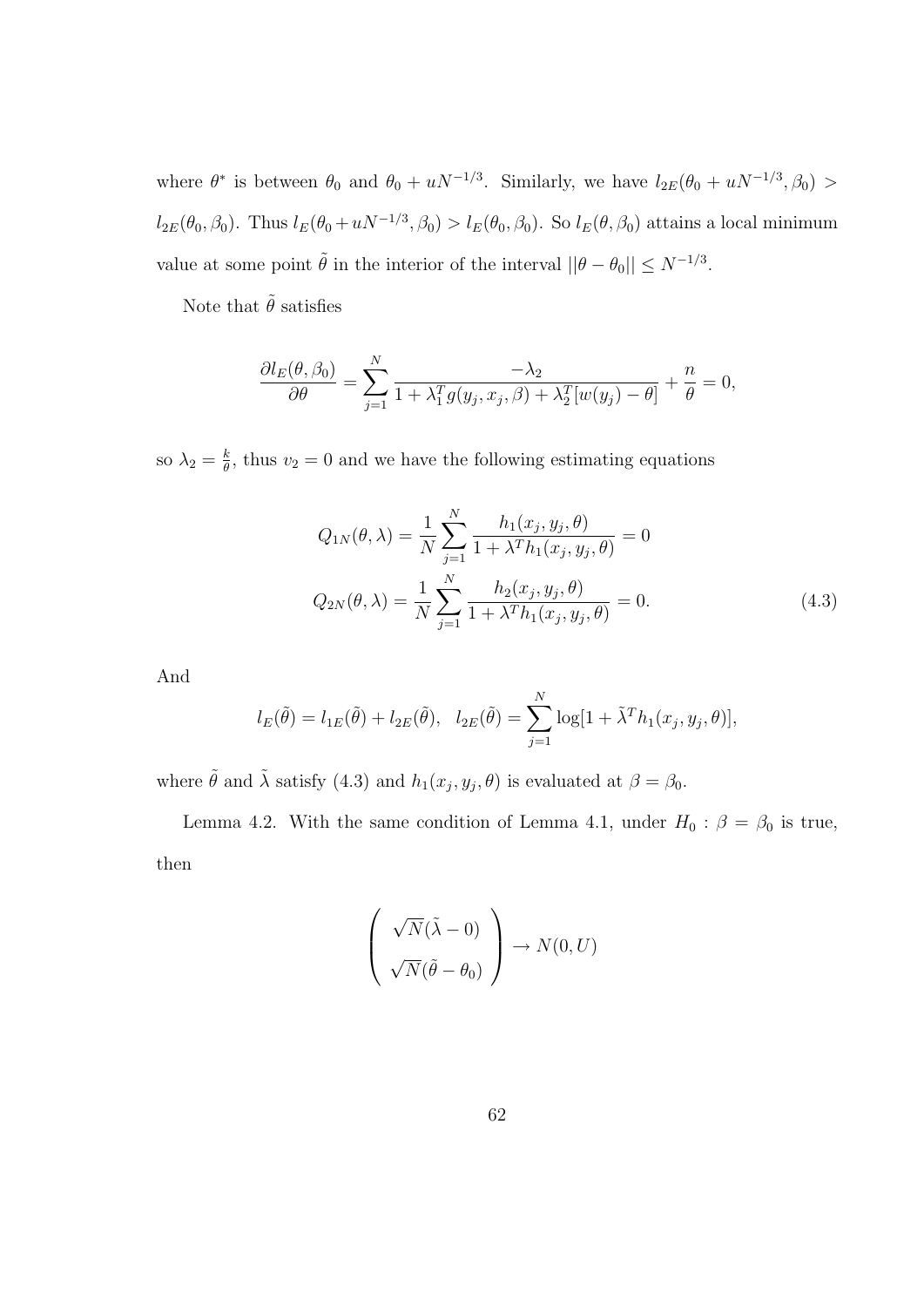where  $\theta^*$  is between  $\theta_0$  and  $\theta_0 + uN^{-1/3}$ . Similarly, we have  $l_{2E}(\theta_0 + uN^{-1/3}, \beta_0)$  $l_{2E}(\theta_0, \beta_0)$ . Thus  $l_E(\theta_0 + uN^{-1/3}, \beta_0) > l_E(\theta_0, \beta_0)$ . So  $l_E(\theta, \beta_0)$  attains a local minimum value at some point  $\tilde{\theta}$  in the interior of the interval  $||\theta - \theta_0|| \le N^{-1/3}$ .

Note that  $\tilde{\theta}$  satisfies

$$
\frac{\partial l_E(\theta, \beta_0)}{\partial \theta} = \sum_{j=1}^N \frac{-\lambda_2}{1 + \lambda_1^T g(y_j, x_j, \beta) + \lambda_2^T [w(y_j) - \theta]} + \frac{n}{\theta} = 0,
$$

so  $\lambda_2 = \frac{k}{\theta}$  $\frac{k}{\theta}$ , thus  $v_2 = 0$  and we have the following estimating equations

$$
Q_{1N}(\theta,\lambda) = \frac{1}{N} \sum_{j=1}^{N} \frac{h_1(x_j, y_j, \theta)}{1 + \lambda^T h_1(x_j, y_j, \theta)} = 0
$$
  

$$
Q_{2N}(\theta,\lambda) = \frac{1}{N} \sum_{j=1}^{N} \frac{h_2(x_j, y_j, \theta)}{1 + \lambda^T h_1(x_j, y_j, \theta)} = 0.
$$
 (4.3)

And

$$
l_E(\tilde{\theta}) = l_{1E}(\tilde{\theta}) + l_{2E}(\tilde{\theta}), \quad l_{2E}(\tilde{\theta}) = \sum_{j=1}^N \log[1 + \tilde{\lambda}^T h_1(x_j, y_j, \theta)],
$$

where  $\tilde{\theta}$  and  $\tilde{\lambda}$  satisfy (4.3) and  $h_1(x_j, y_j, \theta)$  is evaluated at  $\beta = \beta_0$ .

Lemma 4.2. With the same condition of Lemma 4.1, under  $H_0$ :  $\beta = \beta_0$  is true, then

$$
\left(\begin{array}{c}\sqrt{N}(\tilde{\lambda} - 0) \\ \sqrt{N}(\tilde{\theta} - \theta_0)\end{array}\right) \to N(0, U)
$$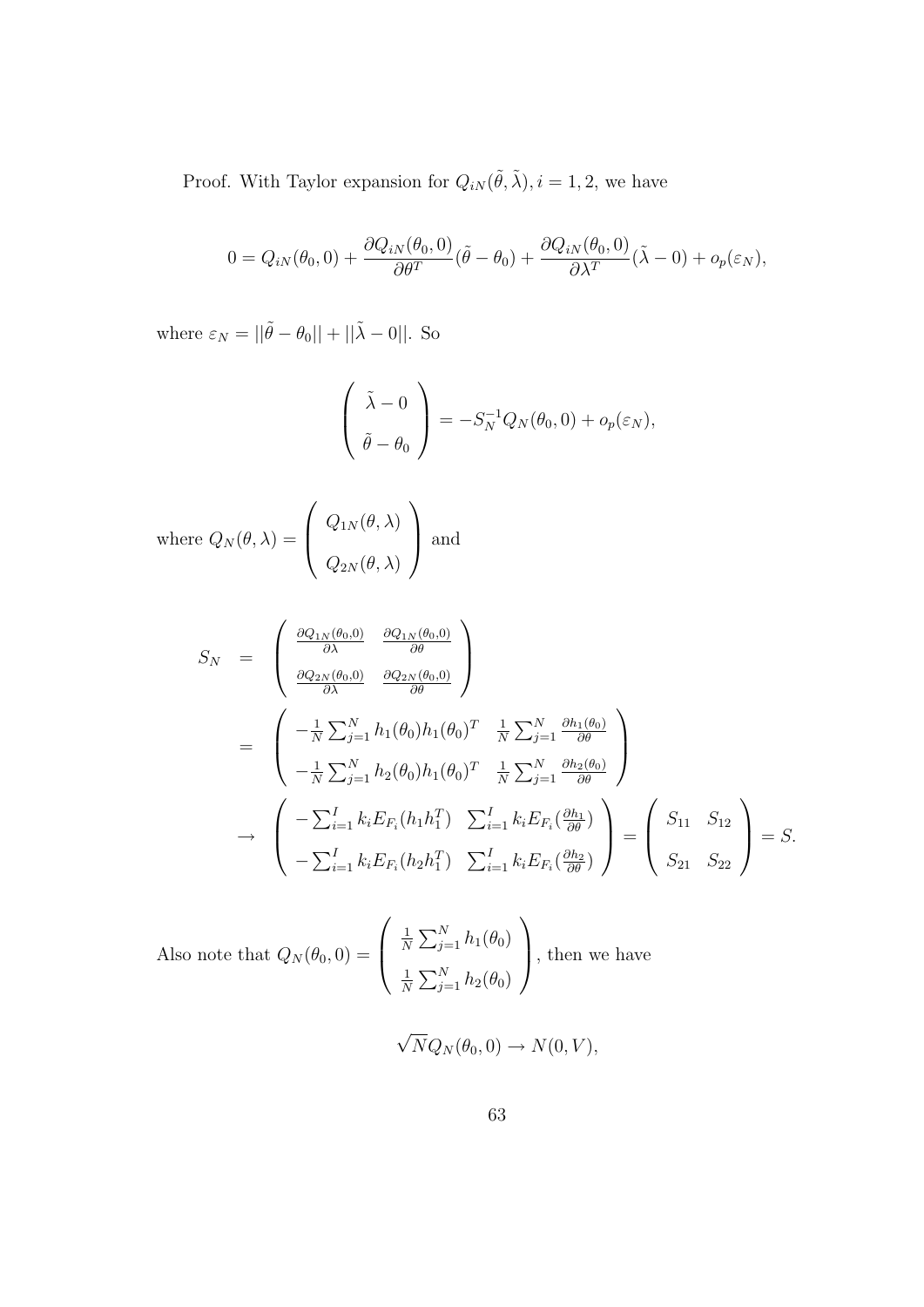Proof. With Taylor expansion for  $Q_{iN}(\tilde{\theta}, \tilde{\lambda}), i = 1, 2$ , we have

$$
0 = Q_{iN}(\theta_0, 0) + \frac{\partial Q_{iN}(\theta_0, 0)}{\partial \theta^T} (\tilde{\theta} - \theta_0) + \frac{\partial Q_{iN}(\theta_0, 0)}{\partial \lambda^T} (\tilde{\lambda} - 0) + o_p(\varepsilon_N),
$$

where  $\varepsilon_N = ||\tilde{\theta} - \theta_0|| + ||\tilde{\lambda} - 0||$ . So

$$
\begin{pmatrix} \tilde{\lambda} - 0 \\ \tilde{\theta} - \theta_0 \end{pmatrix} = -S_N^{-1} Q_N(\theta_0, 0) + o_p(\varepsilon_N),
$$

where 
$$
Q_N(\theta, \lambda) = \begin{pmatrix} Q_{1N}(\theta, \lambda) \\ Q_{2N}(\theta, \lambda) \end{pmatrix}
$$
 and

$$
S_N = \begin{pmatrix} \frac{\partial Q_{1N}(\theta_0,0)}{\partial \lambda} & \frac{\partial Q_{1N}(\theta_0,0)}{\partial \theta} \\ \frac{\partial Q_{2N}(\theta_0,0)}{\partial \lambda} & \frac{\partial Q_{2N}(\theta_0,0)}{\partial \theta} \end{pmatrix}
$$
  
\n
$$
= \begin{pmatrix} -\frac{1}{N} \sum_{j=1}^N h_1(\theta_0) h_1(\theta_0)^T & \frac{1}{N} \sum_{j=1}^N \frac{\partial h_1(\theta_0)}{\partial \theta} \\ -\frac{1}{N} \sum_{j=1}^N h_2(\theta_0) h_1(\theta_0)^T & \frac{1}{N} \sum_{j=1}^N \frac{\partial h_2(\theta_0)}{\partial \theta} \end{pmatrix}
$$
  
\n
$$
\rightarrow \begin{pmatrix} -\sum_{i=1}^I k_i E_{F_i}(h_1 h_1^T) & \sum_{i=1}^I k_i E_{F_i}(\frac{\partial h_1}{\partial \theta}) \\ -\sum_{i=1}^I k_i E_{F_i}(h_2 h_1^T) & \sum_{i=1}^I k_i E_{F_i}(\frac{\partial h_2}{\partial \theta}) \end{pmatrix} = \begin{pmatrix} S_{11} & S_{12} \\ S_{21} & S_{22} \end{pmatrix} = S.
$$

Also note that 
$$
Q_N(\theta_0, 0) = \begin{pmatrix} \frac{1}{N} \sum_{j=1}^N h_1(\theta_0) \\ \frac{1}{N} \sum_{j=1}^N h_2(\theta_0) \end{pmatrix}
$$
, then we have  
\n
$$
\sqrt{N}Q_N(\theta_0, 0) \to N(0, V),
$$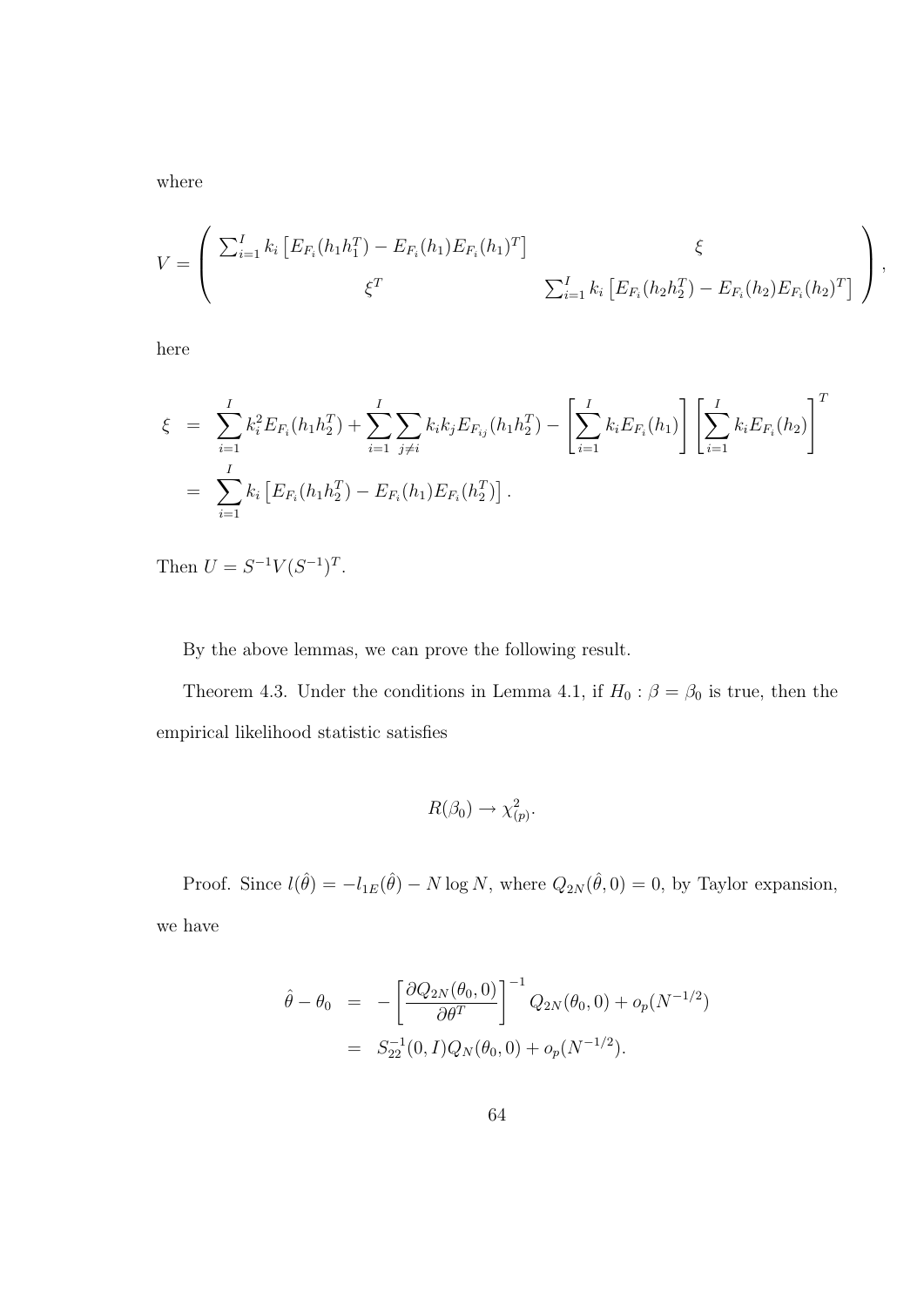where

$$
V = \begin{pmatrix} \sum_{i=1}^{I} k_i \left[ E_{F_i}(h_1 h_1^T) - E_{F_i}(h_1) E_{F_i}(h_1)^T \right] & \xi \\ \xi^T & \sum_{i=1}^{I} k_i \left[ E_{F_i}(h_2 h_2^T) - E_{F_i}(h_2) E_{F_i}(h_2)^T \right] \end{pmatrix},
$$

here

$$
\xi = \sum_{i=1}^{I} k_i^2 E_{F_i}(h_1 h_2^T) + \sum_{i=1}^{I} \sum_{j \neq i} k_i k_j E_{F_{ij}}(h_1 h_2^T) - \left[ \sum_{i=1}^{I} k_i E_{F_i}(h_1) \right] \left[ \sum_{i=1}^{I} k_i E_{F_i}(h_2) \right]^T
$$
  
= 
$$
\sum_{i=1}^{I} k_i \left[ E_{F_i}(h_1 h_2^T) - E_{F_i}(h_1) E_{F_i}(h_2^T) \right].
$$

Then  $U = S^{-1}V(S^{-1})^T$ .

By the above lemmas, we can prove the following result.

Theorem 4.3. Under the conditions in Lemma 4.1, if  $H_0$  :  $\beta = \beta_0$  is true, then the empirical likelihood statistic satisfies

$$
R(\beta_0) \to \chi^2_{(p)}.
$$

Proof. Since  $l(\hat{\theta}) = -l_{1E}(\hat{\theta}) - N \log N$ , where  $Q_{2N}(\hat{\theta}, 0) = 0$ , by Taylor expansion, we have

$$
\hat{\theta} - \theta_0 = -\left[\frac{\partial Q_{2N}(\theta_0, 0)}{\partial \theta^T}\right]^{-1} Q_{2N}(\theta_0, 0) + o_p(N^{-1/2})
$$
  
=  $S_{22}^{-1}(0, I)Q_N(\theta_0, 0) + o_p(N^{-1/2}).$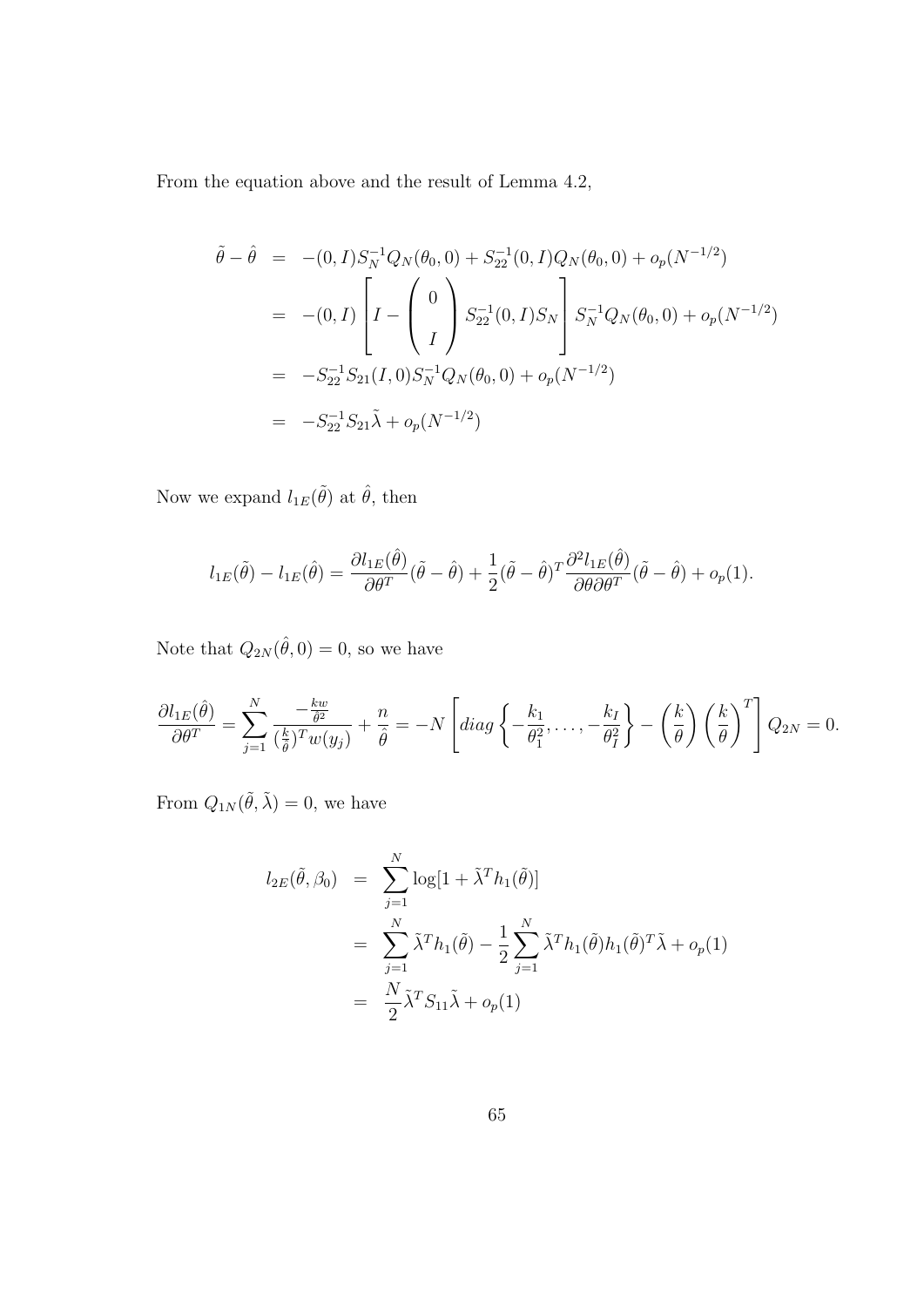From the equation above and the result of Lemma 4.2,

$$
\tilde{\theta} - \hat{\theta} = -(0, I) S_N^{-1} Q_N(\theta_0, 0) + S_{22}^{-1}(0, I) Q_N(\theta_0, 0) + o_p(N^{-1/2})
$$
  
\n
$$
= -(0, I) \left[ I - \begin{pmatrix} 0 \\ I \end{pmatrix} S_{22}^{-1}(0, I) S_N \right] S_N^{-1} Q_N(\theta_0, 0) + o_p(N^{-1/2})
$$
  
\n
$$
= -S_{22}^{-1} S_{21}(I, 0) S_N^{-1} Q_N(\theta_0, 0) + o_p(N^{-1/2})
$$
  
\n
$$
= -S_{22}^{-1} S_{21} \tilde{\lambda} + o_p(N^{-1/2})
$$

Now we expand  $l_{1E}(\tilde{\theta})$  at  $\hat{\theta}$ , then

$$
l_{1E}(\tilde{\theta}) - l_{1E}(\hat{\theta}) = \frac{\partial l_{1E}(\hat{\theta})}{\partial \theta^T} (\tilde{\theta} - \hat{\theta}) + \frac{1}{2} (\tilde{\theta} - \hat{\theta})^T \frac{\partial^2 l_{1E}(\hat{\theta})}{\partial \theta \partial \theta^T} (\tilde{\theta} - \hat{\theta}) + o_p(1).
$$

Note that  $Q_{2N}(\hat{\theta},0) = 0$ , so we have

$$
\frac{\partial l_{1E}(\hat{\theta})}{\partial \theta^T} = \sum_{j=1}^N \frac{-\frac{kw}{\hat{\theta}^2}}{(\frac{k}{\hat{\theta}})^T w(y_j)} + \frac{n}{\hat{\theta}} = -N \left[ diag \left\{ -\frac{k_1}{\theta_1^2}, \dots, -\frac{k_I}{\theta_I^2} \right\} - \left(\frac{k}{\theta}\right) \left(\frac{k}{\theta}\right)^T \right] Q_{2N} = 0.
$$

From  $Q_{1N}(\tilde{\theta}, \tilde{\lambda}) = 0$ , we have

$$
l_{2E}(\tilde{\theta}, \beta_0) = \sum_{j=1}^N \log[1 + \tilde{\lambda}^T h_1(\tilde{\theta})]
$$
  
= 
$$
\sum_{j=1}^N \tilde{\lambda}^T h_1(\tilde{\theta}) - \frac{1}{2} \sum_{j=1}^N \tilde{\lambda}^T h_1(\tilde{\theta}) h_1(\tilde{\theta})^T \tilde{\lambda} + o_p(1)
$$
  
= 
$$
\frac{N}{2} \tilde{\lambda}^T S_{11} \tilde{\lambda} + o_p(1)
$$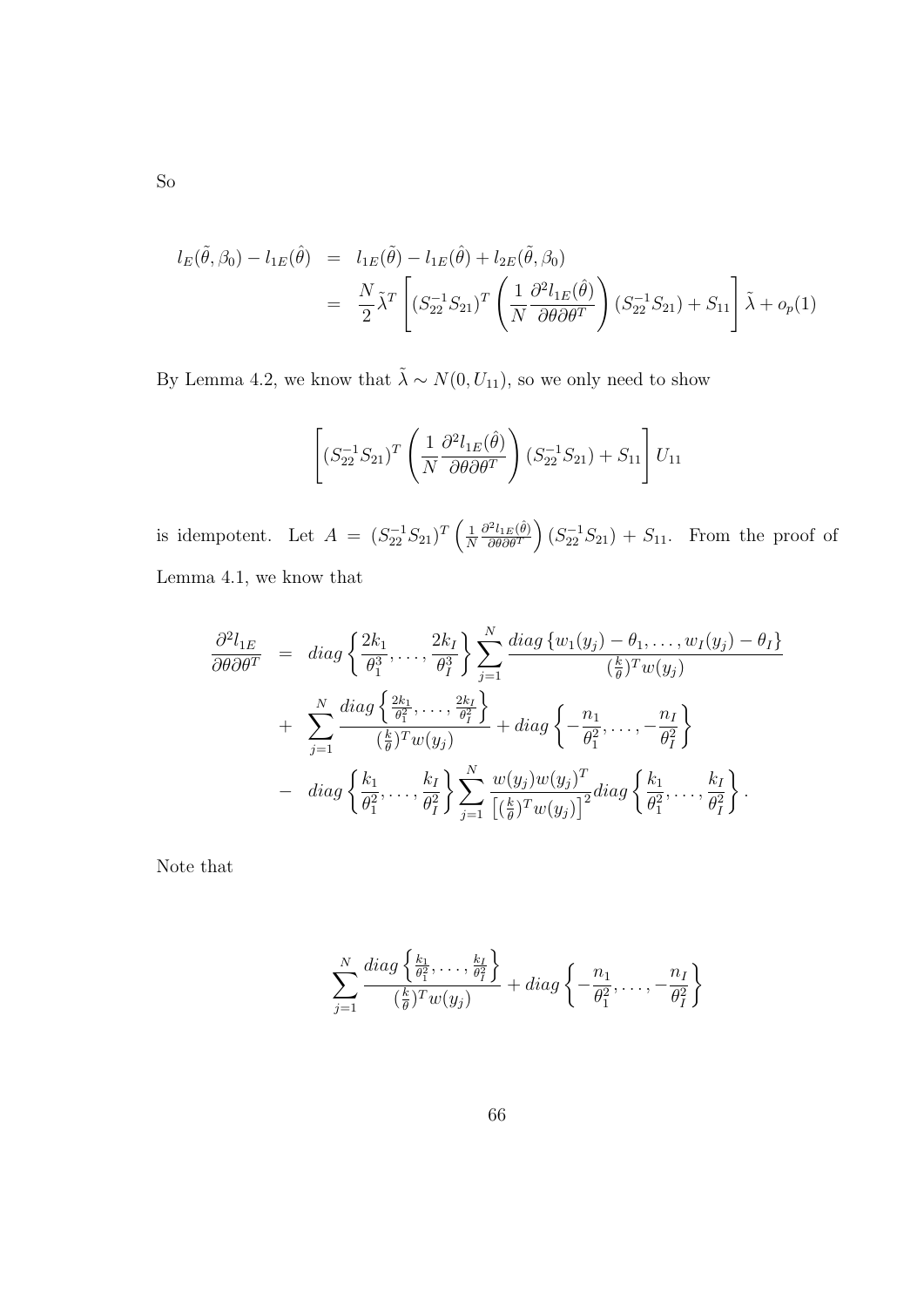$$
l_E(\tilde{\theta}, \beta_0) - l_{1E}(\hat{\theta}) = l_{1E}(\tilde{\theta}) - l_{1E}(\hat{\theta}) + l_{2E}(\tilde{\theta}, \beta_0)
$$
  

$$
= \frac{N}{2} \tilde{\lambda}^T \left[ (S_{22}^{-1} S_{21})^T \left( \frac{1}{N} \frac{\partial^2 l_{1E}(\hat{\theta})}{\partial \theta \partial \theta^T} \right) (S_{22}^{-1} S_{21}) + S_{11} \right] \tilde{\lambda} + o_p(1)
$$

By Lemma 4.2, we know that  $\tilde{\lambda} \sim N(0, U_{11})$ , so we only need to show

$$
\left[ (S_{22}^{-1}S_{21})^T \left( \frac{1}{N} \frac{\partial^2 l_{1E}(\hat{\theta})}{\partial \theta \partial \theta^T} \right) (S_{22}^{-1}S_{21}) + S_{11} \right] U_{11}
$$

is idempotent. Let  $A = (S_{22}^{-1}S_{21})^T$  $\frac{1}{2}$ N  $\partial^2 l_{1E}(\hat{\theta})$ ∂θ∂θ<sup>T</sup> ´  $(S_{22}^{-1}S_{21}) + S_{11}$ . From the proof of Lemma 4.1, we know that

$$
\frac{\partial^2 l_{1E}}{\partial \theta \partial \theta^T} = diag \left\{ \frac{2k_1}{\theta_1^3}, \dots, \frac{2k_I}{\theta_I^3} \right\} \sum_{j=1}^N \frac{diag \left\{ w_1(y_j) - \theta_1, \dots, w_I(y_j) - \theta_I \right\}}{\left(\frac{k}{\theta}\right)^T w(y_j)} \n+ \sum_{j=1}^N \frac{diag \left\{ \frac{2k_1}{\theta_1^2}, \dots, \frac{2k_I}{\theta_I^2} \right\}}{\left(\frac{k}{\theta}\right)^T w(y_j)} + diag \left\{ -\frac{n_1}{\theta_1^2}, \dots, -\frac{n_I}{\theta_I^2} \right\} \n- diag \left\{ \frac{k_1}{\theta_1^2}, \dots, \frac{k_I}{\theta_I^2} \right\} \sum_{j=1}^N \frac{w(y_j) w(y_j)^T}{\left[\left(\frac{k}{\theta}\right)^T w(y_j)\right]^2} diag \left\{ \frac{k_1}{\theta_1^2}, \dots, \frac{k_I}{\theta_I^2} \right\}.
$$

Note that

$$
\sum_{j=1}^N \frac{diag\left\{\frac{k_1}{\theta_1^2},\ldots,\frac{k_I}{\theta_I^2}\right\}}{(\frac{k}{\theta})^T w(y_j)} + diag\left\{-\frac{n_1}{\theta_1^2},\ldots,-\frac{n_I}{\theta_I^2}\right\}
$$

So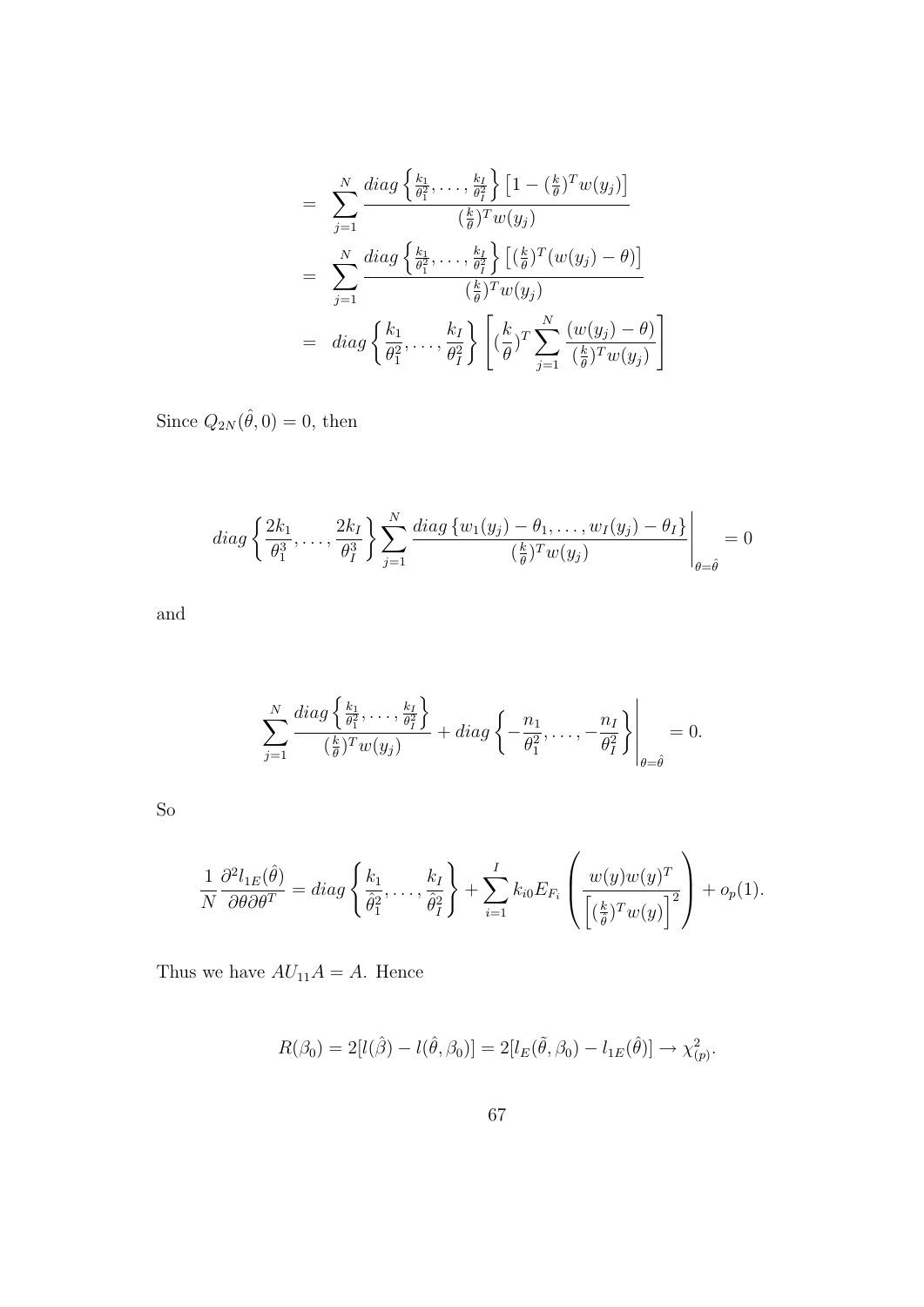$$
= \sum_{j=1}^{N} \frac{diag\left\{\frac{k_1}{\theta_1^2}, \dots, \frac{k_I}{\theta_I^2}\right\} \left[1 - \left(\frac{k}{\theta}\right)^T w(y_j)\right]}{\left(\frac{k}{\theta}\right)^T w(y_j)}
$$
  

$$
= \sum_{j=1}^{N} \frac{diag\left\{\frac{k_1}{\theta_1^2}, \dots, \frac{k_I}{\theta_I^2}\right\} \left[\left(\frac{k}{\theta}\right)^T (w(y_j) - \theta)\right]}{\left(\frac{k}{\theta}\right)^T w(y_j)}
$$
  

$$
= diag\left\{\frac{k_1}{\theta_1^2}, \dots, \frac{k_I}{\theta_I^2}\right\} \left[\left(\frac{k}{\theta}\right)^T \sum_{j=1}^{N} \frac{(w(y_j) - \theta)}{\left(\frac{k}{\theta}\right)^T w(y_j)}\right]
$$

Since  $Q_{2N}(\hat{\theta},0) = 0$ , then

diag 
$$
\left\{\frac{2k_1}{\theta_1^3},\ldots,\frac{2k_I}{\theta_I^3}\right\}
$$
  $\sum_{j=1}^N \frac{diag\left\{w_1(y_j) - \theta_1,\ldots,w_I(y_j) - \theta_I\right\}}{\left(\frac{k}{\theta}\right)^T w(y_j)}$  = 0

and

$$
\sum_{j=1}^N \frac{diag\left\{\frac{k_1}{\theta_1^2},\ldots,\frac{k_I}{\theta_I^2}\right\}}{(\frac{k}{\theta})^T w(y_j)} + diag\left\{-\frac{n_1}{\theta_1^2},\ldots,-\frac{n_I}{\theta_I^2}\right\}\Bigg|_{\theta=\hat{\theta}} = 0.
$$

So

$$
\frac{1}{N} \frac{\partial^2 l_{1E}(\hat{\theta})}{\partial \theta \partial \theta^T} = diag \left\{ \frac{k_1}{\hat{\theta}_1^2}, \dots, \frac{k_I}{\hat{\theta}_I^2} \right\} + \sum_{i=1}^I k_{i0} E_{F_i} \left( \frac{w(y)w(y)^T}{\left[ \left( \frac{k}{\hat{\theta}} \right)^T w(y) \right]^2} \right) + o_p(1).
$$

Thus we have  $AU_{11}A = A$ . Hence

$$
R(\beta_0) = 2[l(\hat{\beta}) - l(\hat{\theta}, \beta_0)] = 2[l_E(\tilde{\theta}, \beta_0) - l_{1E}(\hat{\theta})] \to \chi^2_{(p)}.
$$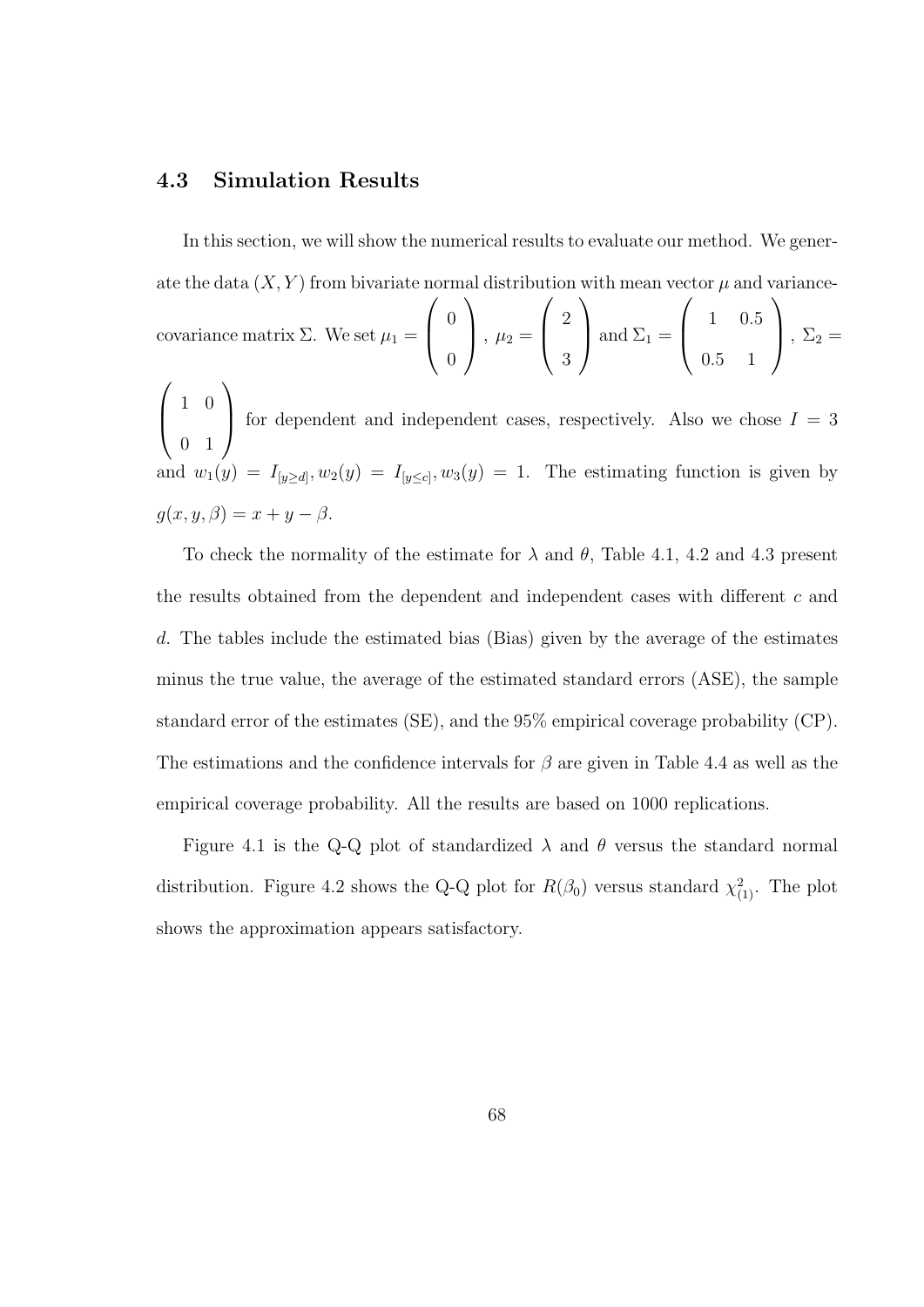#### 4.3 Simulation Results

In this section, we will show the numerical results to evaluate our method. We generate the data  $(X, Y)$  from bivariate normal distribution with mean vector  $\mu$  and variancecovariance matrix  $\Sigma$ . We set  $\mu_1 = \begin{pmatrix} 0 & 0 \\ 0 & 0 \\ 0 & 0 \end{pmatrix}$ 0  $\Bigg\}, \mu_2 = \Bigg\vert 2$ 3  $\Big|$  and  $\Sigma_1 = \Big|$  1 0.5 0.5 1  $\Big\}, \Sigma_2 =$  $\mathcal{L}$  $\begin{pmatrix} 1 & 0 \\ 0 & 0 \\ 0 & 0 \\ 0 & 0 \\ 0 & 0 \\ 0 & 0 \\ 0 & 0 \\ 0 & 0 & 0 \\ 0 & 0 & 0 \\ 0 & 0 & 0 \\ 0 & 0 & 0 & 0 \\ 0 & 0 & 0 & 0 \\ 0 & 0 & 0 & 0 & 0 \\ 0 & 0 & 0 & 0 & 0 \\ 0 & 0 & 0 & 0 & 0 & 0 \\ 0 & 0 & 0 & 0 & 0 & 0 \\ 0 & 0 & 0 & 0 & 0 & 0 & 0 \\ 0 & 0 & 0 & 0 & 0 & 0 & 0 \\ 0 & 0 & 0 & 0 &$ 0 1 for dependent and independent cases, respectively. Also we chose  $I = 3$ and  $w_1(y) = I_{[y \ge d]}, w_2(y) = I_{[y \le c]}, w_3(y) = 1$ . The estimating function is given by

$$
g(x, y, \beta) = x + y - \beta.
$$

To check the normality of the estimate for  $\lambda$  and  $\theta$ , Table 4.1, 4.2 and 4.3 present the results obtained from the dependent and independent cases with different c and d. The tables include the estimated bias (Bias) given by the average of the estimates minus the true value, the average of the estimated standard errors (ASE), the sample standard error of the estimates (SE), and the 95% empirical coverage probability (CP). The estimations and the confidence intervals for  $\beta$  are given in Table 4.4 as well as the empirical coverage probability. All the results are based on 1000 replications.

Figure 4.1 is the Q-Q plot of standardized  $\lambda$  and  $\theta$  versus the standard normal distribution. Figure 4.2 shows the Q-Q plot for  $R(\beta_0)$  versus standard  $\chi^2_{(1)}$ . The plot shows the approximation appears satisfactory.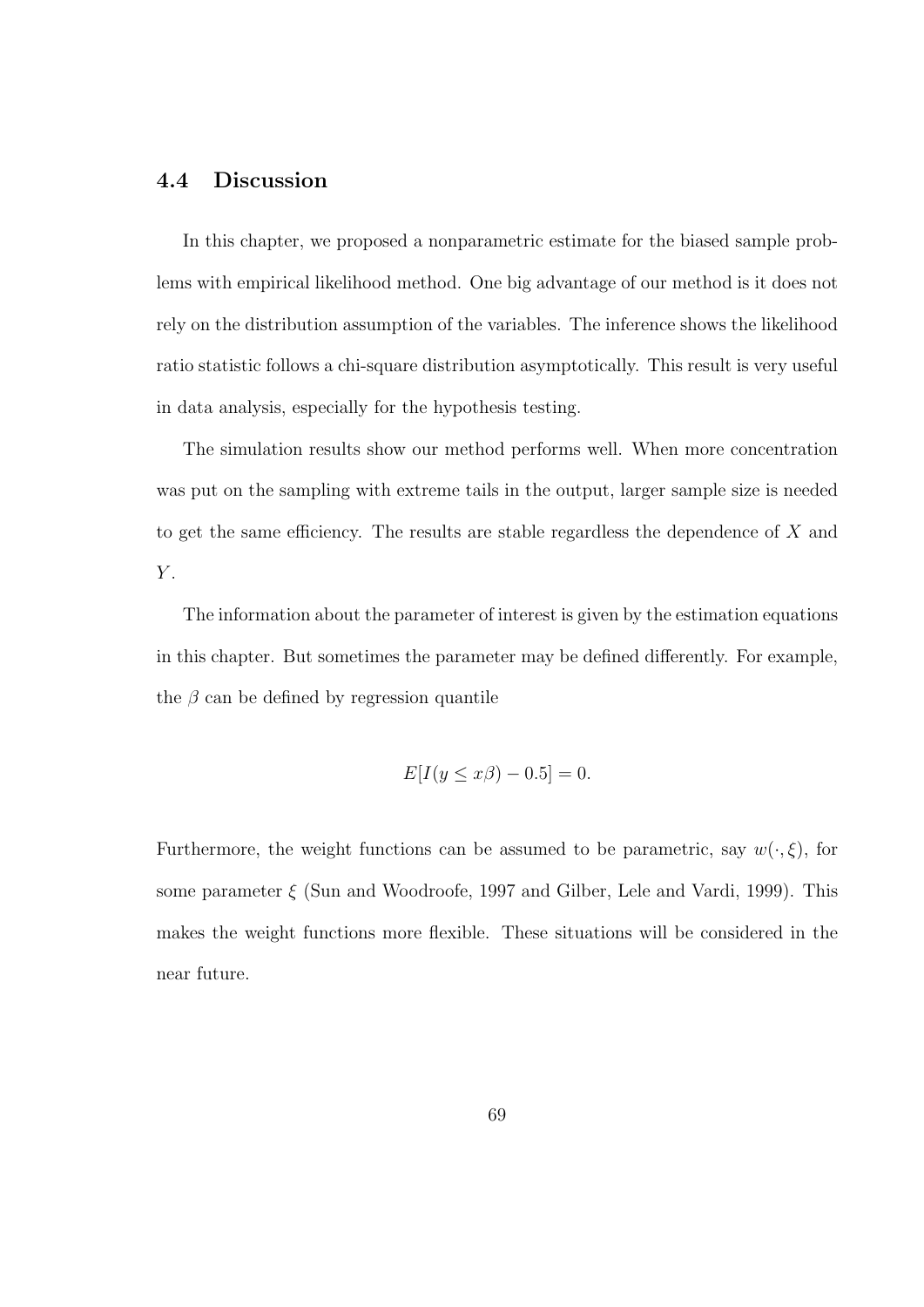### 4.4 Discussion

In this chapter, we proposed a nonparametric estimate for the biased sample problems with empirical likelihood method. One big advantage of our method is it does not rely on the distribution assumption of the variables. The inference shows the likelihood ratio statistic follows a chi-square distribution asymptotically. This result is very useful in data analysis, especially for the hypothesis testing.

The simulation results show our method performs well. When more concentration was put on the sampling with extreme tails in the output, larger sample size is needed to get the same efficiency. The results are stable regardless the dependence of X and  $Y$ .

The information about the parameter of interest is given by the estimation equations in this chapter. But sometimes the parameter may be defined differently. For example, the  $\beta$  can be defined by regression quantile

$$
E[I(y \le x\beta) - 0.5] = 0.
$$

Furthermore, the weight functions can be assumed to be parametric, say  $w(\cdot,\xi)$ , for some parameter  $\xi$  (Sun and Woodroofe, 1997 and Gilber, Lele and Vardi, 1999). This makes the weight functions more flexible. These situations will be considered in the near future.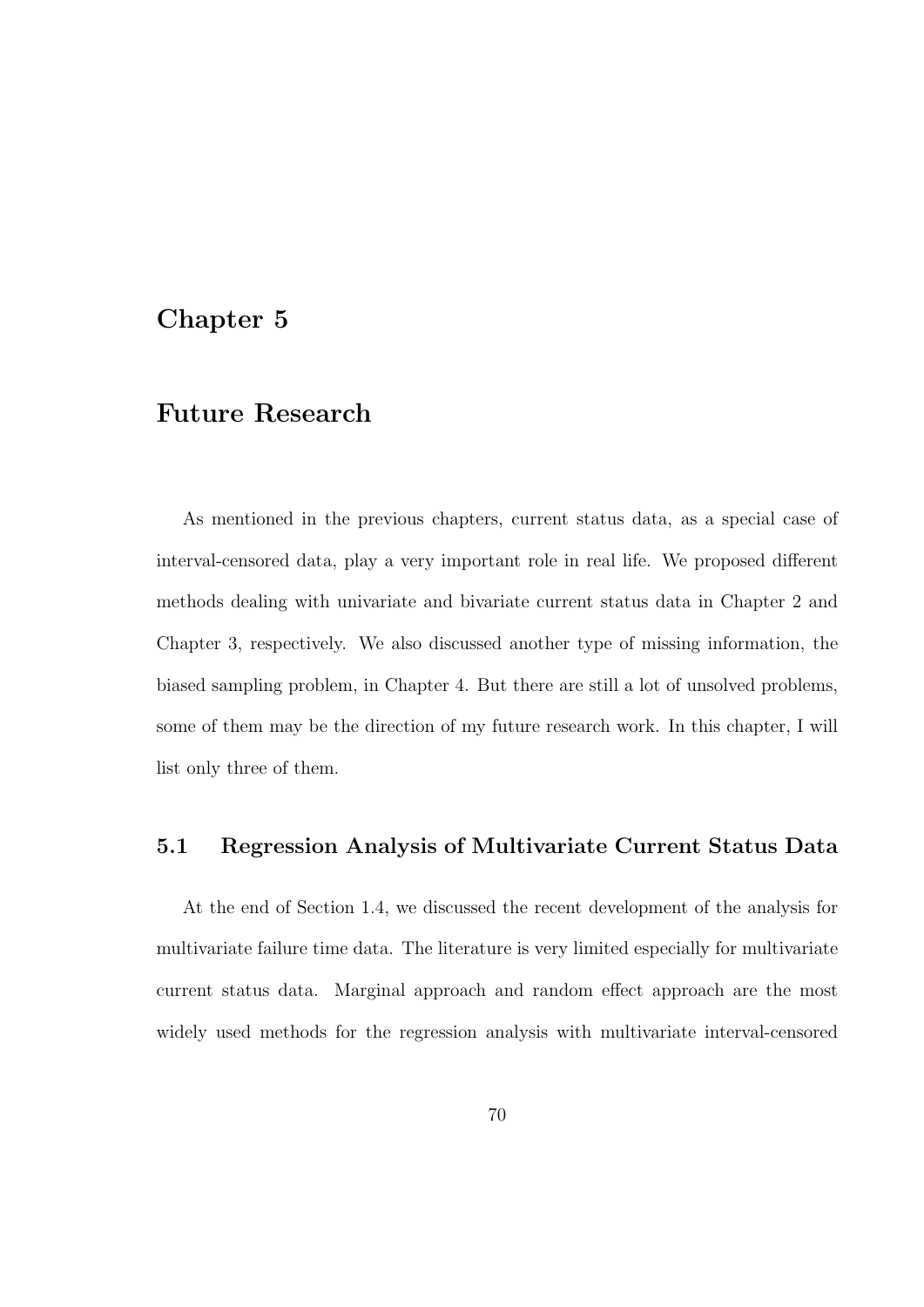### Chapter 5

### Future Research

As mentioned in the previous chapters, current status data, as a special case of interval-censored data, play a very important role in real life. We proposed different methods dealing with univariate and bivariate current status data in Chapter 2 and Chapter 3, respectively. We also discussed another type of missing information, the biased sampling problem, in Chapter 4. But there are still a lot of unsolved problems, some of them may be the direction of my future research work. In this chapter, I will list only three of them.

### 5.1 Regression Analysis of Multivariate Current Status Data

At the end of Section 1.4, we discussed the recent development of the analysis for multivariate failure time data. The literature is very limited especially for multivariate current status data. Marginal approach and random effect approach are the most widely used methods for the regression analysis with multivariate interval-censored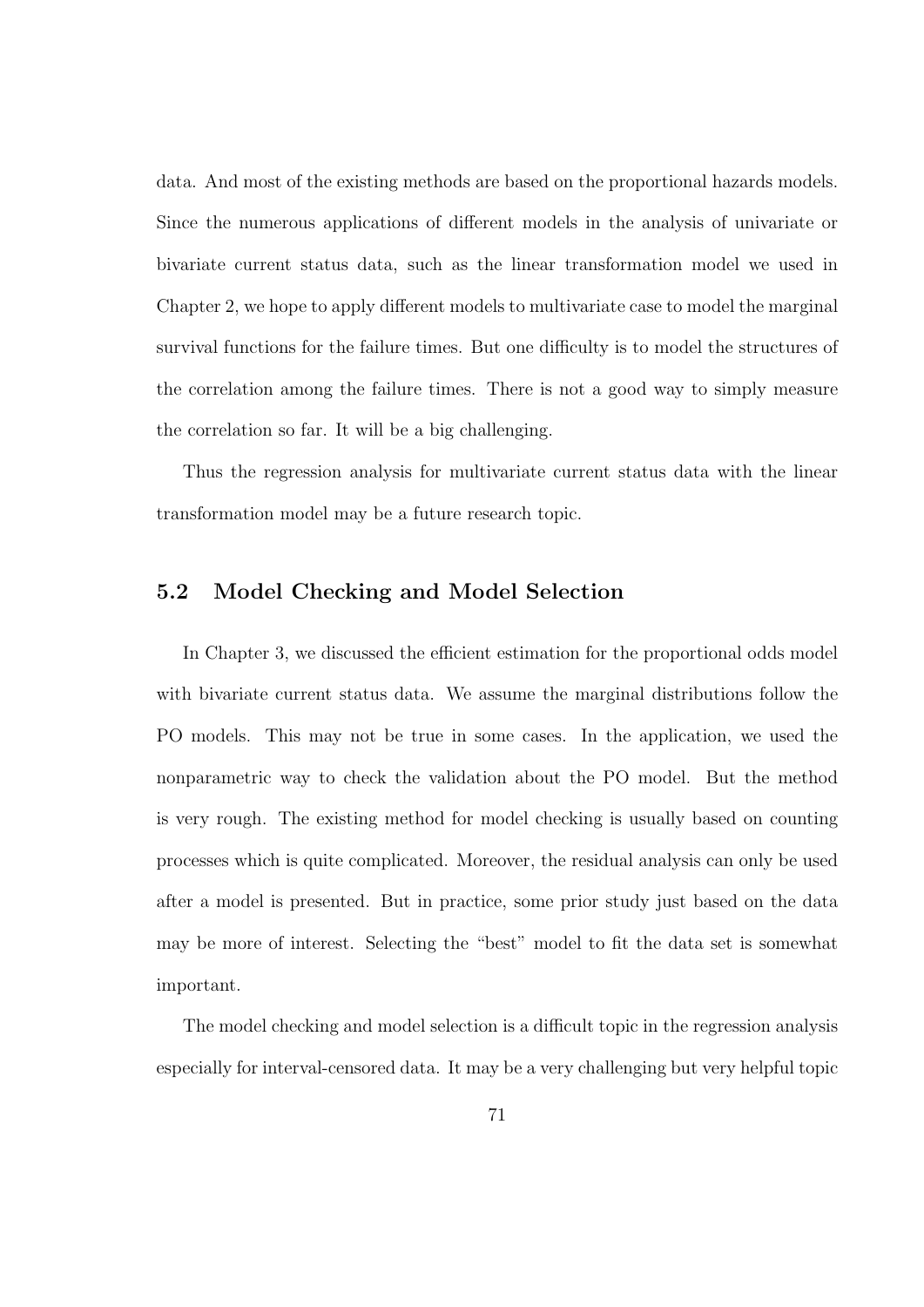data. And most of the existing methods are based on the proportional hazards models. Since the numerous applications of different models in the analysis of univariate or bivariate current status data, such as the linear transformation model we used in Chapter 2, we hope to apply different models to multivariate case to model the marginal survival functions for the failure times. But one difficulty is to model the structures of the correlation among the failure times. There is not a good way to simply measure the correlation so far. It will be a big challenging.

Thus the regression analysis for multivariate current status data with the linear transformation model may be a future research topic.

### 5.2 Model Checking and Model Selection

In Chapter 3, we discussed the efficient estimation for the proportional odds model with bivariate current status data. We assume the marginal distributions follow the PO models. This may not be true in some cases. In the application, we used the nonparametric way to check the validation about the PO model. But the method is very rough. The existing method for model checking is usually based on counting processes which is quite complicated. Moreover, the residual analysis can only be used after a model is presented. But in practice, some prior study just based on the data may be more of interest. Selecting the "best" model to fit the data set is somewhat important.

The model checking and model selection is a difficult topic in the regression analysis especially for interval-censored data. It may be a very challenging but very helpful topic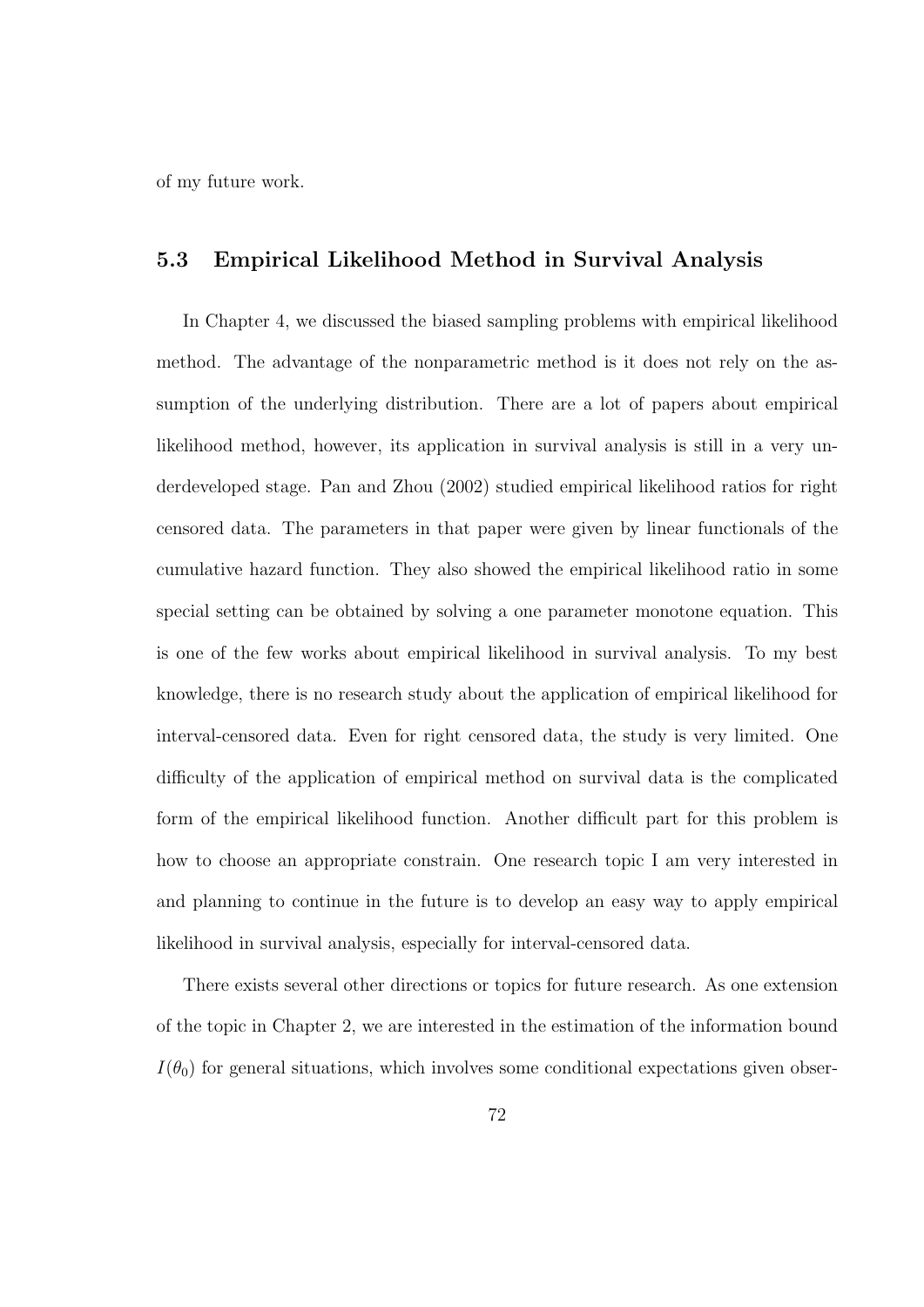of my future work.

#### 5.3 Empirical Likelihood Method in Survival Analysis

In Chapter 4, we discussed the biased sampling problems with empirical likelihood method. The advantage of the nonparametric method is it does not rely on the assumption of the underlying distribution. There are a lot of papers about empirical likelihood method, however, its application in survival analysis is still in a very underdeveloped stage. Pan and Zhou (2002) studied empirical likelihood ratios for right censored data. The parameters in that paper were given by linear functionals of the cumulative hazard function. They also showed the empirical likelihood ratio in some special setting can be obtained by solving a one parameter monotone equation. This is one of the few works about empirical likelihood in survival analysis. To my best knowledge, there is no research study about the application of empirical likelihood for interval-censored data. Even for right censored data, the study is very limited. One difficulty of the application of empirical method on survival data is the complicated form of the empirical likelihood function. Another difficult part for this problem is how to choose an appropriate constrain. One research topic I am very interested in and planning to continue in the future is to develop an easy way to apply empirical likelihood in survival analysis, especially for interval-censored data.

There exists several other directions or topics for future research. As one extension of the topic in Chapter 2, we are interested in the estimation of the information bound  $I(\theta_0)$  for general situations, which involves some conditional expectations given obser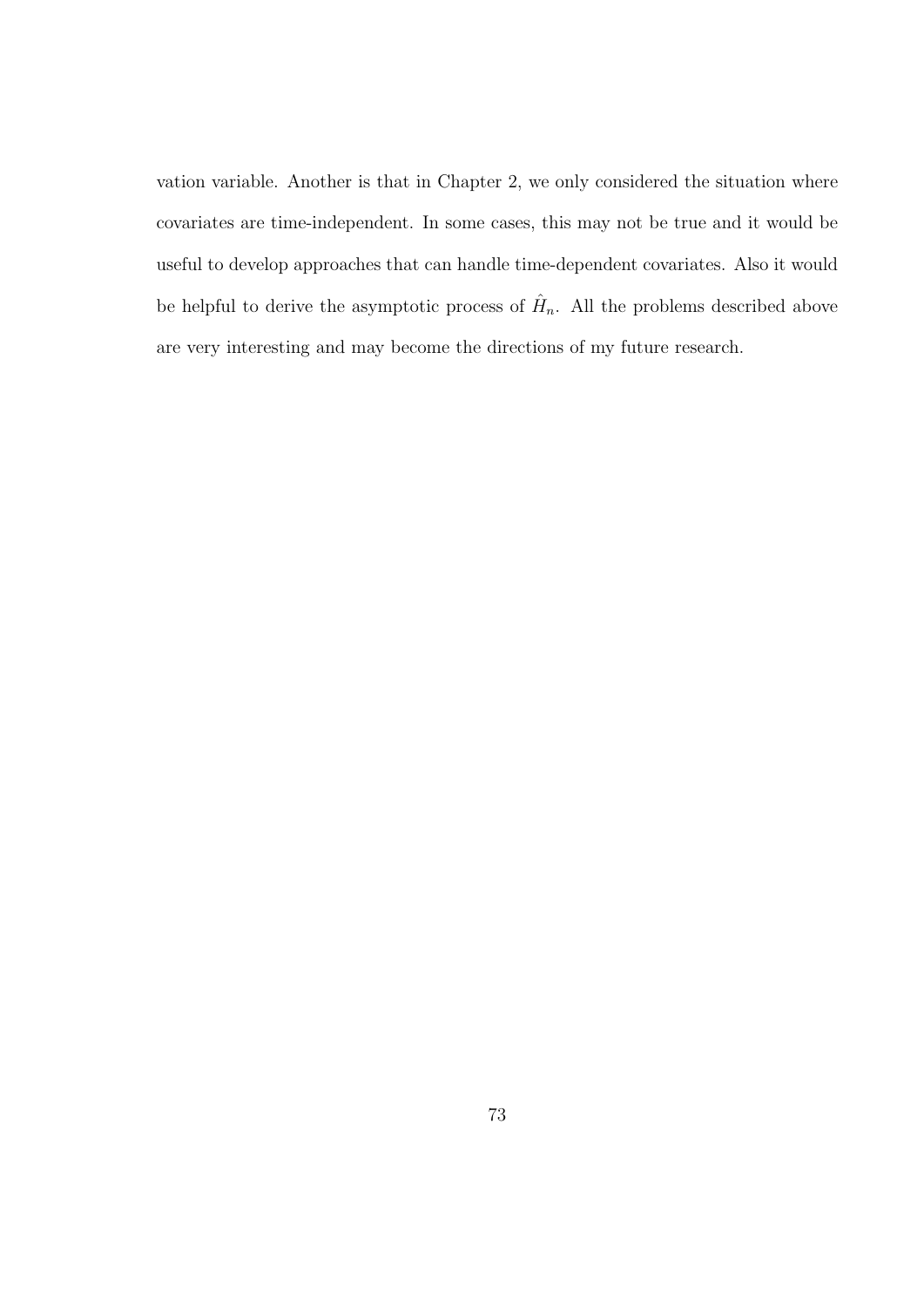vation variable. Another is that in Chapter 2, we only considered the situation where covariates are time-independent. In some cases, this may not be true and it would be useful to develop approaches that can handle time-dependent covariates. Also it would be helpful to derive the asymptotic process of  $\hat{H}_n$ . All the problems described above are very interesting and may become the directions of my future research.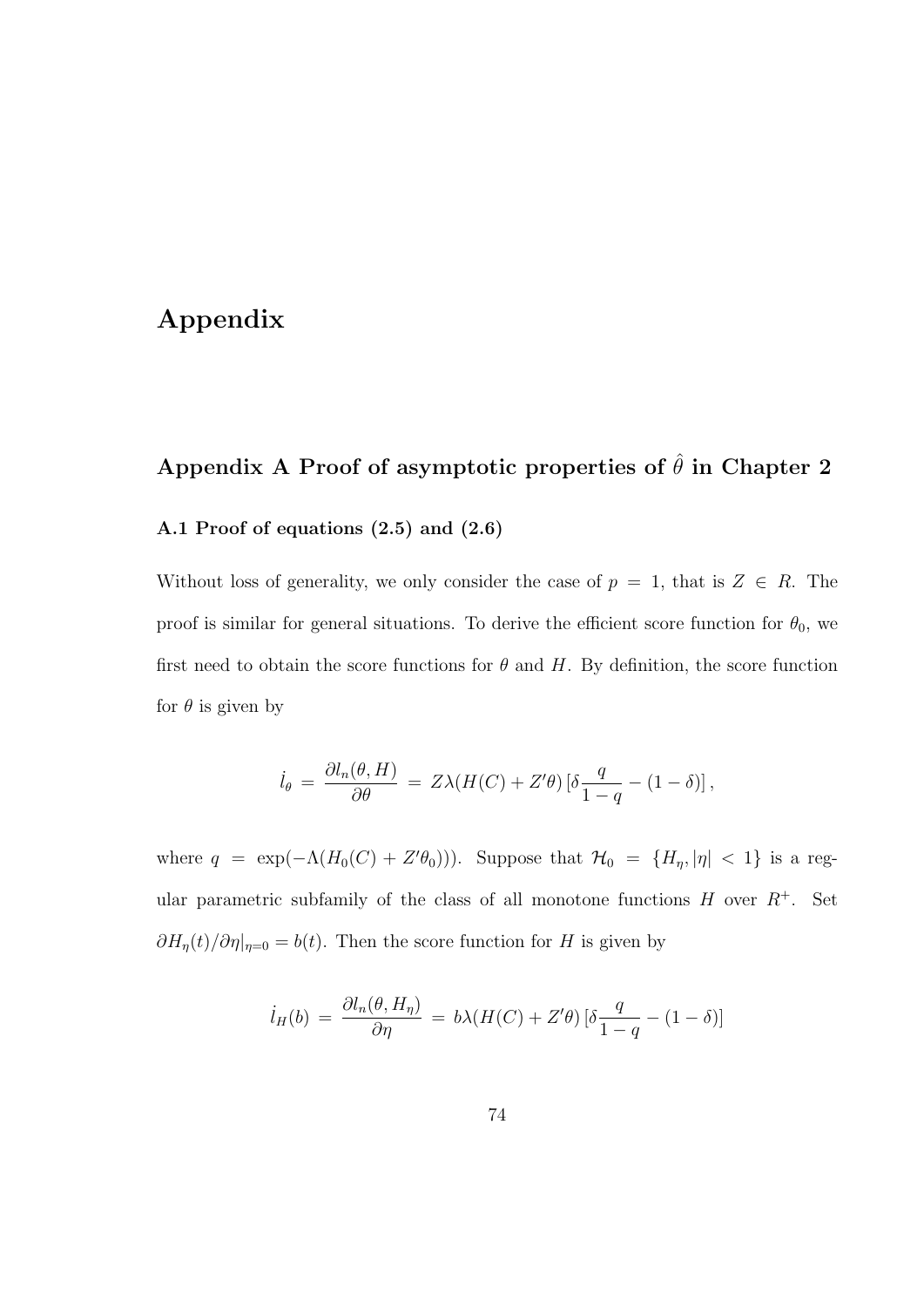### Appendix

# Appendix A Proof of asymptotic properties of  $\hat{\theta}$  in Chapter 2 A.1 Proof of equations (2.5) and (2.6)

Without loss of generality, we only consider the case of  $p = 1$ , that is  $Z \in R$ . The proof is similar for general situations. To derive the efficient score function for  $\theta_0$ , we first need to obtain the score functions for  $\theta$  and H. By definition, the score function for  $\theta$  is given by

$$
\dot{l}_{\theta} = \frac{\partial l_n(\theta, H)}{\partial \theta} = Z\lambda(H(C) + Z'\theta) \left[\delta \frac{q}{1-q} - (1-\delta)\right],
$$

where  $q = \exp(-\Lambda(H_0(C) + Z'\theta_0))$ . Suppose that  $\mathcal{H}_0 = \{H_\eta, |\eta| < 1\}$  is a regular parametric subfamily of the class of all monotone functions  $H$  over  $R^+$ . Set  $\partial H_{\eta}(t)/\partial \eta|_{\eta=0} = b(t)$ . Then the score function for H is given by

$$
i_H(b) = \frac{\partial l_n(\theta, H_\eta)}{\partial \eta} = b\lambda (H(C) + Z'\theta) \left[\delta \frac{q}{1-q} - (1-\delta)\right]
$$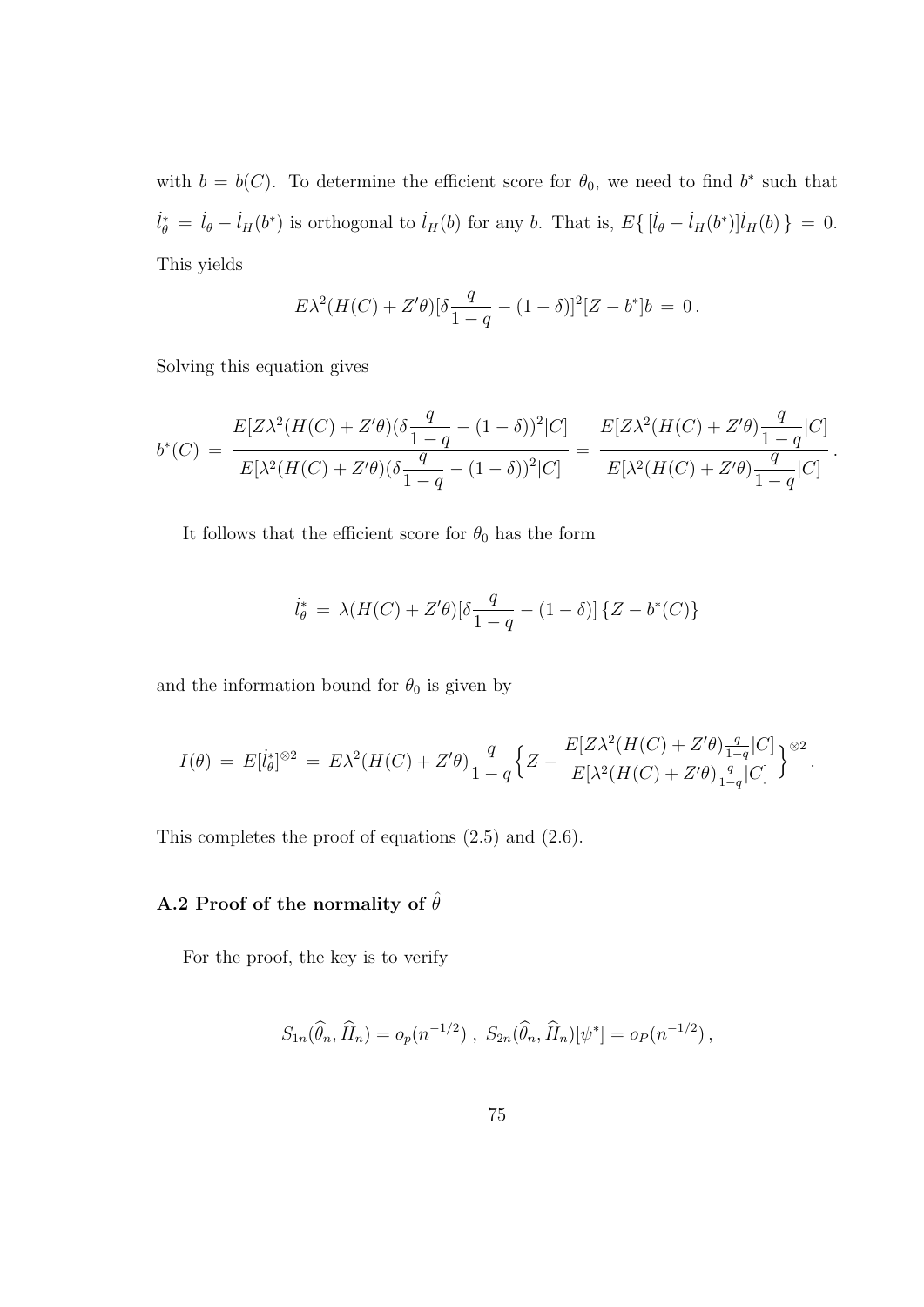with  $b = b(C)$ . To determine the efficient score for  $\theta_0$ , we need to find  $b^*$  such that  $\dot{l}_{\theta}^* = \dot{l}_{\theta} - \dot{l}_H(b^*)$  is orthogonal to  $\dot{l}_H(b)$  for any b. That is,  $E\{[\dot{l}_{\theta} - \dot{l}_H(b^*)]\dot{l}_H(b)\} = 0$ . This yields

$$
E\lambda^{2}(H(C) + Z'\theta)[\delta \frac{q}{1-q} - (1-\delta)]^{2}[Z - b^{*}]b = 0.
$$

Solving this equation gives

$$
b^*(C) = \frac{E[Z\lambda^2(H(C) + Z'\theta)(\delta \frac{q}{1-q} - (1-\delta))^2|C]}{E[\lambda^2(H(C) + Z'\theta)(\delta \frac{q}{1-q} - (1-\delta))^2|C]} = \frac{E[Z\lambda^2(H(C) + Z'\theta)\frac{q}{1-q}|C]}{E[\lambda^2(H(C) + Z'\theta)\frac{q}{1-q}|C]}.
$$

It follows that the efficient score for  $\theta_0$  has the form

$$
\dot{l}_{\theta}^{*} = \lambda(H(C) + Z'\theta)[\delta \frac{q}{1-q} - (1-\delta)]\{Z - b^{*}(C)\}\
$$

and the information bound for  $\theta_0$  is given by

$$
I(\theta) \ = \ E[i^*_{\theta}]^{\otimes 2} \ = \ E\lambda^2(H(C) + Z'\theta) \frac{q}{1-q} \Big\{ Z - \frac{E[Z\lambda^2(H(C) + Z'\theta)\frac{q}{1-q}|C]}{E[\lambda^2(H(C) + Z'\theta)\frac{q}{1-q}|C]} \Big\}^{\otimes 2} \, .
$$

This completes the proof of equations (2.5) and (2.6).

### A.2 Proof of the normality of  $\hat{\theta}$

For the proof, the key is to verify

$$
S_{1n}(\widehat{\theta}_n, \widehat{H}_n) = o_p(n^{-1/2}), \ S_{2n}(\widehat{\theta}_n, \widehat{H}_n)[\psi^*] = o_P(n^{-1/2}),
$$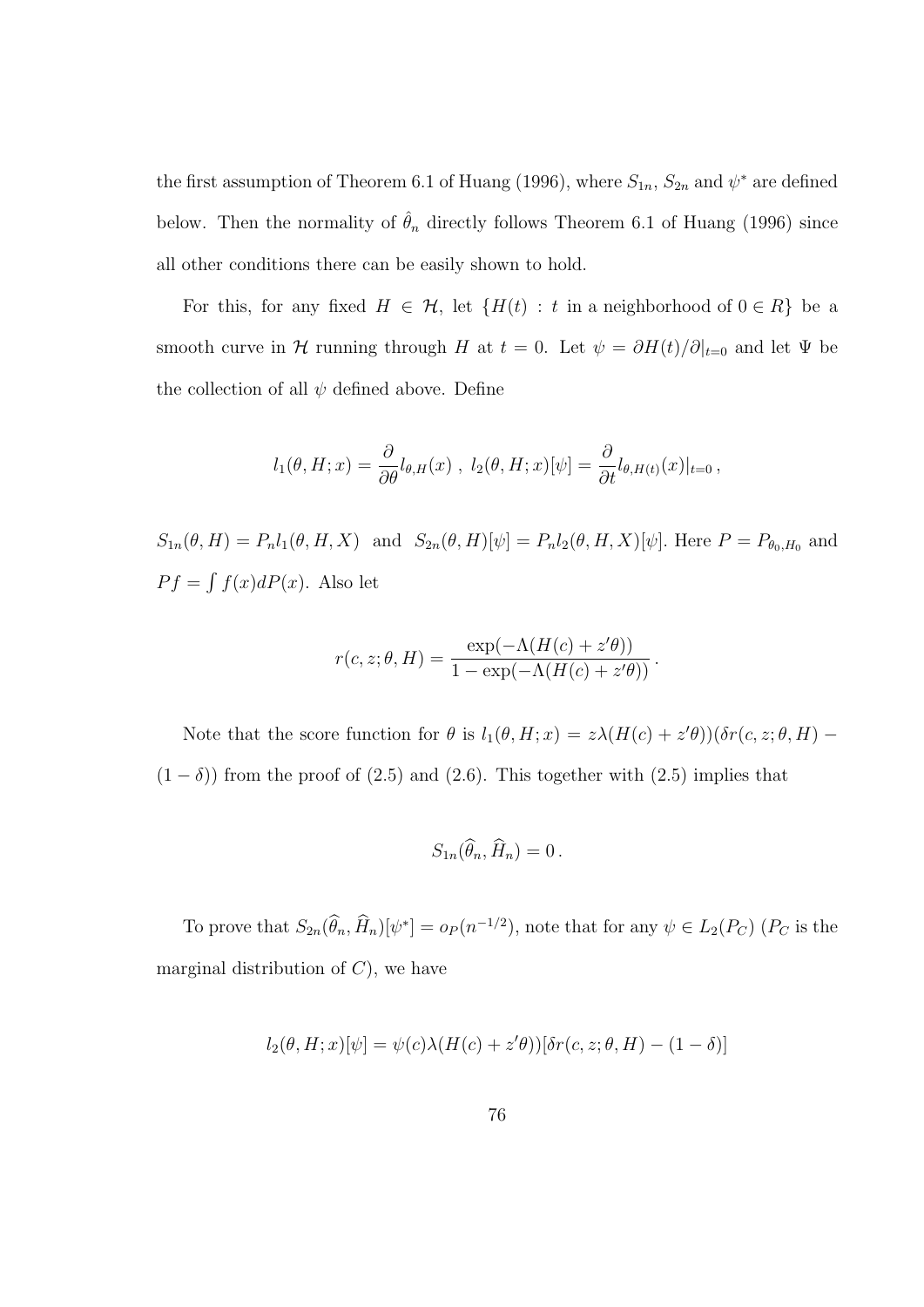the first assumption of Theorem 6.1 of Huang (1996), where  $S_{1n}$ ,  $S_{2n}$  and  $\psi^*$  are defined below. Then the normality of  $\hat{\theta}_n$  directly follows Theorem 6.1 of Huang (1996) since all other conditions there can be easily shown to hold.

For this, for any fixed  $H \in \mathcal{H}$ , let  $\{H(t) : t \text{ in a neighborhood of } 0 \in R\}$  be a smooth curve in H running through H at  $t = 0$ . Let  $\psi = \partial H(t)/\partial |_{t=0}$  and let  $\Psi$  be the collection of all  $\psi$  defined above. Define

$$
l_1(\theta, H; x) = \frac{\partial}{\partial \theta} l_{\theta, H}(x) , l_2(\theta, H; x)[\psi] = \frac{\partial}{\partial t} l_{\theta, H(t)}(x)|_{t=0},
$$

 $S_{1n}(\theta, H) = P_n l_1(\theta, H, X)$  and  $S_{2n}(\theta, H)[\psi] = P_n l_2(\theta, H, X)[\psi]$ . Here  $P = P_{\theta_0, H_0}$  and  $P f =$ R  $f(x)dP(x)$ . Also let

$$
r(c, z; \theta, H) = \frac{\exp(-\Lambda(H(c) + z'\theta))}{1 - \exp(-\Lambda(H(c) + z'\theta))}.
$$

Note that the score function for  $\theta$  is  $l_1(\theta, H; x) = z\lambda(H(c) + z'\theta))(\delta r(c, z; \theta, H)$  $(1 - \delta)$ ) from the proof of (2.5) and (2.6). This together with (2.5) implies that

$$
S_{1n}(\widehat{\theta}_n, \widehat{H}_n) = 0.
$$

To prove that  $S_{2n}(\widehat{\theta}_n, \widehat{H}_n)[\psi^*] = o_P(n^{-1/2})$ , note that for any  $\psi \in L_2(P_C)$   $(P_C$  is the marginal distribution of  $C$ , we have

$$
l_2(\theta, H; x)[\psi] = \psi(c)\lambda(H(c) + z'\theta))[\delta r(c, z; \theta, H) - (1 - \delta)]
$$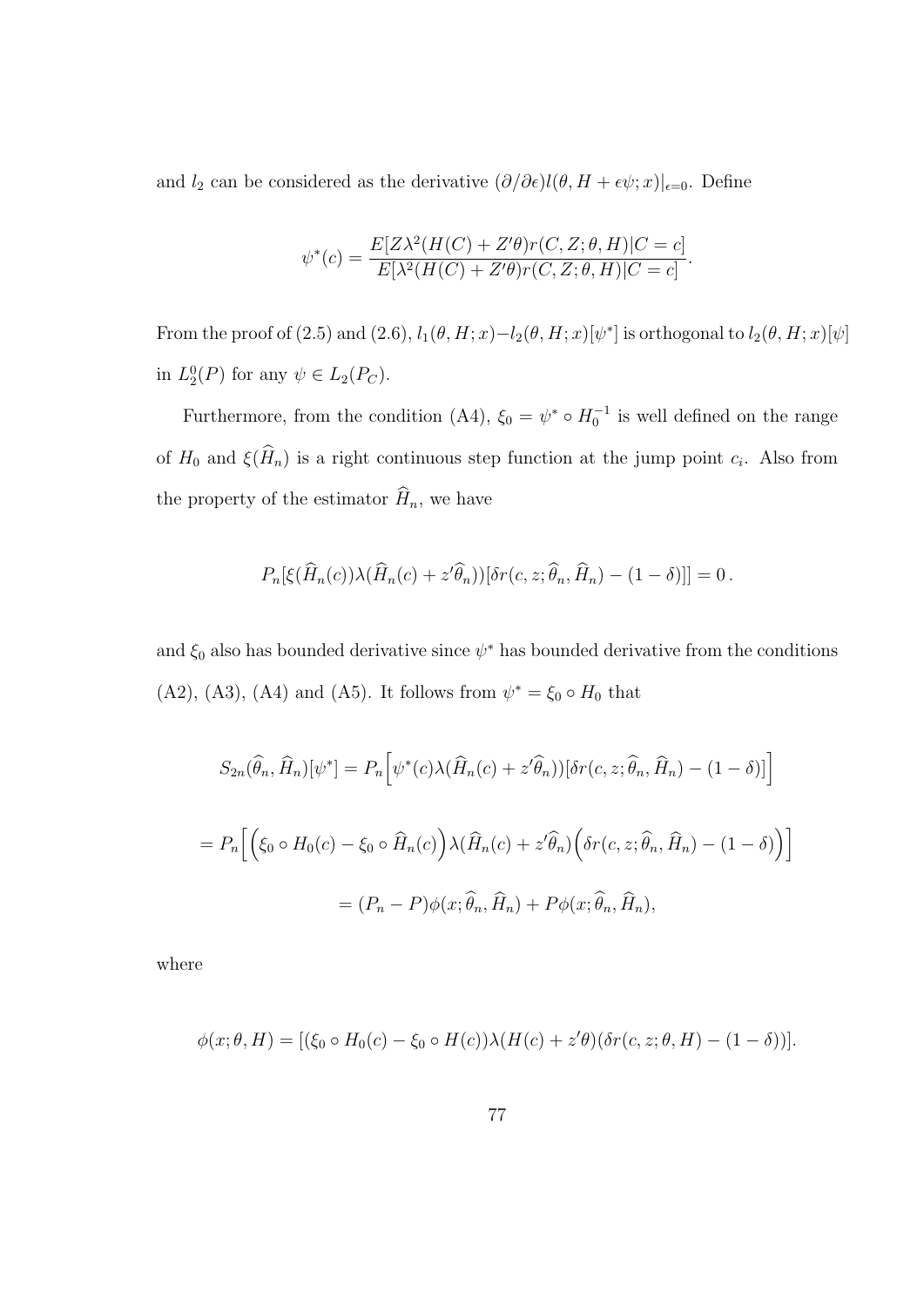and  $l_2$  can be considered as the derivative  $(\partial/\partial \epsilon)l(\theta, H + \epsilon\psi; x)|_{\epsilon=0}$ . Define

$$
\psi^*(c) = \frac{E[Z\lambda^2(H(C) + Z'\theta)r(C, Z; \theta, H)|C = c]}{E[\lambda^2(H(C) + Z'\theta)r(C, Z; \theta, H)|C = c]}.
$$

From the proof of (2.5) and (2.6),  $l_1(\theta, H; x) - l_2(\theta, H; x)[\psi^*]$  is orthogonal to  $l_2(\theta, H; x)[\psi]$ in  $L_2^0(P)$  for any  $\psi \in L_2(P_C)$ .

Furthermore, from the condition (A4),  $\xi_0 = \psi^* \circ H_0^{-1}$  is well defined on the range of  $H_0$  and  $\xi(\widehat{H}_n)$  is a right continuous step function at the jump point  $c_i$ . Also from the property of the estimator  $\widehat{H}_n$ , we have

$$
P_n[\xi(\widehat{H}_n(c))\lambda(\widehat{H}_n(c)+z'\widehat{\theta}_n))[\delta r(c,z;\widehat{\theta}_n,\widehat{H}_n)-(1-\delta)]] = 0.
$$

and  $\xi_0$  also has bounded derivative since  $\psi^*$  has bounded derivative from the conditions (A2), (A3), (A4) and (A5). It follows from  $\psi^* = \xi_0 \circ H_0$  that

$$
S_{2n}(\widehat{\theta}_n, \widehat{H}_n)[\psi^*] = P_n\Big[\psi^*(c)\lambda(\widehat{H}_n(c) + z'\widehat{\theta}_n))[\delta r(c, z; \widehat{\theta}_n, \widehat{H}_n) - (1 - \delta)]\Big]
$$
  
= 
$$
P_n\Big[\Big(\xi_0 \circ H_0(c) - \xi_0 \circ \widehat{H}_n(c)\Big)\lambda(\widehat{H}_n(c) + z'\widehat{\theta}_n)\Big(\delta r(c, z; \widehat{\theta}_n, \widehat{H}_n) - (1 - \delta)\Big)\Big]
$$
  
= 
$$
(P_n - P)\phi(x; \widehat{\theta}_n, \widehat{H}_n) + P\phi(x; \widehat{\theta}_n, \widehat{H}_n),
$$

where

$$
\phi(x;\theta,H) = [(\xi_0 \circ H_0(c) - \xi_0 \circ H(c))\lambda(H(c) + z'\theta)(\delta r(c,z;\theta,H) - (1-\delta))].
$$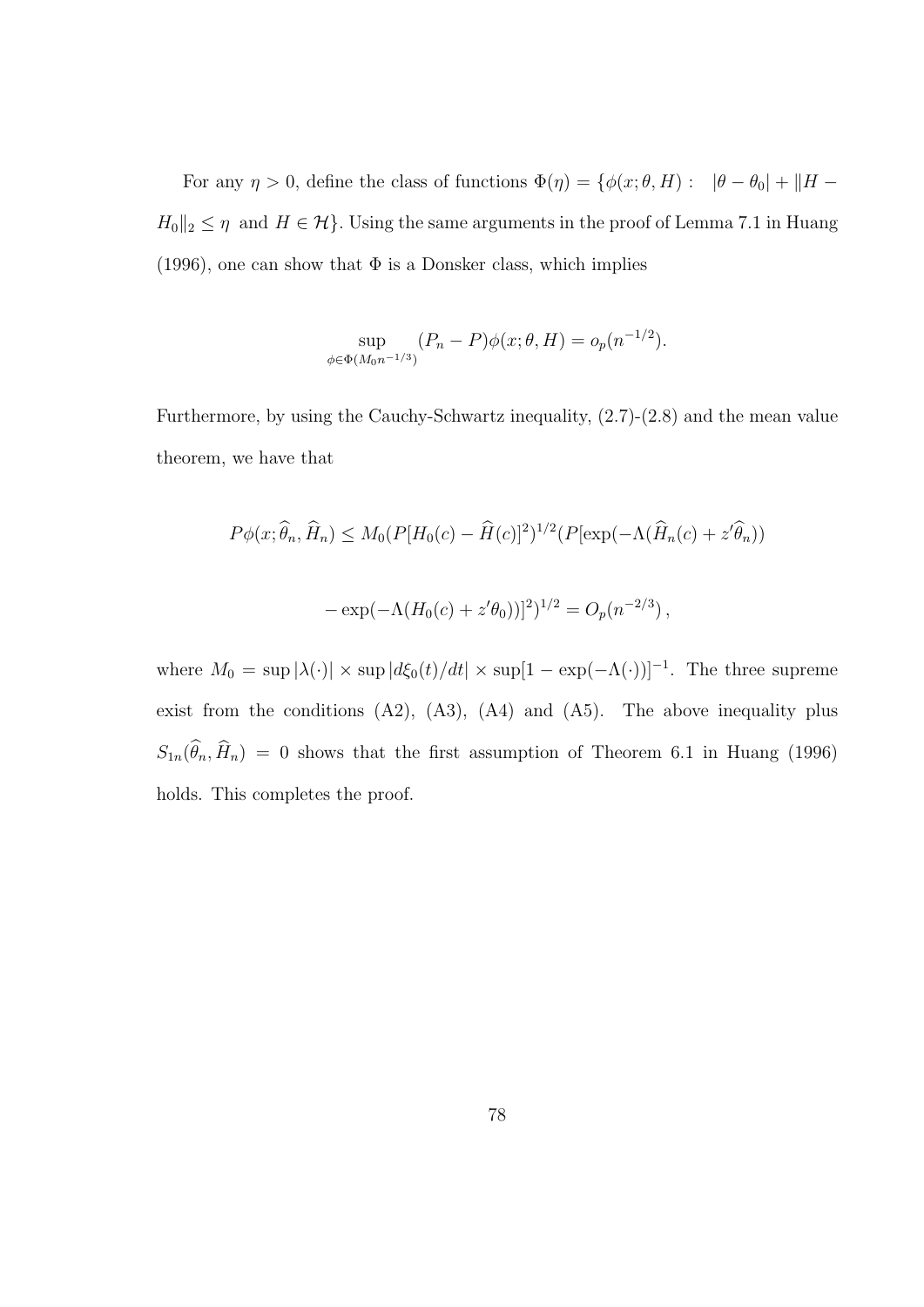For any  $\eta > 0$ , define the class of functions  $\Phi(\eta) = \{ \phi(x; \theta, H) : \|\theta - \theta_0\| + \|H H_0||_2 \leq \eta$  and  $H \in \mathcal{H}$ . Using the same arguments in the proof of Lemma 7.1 in Huang (1996), one can show that  $\Phi$  is a Donsker class, which implies

$$
\sup_{\phi \in \Phi(M_0 n^{-1/3})} (P_n - P)\phi(x; \theta, H) = o_p(n^{-1/2}).
$$

Furthermore, by using the Cauchy-Schwartz inequality, (2.7)-(2.8) and the mean value theorem, we have that

$$
P\phi(x;\hat{\theta}_n, \hat{H}_n) \le M_0(P[H_0(c) - \hat{H}(c)]^2)^{1/2}(P[\exp(-\Lambda(\hat{H}_n(c) + z'\hat{\theta}_n)))
$$
  

$$
-\exp(-\Lambda(H_0(c) + z'\theta_0))]^2)^{1/2} = O_p(n^{-2/3}),
$$

where  $M_0 = \sup |\lambda(\cdot)| \times \sup |d\xi_0(t)/dt| \times \sup[1 - \exp(-\Lambda(\cdot))]^{-1}$ . The three supreme exist from the conditions  $(A2)$ ,  $(A3)$ ,  $(A4)$  and  $(A5)$ . The above inequality plus  $S_{1n}(\widehat{\theta}_n, \widehat{H}_n) = 0$  shows that the first assumption of Theorem 6.1 in Huang (1996) holds. This completes the proof.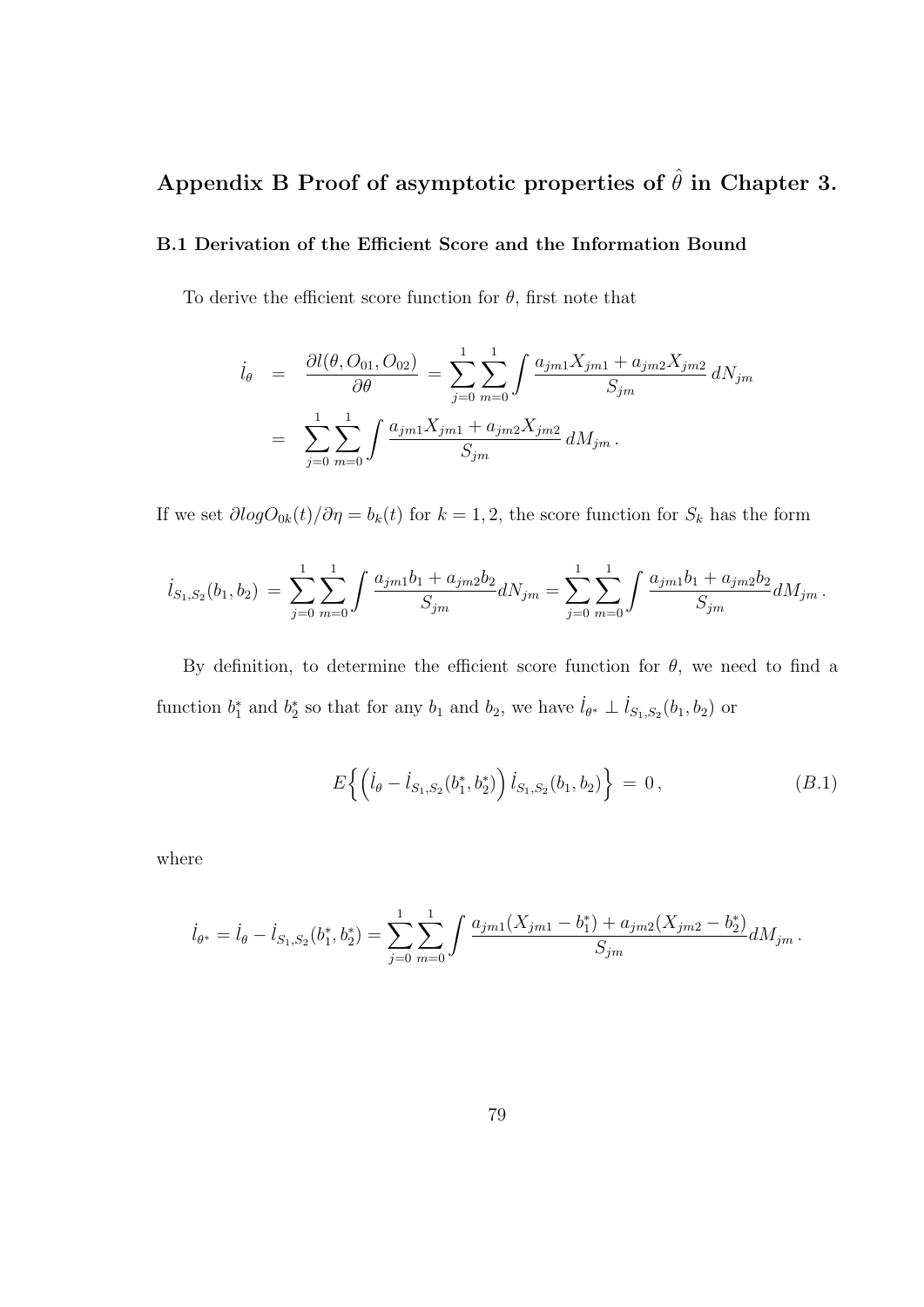## Appendix B Proof of asymptotic properties of  $\hat{\theta}$  in Chapter 3.

#### B.1 Derivation of the Efficient Score and the Information Bound

To derive the efficient score function for  $\theta$ , first note that

$$
\begin{split}\n\dot{l}_{\theta} &= \frac{\partial l(\theta, O_{01}, O_{02})}{\partial \theta} = \sum_{j=0}^{1} \sum_{m=0}^{1} \int \frac{a_{jm1} X_{jm1} + a_{jm2} X_{jm2}}{S_{jm}} dN_{jm} \\
&= \sum_{j=0}^{1} \sum_{m=0}^{1} \int \frac{a_{jm1} X_{jm1} + a_{jm2} X_{jm2}}{S_{jm}} dM_{jm} .\n\end{split}
$$

If we set  $\partial log O_{0k}(t)/\partial \eta = b_k(t)$  for  $k = 1, 2$ , the score function for  $S_k$  has the form

$$
\dot{l}_{S_1,S_2}(b_1,b_2) = \sum_{j=0}^1 \sum_{m=0}^1 \int \frac{a_{jm1}b_1 + a_{jm2}b_2}{S_{jm}} dN_{jm} = \sum_{j=0}^1 \sum_{m=0}^1 \int \frac{a_{jm1}b_1 + a_{jm2}b_2}{S_{jm}} dM_{jm}.
$$

By definition, to determine the efficient score function for  $\theta$ , we need to find a function  $b_1^*$  and  $b_2^*$  so that for any  $b_1$  and  $b_2$ , we have  $\dot{l}_{\theta^*} \perp \dot{l}_{S_1,S_2}(b_1, b_2)$  or

$$
E\left\{ \left( \dot{l}_{\theta} - \dot{l}_{S_1, S_2}(b_1^*, b_2^*) \right) \dot{l}_{S_1, S_2}(b_1, b_2) \right\} = 0, \qquad (B.1)
$$

where

$$
\dot{l}_{\theta^*} = \dot{l}_{\theta} - \dot{l}_{S_1, S_2}(b_1^*, b_2^*) = \sum_{j=0}^1 \sum_{m=0}^1 \int \frac{a_{j m 1}(X_{j m 1} - b_1^*) + a_{j m 2}(X_{j m 2} - b_2^*)}{S_{j m}} dM_{j m}.
$$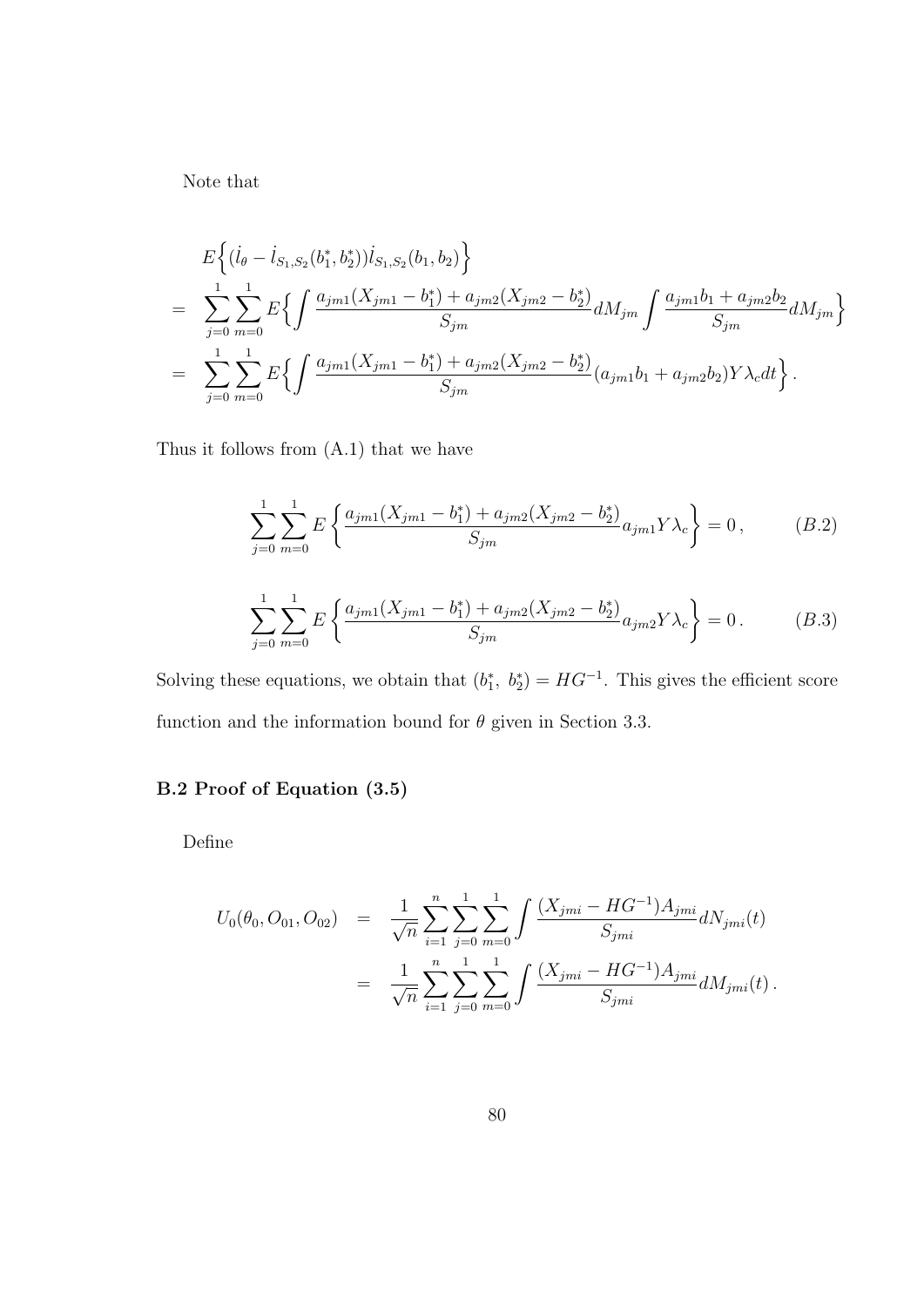Note that

$$
E\left\{ (i_{\theta} - i_{S_1,S_2}(b_1^*, b_2^*)) i_{S_1,S_2}(b_1, b_2) \right\}
$$
  
= 
$$
\sum_{j=0}^{1} \sum_{m=0}^{1} E\left\{ \int \frac{a_{jm1}(X_{jm1} - b_1^*) + a_{jm2}(X_{jm2} - b_2^*)}{S_{jm}} dM_{jm} \int \frac{a_{jm1}b_1 + a_{jm2}b_2}{S_{jm}} dM_{jm} \right\}
$$
  
= 
$$
\sum_{j=0}^{1} \sum_{m=0}^{1} E\left\{ \int \frac{a_{jm1}(X_{jm1} - b_1^*) + a_{jm2}(X_{jm2} - b_2^*)}{S_{jm}} (a_{jm1}b_1 + a_{jm2}b_2) Y \lambda_c dt \right\}.
$$

Thus it follows from (A.1) that we have

$$
\sum_{j=0}^{1} \sum_{m=0}^{1} E\left\{ \frac{a_{jml}(X_{jml} - b_1^*) + a_{jml}(X_{jml} - b_2^*)}{S_{jm}} a_{jml} Y \lambda_c \right\} = 0, \qquad (B.2)
$$

$$
\sum_{j=0}^{1} \sum_{m=0}^{1} E\left\{ \frac{a_{jml}(X_{jml} - b_1^*) + a_{jml}(X_{jml} - b_2^*)}{S_{jm}} a_{jml} Y \lambda_c \right\} = 0. \qquad (B.3)
$$

Solving these equations, we obtain that  $(b_1^*, b_2^*) = HG^{-1}$ . This gives the efficient score function and the information bound for  $\theta$  given in Section 3.3.

### B.2 Proof of Equation (3.5)

Define

$$
U_0(\theta_0, O_{01}, O_{02}) = \frac{1}{\sqrt{n}} \sum_{i=1}^n \sum_{j=0}^1 \sum_{m=0}^1 \int \frac{(X_{jmi} - HG^{-1})A_{jmi}}{S_{jmi}} dN_{jmi}(t)
$$
  
= 
$$
\frac{1}{\sqrt{n}} \sum_{i=1}^n \sum_{j=0}^1 \sum_{m=0}^1 \int \frac{(X_{jmi} - HG^{-1})A_{jmi}}{S_{jmi}} dM_{jmi}(t).
$$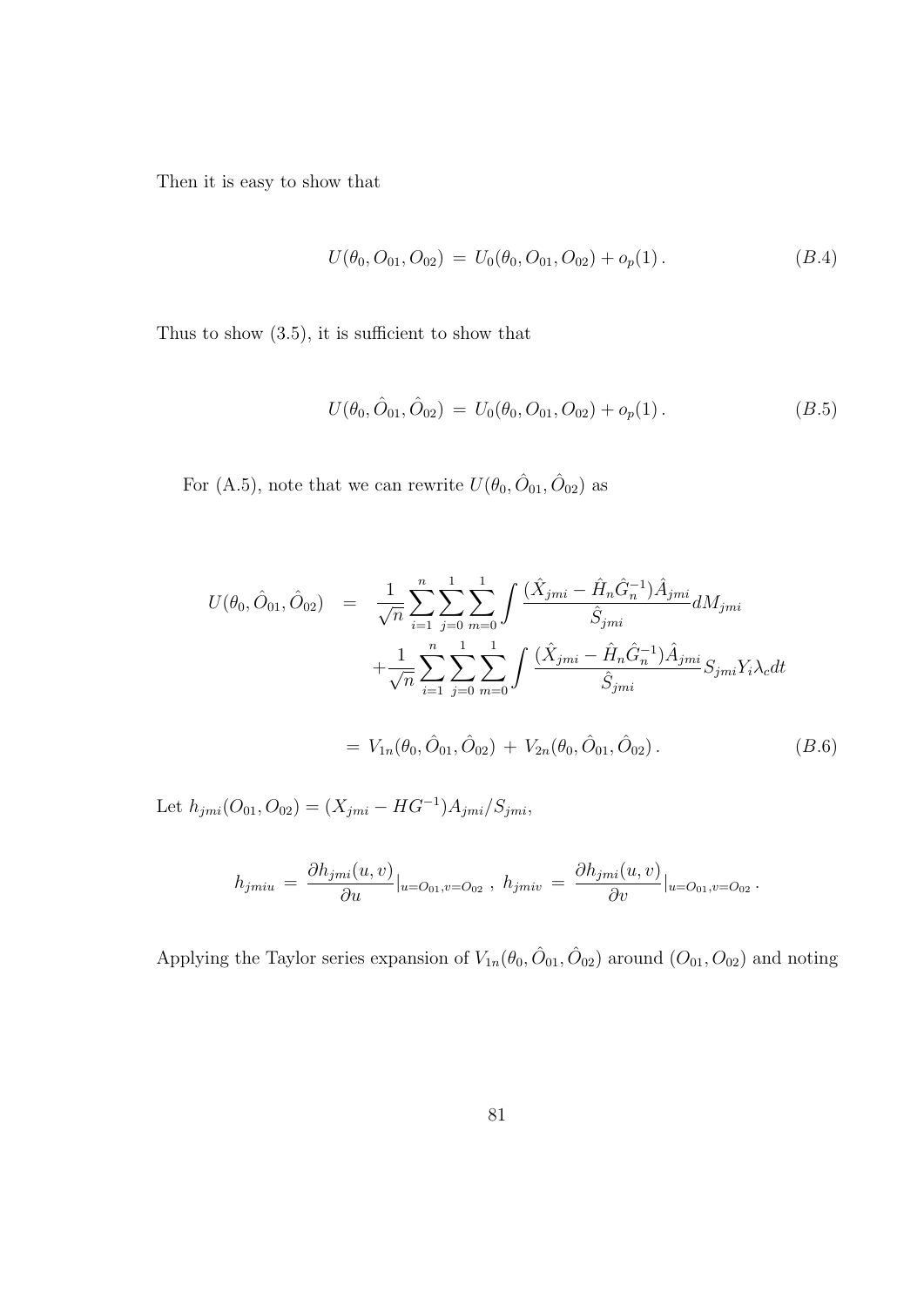Then it is easy to show that

$$
U(\theta_0, O_{01}, O_{02}) = U_0(\theta_0, O_{01}, O_{02}) + o_p(1).
$$
 (B.4)

Thus to show (3.5), it is sufficient to show that

$$
U(\theta_0, \hat{O}_{01}, \hat{O}_{02}) = U_0(\theta_0, O_{01}, O_{02}) + o_p(1).
$$
 (B.5)

For (A.5), note that we can rewrite  $U(\theta_0, \hat{O}_{01}, \hat{O}_{02})$  as

$$
U(\theta_0, \hat{O}_{01}, \hat{O}_{02}) = \frac{1}{\sqrt{n}} \sum_{i=1}^n \sum_{j=0}^1 \sum_{m=0}^1 \int \frac{(\hat{X}_{jmi} - \hat{H}_n \hat{G}_n^{-1}) \hat{A}_{jmi}}{\hat{S}_{jmi}} dM_{jmi} + \frac{1}{\sqrt{n}} \sum_{i=1}^n \sum_{j=0}^1 \sum_{m=0}^1 \int \frac{(\hat{X}_{jmi} - \hat{H}_n \hat{G}_n^{-1}) \hat{A}_{jmi}}{\hat{S}_{jmi}} S_{jmi} Y_i \lambda_c dt
$$
  

$$
= V_{1n}(\theta_0, \hat{O}_{01}, \hat{O}_{02}) + V_{2n}(\theta_0, \hat{O}_{01}, \hat{O}_{02}). \qquad (B.6)
$$

Let  $h_{jmi}(O_{01}, O_{02}) = (X_{jmi} - HG^{-1})A_{jmi}/S_{jmi}$ 

$$
h_{jmiu} = \frac{\partial h_{jmi}(u,v)}{\partial u}|_{u=O_{01}, v=O_{02}}, h_{jmiv} = \frac{\partial h_{jmi}(u,v)}{\partial v}|_{u=O_{01}, v=O_{02}}.
$$

Applying the Taylor series expansion of  $V_{1n}(\theta_0, \hat{O}_{01}, \hat{O}_{02})$  around  $(O_{01}, O_{02})$  and noting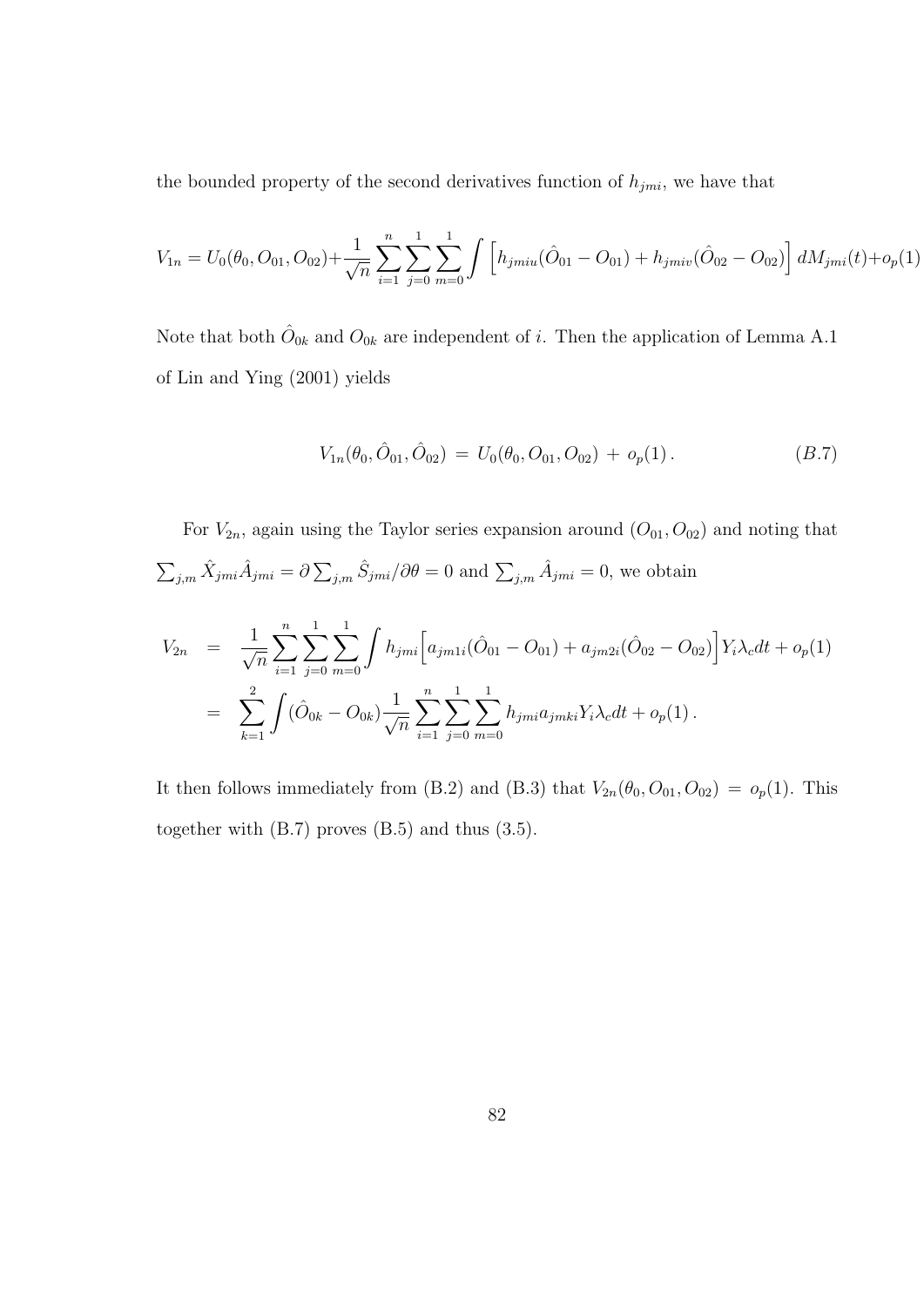the bounded property of the second derivatives function of  $h_{jmi}$ , we have that

$$
V_{1n} = U_0(\theta_0, O_{01}, O_{02}) + \frac{1}{\sqrt{n}} \sum_{i=1}^n \sum_{j=0}^1 \sum_{m=0}^1 \int \left[ h_{jmiu} (\hat{O}_{01} - O_{01}) + h_{jmiv} (\hat{O}_{02} - O_{02}) \right] dM_{jmi}(t) + o_p(1)
$$

Note that both  $\hat{O}_{0k}$  and  $O_{0k}$  are independent of i. Then the application of Lemma A.1 of Lin and Ying (2001) yields

$$
V_{1n}(\theta_0, \hat{O}_{01}, \hat{O}_{02}) = U_0(\theta_0, O_{01}, O_{02}) + o_p(1).
$$
 (B.7)

For  $V_{2n}$ , again using the Taylor series expansion around  $(O_{01}, O_{02})$  and noting that  $\sum_{j,m} \hat{X}_{jmi} \hat{A}_{jmi} = \hat{O}$  $\sum_{j,m} \hat{S}_{jmi}/\partial \theta = 0$  and  $\sum_{j,m} \hat{A}_{jmi} = 0$ , we obtain

$$
V_{2n} = \frac{1}{\sqrt{n}} \sum_{i=1}^{n} \sum_{j=0}^{1} \sum_{m=0}^{1} \int h_{jmi} \Big[ a_{jmi} (\hat{O}_{01} - O_{01}) + a_{jmi} (\hat{O}_{02} - O_{02}) \Big] Y_i \lambda_c dt + o_p(1)
$$
  
= 
$$
\sum_{k=1}^{2} \int (\hat{O}_{0k} - O_{0k}) \frac{1}{\sqrt{n}} \sum_{i=1}^{n} \sum_{j=0}^{1} \sum_{m=0}^{1} h_{jmi} a_{jmk} Y_i \lambda_c dt + o_p(1).
$$

It then follows immediately from (B.2) and (B.3) that  $V_{2n}(\theta_0, O_{01}, O_{02}) = o_p(1)$ . This together with (B.7) proves (B.5) and thus (3.5).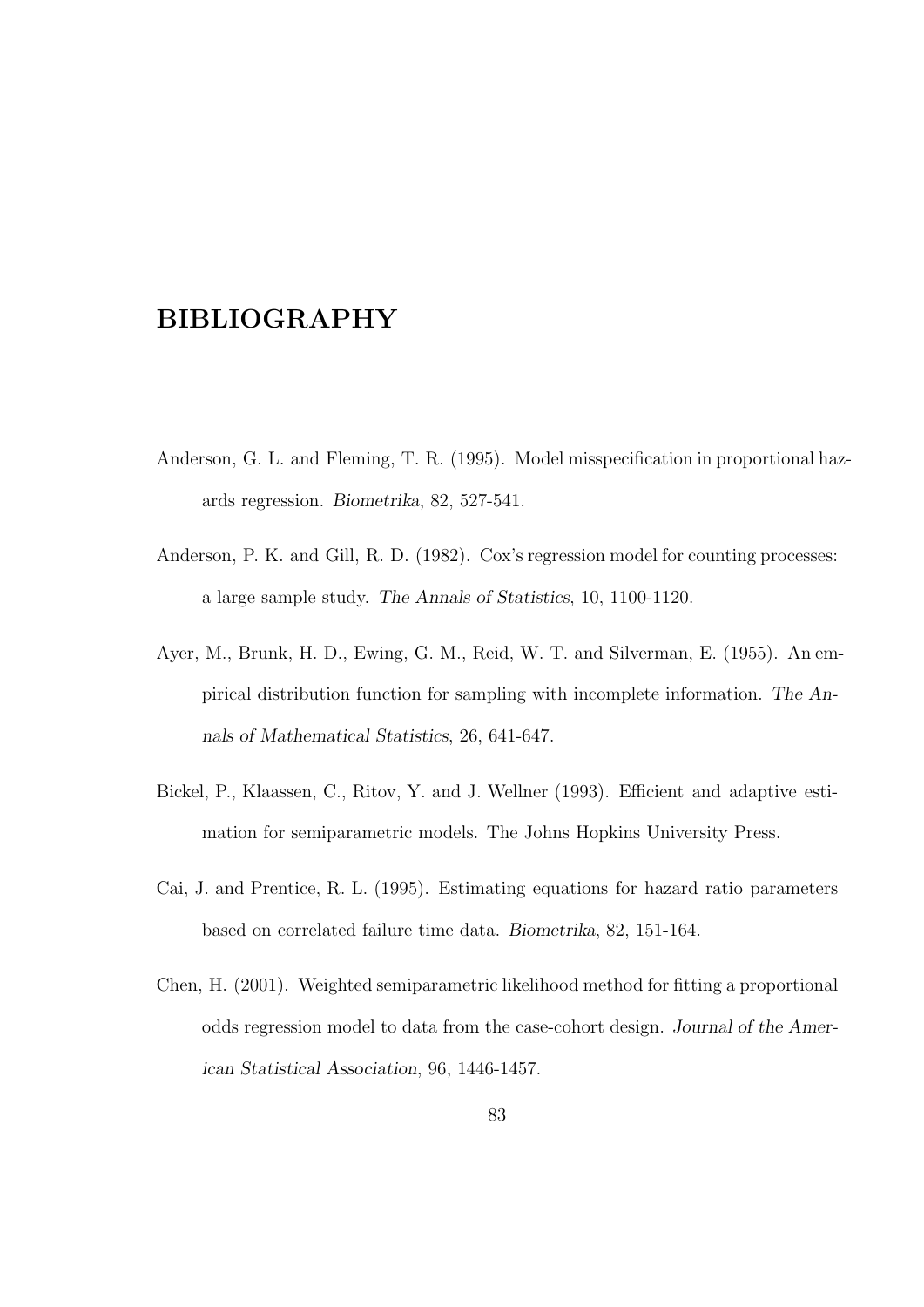### BIBLIOGRAPHY

- Anderson, G. L. and Fleming, T. R. (1995). Model misspecification in proportional hazards regression. Biometrika, 82, 527-541.
- Anderson, P. K. and Gill, R. D. (1982). Cox's regression model for counting processes: a large sample study. The Annals of Statistics, 10, 1100-1120.
- Ayer, M., Brunk, H. D., Ewing, G. M., Reid, W. T. and Silverman, E. (1955). An empirical distribution function for sampling with incomplete information. The Annals of Mathematical Statistics, 26, 641-647.
- Bickel, P., Klaassen, C., Ritov, Y. and J. Wellner (1993). Efficient and adaptive estimation for semiparametric models. The Johns Hopkins University Press.
- Cai, J. and Prentice, R. L. (1995). Estimating equations for hazard ratio parameters based on correlated failure time data. Biometrika, 82, 151-164.
- Chen, H. (2001). Weighted semiparametric likelihood method for fitting a proportional odds regression model to data from the case-cohort design. Journal of the American Statistical Association, 96, 1446-1457.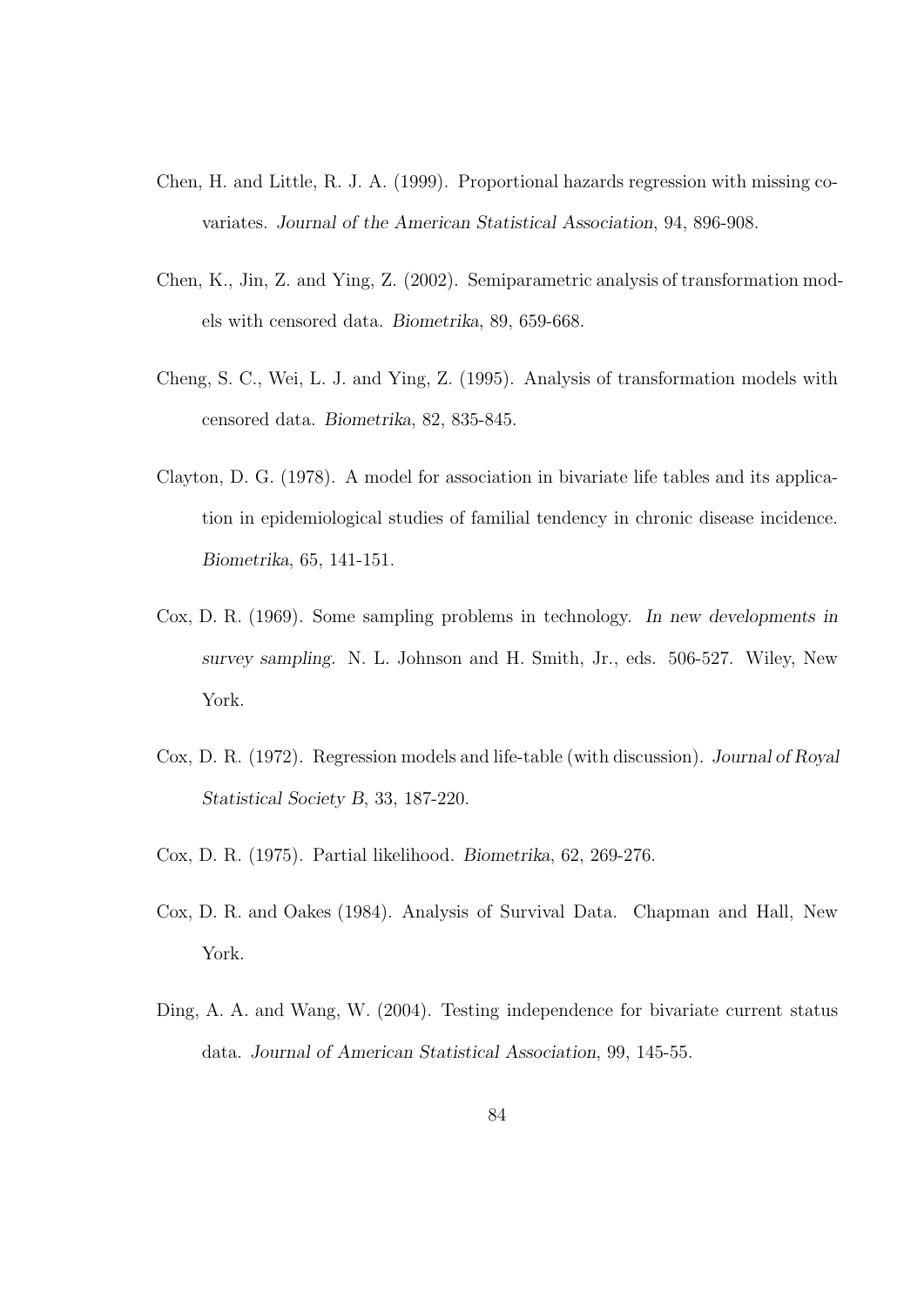- Chen, H. and Little, R. J. A. (1999). Proportional hazards regression with missing covariates. Journal of the American Statistical Association, 94, 896-908.
- Chen, K., Jin, Z. and Ying, Z. (2002). Semiparametric analysis of transformation models with censored data. Biometrika, 89, 659-668.
- Cheng, S. C., Wei, L. J. and Ying, Z. (1995). Analysis of transformation models with censored data. Biometrika, 82, 835-845.
- Clayton, D. G. (1978). A model for association in bivariate life tables and its application in epidemiological studies of familial tendency in chronic disease incidence. Biometrika, 65, 141-151.
- Cox, D. R. (1969). Some sampling problems in technology. In new developments in survey sampling. N. L. Johnson and H. Smith, Jr., eds. 506-527. Wiley, New York.
- Cox, D. R. (1972). Regression models and life-table (with discussion). Journal of Royal Statistical Society B, 33, 187-220.
- Cox, D. R. (1975). Partial likelihood. Biometrika, 62, 269-276.
- Cox, D. R. and Oakes (1984). Analysis of Survival Data. Chapman and Hall, New York.
- Ding, A. A. and Wang, W. (2004). Testing independence for bivariate current status data. Journal of American Statistical Association, 99, 145-55.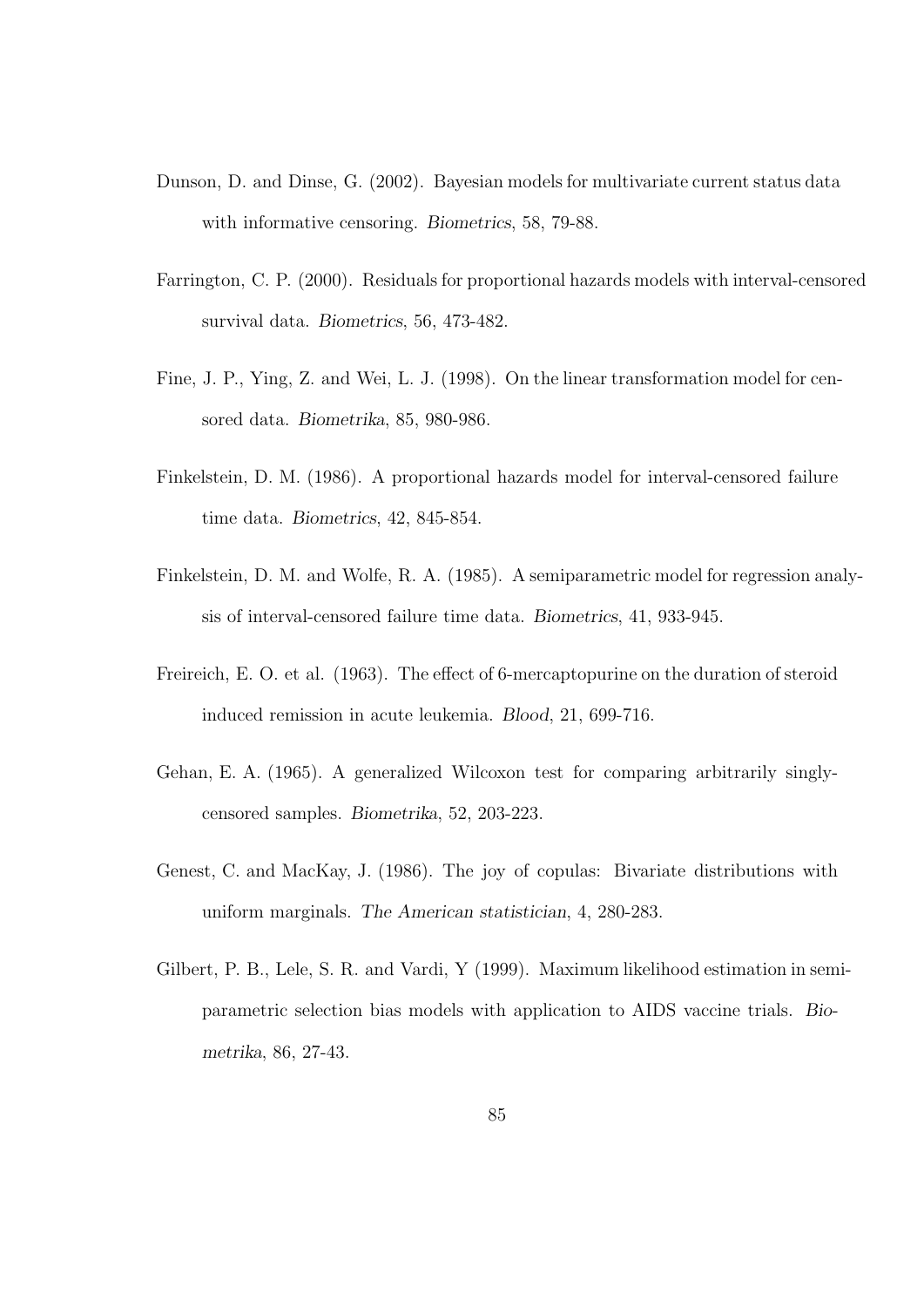- Dunson, D. and Dinse, G. (2002). Bayesian models for multivariate current status data with informative censoring. Biometrics, 58, 79-88.
- Farrington, C. P. (2000). Residuals for proportional hazards models with interval-censored survival data. Biometrics, 56, 473-482.
- Fine, J. P., Ying, Z. and Wei, L. J. (1998). On the linear transformation model for censored data. Biometrika, 85, 980-986.
- Finkelstein, D. M. (1986). A proportional hazards model for interval-censored failure time data. Biometrics, 42, 845-854.
- Finkelstein, D. M. and Wolfe, R. A. (1985). A semiparametric model for regression analysis of interval-censored failure time data. Biometrics, 41, 933-945.
- Freireich, E. O. et al. (1963). The effect of 6-mercaptopurine on the duration of steroid induced remission in acute leukemia. Blood, 21, 699-716.
- Gehan, E. A. (1965). A generalized Wilcoxon test for comparing arbitrarily singlycensored samples. Biometrika, 52, 203-223.
- Genest, C. and MacKay, J. (1986). The joy of copulas: Bivariate distributions with uniform marginals. The American statistician, 4, 280-283.
- Gilbert, P. B., Lele, S. R. and Vardi, Y (1999). Maximum likelihood estimation in semiparametric selection bias models with application to AIDS vaccine trials. Biometrika, 86, 27-43.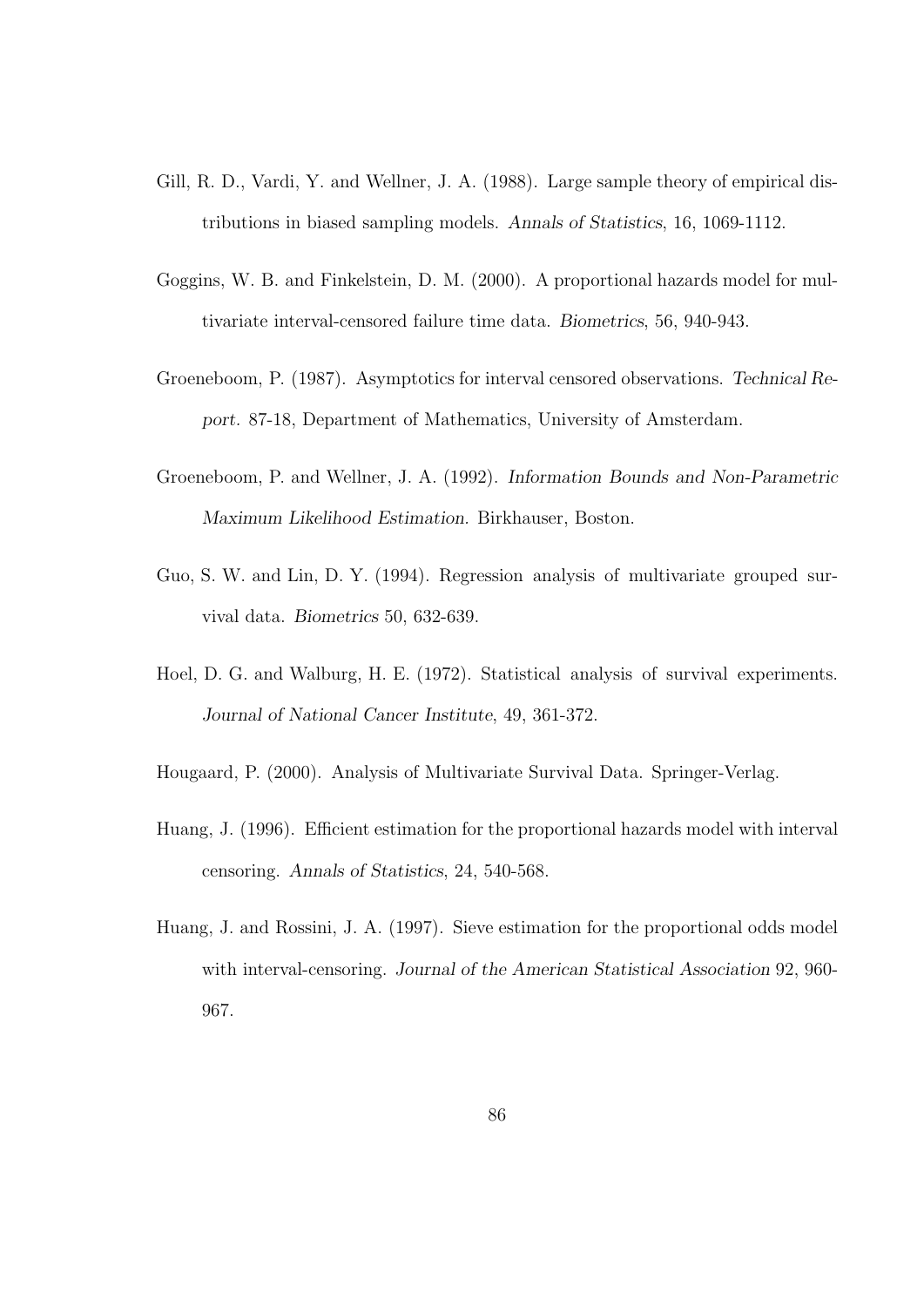- Gill, R. D., Vardi, Y. and Wellner, J. A. (1988). Large sample theory of empirical distributions in biased sampling models. Annals of Statistics, 16, 1069-1112.
- Goggins, W. B. and Finkelstein, D. M. (2000). A proportional hazards model for multivariate interval-censored failure time data. Biometrics, 56, 940-943.
- Groeneboom, P. (1987). Asymptotics for interval censored observations. Technical Report. 87-18, Department of Mathematics, University of Amsterdam.
- Groeneboom, P. and Wellner, J. A. (1992). Information Bounds and Non-Parametric Maximum Likelihood Estimation. Birkhauser, Boston.
- Guo, S. W. and Lin, D. Y. (1994). Regression analysis of multivariate grouped survival data. Biometrics 50, 632-639.
- Hoel, D. G. and Walburg, H. E. (1972). Statistical analysis of survival experiments. Journal of National Cancer Institute, 49, 361-372.
- Hougaard, P. (2000). Analysis of Multivariate Survival Data. Springer-Verlag.
- Huang, J. (1996). Efficient estimation for the proportional hazards model with interval censoring. Annals of Statistics, 24, 540-568.
- Huang, J. and Rossini, J. A. (1997). Sieve estimation for the proportional odds model with interval-censoring. Journal of the American Statistical Association 92, 960- 967.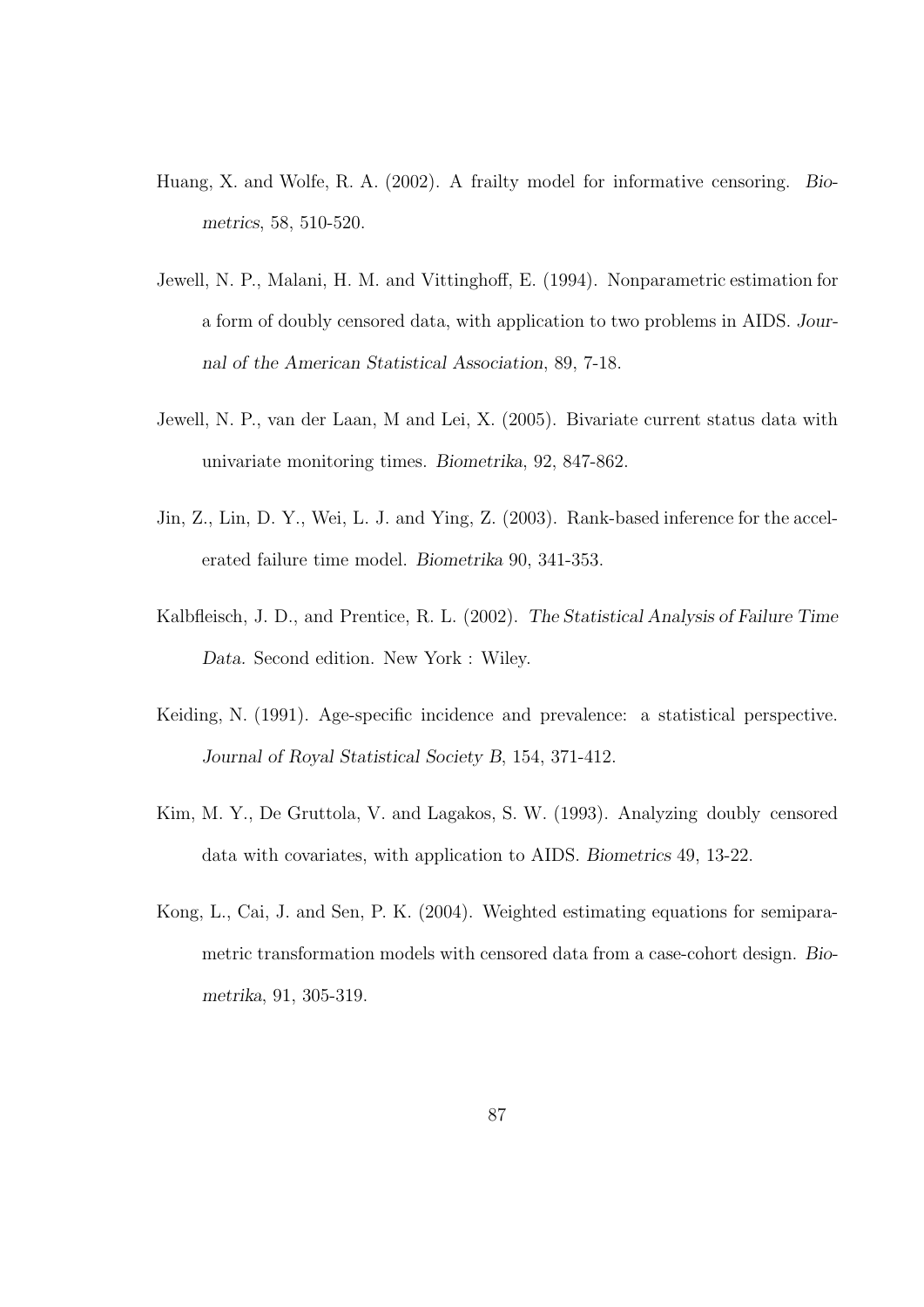- Huang, X. and Wolfe, R. A. (2002). A frailty model for informative censoring. Biometrics, 58, 510-520.
- Jewell, N. P., Malani, H. M. and Vittinghoff, E. (1994). Nonparametric estimation for a form of doubly censored data, with application to two problems in AIDS. Journal of the American Statistical Association, 89, 7-18.
- Jewell, N. P., van der Laan, M and Lei, X. (2005). Bivariate current status data with univariate monitoring times. Biometrika, 92, 847-862.
- Jin, Z., Lin, D. Y., Wei, L. J. and Ying, Z. (2003). Rank-based inference for the accelerated failure time model. Biometrika 90, 341-353.
- Kalbfleisch, J. D., and Prentice, R. L. (2002). The Statistical Analysis of Failure Time Data. Second edition. New York : Wiley.
- Keiding, N. (1991). Age-specific incidence and prevalence: a statistical perspective. Journal of Royal Statistical Society B, 154, 371-412.
- Kim, M. Y., De Gruttola, V. and Lagakos, S. W. (1993). Analyzing doubly censored data with covariates, with application to AIDS. Biometrics 49, 13-22.
- Kong, L., Cai, J. and Sen, P. K. (2004). Weighted estimating equations for semiparametric transformation models with censored data from a case-cohort design. Biometrika, 91, 305-319.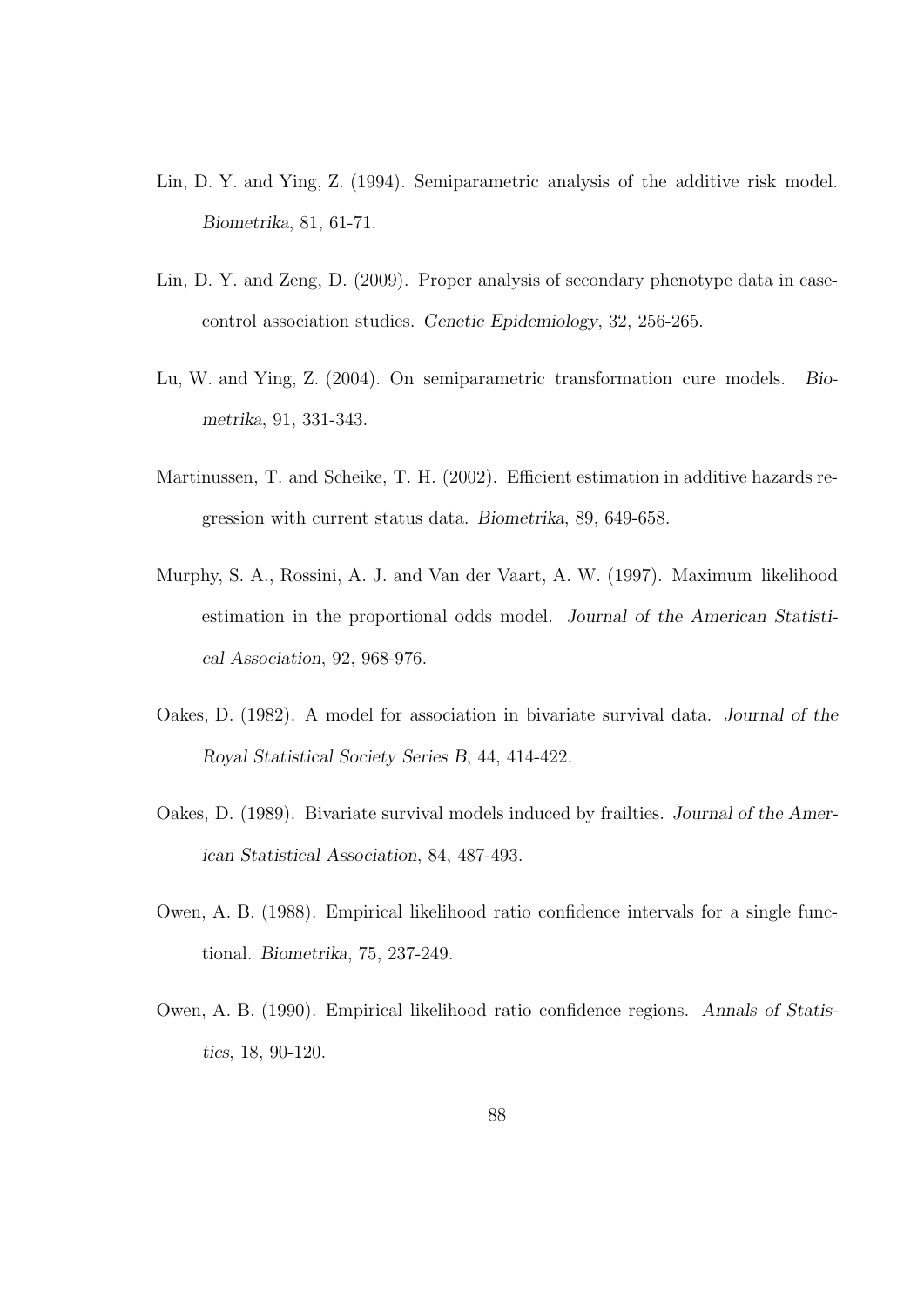- Lin, D. Y. and Ying, Z. (1994). Semiparametric analysis of the additive risk model. Biometrika, 81, 61-71.
- Lin, D. Y. and Zeng, D. (2009). Proper analysis of secondary phenotype data in casecontrol association studies. Genetic Epidemiology, 32, 256-265.
- Lu, W. and Ying, Z. (2004). On semiparametric transformation cure models. Biometrika, 91, 331-343.
- Martinussen, T. and Scheike, T. H. (2002). Efficient estimation in additive hazards regression with current status data. Biometrika, 89, 649-658.
- Murphy, S. A., Rossini, A. J. and Van der Vaart, A. W. (1997). Maximum likelihood estimation in the proportional odds model. Journal of the American Statistical Association, 92, 968-976.
- Oakes, D. (1982). A model for association in bivariate survival data. Journal of the Royal Statistical Society Series B, 44, 414-422.
- Oakes, D. (1989). Bivariate survival models induced by frailties. Journal of the American Statistical Association, 84, 487-493.
- Owen, A. B. (1988). Empirical likelihood ratio confidence intervals for a single functional. Biometrika, 75, 237-249.
- Owen, A. B. (1990). Empirical likelihood ratio confidence regions. Annals of Statistics, 18, 90-120.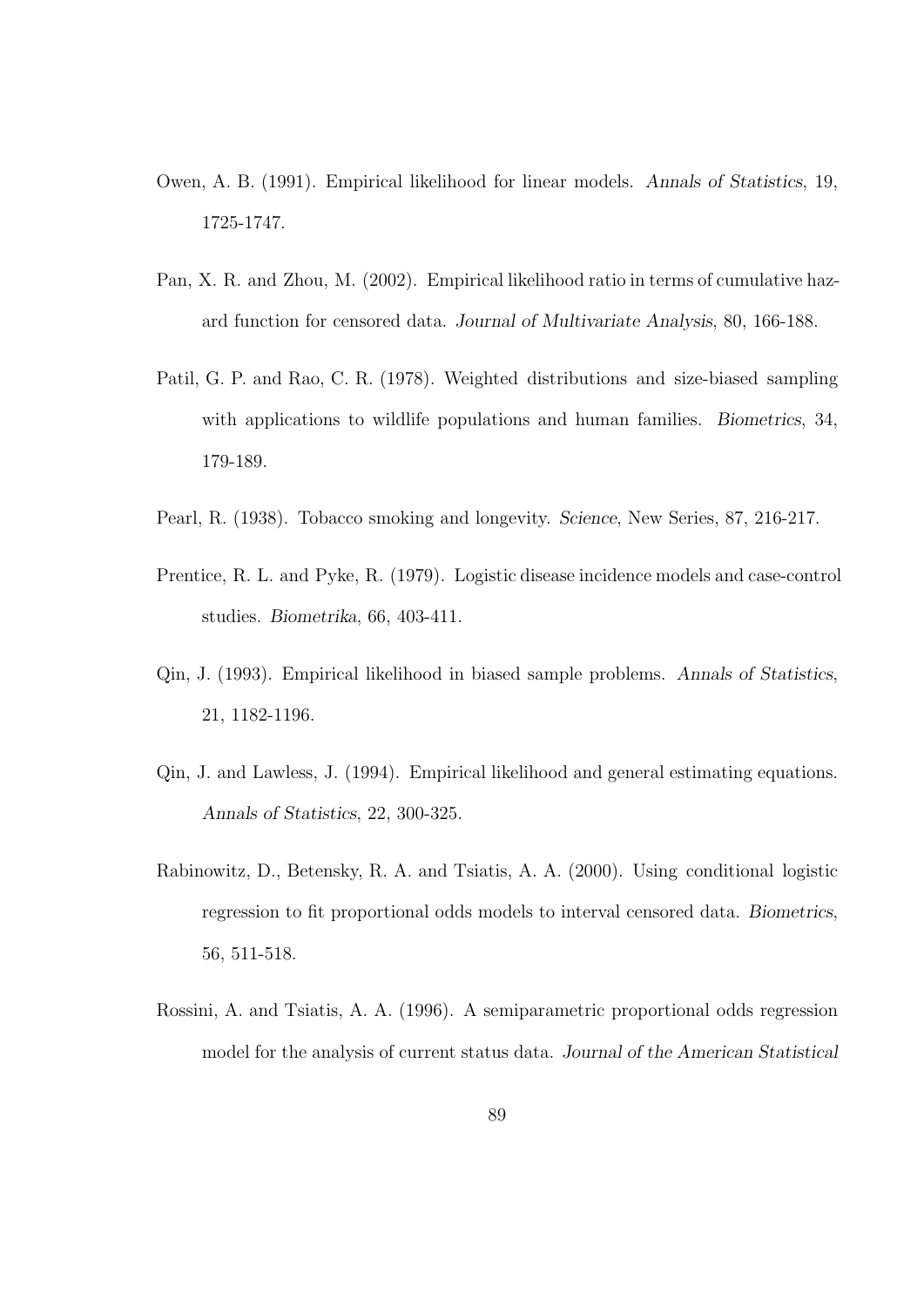- Owen, A. B. (1991). Empirical likelihood for linear models. Annals of Statistics, 19, 1725-1747.
- Pan, X. R. and Zhou, M. (2002). Empirical likelihood ratio in terms of cumulative hazard function for censored data. Journal of Multivariate Analysis, 80, 166-188.
- Patil, G. P. and Rao, C. R. (1978). Weighted distributions and size-biased sampling with applications to wildlife populations and human families. Biometrics, 34, 179-189.
- Pearl, R. (1938). Tobacco smoking and longevity. Science, New Series, 87, 216-217.
- Prentice, R. L. and Pyke, R. (1979). Logistic disease incidence models and case-control studies. Biometrika, 66, 403-411.
- Qin, J. (1993). Empirical likelihood in biased sample problems. Annals of Statistics, 21, 1182-1196.
- Qin, J. and Lawless, J. (1994). Empirical likelihood and general estimating equations. Annals of Statistics, 22, 300-325.
- Rabinowitz, D., Betensky, R. A. and Tsiatis, A. A. (2000). Using conditional logistic regression to fit proportional odds models to interval censored data. Biometrics, 56, 511-518.
- Rossini, A. and Tsiatis, A. A. (1996). A semiparametric proportional odds regression model for the analysis of current status data. Journal of the American Statistical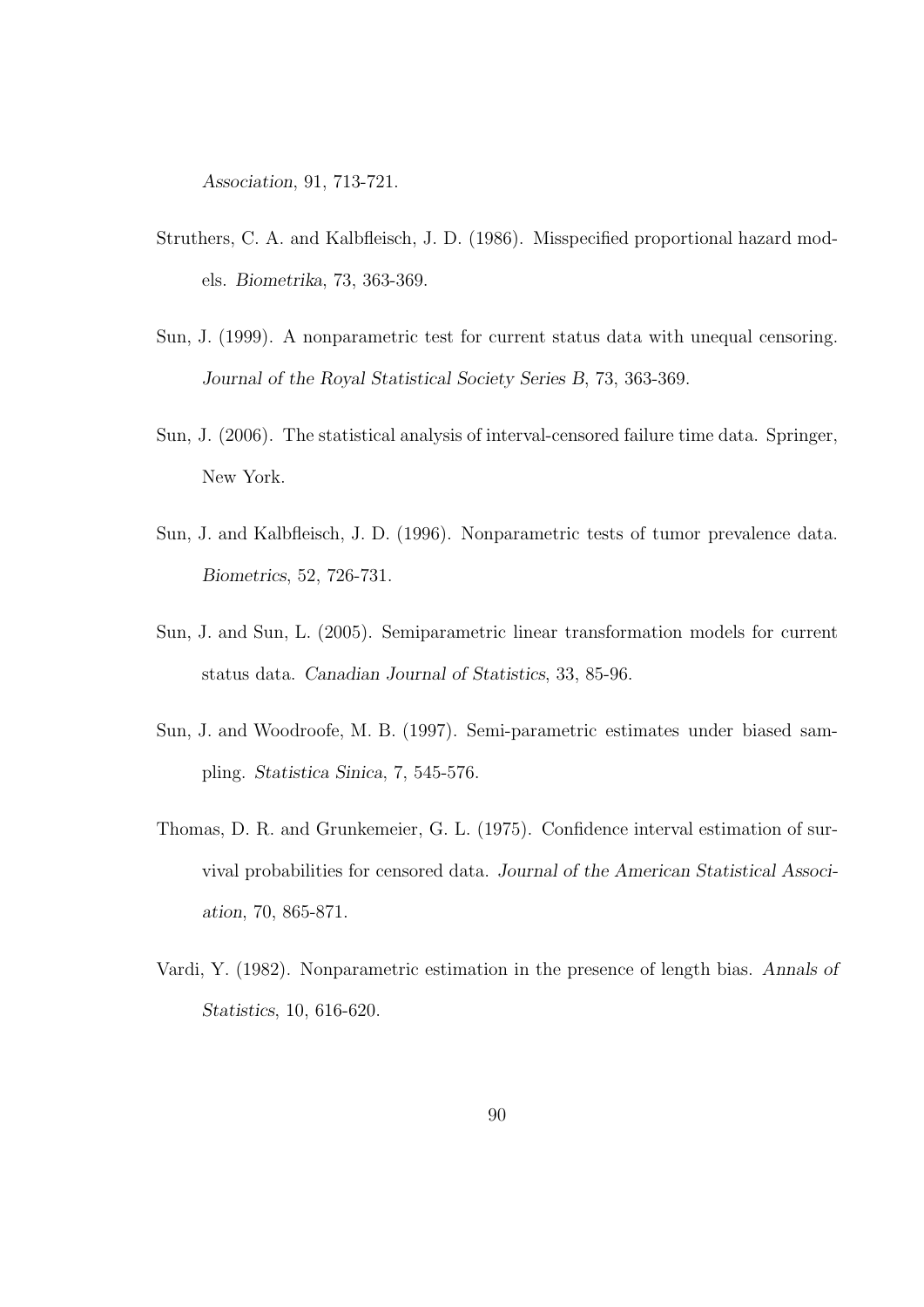Association, 91, 713-721.

- Struthers, C. A. and Kalbfleisch, J. D. (1986). Misspecified proportional hazard models. Biometrika, 73, 363-369.
- Sun, J. (1999). A nonparametric test for current status data with unequal censoring. Journal of the Royal Statistical Society Series B, 73, 363-369.
- Sun, J. (2006). The statistical analysis of interval-censored failure time data. Springer, New York.
- Sun, J. and Kalbfleisch, J. D. (1996). Nonparametric tests of tumor prevalence data. Biometrics, 52, 726-731.
- Sun, J. and Sun, L. (2005). Semiparametric linear transformation models for current status data. Canadian Journal of Statistics, 33, 85-96.
- Sun, J. and Woodroofe, M. B. (1997). Semi-parametric estimates under biased sampling. Statistica Sinica, 7, 545-576.
- Thomas, D. R. and Grunkemeier, G. L. (1975). Confidence interval estimation of survival probabilities for censored data. Journal of the American Statistical Association, 70, 865-871.
- Vardi, Y. (1982). Nonparametric estimation in the presence of length bias. Annals of Statistics, 10, 616-620.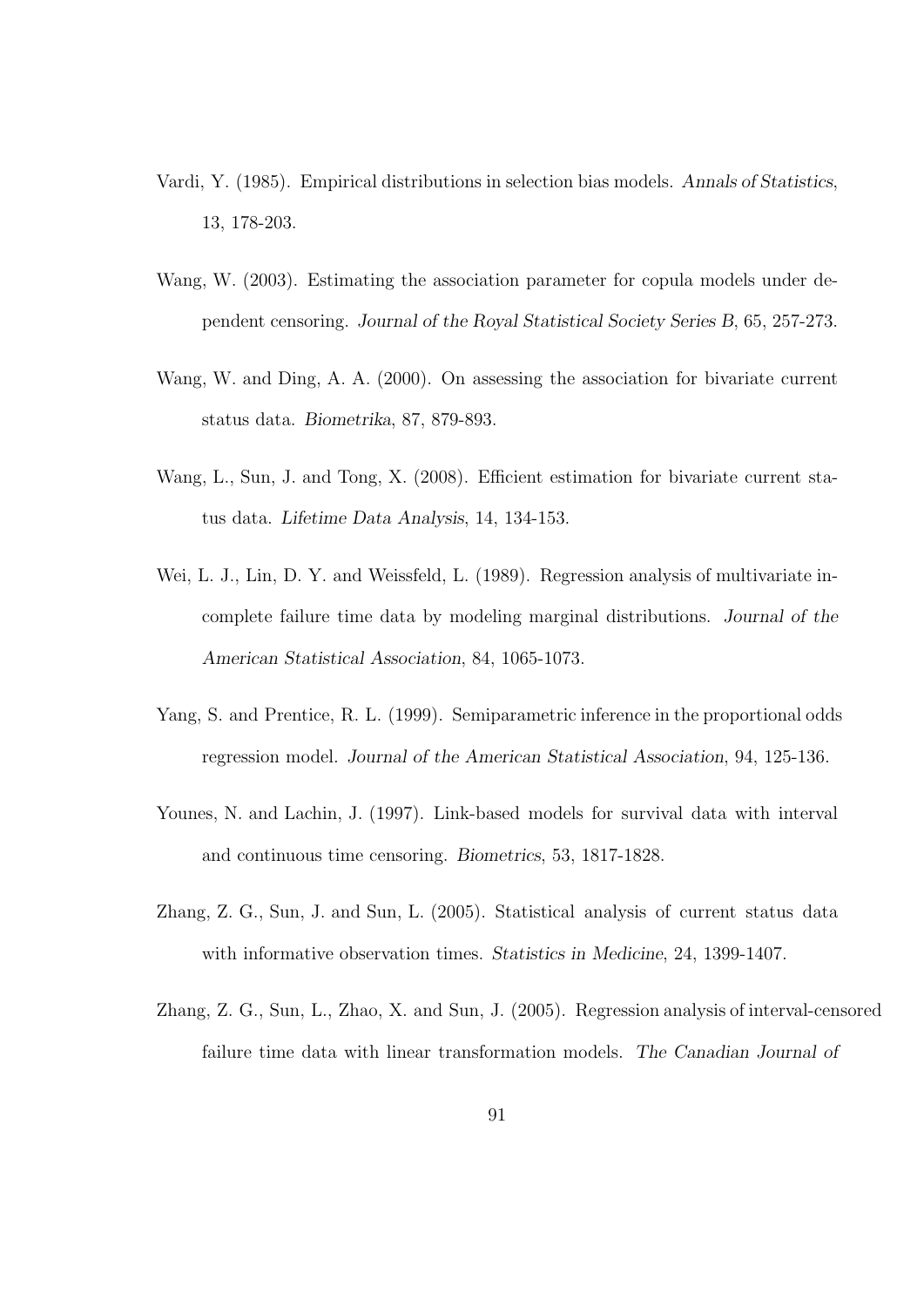- Vardi, Y. (1985). Empirical distributions in selection bias models. Annals of Statistics, 13, 178-203.
- Wang, W. (2003). Estimating the association parameter for copula models under dependent censoring. Journal of the Royal Statistical Society Series B, 65, 257-273.
- Wang, W. and Ding, A. A. (2000). On assessing the association for bivariate current status data. Biometrika, 87, 879-893.
- Wang, L., Sun, J. and Tong, X. (2008). Efficient estimation for bivariate current status data. Lifetime Data Analysis, 14, 134-153.
- Wei, L. J., Lin, D. Y. and Weissfeld, L. (1989). Regression analysis of multivariate incomplete failure time data by modeling marginal distributions. Journal of the American Statistical Association, 84, 1065-1073.
- Yang, S. and Prentice, R. L. (1999). Semiparametric inference in the proportional odds regression model. Journal of the American Statistical Association, 94, 125-136.
- Younes, N. and Lachin, J. (1997). Link-based models for survival data with interval and continuous time censoring. Biometrics, 53, 1817-1828.
- Zhang, Z. G., Sun, J. and Sun, L. (2005). Statistical analysis of current status data with informative observation times. Statistics in Medicine, 24, 1399-1407.
- Zhang, Z. G., Sun, L., Zhao, X. and Sun, J. (2005). Regression analysis of interval-censored failure time data with linear transformation models. The Canadian Journal of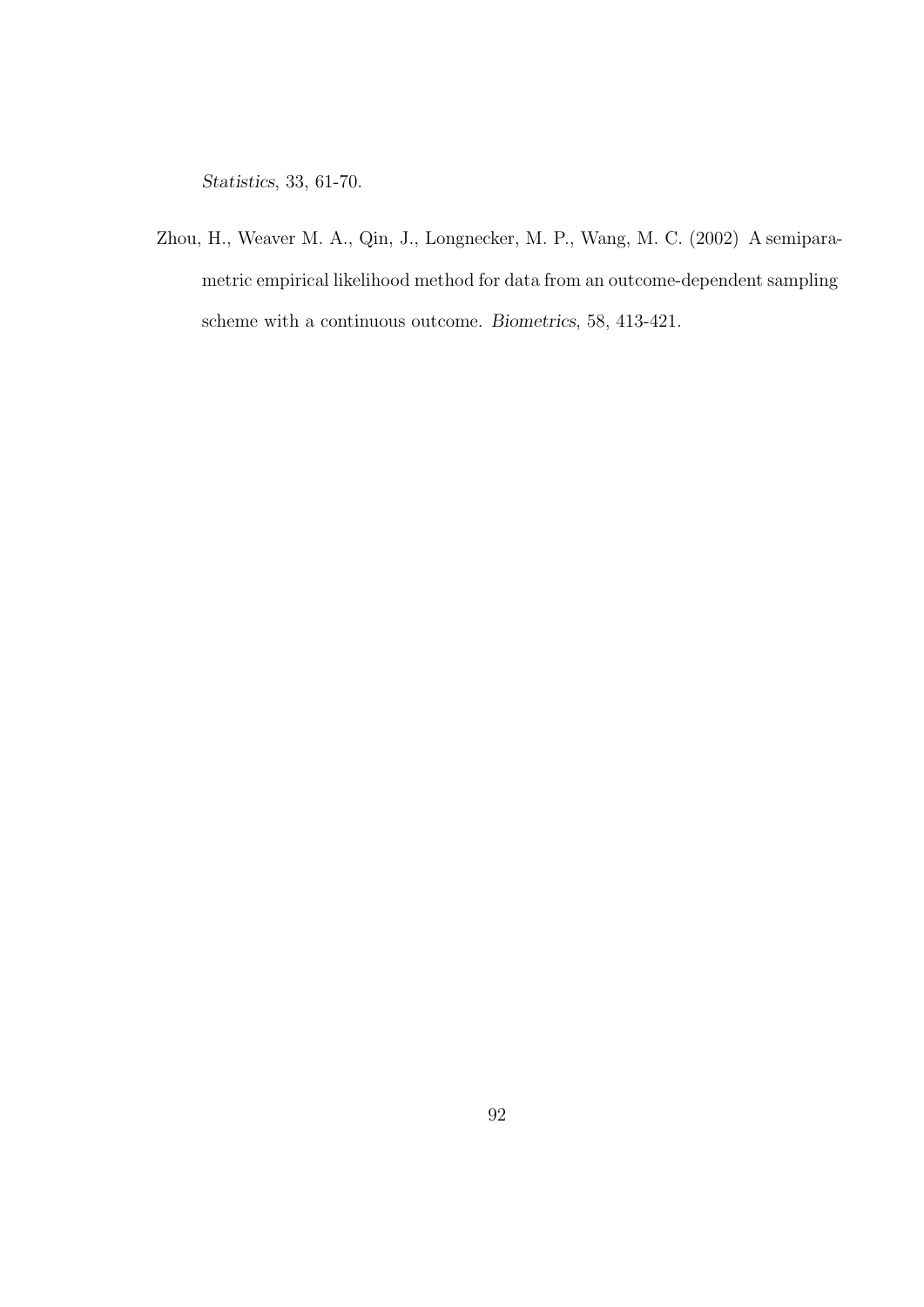Statistics, 33, 61-70.

Zhou, H., Weaver M. A., Qin, J., Longnecker, M. P., Wang, M. C. (2002) A semiparametric empirical likelihood method for data from an outcome-dependent sampling scheme with a continuous outcome. Biometrics, 58, 413-421.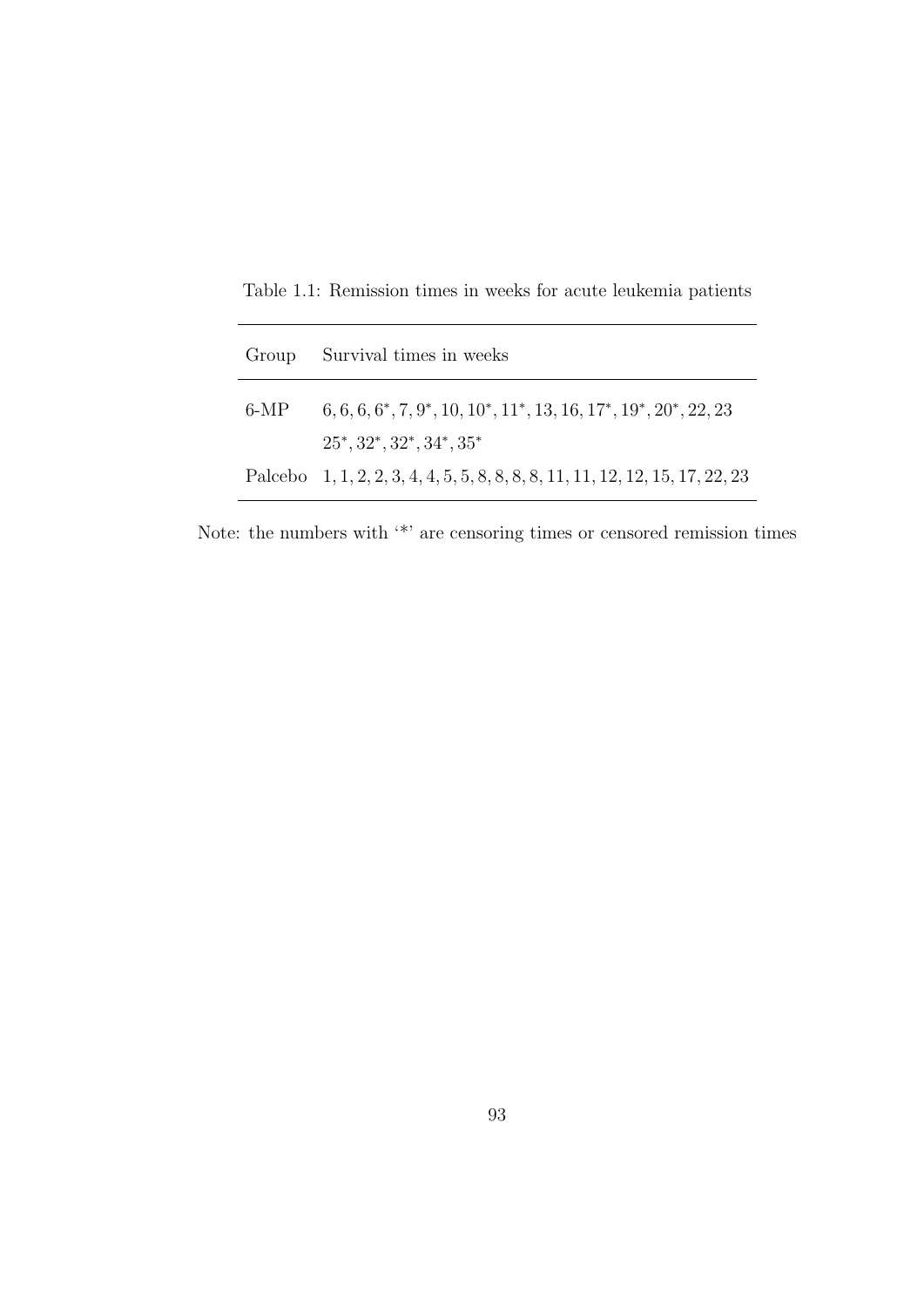| Group  | Survival times in weeks                                                         |
|--------|---------------------------------------------------------------------------------|
| $6-MP$ | $6, 6, 6, 6^*, 7, 9^*, 10, 10^*, 11^*, 13, 16, 17^*, 19^*, 20^*, 22, 23$        |
|        | $25^*, 32^*, 32^*, 34^*, 35^*$                                                  |
|        | Palcebo $1, 1, 2, 2, 3, 4, 4, 5, 5, 8, 8, 8, 8, 11, 11, 12, 12, 15, 17, 22, 23$ |

Table 1.1: Remission times in weeks for acute leukemia patients

Note: the numbers with '\*' are censoring times or censored remission times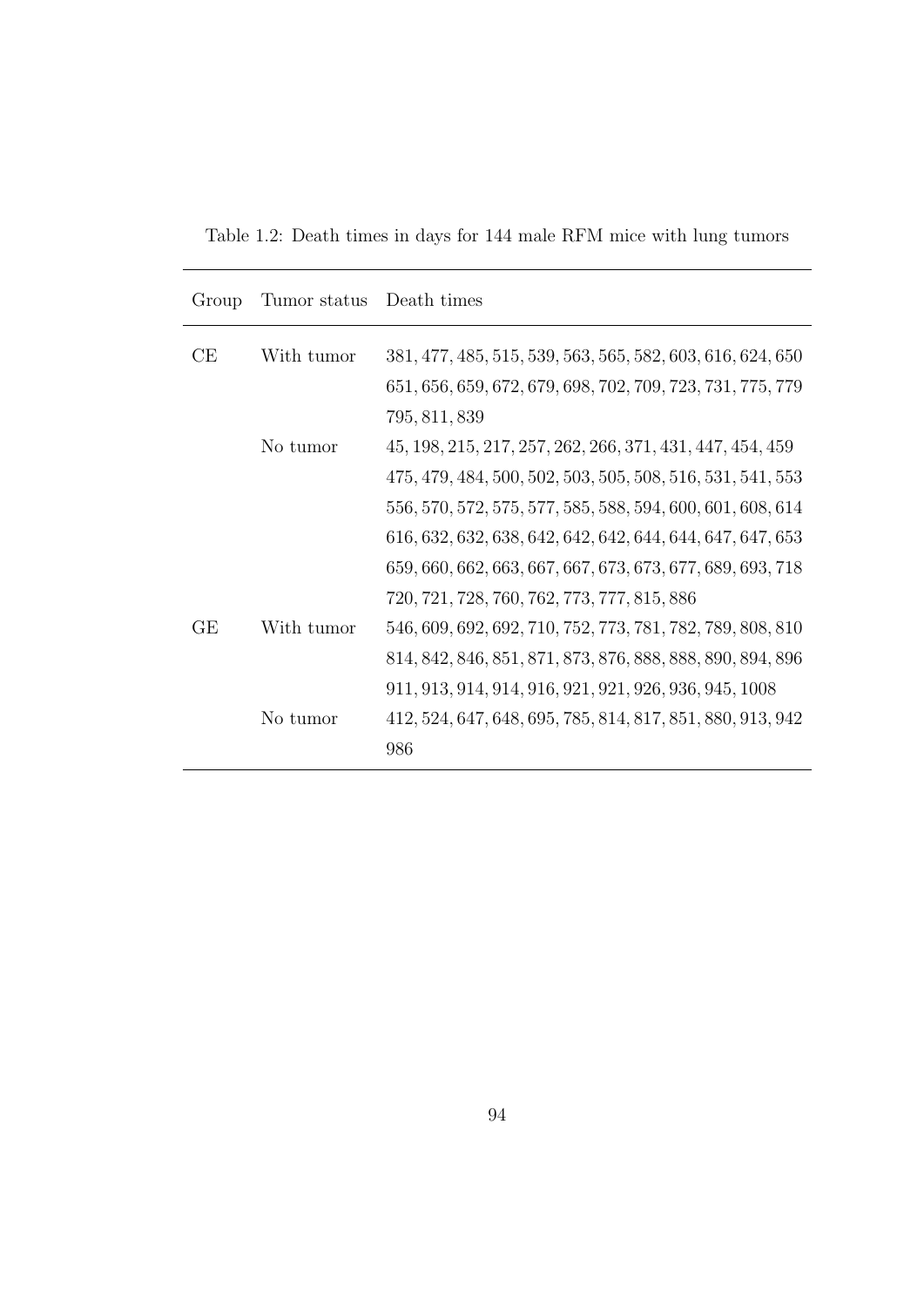Table 1.2: Death times in days for 144 male RFM mice with lung tumors

| Tumor status | Death times                                                |
|--------------|------------------------------------------------------------|
| With tumor   | 381, 477, 485, 515, 539, 563, 565, 582, 603, 616, 624, 650 |
|              | 651, 656, 659, 672, 679, 698, 702, 709, 723, 731, 775, 779 |
|              | 795, 811, 839                                              |
| No tumor     | 45, 198, 215, 217, 257, 262, 266, 371, 431, 447, 454, 459  |
|              | 475, 479, 484, 500, 502, 503, 505, 508, 516, 531, 541, 553 |
|              | 556, 570, 572, 575, 577, 585, 588, 594, 600, 601, 608, 614 |
|              | 616, 632, 632, 638, 642, 642, 642, 644, 644, 647, 647, 653 |
|              | 659, 660, 662, 663, 667, 667, 673, 673, 677, 689, 693, 718 |
|              | 720, 721, 728, 760, 762, 773, 777, 815, 886                |
| With tumor   | 546, 609, 692, 692, 710, 752, 773, 781, 782, 789, 808, 810 |
|              | 814, 842, 846, 851, 871, 873, 876, 888, 888, 890, 894, 896 |
|              | 911, 913, 914, 914, 916, 921, 921, 926, 936, 945, 1008     |
| No tumor     | 412, 524, 647, 648, 695, 785, 814, 817, 851, 880, 913, 942 |
|              | 986                                                        |
|              |                                                            |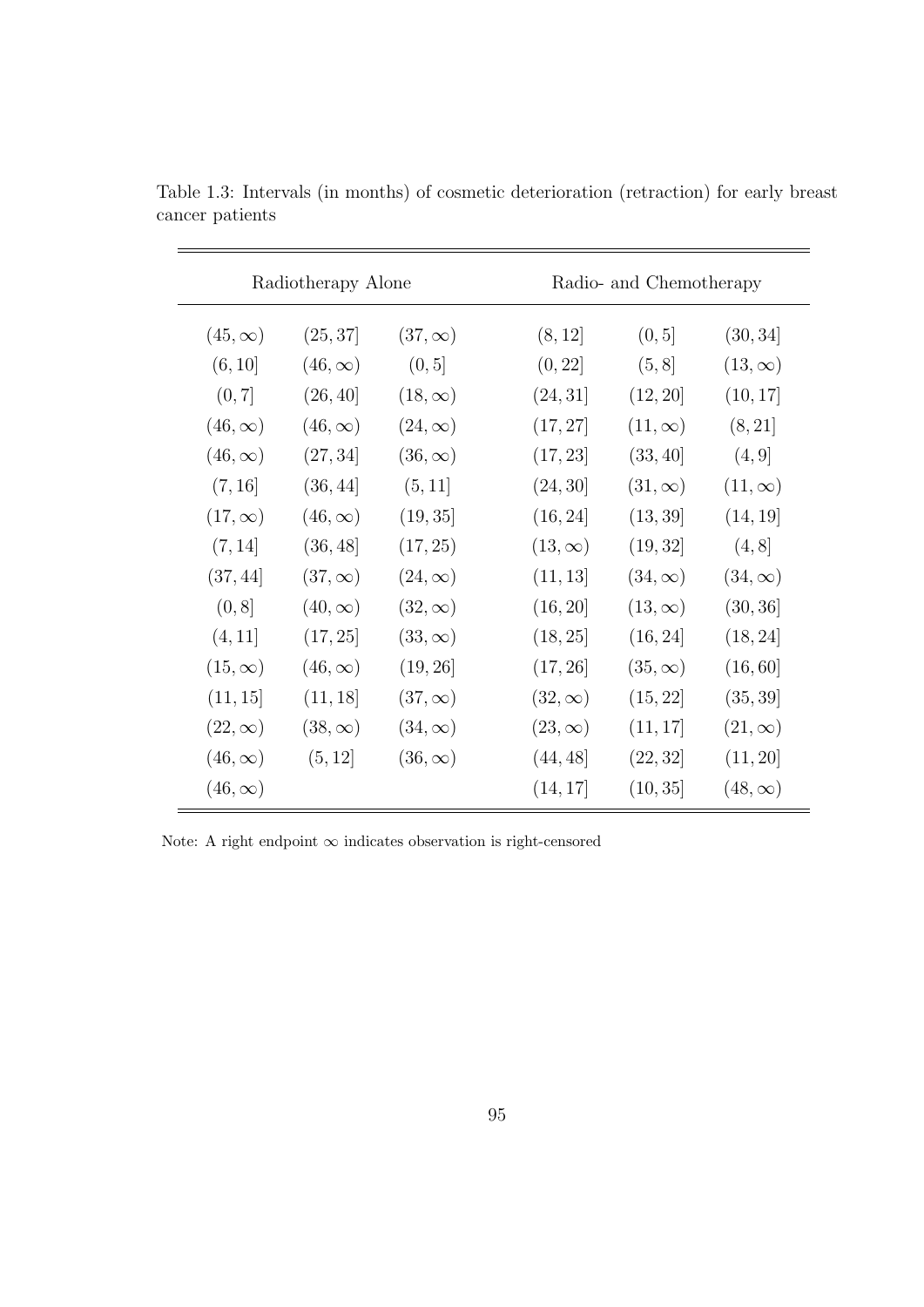| Radiotherapy Alone |                |                |               | Radio- and Chemotherapy |                |  |  |
|--------------------|----------------|----------------|---------------|-------------------------|----------------|--|--|
| $(45,\infty)$      | (25, 37)       | $(37,\infty)$  | (8, 12]       | (0, 5]                  | (30, 34]       |  |  |
| (6, 10]            | $(46,\infty)$  | (0, 5]         | (0, 22]       | (5, 8]                  | $(13,\infty)$  |  |  |
| (0, 7]             | (26, 40]       | $(18, \infty)$ | (24, 31]      | (12, 20)                | (10, 17)       |  |  |
| $(46,\infty)$      | $(46,\infty)$  | $(24,\infty)$  | (17, 27)      | $(11,\infty)$           | (8, 21]        |  |  |
| $(46,\infty)$      | (27, 34]       | $(36,\infty)$  | (17, 23]      | (33, 40)                | (4, 9]         |  |  |
| (7, 16)            | (36, 44]       | (5, 11]        | (24, 30)      | $(31,\infty)$           | $(11,\infty)$  |  |  |
| $(17,\infty)$      | $(46,\infty)$  | (19, 35)       | (16, 24]      | (13, 39)                | (14, 19)       |  |  |
| (7, 14]            | (36, 48)       | (17, 25)       | $(13,\infty)$ | (19, 32)                | (4, 8]         |  |  |
| (37, 44]           | $(37,\infty)$  | $(24,\infty)$  | (11, 13]      | $(34,\infty)$           | $(34,\infty)$  |  |  |
| (0, 8]             | $(40,\infty)$  | $(32,\infty)$  | (16, 20]      | $(13,\infty)$           | (30, 36)       |  |  |
| (4, 11]            | (17, 25)       | $(33,\infty)$  | (18, 25)      | (16, 24)                | (18, 24)       |  |  |
| $(15,\infty)$      | $(46,\infty)$  | (19, 26)       | (17, 26)      | $(35,\infty)$           | (16, 60]       |  |  |
| (11, 15]           | (11, 18)       | $(37,\infty)$  | $(32,\infty)$ | (15, 22)                | (35, 39)       |  |  |
| $(22,\infty)$      | $(38, \infty)$ | $(34,\infty)$  | $(23,\infty)$ | (11, 17)                | $(21,\infty)$  |  |  |
| $(46,\infty)$      | (5, 12]        | $(36,\infty)$  | (44, 48)      | (22, 32]                | (11, 20)       |  |  |
| $(46,\infty)$      |                |                | (14, 17)      | (10, 35)                | $(48, \infty)$ |  |  |

Table 1.3: Intervals (in months) of cosmetic deterioration (retraction) for early breast cancer patients

Note: A right endpoint  $\infty$  indicates observation is right-censored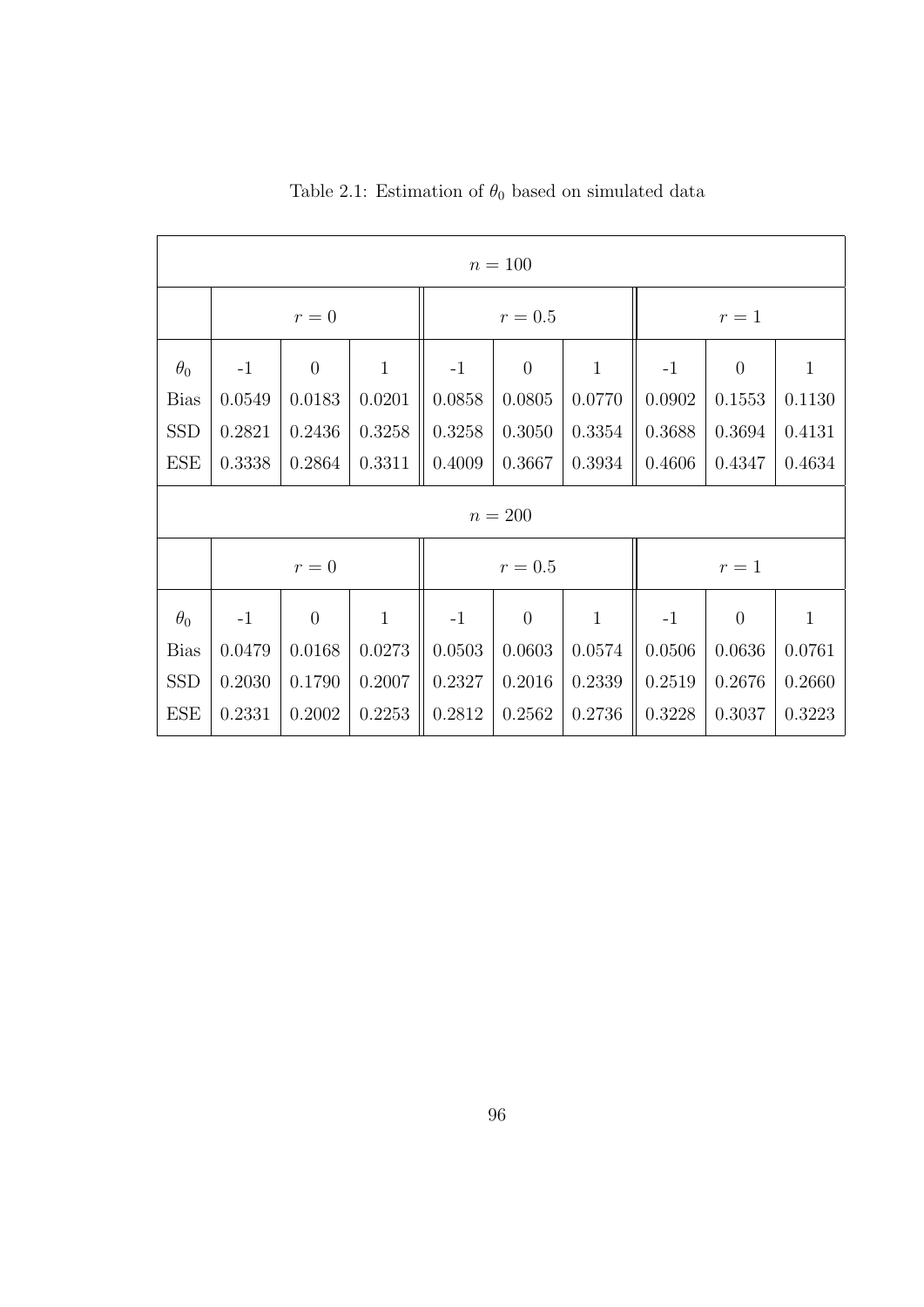| $n = 100$   |        |                |              |         |                |              |        |          |              |
|-------------|--------|----------------|--------------|---------|----------------|--------------|--------|----------|--------------|
|             | $r=0$  |                |              | $r=0.5$ |                |              | $r=1$  |          |              |
| $\theta_0$  | $-1$   | $\overline{0}$ | $\mathbf{1}$ | $-1$    | $\overline{0}$ | $\mathbf{1}$ | $-1$   | $\theta$ | $\mathbf{1}$ |
| <b>Bias</b> | 0.0549 | 0.0183         | 0.0201       | 0.0858  | 0.0805         | 0.0770       | 0.0902 | 0.1553   | 0.1130       |
| <b>SSD</b>  | 0.2821 | 0.2436         | 0.3258       | 0.3258  | 0.3050         | 0.3354       | 0.3688 | 0.3694   | 0.4131       |
| <b>ESE</b>  | 0.3338 | 0.2864         | 0.3311       | 0.4009  | 0.3667         | 0.3934       | 0.4606 | 0.4347   | 0.4634       |
| $n = 200$   |        |                |              |         |                |              |        |          |              |
|             | $r=0$  |                |              | $r=0.5$ |                |              | $r=1$  |          |              |
| $\theta_0$  | $-1$   | $\overline{0}$ | $\mathbf{1}$ | $-1$    | $\theta$       | $\mathbf{1}$ | $-1$   | $\theta$ | $\mathbf{1}$ |
| <b>Bias</b> | 0.0479 | 0.0168         | 0.0273       | 0.0503  | 0.0603         | 0.0574       | 0.0506 | 0.0636   | 0.0761       |
| <b>SSD</b>  | 0.2030 | 0.1790         | 0.2007       | 0.2327  | 0.2016         | 0.2339       | 0.2519 | 0.2676   | 0.2660       |
| <b>ESE</b>  | 0.2331 | 0.2002         | 0.2253       | 0.2812  | 0.2562         | 0.2736       | 0.3228 | 0.3037   | 0.3223       |

Table 2.1: Estimation of  $\theta_0$  based on simulated data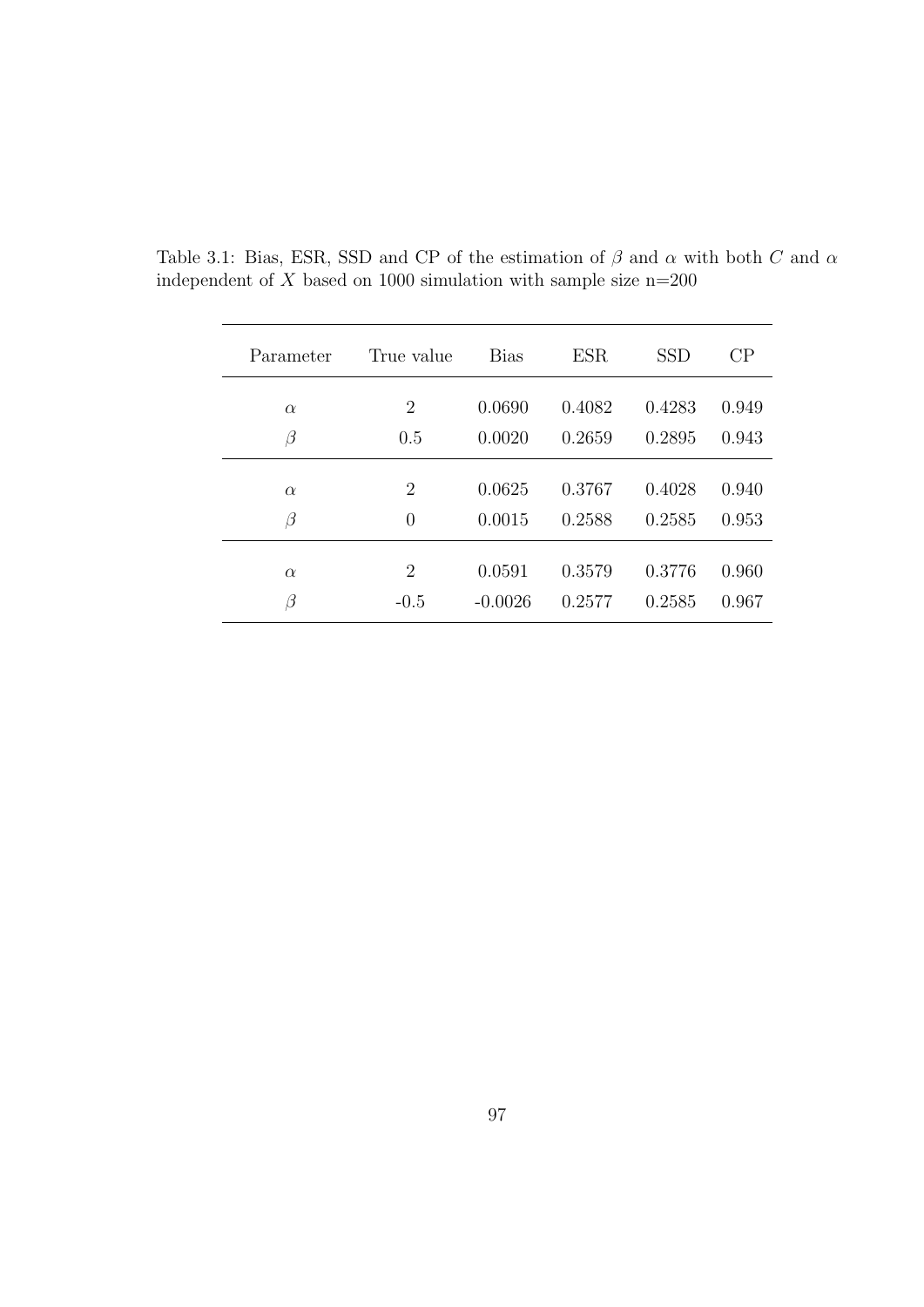| Parameter | True value     | <b>Bias</b> | <b>ESR</b> | <b>SSD</b> | CP    |
|-----------|----------------|-------------|------------|------------|-------|
|           |                |             |            |            |       |
| $\alpha$  | $\overline{2}$ | 0.0690      | 0.4082     | 0.4283     | 0.949 |
| $\beta$   | 0.5            | 0.0020      | 0.2659     | 0.2895     | 0.943 |
|           |                |             |            |            |       |
| $\alpha$  | $\overline{2}$ | 0.0625      | 0.3767     | 0.4028     | 0.940 |
| $\beta$   | $\theta$       | 0.0015      | 0.2588     | 0.2585     | 0.953 |
|           |                |             |            |            |       |
| $\alpha$  | $\overline{2}$ | 0.0591      | 0.3579     | 0.3776     | 0.960 |
| ß         | $-0.5$         | $-0.0026$   | 0.2577     | 0.2585     | 0.967 |

Table 3.1: Bias, ESR, SSD and CP of the estimation of  $\beta$  and  $\alpha$  with both C and  $\alpha$ independent of  $X$  based on 1000 simulation with sample size n=200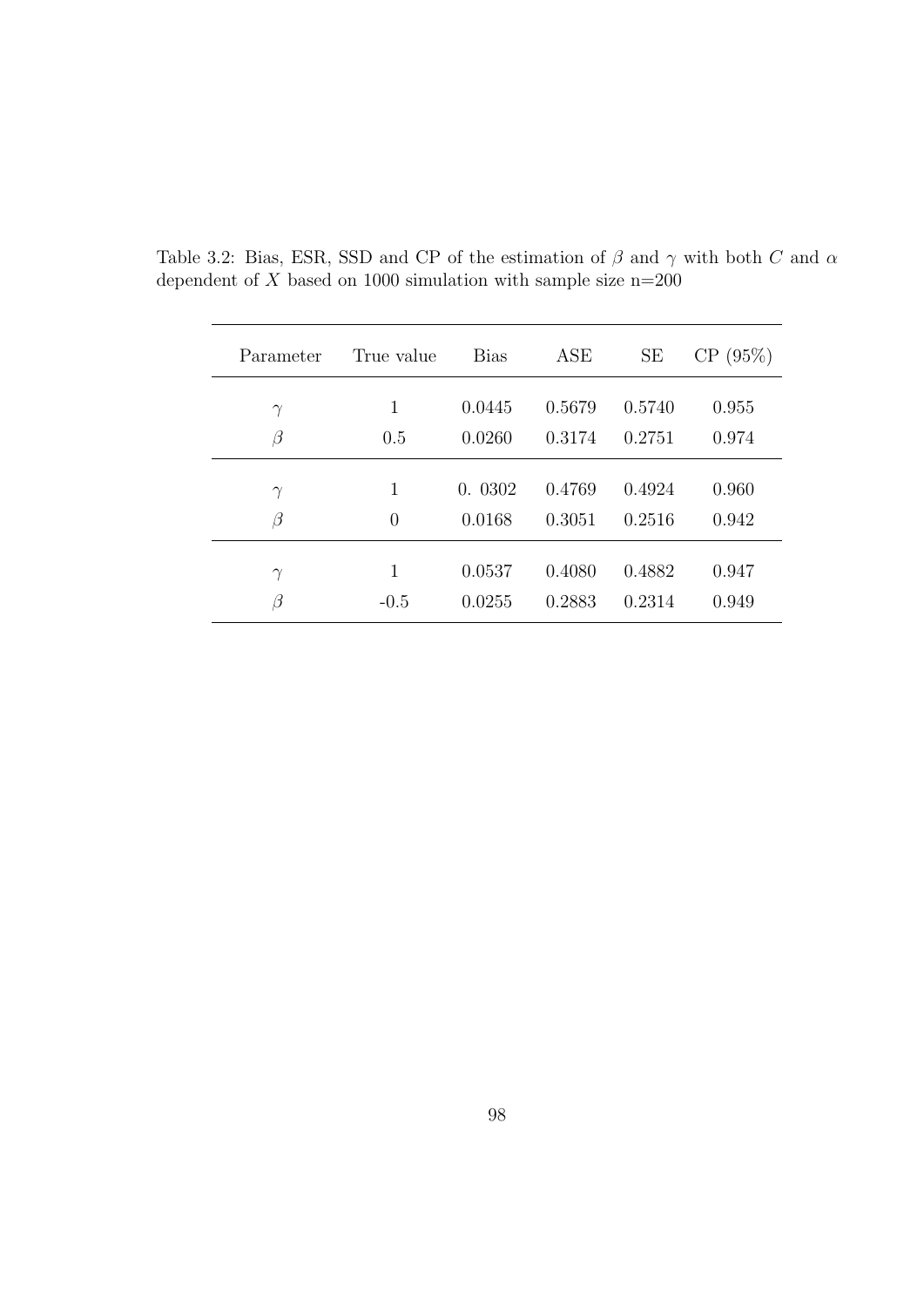| Parameter | True value     | <b>Bias</b> | ASE    | <b>SE</b> | CP(95%) |
|-----------|----------------|-------------|--------|-----------|---------|
| $\gamma$  | 1              | 0.0445      | 0.5679 | 0.5740    | 0.955   |
| $\beta$   | 0.5            | 0.0260      | 0.3174 | 0.2751    | 0.974   |
| $\gamma$  | 1              | 0.0302      | 0.4769 | 0.4924    | 0.960   |
| $\beta$   | $\overline{0}$ | 0.0168      | 0.3051 | 0.2516    | 0.942   |
| $\gamma$  | 1              | 0.0537      | 0.4080 | 0.4882    | 0.947   |
| $\beta$   | $-0.5$         | 0.0255      | 0.2883 | 0.2314    | 0.949   |

Table 3.2: Bias, ESR, SSD and CP of the estimation of  $\beta$  and  $\gamma$  with both C and  $\alpha$ dependent of  $X$  based on 1000 simulation with sample size n=200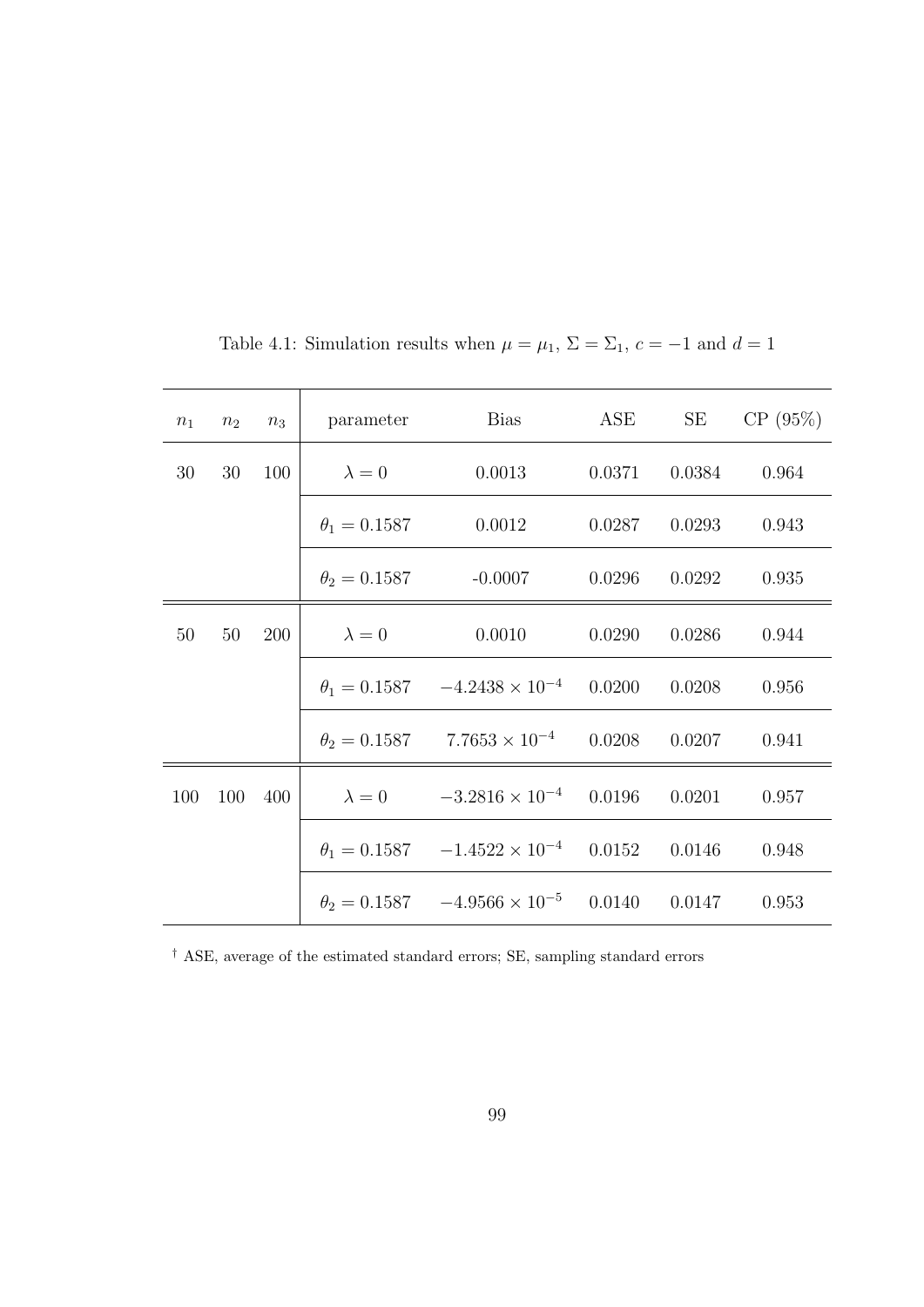| $n_1$ | n <sub>2</sub> | $n_3$ | parameter           | Bias                                                       | ${\rm ASE}$ | SE     | CP(95%) |
|-------|----------------|-------|---------------------|------------------------------------------------------------|-------------|--------|---------|
| 30    | 30             | 100   | $\lambda = 0$       | 0.0013                                                     | 0.0371      | 0.0384 | 0.964   |
|       |                |       | $\theta_1 = 0.1587$ | 0.0012                                                     | 0.0287      | 0.0293 | 0.943   |
|       |                |       | $\theta_2 = 0.1587$ | $-0.0007$                                                  | 0.0296      | 0.0292 | 0.935   |
| 50    | 50             | 200   | $\lambda = 0$       | 0.0010                                                     | 0.0290      | 0.0286 | 0.944   |
|       |                |       |                     | $\theta_1 = 0.1587$ $-4.2438 \times 10^{-4}$ 0.0200        |             | 0.0208 | 0.956   |
|       |                |       |                     | $\theta_2 = 0.1587$ 7.7653 × 10 <sup>-4</sup> 0.0208       |             | 0.0207 | 0.941   |
| 100   | 100            | 400   |                     | $\lambda = 0$ $-3.2816 \times 10^{-4}$ 0.0196              |             | 0.0201 | 0.957   |
|       |                |       |                     | $\theta_1 = 0.1587$ $-1.4522 \times 10^{-4}$ 0.0152        |             | 0.0146 | 0.948   |
|       |                |       |                     | $\theta_2 = 0.1587$ $-4.9566 \times 10^{-5}$ 0.0140 0.0147 |             |        | 0.953   |

Table 4.1: Simulation results when  $\mu = \mu_1$ ,  $\Sigma = \Sigma_1$ ,  $c = -1$  and  $d = 1$ 

 $^\dagger$  ASE, average of the estimated standard errors; SE, sampling standard errors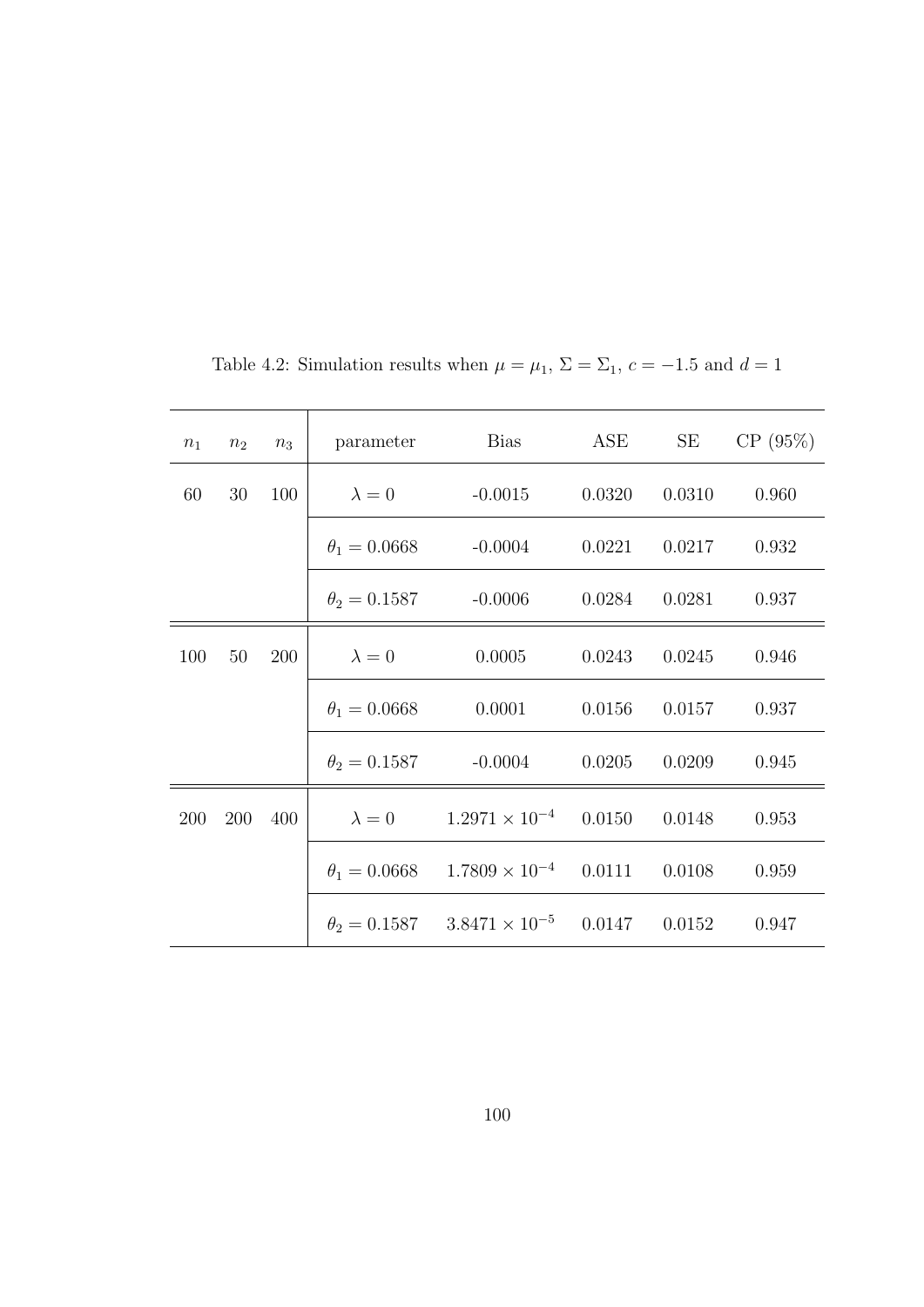| $n_1$ | n <sub>2</sub> | $n_3$ | parameter                   | Bias                                               | ASE    | SE     | CP(95%) |
|-------|----------------|-------|-----------------------------|----------------------------------------------------|--------|--------|---------|
| 60    | 30             | 100   | $\lambda = 0$               | $-0.0015$                                          | 0.0320 | 0.0310 | 0.960   |
|       |                |       | $\theta_1 = 0.0668$         | $-0.0004$                                          | 0.0221 | 0.0217 | 0.932   |
|       |                |       | $\theta_2 = 0.1587$         | $-0.0006$                                          | 0.0284 | 0.0281 | 0.937   |
| 100   | 50             | 200   | $\lambda = 0$               | 0.0005                                             | 0.0243 | 0.0245 | 0.946   |
|       |                |       | $\theta_1 = 0.0668$         | 0.0001                                             | 0.0156 | 0.0157 | 0.937   |
|       |                |       | $\theta_2 = 0.1587$ -0.0004 |                                                    | 0.0205 | 0.0209 | 0.945   |
| 200   | 200            | 400   |                             | $\lambda = 0$ $1.2971 \times 10^{-4}$ 0.0150       |        | 0.0148 | 0.953   |
|       |                |       |                             | $\theta_1 = 0.0668$ $1.7809 \times 10^{-4}$ 0.0111 |        | 0.0108 | 0.959   |
|       |                |       |                             | $\theta_2 = 0.1587$ $3.8471 \times 10^{-5}$ 0.0147 |        | 0.0152 | 0.947   |

Table 4.2: Simulation results when  $\mu = \mu_1$ ,  $\Sigma = \Sigma_1$ ,  $c = -1.5$  and  $d = 1$ 

100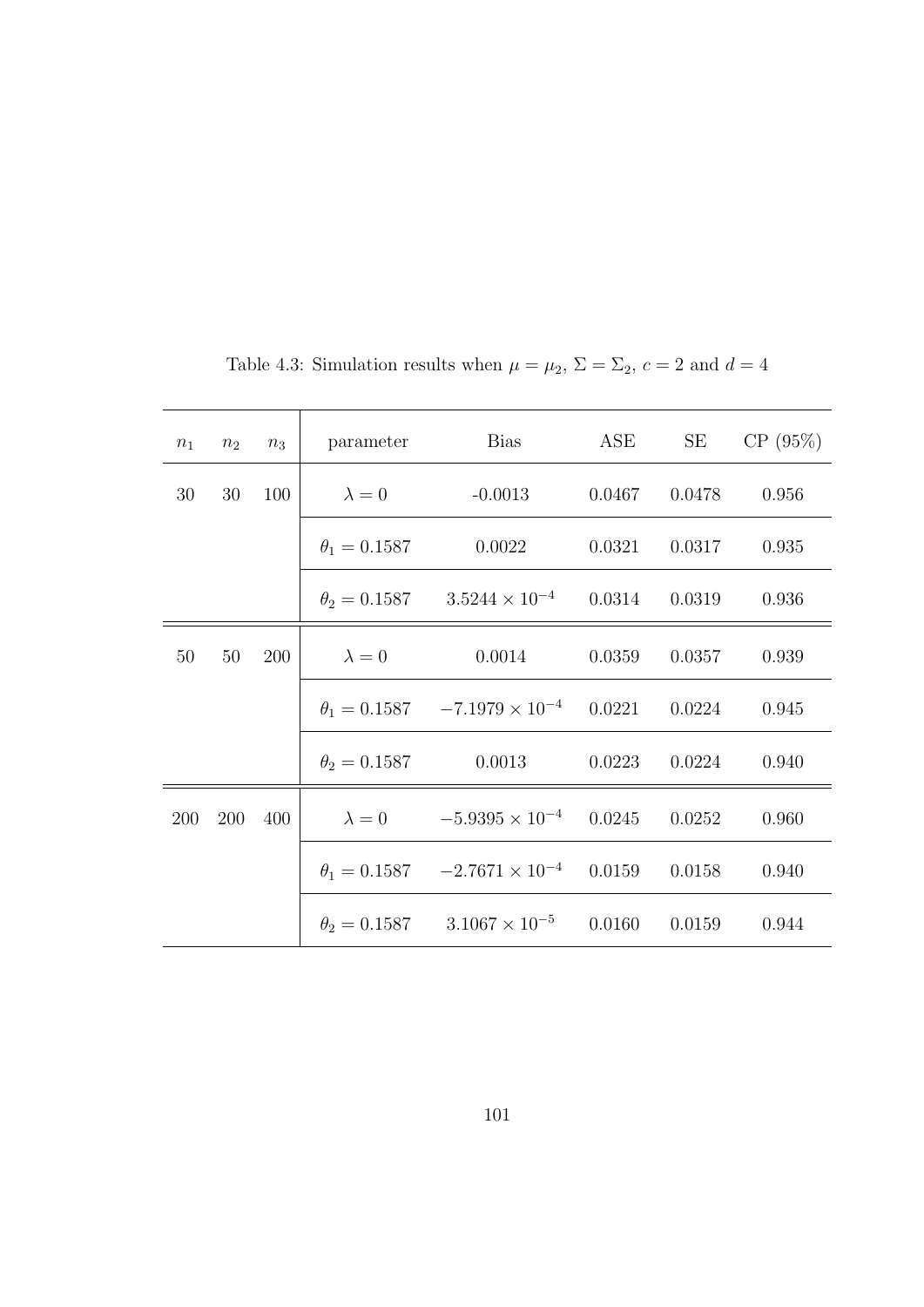| $n_1$      | $n_2$ | $n_3$ | parameter           | Bias                                                  | ASE    | SE                | CP(95%)      |
|------------|-------|-------|---------------------|-------------------------------------------------------|--------|-------------------|--------------|
| 30         | 30    | 100   | $\lambda = 0$       | $-0.0013$                                             | 0.0467 |                   | 0.0478 0.956 |
|            |       |       | $\theta_1 = 0.1587$ | 0.0022                                                |        | $0.0321$ $0.0317$ | 0.935        |
|            |       |       |                     | $\theta_2 = 0.1587$ $3.5244 \times 10^{-4}$ $0.0314$  |        | 0.0319            | 0.936        |
| 50         | 50    | 200   | $\lambda = 0$       | 0.0014                                                | 0.0359 | 0.0357            | 0.939        |
|            |       |       |                     | $\theta_1 = 0.1587$ $-7.1979 \times 10^{-4}$ $0.0221$ |        | 0.0224            | 0.945        |
|            |       |       |                     | $\theta_2 = 0.1587$ 0.0013 0.0223                     |        | 0.0224            | 0.940        |
| <b>200</b> | 200   | 400   |                     | $\lambda = 0$ $-5.9395 \times 10^{-4}$ 0.0245         |        | 0.0252            | 0.960        |
|            |       |       |                     | $\theta_1 = 0.1587$ $-2.7671 \times 10^{-4}$ 0.0159   |        | 0.0158            | 0.940        |
|            |       |       |                     | $\theta_2 = 0.1587$ $3.1067 \times 10^{-5}$ 0.0160    |        | 0.0159            | 0.944        |

Table 4.3: Simulation results when  $\mu = \mu_2$ ,  $\Sigma = \Sigma_2$ ,  $c = 2$  and  $d = 4$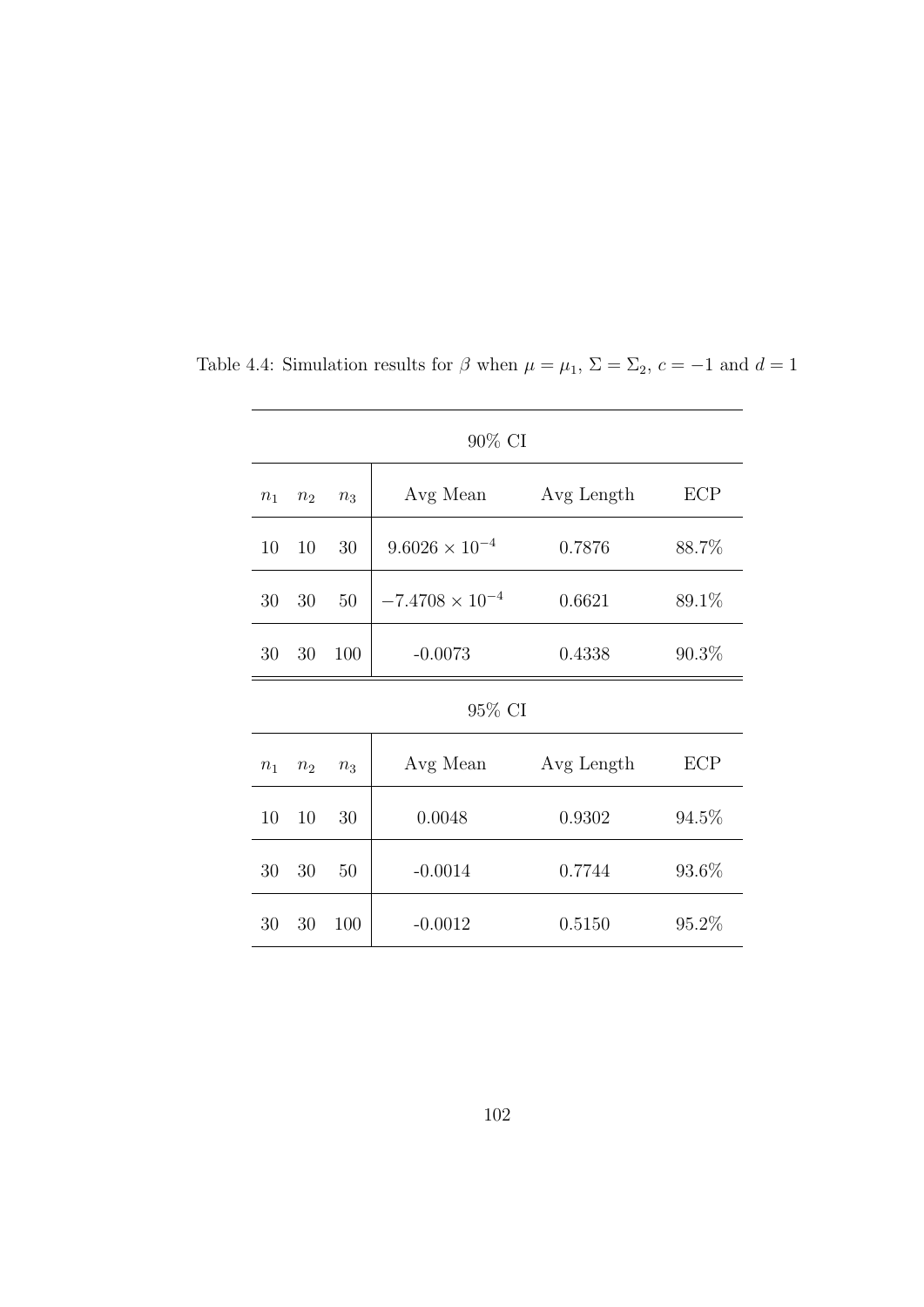| 90% CI |                |       |                          |            |          |  |
|--------|----------------|-------|--------------------------|------------|----------|--|
| $n_1$  | n <sub>2</sub> | $n_3$ | Avg Mean                 | Avg Length | ECP      |  |
| 10     | 10             | 30    | $9.6026 \times 10^{-4}$  | 0.7876     | 88.7%    |  |
| 30     | 30             | 50    | $-7.4708 \times 10^{-4}$ | 0.6621     | 89.1%    |  |
| 30     | $30\,$         | 100   | $-0.0073$                | 0.4338     | $90.3\%$ |  |
| 95% CI |                |       |                          |            |          |  |
| $n_1$  | $n_2$          | $n_3$ | Avg Mean                 | Avg Length | ECP      |  |
| 10     | 10             | 30    | 0.0048                   | 0.9302     | 94.5%    |  |
| 30     | 30             | 50    | $-0.0014$                | 0.7744     | 93.6%    |  |
| 30     | 30             | 100   | $-0.0012$                | 0.5150     | 95.2%    |  |

Table 4.4: Simulation results for  $\beta$  when  $\mu = \mu_1$ ,  $\Sigma = \Sigma_2$ ,  $c = -1$  and  $d = 1$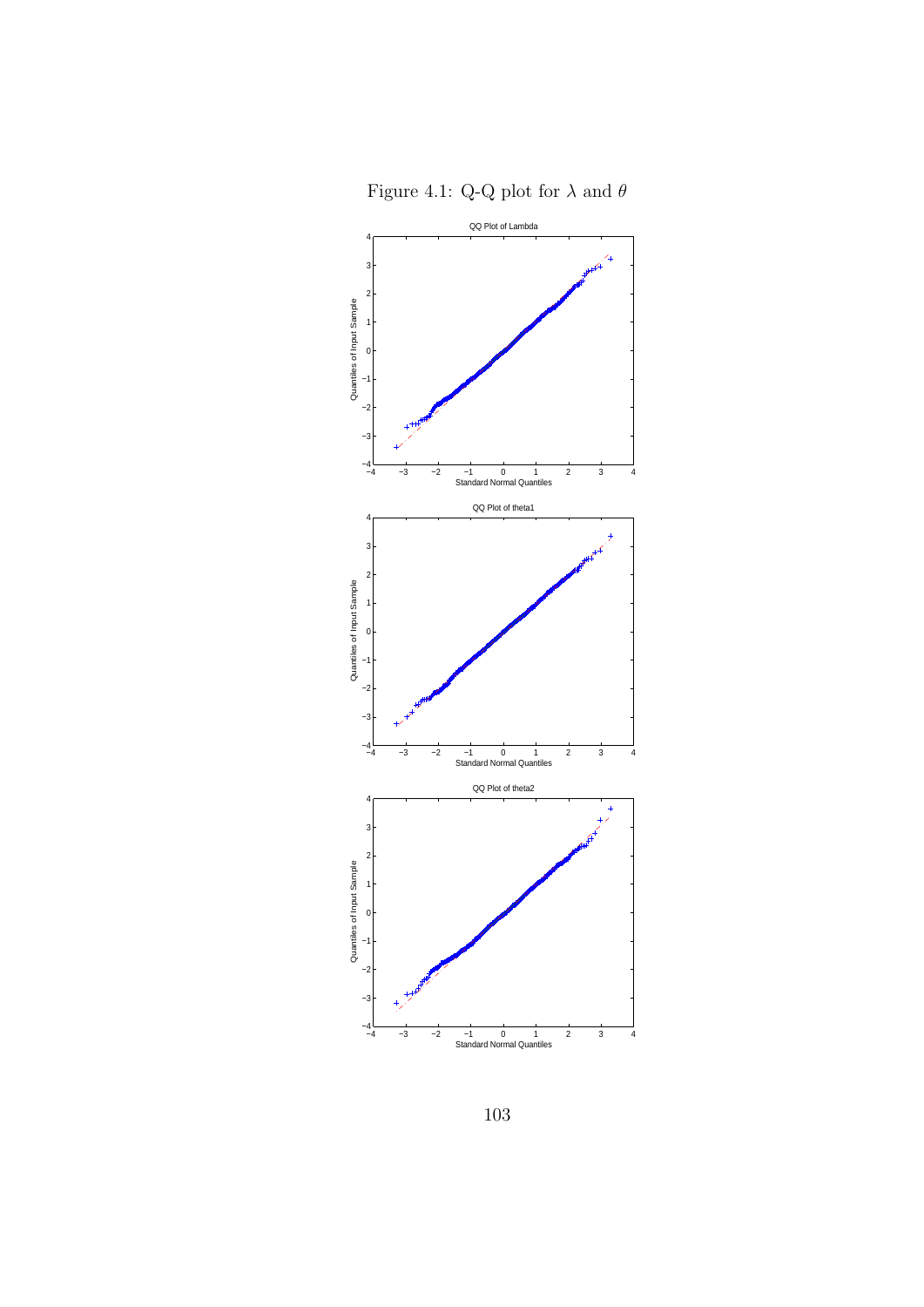



103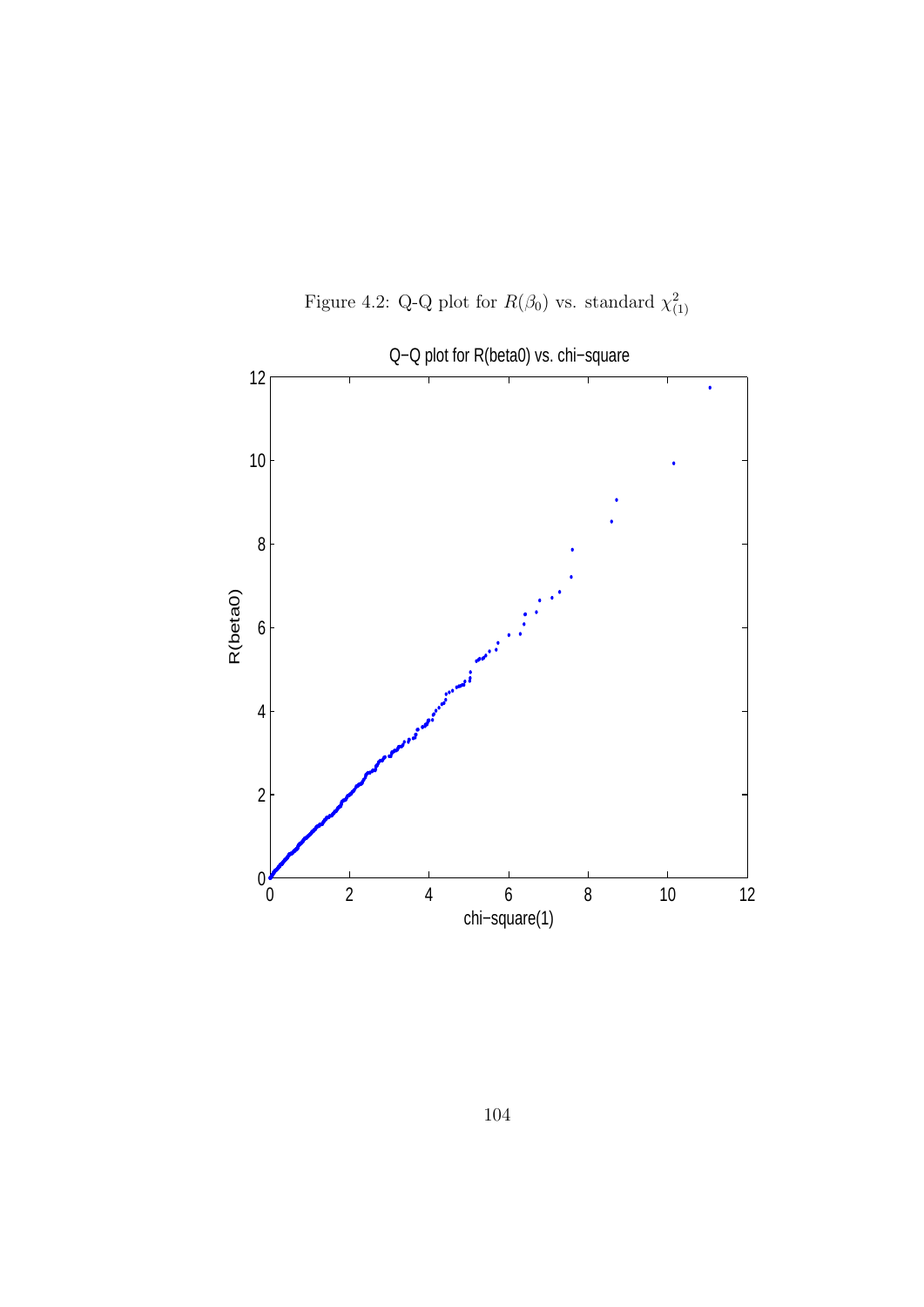

Figure 4.2: Q-Q plot for  $R(\beta_0)$  vs. standard  $\chi^2_{(1)}$